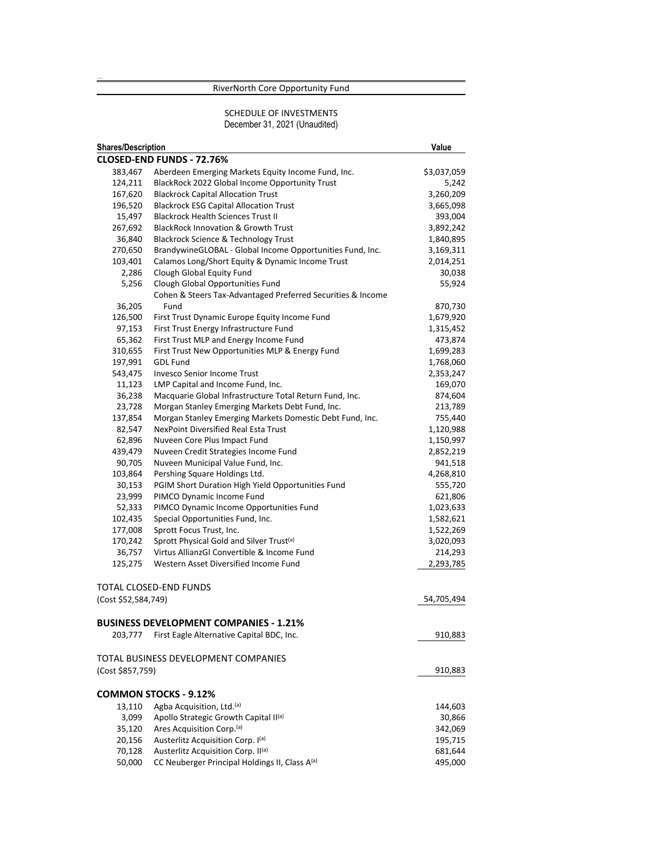# RiverNorth Core Opportunity Fund

## SCHEDULE OF INVESTMENTS December 31, 2021 (Unaudited)

| <b>Shares/Description</b> |                                                             | Value       |
|---------------------------|-------------------------------------------------------------|-------------|
|                           | CLOSED-END FUNDS - 72.76%                                   |             |
| 383,467                   | Aberdeen Emerging Markets Equity Income Fund, Inc.          | \$3,037,059 |
| 124,211                   | BlackRock 2022 Global Income Opportunity Trust              | 5,242       |
| 167,620                   | <b>Blackrock Capital Allocation Trust</b>                   | 3,260,209   |
| 196,520                   | <b>Blackrock ESG Capital Allocation Trust</b>               | 3,665,098   |
| 15,497                    | <b>Blackrock Health Sciences Trust II</b>                   | 393,004     |
| 267,692                   | <b>BlackRock Innovation &amp; Growth Trust</b>              | 3,892,242   |
| 36,840                    | Blackrock Science & Technology Trust                        | 1,840,895   |
| 270,650                   | BrandywineGLOBAL - Global Income Opportunities Fund, Inc.   | 3,169,311   |
| 103,401                   | Calamos Long/Short Equity & Dynamic Income Trust            | 2,014,251   |
| 2,286                     | Clough Global Equity Fund                                   | 30,038      |
| 5,256                     | Clough Global Opportunities Fund                            | 55,924      |
|                           | Cohen & Steers Tax-Advantaged Preferred Securities & Income |             |
| 36,205                    | Fund                                                        | 870,730     |
| 126,500                   | First Trust Dynamic Europe Equity Income Fund               | 1,679,920   |
| 97,153                    | First Trust Energy Infrastructure Fund                      | 1,315,452   |
| 65,362                    | First Trust MLP and Energy Income Fund                      | 473,874     |
| 310,655                   | First Trust New Opportunities MLP & Energy Fund             | 1,699,283   |
| 197,991                   | <b>GDL Fund</b>                                             | 1,768,060   |
| 543,475                   | <b>Invesco Senior Income Trust</b>                          | 2,353,247   |
| 11,123                    | LMP Capital and Income Fund, Inc.                           | 169,070     |
| 36,238                    | Macquarie Global Infrastructure Total Return Fund, Inc.     | 874,604     |
| 23,728                    | Morgan Stanley Emerging Markets Debt Fund, Inc.             | 213,789     |
| 137,854                   | Morgan Stanley Emerging Markets Domestic Debt Fund, Inc.    | 755,440     |
| 82,547                    | <b>NexPoint Diversified Real Esta Trust</b>                 | 1,120,988   |
| 62,896                    | Nuveen Core Plus Impact Fund                                | 1,150,997   |
| 439,479                   | Nuveen Credit Strategies Income Fund                        | 2,852,219   |
| 90,705                    | Nuveen Municipal Value Fund, Inc.                           | 941,518     |
| 103,864                   | Pershing Square Holdings Ltd.                               | 4,268,810   |
| 30,153                    | PGIM Short Duration High Yield Opportunities Fund           | 555,720     |
| 23,999                    | PIMCO Dynamic Income Fund                                   | 621,806     |
| 52,333                    | PIMCO Dynamic Income Opportunities Fund                     | 1,023,633   |
| 102,435                   | Special Opportunities Fund, Inc.                            | 1,582,621   |
| 177,008                   | Sprott Focus Trust, Inc.                                    | 1,522,269   |
| 170,242                   | Sprott Physical Gold and Silver Trust <sup>(a)</sup>        | 3,020,093   |
| 36,757                    | Virtus AllianzGI Convertible & Income Fund                  | 214,293     |
| 125,275                   | Western Asset Diversified Income Fund                       | 2,293,785   |
|                           | TOTAL CLOSED-END FUNDS                                      |             |
| (Cost \$52,584,749)       |                                                             | 54,705,494  |
|                           |                                                             |             |
|                           | <b>BUSINESS DEVELOPMENT COMPANIES - 1.21%</b>               |             |
| 203,777                   | First Eagle Alternative Capital BDC, Inc.                   | 910,883     |
|                           | TOTAL BUSINESS DEVELOPMENT COMPANIES                        |             |
| (Cost \$857,759)          |                                                             | 910,883     |
|                           | <b>COMMON STOCKS - 9.12%</b>                                |             |
|                           | Agba Acquisition, Ltd.(a)                                   | 144,603     |
| 13,110<br>3,099           | Apollo Strategic Growth Capital II(a)                       | 30,866      |
| 35,120                    | Ares Acquisition Corp. <sup>(a)</sup>                       | 342,069     |
| 20,156                    | Austerlitz Acquisition Corp. I(a)                           |             |
| 70,128                    | Austerlitz Acquisition Corp. II(a)                          | 195,715     |
|                           |                                                             | 681,644     |
| 50,000                    | CC Neuberger Principal Holdings II, Class A(a)              | 495,000     |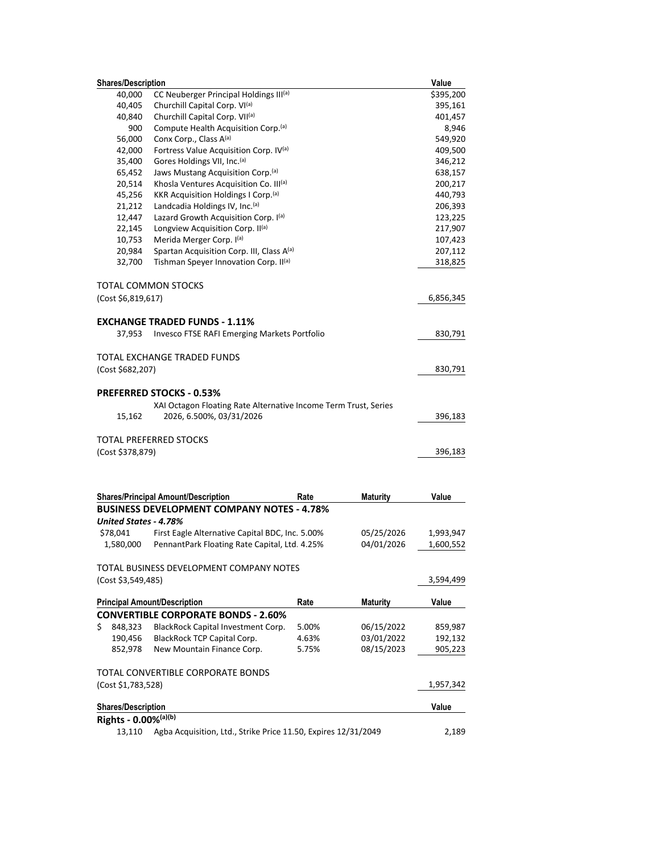| <b>Shares/Description</b>    |                                                                 |       |                 | Value     |
|------------------------------|-----------------------------------------------------------------|-------|-----------------|-----------|
| 40,000                       | CC Neuberger Principal Holdings III(a)                          |       |                 | \$395,200 |
| 40,405                       | Churchill Capital Corp. VI <sup>(a)</sup>                       |       |                 | 395,161   |
| 40,840                       | Churchill Capital Corp. VII(a)                                  |       |                 | 401,457   |
| 900                          | Compute Health Acquisition Corp. <sup>(a)</sup>                 |       |                 | 8,946     |
| 56,000                       | Conx Corp., Class A(a)                                          |       |                 | 549,920   |
| 42,000                       | Fortress Value Acquisition Corp. IV(a)                          |       |                 | 409,500   |
| 35,400                       | Gores Holdings VII, Inc. <sup>(a)</sup>                         |       |                 | 346,212   |
| 65,452                       | Jaws Mustang Acquisition Corp. <sup>(a)</sup>                   |       |                 | 638,157   |
| 20,514                       | Khosla Ventures Acquisition Co. III(a)                          |       |                 | 200,217   |
| 45,256                       | KKR Acquisition Holdings I Corp. <sup>(a)</sup>                 |       |                 | 440,793   |
| 21,212                       | Landcadia Holdings IV, Inc. <sup>(a)</sup>                      |       |                 | 206,393   |
| 12,447                       | Lazard Growth Acquisition Corp. I(a)                            |       |                 | 123,225   |
| 22,145                       | Longview Acquisition Corp. II <sup>(a)</sup>                    |       |                 | 217,907   |
| 10,753                       | Merida Merger Corp. I(a)                                        |       |                 | 107,423   |
| 20,984                       | Spartan Acquisition Corp. III, Class A(a)                       |       |                 | 207,112   |
| 32,700                       | Tishman Speyer Innovation Corp. II(a)                           |       |                 | 318,825   |
|                              | TOTAL COMMON STOCKS                                             |       |                 |           |
| (Cost \$6,819,617)           |                                                                 |       |                 | 6,856,345 |
|                              | <b>EXCHANGE TRADED FUNDS - 1.11%</b>                            |       |                 |           |
| 37,953                       | Invesco FTSE RAFI Emerging Markets Portfolio                    |       |                 | 830,791   |
|                              | TOTAL EXCHANGE TRADED FUNDS                                     |       |                 |           |
| (Cost \$682,207)             |                                                                 |       |                 | 830,791   |
|                              |                                                                 |       |                 |           |
|                              | <b>PREFERRED STOCKS - 0.53%</b>                                 |       |                 |           |
|                              | XAI Octagon Floating Rate Alternative Income Term Trust, Series |       |                 |           |
| 15,162                       | 2026, 6.500%, 03/31/2026                                        |       |                 | 396,183   |
|                              | TOTAL PREFERRED STOCKS                                          |       |                 |           |
| (Cost \$378,879)             |                                                                 |       |                 | 396,183   |
|                              |                                                                 |       |                 |           |
|                              |                                                                 |       |                 |           |
|                              | <b>Shares/Principal Amount/Description</b>                      | Rate  | Maturity        | Value     |
| <b>United States - 4.78%</b> | <b>BUSINESS DEVELOPMENT COMPANY NOTES - 4.78%</b>               |       |                 |           |
| \$78,041                     | First Eagle Alternative Capital BDC, Inc. 5.00%                 |       | 05/25/2026      | 1,993,947 |
| 1,580,000                    | PennantPark Floating Rate Capital, Ltd. 4.25%                   |       | 04/01/2026      | 1,600,552 |
|                              |                                                                 |       |                 |           |
|                              | TOTAL BUSINESS DEVELOPMENT COMPANY NOTES                        |       |                 |           |
| (Cost \$3,549,485)           |                                                                 |       |                 | 3,594,499 |
|                              | <b>Principal Amount/Description</b>                             | Rate  | <b>Maturity</b> | Value     |
|                              | <b>CONVERTIBLE CORPORATE BONDS - 2.60%</b>                      |       |                 |           |
| \$<br>848,323                | BlackRock Capital Investment Corp.                              | 5.00% | 06/15/2022      | 859,987   |
| 190,456                      | BlackRock TCP Capital Corp.                                     | 4.63% | 03/01/2022      | 192,132   |
| 852,978                      | New Mountain Finance Corp.                                      | 5.75% | 08/15/2023      | 905,223   |
|                              | TOTAL CONVERTIBLE CORPORATE BONDS                               |       |                 |           |
| (Cost \$1,783,528)           |                                                                 |       |                 | 1,957,342 |
| <b>Shares/Description</b>    |                                                                 |       |                 | Value     |
| Rights - 0.00%(a)(b)         |                                                                 |       |                 |           |
| 13,110                       | Agba Acquisition, Ltd., Strike Price 11.50, Expires 12/31/2049  |       |                 | 2,189     |
|                              |                                                                 |       |                 |           |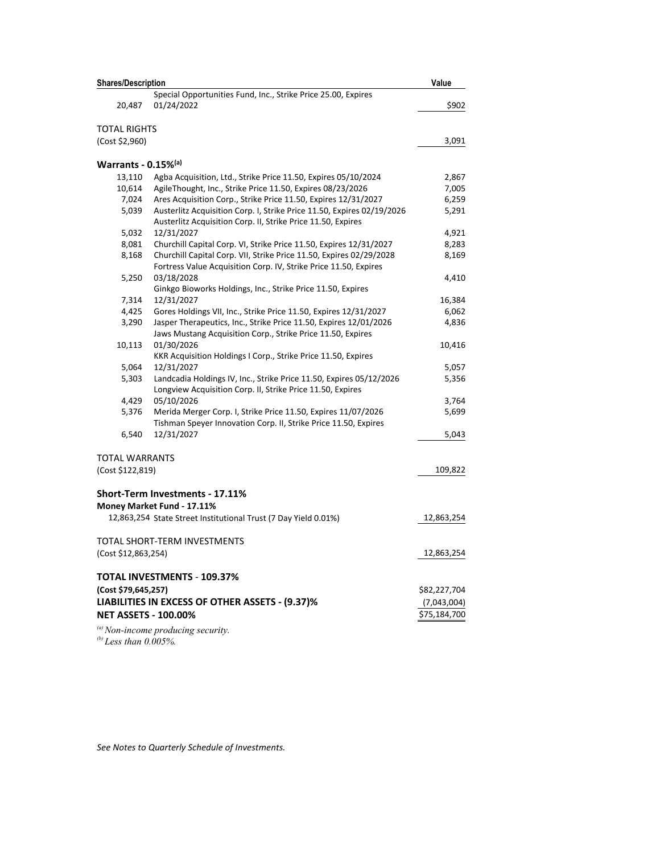| <b>Shares/Description</b>   |                                                                        | Value        |
|-----------------------------|------------------------------------------------------------------------|--------------|
|                             | Special Opportunities Fund, Inc., Strike Price 25.00, Expires          |              |
| 20,487                      | 01/24/2022                                                             | \$902        |
|                             |                                                                        |              |
| <b>TOTAL RIGHTS</b>         |                                                                        |              |
| (Cost \$2,960)              |                                                                        | 3,091        |
| Warrants - 0.15%(a)         |                                                                        |              |
| 13,110                      | Agba Acquisition, Ltd., Strike Price 11.50, Expires 05/10/2024         | 2,867        |
| 10,614                      | AgileThought, Inc., Strike Price 11.50, Expires 08/23/2026             | 7,005        |
| 7,024                       | Ares Acquisition Corp., Strike Price 11.50, Expires 12/31/2027         | 6,259        |
| 5,039                       | Austerlitz Acquisition Corp. I, Strike Price 11.50, Expires 02/19/2026 | 5,291        |
|                             | Austerlitz Acquisition Corp. II, Strike Price 11.50, Expires           |              |
| 5,032                       | 12/31/2027                                                             | 4,921        |
| 8,081                       | Churchill Capital Corp. VI, Strike Price 11.50, Expires 12/31/2027     | 8,283        |
| 8,168                       | Churchill Capital Corp. VII, Strike Price 11.50, Expires 02/29/2028    | 8,169        |
|                             | Fortress Value Acquisition Corp. IV, Strike Price 11.50, Expires       |              |
| 5,250                       | 03/18/2028                                                             | 4,410        |
|                             | Ginkgo Bioworks Holdings, Inc., Strike Price 11.50, Expires            |              |
| 7,314                       | 12/31/2027                                                             | 16,384       |
| 4,425                       | Gores Holdings VII, Inc., Strike Price 11.50, Expires 12/31/2027       | 6,062        |
| 3,290                       | Jasper Therapeutics, Inc., Strike Price 11.50, Expires 12/01/2026      | 4,836        |
|                             | Jaws Mustang Acquisition Corp., Strike Price 11.50, Expires            |              |
| 10,113                      | 01/30/2026                                                             | 10,416       |
|                             | KKR Acquisition Holdings I Corp., Strike Price 11.50, Expires          |              |
| 5,064                       | 12/31/2027                                                             | 5,057        |
| 5,303                       | Landcadia Holdings IV, Inc., Strike Price 11.50, Expires 05/12/2026    | 5,356        |
|                             | Longview Acquisition Corp. II, Strike Price 11.50, Expires             |              |
| 4,429                       | 05/10/2026                                                             | 3,764        |
| 5,376                       | Merida Merger Corp. I, Strike Price 11.50, Expires 11/07/2026          | 5,699        |
|                             | Tishman Speyer Innovation Corp. II, Strike Price 11.50, Expires        |              |
| 6,540                       | 12/31/2027                                                             | 5,043        |
| TOTAL WARRANTS              |                                                                        |              |
| (Cost \$122,819)            |                                                                        | 109,822      |
|                             |                                                                        |              |
|                             | <b>Short-Term Investments - 17.11%</b>                                 |              |
|                             | Money Market Fund - 17.11%                                             |              |
|                             | 12,863,254 State Street Institutional Trust (7 Day Yield 0.01%)        | 12,863,254   |
|                             |                                                                        |              |
|                             | TOTAL SHORT-TERM INVESTMENTS                                           |              |
| (Cost \$12,863,254)         |                                                                        | 12,863,254   |
|                             | TOTAL INVESTMENTS - 109.37%                                            |              |
| (Cost \$79,645,257)         |                                                                        | \$82,227,704 |
|                             |                                                                        |              |
|                             | LIABILITIES IN EXCESS OF OTHER ASSETS - (9.37)%                        | (7,043,004)  |
| <b>NET ASSETS - 100.00%</b> |                                                                        | \$75,184,700 |
|                             | $\alpha$ ) Non-income producing security.                              |              |
| (b) Less than $0.005\%$ .   |                                                                        |              |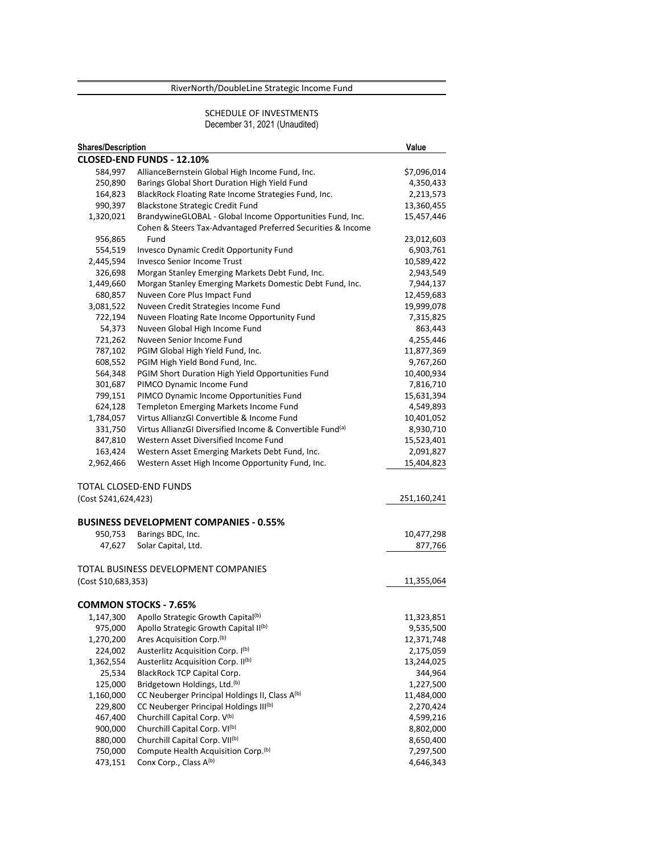# RiverNorth/DoubleLine Strategic Income Fund

#### SCHEDULE OF INVESTMENTS December 31, 2021 (Unaudited)

| <b>Shares/Description</b> |                                                                       | Value       |
|---------------------------|-----------------------------------------------------------------------|-------------|
|                           | CLOSED-END FUNDS - 12.10%                                             |             |
| 584,997                   | AllianceBernstein Global High Income Fund, Inc.                       | \$7,096,014 |
| 250,890                   | Barings Global Short Duration High Yield Fund                         | 4,350,433   |
| 164,823                   | BlackRock Floating Rate Income Strategies Fund, Inc.                  | 2,213,573   |
| 990,397                   | Blackstone Strategic Credit Fund                                      | 13,360,455  |
| 1,320,021                 | BrandywineGLOBAL - Global Income Opportunities Fund, Inc.             | 15,457,446  |
|                           | Cohen & Steers Tax-Advantaged Preferred Securities & Income           |             |
| 956,865                   | Fund                                                                  | 23,012,603  |
| 554,519                   | Invesco Dynamic Credit Opportunity Fund                               | 6,903,761   |
| 2,445,594                 | <b>Invesco Senior Income Trust</b>                                    | 10,589,422  |
| 326,698                   | Morgan Stanley Emerging Markets Debt Fund, Inc.                       | 2,943,549   |
| 1,449,660                 | Morgan Stanley Emerging Markets Domestic Debt Fund, Inc.              | 7,944,137   |
| 680,857                   | Nuveen Core Plus Impact Fund                                          | 12,459,683  |
| 3,081,522                 | Nuveen Credit Strategies Income Fund                                  | 19,999,078  |
| 722,194                   | Nuveen Floating Rate Income Opportunity Fund                          | 7,315,825   |
| 54,373                    | Nuveen Global High Income Fund                                        | 863,443     |
| 721,262                   | Nuveen Senior Income Fund                                             | 4,255,446   |
| 787,102                   | PGIM Global High Yield Fund, Inc.                                     | 11,877,369  |
| 608,552                   | PGIM High Yield Bond Fund, Inc.                                       | 9,767,260   |
| 564,348                   | PGIM Short Duration High Yield Opportunities Fund                     | 10,400,934  |
| 301,687                   | PIMCO Dynamic Income Fund                                             | 7,816,710   |
| 799,151                   | PIMCO Dynamic Income Opportunities Fund                               | 15,631,394  |
| 624,128                   | Templeton Emerging Markets Income Fund                                | 4,549,893   |
| 1,784,057                 | Virtus AllianzGI Convertible & Income Fund                            | 10,401,052  |
| 331,750                   | Virtus AllianzGI Diversified Income & Convertible Fund <sup>(a)</sup> | 8,930,710   |
| 847,810                   | Western Asset Diversified Income Fund                                 | 15,523,401  |
| 163,424                   | Western Asset Emerging Markets Debt Fund, Inc.                        | 2,091,827   |
| 2,962,466                 | Western Asset High Income Opportunity Fund, Inc.                      | 15,404,823  |
|                           | TOTAL CLOSED-END FUNDS                                                |             |
| (Cost \$241,624,423)      |                                                                       | 251,160,241 |
|                           | <b>BUSINESS DEVELOPMENT COMPANIES - 0.55%</b>                         |             |
| 950,753                   | Barings BDC, Inc.                                                     | 10,477,298  |
| 47,627                    | Solar Capital, Ltd.                                                   | 877,766     |
|                           | TOTAL BUSINESS DEVELOPMENT COMPANIES                                  |             |
| (Cost \$10,683,353)       |                                                                       | 11,355,064  |
|                           |                                                                       |             |
|                           | <b>COMMON STOCKS - 7.65%</b>                                          |             |
|                           | 1,147,300 Apollo Strategic Growth Capital(b)                          | 11,323,851  |
|                           | 975,000 Apollo Strategic Growth Capital II(b)                         | 9,535,500   |
| 1,270,200                 | Ares Acquisition Corp. <sup>(b)</sup>                                 | 12,371,748  |
| 224,002                   | Austerlitz Acquisition Corp. I(b)                                     | 2,175,059   |
| 1,362,554                 | Austerlitz Acquisition Corp. II(b)                                    | 13,244,025  |
| 25,534                    | BlackRock TCP Capital Corp.                                           | 344,964     |
| 125,000                   | Bridgetown Holdings, Ltd. <sup>(b)</sup>                              | 1,227,500   |
| 1,160,000                 | CC Neuberger Principal Holdings II, Class A(b)                        | 11,484,000  |
| 229,800                   | CC Neuberger Principal Holdings III <sup>(b)</sup>                    | 2,270,424   |
| 467,400                   | Churchill Capital Corp. V(b)                                          | 4,599,216   |
| 900,000                   | Churchill Capital Corp. VI <sup>(b)</sup>                             | 8,802,000   |
| 880,000                   | Churchill Capital Corp. VII <sup>(b)</sup>                            | 8,650,400   |
| 750,000                   | Compute Health Acquisition Corp.(b)                                   | 7,297,500   |
| 473,151                   | Conx Corp., Class A(b)                                                | 4,646,343   |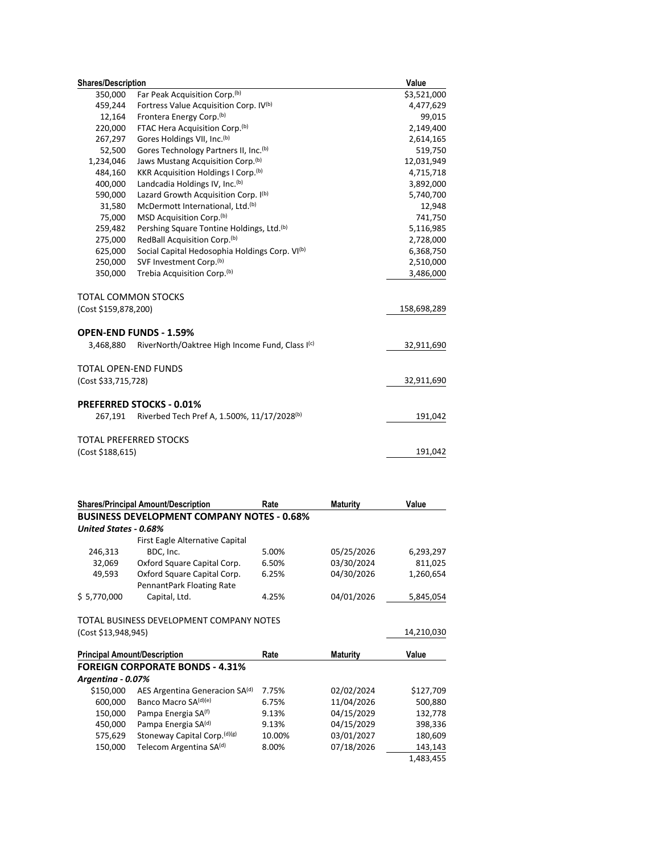| <b>Shares/Description</b> |                                                            | Value       |  |
|---------------------------|------------------------------------------------------------|-------------|--|
| 350,000                   | Far Peak Acquisition Corp. <sup>(b)</sup>                  | \$3,521,000 |  |
| 459,244                   | Fortress Value Acquisition Corp. IV <sup>(b)</sup>         | 4,477,629   |  |
| 12,164                    | Frontera Energy Corp. <sup>(b)</sup>                       | 99,015      |  |
| 220,000                   | FTAC Hera Acquisition Corp. <sup>(b)</sup>                 | 2,149,400   |  |
| 267,297                   | Gores Holdings VII, Inc. <sup>(b)</sup>                    | 2,614,165   |  |
| 52,500                    | Gores Technology Partners II, Inc. <sup>(b)</sup>          | 519,750     |  |
| 1,234,046                 | Jaws Mustang Acquisition Corp. <sup>(b)</sup>              | 12,031,949  |  |
| 484,160                   | KKR Acquisition Holdings I Corp. <sup>(b)</sup>            | 4,715,718   |  |
| 400,000                   | Landcadia Holdings IV, Inc. <sup>(b)</sup>                 | 3,892,000   |  |
| 590,000                   | Lazard Growth Acquisition Corp. I(b)                       | 5,740,700   |  |
| 31,580                    | McDermott International, Ltd. <sup>(b)</sup>               | 12,948      |  |
| 75,000                    | MSD Acquisition Corp.(b)                                   | 741,750     |  |
| 259,482                   | Pershing Square Tontine Holdings, Ltd. <sup>(b)</sup>      | 5,116,985   |  |
| 275,000                   | RedBall Acquisition Corp. <sup>(b)</sup>                   | 2,728,000   |  |
| 625,000                   | Social Capital Hedosophia Holdings Corp. VI <sup>(b)</sup> | 6,368,750   |  |
| 250,000                   | SVF Investment Corp. <sup>(b)</sup>                        | 2,510,000   |  |
| 350,000                   | Trebia Acquisition Corp. <sup>(b)</sup>                    | 3,486,000   |  |
|                           | TOTAL COMMON STOCKS                                        |             |  |
| (Cost \$159,878,200)      |                                                            | 158,698,289 |  |
|                           | <b>OPEN-END FUNDS - 1.59%</b>                              |             |  |
| 3,468,880                 | RiverNorth/Oaktree High Income Fund, Class I(c)            | 32,911,690  |  |
|                           | <b>TOTAL OPEN-END FUNDS</b>                                |             |  |
| (Cost \$33,715,728)       |                                                            | 32,911,690  |  |
|                           | <b>PREFERRED STOCKS - 0.01%</b>                            |             |  |
| 267,191                   | Riverbed Tech Pref A, 1.500%, 11/17/2028(b)                | 191,042     |  |
|                           | <b>TOTAL PREFERRED STOCKS</b>                              |             |  |
| (Cost \$188,615)          |                                                            | 191,042     |  |

|                       | <b>Shares/Principal Amount/Description</b>        | Rate   | <b>Maturity</b> | Value      |
|-----------------------|---------------------------------------------------|--------|-----------------|------------|
|                       | <b>BUSINESS DEVELOPMENT COMPANY NOTES - 0.68%</b> |        |                 |            |
| United States - 0.68% |                                                   |        |                 |            |
|                       | First Eagle Alternative Capital                   |        |                 |            |
| 246,313               | BDC, Inc.                                         | 5.00%  | 05/25/2026      | 6,293,297  |
| 32,069                | Oxford Square Capital Corp.                       | 6.50%  | 03/30/2024      | 811,025    |
| 49,593                | Oxford Square Capital Corp.                       | 6.25%  | 04/30/2026      | 1,260,654  |
|                       | PennantPark Floating Rate                         |        |                 |            |
| \$5,770,000           | Capital, Ltd.                                     | 4.25%  | 04/01/2026      | 5,845,054  |
|                       | TOTAL BUSINESS DEVELOPMENT COMPANY NOTES          |        |                 |            |
| (Cost \$13,948,945)   |                                                   |        |                 | 14,210,030 |
|                       | <b>Principal Amount/Description</b>               | Rate   | <b>Maturity</b> | Value      |
|                       | <b>FOREIGN CORPORATE BONDS - 4.31%</b>            |        |                 |            |
| Argentina - 0.07%     |                                                   |        |                 |            |
| \$150,000             | AES Argentina Generacion SA(d)                    | 7.75%  | 02/02/2024      | \$127,709  |
| 600,000               | Banco Macro SA(d)(e)                              | 6.75%  | 11/04/2026      | 500,880    |
| 150,000               | Pampa Energia SA <sup>(f)</sup>                   | 9.13%  | 04/15/2029      | 132,778    |
| 450,000               | Pampa Energia SA(d)                               | 9.13%  | 04/15/2029      | 398,336    |
| 575,629               | Stoneway Capital Corp. (d)(g)                     | 10.00% | 03/01/2027      | 180,609    |
| 150,000               | Telecom Argentina SA <sup>(d)</sup>               | 8.00%  | 07/18/2026      | 143,143    |
|                       |                                                   |        |                 | 1,483,455  |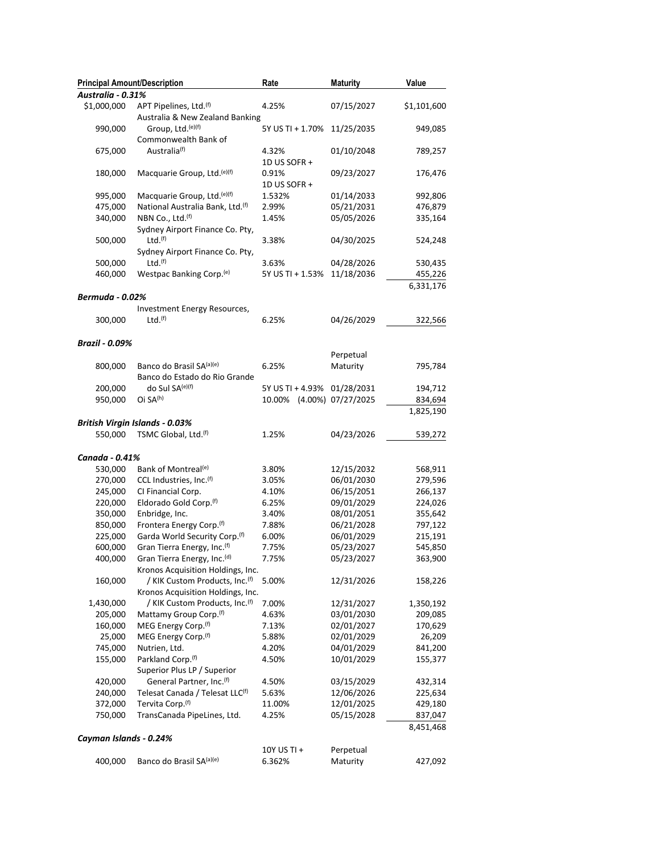| <b>Principal Amount/Description</b> |                                             | Rate                        | <b>Maturity</b>    | Value       |
|-------------------------------------|---------------------------------------------|-----------------------------|--------------------|-------------|
| Australia - 0.31%                   |                                             |                             |                    |             |
| \$1,000,000                         | APT Pipelines, Ltd.(f)                      | 4.25%                       | 07/15/2027         | \$1,101,600 |
|                                     | Australia & New Zealand Banking             |                             |                    |             |
| 990,000                             | Group, Ltd. <sup>(e)(f)</sup>               | 5Y US TI + 1.70%            | 11/25/2035         | 949,085     |
|                                     | Commonwealth Bank of                        |                             |                    |             |
| 675,000                             | Australia <sup>(f)</sup>                    | 4.32%                       | 01/10/2048         | 789,257     |
|                                     |                                             | 1D US SOFR +                |                    |             |
| 180,000                             | Macquarie Group, Ltd. <sup>(e)(f)</sup>     | 0.91%                       | 09/23/2027         | 176,476     |
|                                     |                                             | 1D US SOFR +                |                    |             |
|                                     |                                             |                             |                    |             |
| 995,000                             | Macquarie Group, Ltd. <sup>(e)(f)</sup>     | 1.532%                      | 01/14/2033         | 992,806     |
| 475,000                             | National Australia Bank, Ltd.(f)            | 2.99%                       | 05/21/2031         | 476,879     |
| 340,000                             | NBN Co., Ltd. <sup>(f)</sup>                | 1.45%                       | 05/05/2026         | 335,164     |
|                                     | Sydney Airport Finance Co. Pty,             |                             |                    |             |
| 500,000                             | Ltd.(f)                                     | 3.38%                       | 04/30/2025         | 524,248     |
|                                     | Sydney Airport Finance Co. Pty,             |                             |                    |             |
| 500,000                             | Ltd.(f)                                     | 3.63%                       | 04/28/2026         | 530,435     |
| 460,000                             | Westpac Banking Corp. <sup>(e)</sup>        | 5Y US TI + 1.53%            | 11/18/2036         | 455,226     |
|                                     |                                             |                             |                    | 6,331,176   |
| <b>Bermuda - 0.02%</b>              |                                             |                             |                    |             |
|                                     | Investment Energy Resources,                |                             |                    |             |
| 300,000                             | Ltd. <sup>(f)</sup>                         | 6.25%                       | 04/26/2029         | 322,566     |
|                                     |                                             |                             |                    |             |
| <b>Brazil - 0.09%</b>               |                                             |                             |                    |             |
|                                     |                                             |                             | Perpetual          |             |
| 800,000                             | Banco do Brasil SA(a)(e)                    | 6.25%                       | Maturity           | 795,784     |
|                                     | Banco do Estado do Rio Grande               |                             |                    |             |
| 200,000                             | do Sul SA <sup>(e)(f)</sup>                 | 5Y US TI + 4.93% 01/28/2031 |                    | 194,712     |
| 950,000                             | Oi SA <sup>(h)</sup>                        | 10.00%                      | (4.00%) 07/27/2025 | 834,694     |
|                                     |                                             |                             |                    | 1,825,190   |
|                                     | <b>British Virgin Islands - 0.03%</b>       |                             |                    |             |
| 550,000                             | TSMC Global, Ltd. <sup>(f)</sup>            | 1.25%                       | 04/23/2026         | 539,272     |
|                                     |                                             |                             |                    |             |
| Canada - 0.41%                      |                                             |                             |                    |             |
|                                     |                                             |                             |                    |             |
| 530,000                             | Bank of Montreal <sup>(e)</sup>             | 3.80%                       | 12/15/2032         | 568,911     |
| 270,000                             | CCL Industries, Inc. <sup>(f)</sup>         | 3.05%                       | 06/01/2030         | 279,596     |
| 245,000                             | CI Financial Corp.                          | 4.10%                       | 06/15/2051         | 266,137     |
| 220,000                             | Eldorado Gold Corp. <sup>(f)</sup>          | 6.25%                       | 09/01/2029         | 224,026     |
| 350,000                             | Enbridge, Inc.                              | 3.40%                       | 08/01/2051         | 355,642     |
| 850,000                             | Frontera Energy Corp. <sup>(f)</sup>        | 7.88%                       | 06/21/2028         | 797,122     |
| 225,000                             | Garda World Security Corp.(f)               | 6.00%                       | 06/01/2029         | 215,191     |
| 600,000                             | Gran Tierra Energy, Inc. <sup>(f)</sup>     | 7.75%                       | 05/23/2027         | 545,850     |
| 400,000                             | Gran Tierra Energy, Inc. <sup>(d)</sup>     | 7.75%                       | 05/23/2027         | 363,900     |
|                                     | Kronos Acquisition Holdings, Inc.           |                             |                    |             |
| 160,000                             | / KIK Custom Products, Inc.(f)              | 5.00%                       | 12/31/2026         | 158,226     |
|                                     | Kronos Acquisition Holdings, Inc.           |                             |                    |             |
| 1,430,000                           | / KIK Custom Products, Inc. <sup>(f)</sup>  | 7.00%                       | 12/31/2027         | 1,350,192   |
| 205,000                             | Mattamy Group Corp. <sup>(f)</sup>          | 4.63%                       | 03/01/2030         | 209,085     |
| 160,000                             | MEG Energy Corp. <sup>(f)</sup>             | 7.13%                       | 02/01/2027         | 170,629     |
| 25,000                              | MEG Energy Corp. <sup>(f)</sup>             | 5.88%                       | 02/01/2029         | 26,209      |
| 745,000                             | Nutrien, Ltd.                               | 4.20%                       | 04/01/2029         | 841,200     |
| 155,000                             | Parkland Corp. <sup>(f)</sup>               | 4.50%                       | 10/01/2029         | 155,377     |
|                                     | Superior Plus LP / Superior                 |                             |                    |             |
| 420,000                             | General Partner, Inc.(f)                    | 4.50%                       | 03/15/2029         | 432,314     |
| 240,000                             | Telesat Canada / Telesat LLC <sup>(f)</sup> | 5.63%                       | 12/06/2026         | 225,634     |
| 372,000                             | Tervita Corp. <sup>(f)</sup>                | 11.00%                      | 12/01/2025         | 429,180     |
| 750,000                             | TransCanada PipeLines, Ltd.                 | 4.25%                       | 05/15/2028         | 837,047     |
|                                     |                                             |                             |                    | 8,451,468   |
| Cayman Islands - 0.24%              |                                             |                             |                    |             |
|                                     |                                             | 10Y US TI +                 | Perpetual          |             |
| 400,000                             | Banco do Brasil SA(a)(e)                    | 6.362%                      | Maturity           | 427,092     |
|                                     |                                             |                             |                    |             |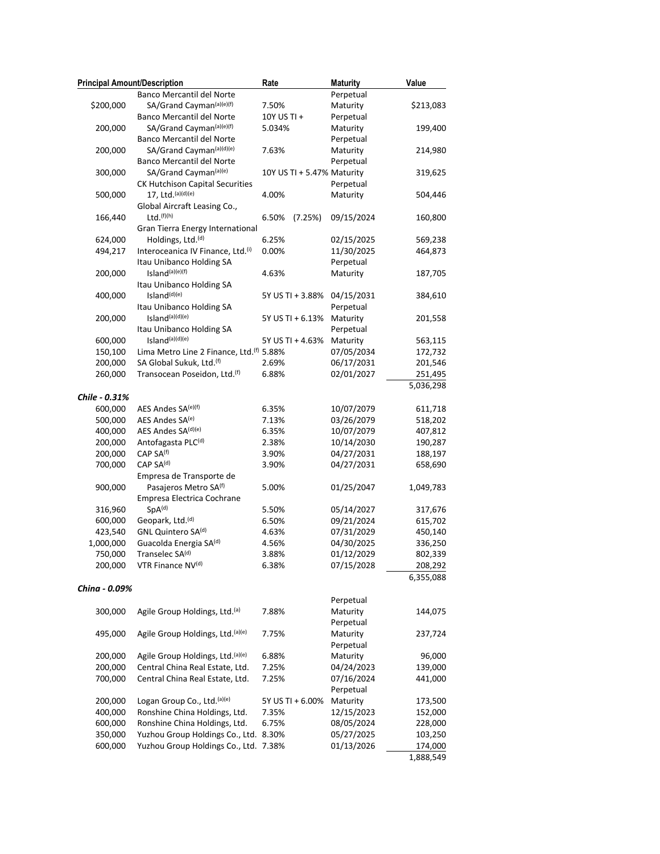| <b>Principal Amount/Description</b> |                                          | Rate                       | <b>Maturity</b> | Value     |
|-------------------------------------|------------------------------------------|----------------------------|-----------------|-----------|
|                                     | Banco Mercantil del Norte                |                            | Perpetual       |           |
| \$200,000                           | SA/Grand Cayman(a)(e)(f)                 | 7.50%                      | Maturity        | \$213,083 |
|                                     | Banco Mercantil del Norte                | 10Y US TI +                | Perpetual       |           |
| 200,000                             | SA/Grand Cayman(a)(e)(f)                 | 5.034%                     | Maturity        | 199,400   |
|                                     | Banco Mercantil del Norte                |                            | Perpetual       |           |
| 200,000                             | SA/Grand Cayman(a)(d)(e)                 | 7.63%                      | Maturity        | 214,980   |
|                                     | Banco Mercantil del Norte                |                            | Perpetual       |           |
| 300,000                             | SA/Grand Cayman(a)(e)                    | 10Y US TI + 5.47% Maturity |                 | 319,625   |
|                                     | CK Hutchison Capital Securities          |                            | Perpetual       |           |
| 500,000                             | 17, Ltd. (a)(d)(e)                       | 4.00%                      | Maturity        | 504,446   |
|                                     | Global Aircraft Leasing Co.,             |                            |                 |           |
|                                     | Ltd.(f)(h)                               |                            | 09/15/2024      |           |
| 166,440                             |                                          | 6.50%<br>(7.25%)           |                 | 160,800   |
|                                     | Gran Tierra Energy International         |                            |                 |           |
| 624,000                             | Holdings, Ltd. <sup>(d)</sup>            | 6.25%                      | 02/15/2025      | 569,238   |
| 494,217                             | Interoceanica IV Finance, Ltd.(i)        | 0.00%                      | 11/30/2025      | 464,873   |
|                                     | Itau Unibanco Holding SA                 |                            | Perpetual       |           |
| 200,000                             | Island <sup>(a)(e)(f)</sup>              | 4.63%                      | Maturity        | 187,705   |
|                                     | Itau Unibanco Holding SA                 |                            |                 |           |
| 400,000                             | Island(d)(e)                             | 5Y US TI + 3.88%           | 04/15/2031      | 384,610   |
|                                     | Itau Unibanco Holding SA                 |                            | Perpetual       |           |
| 200,000                             | Island(a)(d)(e)                          | 5Y US TI + 6.13%           | Maturity        | 201,558   |
|                                     | Itau Unibanco Holding SA                 |                            | Perpetual       |           |
| 600,000                             | Island <sup>(a)(d)(e)</sup>              | 5Y US TI + 4.63%           | Maturity        | 563,115   |
| 150,100                             | Lima Metro Line 2 Finance, Ltd.(f) 5.88% |                            | 07/05/2034      | 172,732   |
| 200,000                             | SA Global Sukuk, Ltd.(f)                 | 2.69%                      | 06/17/2031      | 201,546   |
| 260,000                             | Transocean Poseidon, Ltd. <sup>(f)</sup> | 6.88%                      | 02/01/2027      | 251,495   |
|                                     |                                          |                            |                 | 5,036,298 |
| Chile - 0.31%                       |                                          |                            |                 |           |
|                                     |                                          |                            |                 |           |
| 600,000                             | AES Andes SA(e)(f)                       | 6.35%                      | 10/07/2079      | 611,718   |
| 500,000                             | AES Andes SA <sup>(e)</sup>              | 7.13%                      | 03/26/2079      | 518,202   |
| 400,000                             | AES Andes SA(d)(e)                       | 6.35%                      | 10/07/2079      | 407,812   |
| 200,000                             | Antofagasta PLC(d)                       | 2.38%                      | 10/14/2030      | 190,287   |
| 200,000                             | CAP SA(f)                                | 3.90%                      | 04/27/2031      | 188,197   |
| 700,000                             | CAP SA(d)                                | 3.90%                      | 04/27/2031      | 658,690   |
|                                     | Empresa de Transporte de                 |                            |                 |           |
| 900,000                             | Pasajeros Metro SA(f)                    | 5.00%                      | 01/25/2047      | 1,049,783 |
|                                     | Empresa Electrica Cochrane               |                            |                 |           |
| 316,960                             | $SpA^{(d)}$                              | 5.50%                      | 05/14/2027      | 317,676   |
| 600,000                             | Geopark, Ltd. <sup>(d)</sup>             | 6.50%                      | 09/21/2024      | 615,702   |
| 423,540                             | GNL Quintero SA(d)                       | 4.63%                      | 07/31/2029      | 450,140   |
| 1,000,000                           | Guacolda Energia SA(d)                   | 4.56%                      | 04/30/2025      | 336,250   |
| 750,000                             | Transelec SA(d)                          | 3.88%                      | 01/12/2029      | 802,339   |
| 200,000                             | VTR Finance NV(d)                        | 6.38%                      | 07/15/2028      | 208,292   |
|                                     |                                          |                            |                 | 6,355,088 |
| China - 0.09%                       |                                          |                            |                 |           |
|                                     |                                          |                            | Perpetual       |           |
| 300,000                             | Agile Group Holdings, Ltd.(a)            | 7.88%                      | Maturity        | 144,075   |
|                                     |                                          |                            | Perpetual       |           |
|                                     |                                          |                            |                 |           |
| 495,000                             | Agile Group Holdings, Ltd. (a)(e)        | 7.75%                      | Maturity        | 237,724   |
|                                     |                                          |                            | Perpetual       |           |
| 200,000                             | Agile Group Holdings, Ltd. (a)(e)        | 6.88%                      | Maturity        | 96,000    |
| 200,000                             | Central China Real Estate, Ltd.          | 7.25%                      | 04/24/2023      | 139,000   |
| 700,000                             | Central China Real Estate, Ltd.          | 7.25%                      | 07/16/2024      | 441,000   |
|                                     |                                          |                            | Perpetual       |           |
| 200,000                             | Logan Group Co., Ltd. (a)(e)             | 5Y US TI + 6.00%           | Maturity        | 173,500   |
| 400,000                             | Ronshine China Holdings, Ltd.            | 7.35%                      | 12/15/2023      | 152,000   |
| 600,000                             | Ronshine China Holdings, Ltd.            | 6.75%                      | 08/05/2024      | 228,000   |
| 350,000                             | Yuzhou Group Holdings Co., Ltd. 8.30%    |                            | 05/27/2025      | 103,250   |
| 600,000                             | Yuzhou Group Holdings Co., Ltd. 7.38%    |                            | 01/13/2026      | 174,000   |
|                                     |                                          |                            |                 | 1,888,549 |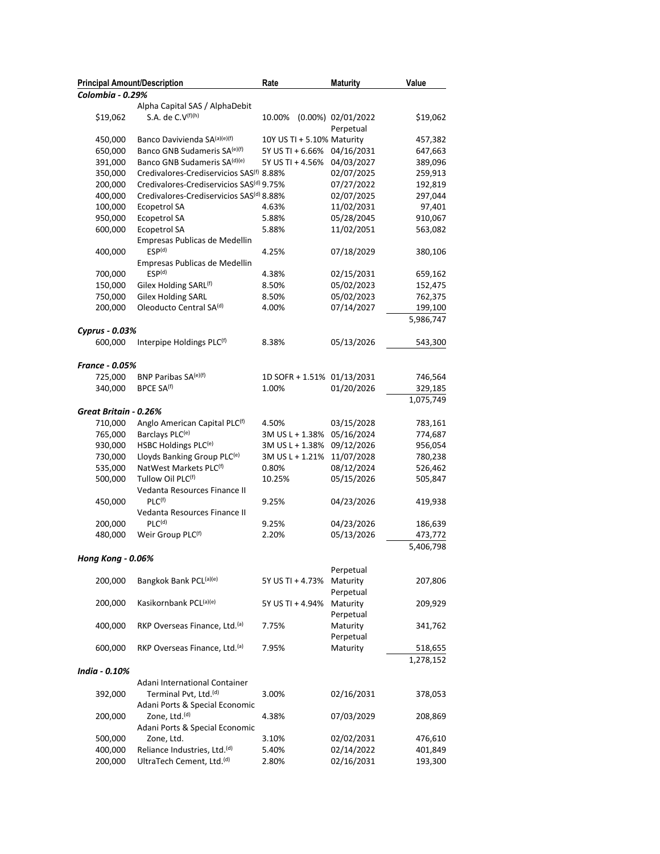| <b>Principal Amount/Description</b> |                                                      | Rate                       | <b>Maturity</b>    | Value     |
|-------------------------------------|------------------------------------------------------|----------------------------|--------------------|-----------|
| Colombia - 0.29%                    |                                                      |                            |                    |           |
|                                     | Alpha Capital SAS / AlphaDebit                       |                            |                    |           |
| \$19,062                            | S.A. de C.V <sup>(f)(h)</sup>                        | 10.00%                     | (0.00%) 02/01/2022 | \$19,062  |
|                                     |                                                      |                            | Perpetual          |           |
| 450,000                             | Banco Davivienda SA(a)(e)(f)                         | 10Y US TI + 5.10% Maturity |                    | 457,382   |
| 650,000                             | Banco GNB Sudameris SA <sup>(e)(f)</sup>             | 5Y US TI + 6.66%           | 04/16/2031         | 647,663   |
| 391,000                             | Banco GNB Sudameris SA(d)(e)                         | 5Y US TI + 4.56%           | 04/03/2027         | 389,096   |
| 350,000                             | Credivalores-Crediservicios SAS <sup>(f)</sup> 8.88% |                            | 02/07/2025         | 259,913   |
| 200,000                             | Credivalores-Crediservicios SAS <sup>(d)</sup> 9.75% |                            | 07/27/2022         | 192,819   |
| 400,000                             | Credivalores-Crediservicios SAS <sup>(d)</sup> 8.88% |                            | 02/07/2025         | 297,044   |
| 100,000                             | <b>Ecopetrol SA</b>                                  | 4.63%                      | 11/02/2031         | 97,401    |
| 950,000                             | Ecopetrol SA                                         | 5.88%                      | 05/28/2045         | 910,067   |
| 600,000                             | <b>Ecopetrol SA</b>                                  | 5.88%                      | 11/02/2051         | 563,082   |
|                                     | Empresas Publicas de Medellin                        |                            |                    |           |
| 400,000                             | ESP <sup>(d)</sup>                                   | 4.25%                      | 07/18/2029         | 380,106   |
|                                     | Empresas Publicas de Medellin                        |                            |                    |           |
| 700,000                             | ESP <sup>(d)</sup>                                   | 4.38%                      | 02/15/2031         | 659,162   |
| 150,000                             | Gilex Holding SARL <sup>(f)</sup>                    | 8.50%                      | 05/02/2023         | 152,475   |
| 750,000                             | <b>Gilex Holding SARL</b>                            | 8.50%                      | 05/02/2023         | 762,375   |
| 200,000                             | Oleoducto Central SA(d)                              | 4.00%                      | 07/14/2027         | 199,100   |
|                                     |                                                      |                            |                    | 5,986,747 |
| Cyprus - 0.03%                      |                                                      |                            |                    |           |
| 600,000                             | Interpipe Holdings PLC(f)                            | 8.38%                      | 05/13/2026         | 543,300   |
|                                     |                                                      |                            |                    |           |
| <b>France - 0.05%</b>               |                                                      |                            |                    |           |
| 725,000                             | BNP Paribas SA(e)(f)                                 | 1D SOFR + 1.51% 01/13/2031 |                    | 746,564   |
| 340,000                             | BPCE SA <sup>(f)</sup>                               | 1.00%                      | 01/20/2026         | 329,185   |
|                                     |                                                      |                            |                    |           |
|                                     |                                                      |                            |                    | 1,075,749 |
| Great Britain - 0.26%               |                                                      |                            |                    |           |
| 710,000                             | Anglo American Capital PLC <sup>(f)</sup>            | 4.50%                      | 03/15/2028         | 783,161   |
| 765,000                             | Barclays PLC <sup>(e)</sup>                          | 3M US L + 1.38%            | 05/16/2024         | 774,687   |
| 930,000                             | HSBC Holdings PLC <sup>(e)</sup>                     | 3M US L + 1.38%            | 09/12/2026         | 956,054   |
| 730,000                             | Lloyds Banking Group PLC <sup>(e)</sup>              | 3M US L + 1.21%            | 11/07/2028         | 780,238   |
| 535,000                             | NatWest Markets PLC(f)                               | 0.80%                      | 08/12/2024         | 526,462   |
| 500,000                             | Tullow Oil PLC(f)                                    | 10.25%                     | 05/15/2026         | 505,847   |
|                                     | Vedanta Resources Finance II                         |                            |                    |           |
| 450,000                             | $PLC^{(f)}$                                          | 9.25%                      | 04/23/2026         | 419,938   |
|                                     | Vedanta Resources Finance II                         |                            |                    |           |
| 200,000                             | $PLC^{(d)}$                                          | 9.25%                      | 04/23/2026         | 186,639   |
| 480,000                             | Weir Group PLC <sup>(f)</sup>                        | 2.20%                      | 05/13/2026         | 473,772   |
|                                     |                                                      |                            |                    | 5,406,798 |
| <b>Hong Kong - 0.06%</b>            |                                                      |                            |                    |           |
|                                     |                                                      |                            | Perpetual          |           |
| 200,000                             | Bangkok Bank PCL(a)(e)                               | 5Y US TI + 4.73%           | Maturity           | 207,806   |
|                                     |                                                      |                            | Perpetual          |           |
| 200,000                             | Kasikornbank PCL(a)(e)                               | 5Y US TI + 4.94%           | Maturity           | 209,929   |
|                                     |                                                      |                            | Perpetual          |           |
| 400,000                             | RKP Overseas Finance, Ltd. <sup>(a)</sup>            | 7.75%                      | Maturity           | 341,762   |
|                                     |                                                      |                            | Perpetual          |           |
| 600,000                             | RKP Overseas Finance, Ltd.(a)                        | 7.95%                      | Maturity           | 518,655   |
|                                     |                                                      |                            |                    | 1,278,152 |
| India - 0.10%                       |                                                      |                            |                    |           |
|                                     | Adani International Container                        |                            |                    |           |
| 392,000                             | Terminal Pvt, Ltd. <sup>(d)</sup>                    | 3.00%                      | 02/16/2031         | 378,053   |
|                                     | Adani Ports & Special Economic                       |                            |                    |           |
| 200,000                             | Zone, Ltd. <sup>(d)</sup>                            | 4.38%                      | 07/03/2029         | 208,869   |
|                                     | Adani Ports & Special Economic                       |                            |                    |           |
| 500,000                             | Zone, Ltd.                                           | 3.10%                      | 02/02/2031         | 476,610   |
| 400,000                             | Reliance Industries, Ltd. <sup>(d)</sup>             | 5.40%                      | 02/14/2022         | 401,849   |
| 200,000                             | UltraTech Cement, Ltd. <sup>(d)</sup>                | 2.80%                      | 02/16/2031         | 193,300   |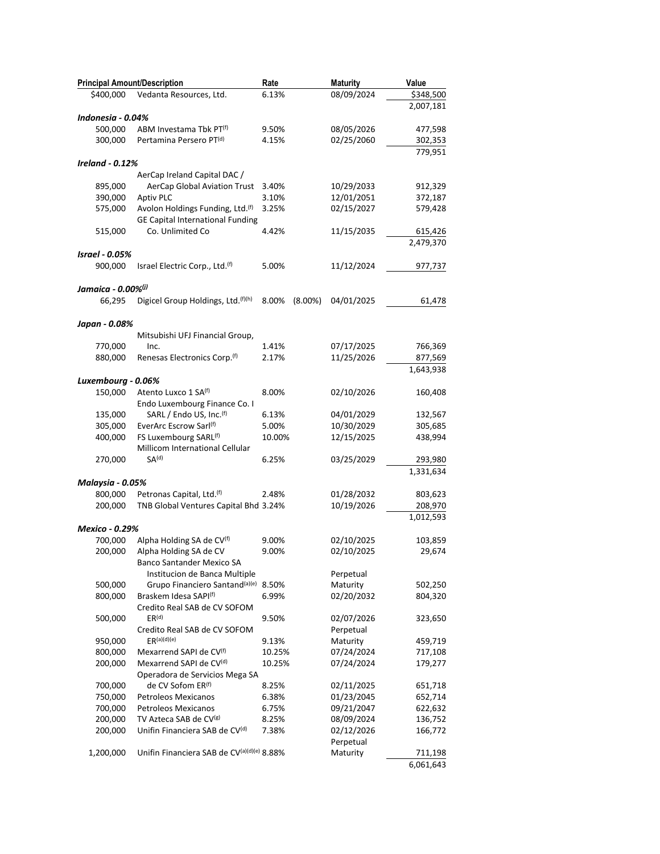| <b>Principal Amount/Description</b>                                                   | Rate           | <b>Maturity</b>          | Value             |
|---------------------------------------------------------------------------------------|----------------|--------------------------|-------------------|
| \$400,000<br>Vedanta Resources, Ltd.                                                  | 6.13%          | 08/09/2024               | \$348,500         |
|                                                                                       |                |                          | 2,007,181         |
| Indonesia - 0.04%                                                                     |                |                          |                   |
| 500,000<br>ABM Investama Tbk PT <sup>(f)</sup>                                        | 9.50%          | 08/05/2026               | 477,598           |
| 300,000<br>Pertamina Persero PT <sup>(d)</sup>                                        | 4.15%          | 02/25/2060               | 302,353           |
| <b>Ireland - 0.12%</b>                                                                |                |                          | 779,951           |
| AerCap Ireland Capital DAC /                                                          |                |                          |                   |
| 895,000<br><b>AerCap Global Aviation Trust</b>                                        | 3.40%          | 10/29/2033               | 912,329           |
| <b>Aptiv PLC</b><br>390,000                                                           | 3.10%          | 12/01/2051               | 372,187           |
| Avolon Holdings Funding, Ltd. <sup>(f)</sup><br>575,000                               | 3.25%          | 02/15/2027               | 579,428           |
| <b>GE Capital International Funding</b>                                               |                |                          |                   |
| Co. Unlimited Co<br>515,000                                                           | 4.42%          | 11/15/2035               | 615,426           |
|                                                                                       |                |                          | 2,479,370         |
| <b>Israel - 0.05%</b>                                                                 |                |                          |                   |
| 900,000<br>Israel Electric Corp., Ltd. <sup>(f)</sup>                                 | 5.00%          | 11/12/2024               | 977,737           |
| Jamaica - 0.00%(i)                                                                    |                |                          |                   |
| Digicel Group Holdings, Ltd.(f)(h)<br>66,295                                          | 8.00%          | $(8.00\%)$<br>04/01/2025 | 61,478            |
|                                                                                       |                |                          |                   |
| Japan - 0.08%                                                                         |                |                          |                   |
| Mitsubishi UFJ Financial Group,                                                       |                |                          |                   |
| 770,000<br>Inc.                                                                       | 1.41%          | 07/17/2025               | 766,369           |
| 880,000<br>Renesas Electronics Corp. <sup>(f)</sup>                                   | 2.17%          | 11/25/2026               | 877,569           |
|                                                                                       |                |                          | 1,643,938         |
| Luxembourg - 0.06%                                                                    |                |                          |                   |
| Atento Luxco 1 SA(f)<br>150,000                                                       | 8.00%          | 02/10/2026               | 160,408           |
| Endo Luxembourg Finance Co. I<br>SARL / Endo US, Inc.(f)<br>135,000                   | 6.13%          | 04/01/2029               | 132,567           |
| 305,000<br>EverArc Escrow Sarl(f)                                                     | 5.00%          | 10/30/2029               | 305,685           |
| 400,000<br>FS Luxembourg SARL <sup>(f)</sup>                                          | 10.00%         | 12/15/2025               | 438,994           |
| Millicom International Cellular                                                       |                |                          |                   |
| SA <sup>(d)</sup><br>270,000                                                          | 6.25%          | 03/25/2029               | 293,980           |
|                                                                                       |                |                          | 1,331,634         |
| Malaysia - 0.05%                                                                      |                |                          |                   |
| 800,000<br>Petronas Capital, Ltd. <sup>(f)</sup>                                      | 2.48%          | 01/28/2032               | 803,623           |
| TNB Global Ventures Capital Bhd 3.24%<br>200,000                                      |                | 10/19/2026               | 208,970           |
|                                                                                       |                |                          | 1,012,593         |
| Mexico - 0.29%                                                                        |                |                          |                   |
| Alpha Holding SA de CV <sup>(f)</sup><br>700,000<br>Alpha Holding SA de CV<br>200,000 | 9.00%<br>9.00% | 02/10/2025<br>02/10/2025 | 103,859<br>29,674 |
| <b>Banco Santander Mexico SA</b>                                                      |                |                          |                   |
| Institucion de Banca Multiple                                                         |                | Perpetual                |                   |
| Grupo Financiero Santand <sup>(a)(e)</sup> 8.50%<br>500,000                           |                | Maturity                 | 502,250           |
| Braskem Idesa SAPI <sup>(f)</sup><br>800,000                                          | 6.99%          | 02/20/2032               | 804,320           |
| Credito Real SAB de CV SOFOM                                                          |                |                          |                   |
| ER <sup>(d)</sup><br>500,000                                                          | 9.50%          | 02/07/2026               | 323,650           |
| Credito Real SAB de CV SOFOM                                                          |                | Perpetual                |                   |
| ER <sup>(a)(d)(e)</sup><br>950,000                                                    | 9.13%          | Maturity                 | 459,719           |
| 800,000<br>Mexarrend SAPI de CV <sup>(f)</sup>                                        | 10.25%         | 07/24/2024               | 717,108           |
| Mexarrend SAPI de CV <sup>(d)</sup><br>200,000                                        | 10.25%         | 07/24/2024               | 179,277           |
| Operadora de Servicios Mega SA                                                        |                |                          |                   |
| 700,000<br>de CV Sofom ER <sup>(f)</sup>                                              | 8.25%          | 02/11/2025               | 651,718           |
| <b>Petroleos Mexicanos</b><br>750,000                                                 | 6.38%          | 01/23/2045               | 652,714           |
| 700,000<br><b>Petroleos Mexicanos</b>                                                 | 6.75%          | 09/21/2047               | 622,632           |
| TV Azteca SAB de CV(g)<br>200,000                                                     | 8.25%          | 08/09/2024               | 136,752           |
| Unifin Financiera SAB de CV <sup>(d)</sup><br>200,000                                 | 7.38%          | 02/12/2026<br>Perpetual  | 166,772           |
| Unifin Financiera SAB de CV(a)(d)(e) 8.88%<br>1,200,000                               |                | Maturity                 | 711,198           |
|                                                                                       |                |                          | 6,061,643         |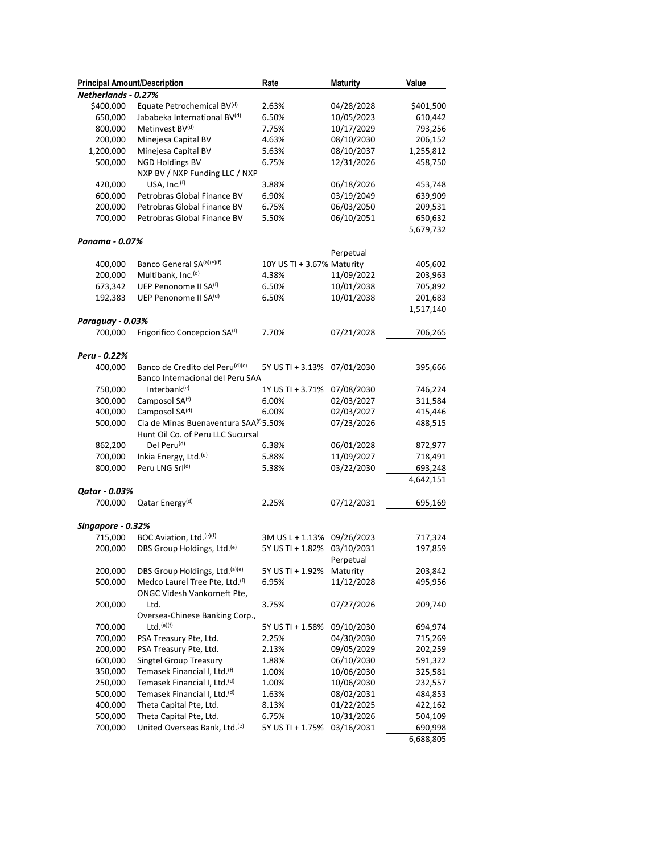| <b>Principal Amount/Description</b> |                                                              | Rate                       | <b>Maturity</b> | Value     |
|-------------------------------------|--------------------------------------------------------------|----------------------------|-----------------|-----------|
| Netherlands - 0.27%                 |                                                              |                            |                 |           |
| \$400,000                           | Equate Petrochemical BV(d)                                   | 2.63%                      | 04/28/2028      | \$401,500 |
| 650,000                             | Jababeka International BV(d)                                 | 6.50%                      | 10/05/2023      | 610,442   |
| 800,000                             | Metinvest BV(d)                                              | 7.75%                      | 10/17/2029      | 793,256   |
| 200,000                             | Minejesa Capital BV                                          | 4.63%                      | 08/10/2030      | 206,152   |
| 1,200,000                           | Minejesa Capital BV                                          | 5.63%                      | 08/10/2037      | 1,255,812 |
| 500,000                             | <b>NGD Holdings BV</b>                                       | 6.75%                      | 12/31/2026      | 458,750   |
|                                     | NXP BV / NXP Funding LLC / NXP                               |                            |                 |           |
| 420,000                             | USA, Inc.(f)                                                 | 3.88%                      | 06/18/2026      | 453,748   |
| 600,000                             | Petrobras Global Finance BV                                  | 6.90%                      | 03/19/2049      | 639,909   |
| 200,000                             | Petrobras Global Finance BV                                  | 6.75%                      | 06/03/2050      | 209,531   |
| 700,000                             | Petrobras Global Finance BV                                  | 5.50%                      | 06/10/2051      | 650,632   |
|                                     |                                                              |                            |                 | 5,679,732 |
| Panama - 0.07%                      |                                                              |                            |                 |           |
|                                     |                                                              |                            | Perpetual       |           |
| 400,000                             | Banco General SA(a)(e)(f)                                    | 10Y US TI + 3.67% Maturity |                 | 405,602   |
| 200,000                             | Multibank, Inc. <sup>(d)</sup>                               | 4.38%                      | 11/09/2022      | 203,963   |
| 673,342                             | UEP Penonome II SA <sup>(f)</sup>                            | 6.50%                      | 10/01/2038      | 705,892   |
| 192,383                             | UEP Penonome II SA <sup>(d)</sup>                            | 6.50%                      | 10/01/2038      | 201,683   |
|                                     |                                                              |                            |                 |           |
| Paraguay - 0.03%                    |                                                              |                            |                 | 1,517,140 |
| 700,000                             | Frigorifico Concepcion SA <sup>(f)</sup>                     | 7.70%                      | 07/21/2028      |           |
|                                     |                                                              |                            |                 | 706,265   |
|                                     |                                                              |                            |                 |           |
| Peru - 0.22%                        | Banco de Credito del Peru(d)(e)                              |                            |                 |           |
| 400,000                             | Banco Internacional del Peru SAA                             | 5Y US TI + 3.13%           | 07/01/2030      | 395,666   |
|                                     |                                                              |                            |                 |           |
| 750,000                             | Interbank <sup>(e)</sup>                                     | 1Y US TI + 3.71%           | 07/08/2030      | 746,224   |
| 300,000                             | Camposol SA <sup>(f)</sup>                                   | 6.00%                      | 02/03/2027      | 311,584   |
| 400,000                             | Camposol SA(d)                                               | 6.00%                      | 02/03/2027      | 415,446   |
| 500,000                             | Cia de Minas Buenaventura SAA <sup>(f)</sup> 5.50%           |                            | 07/23/2026      | 488,515   |
|                                     | Hunt Oil Co. of Peru LLC Sucursal<br>Del Peru <sup>(d)</sup> |                            |                 |           |
| 862,200                             |                                                              | 6.38%                      | 06/01/2028      | 872,977   |
| 700,000                             | Inkia Energy, Ltd. <sup>(d)</sup>                            | 5.88%                      | 11/09/2027      | 718,491   |
| 800,000                             | Peru LNG Srl(d)                                              | 5.38%                      | 03/22/2030      | 693,248   |
|                                     |                                                              |                            |                 | 4,642,151 |
| Qatar - 0.03%                       |                                                              |                            |                 |           |
| 700,000                             | Qatar Energy <sup>(d)</sup>                                  | 2.25%                      | 07/12/2031      | 695,169   |
|                                     |                                                              |                            |                 |           |
| Singapore - 0.32%                   |                                                              |                            |                 |           |
| 715,000                             | BOC Aviation, Ltd.(e)(f)                                     | 3M US L + 1.13%            | 09/26/2023      | 717,324   |
| 200,000                             | DBS Group Holdings, Ltd. <sup>(e)</sup>                      | 5Y US TI + 1.82%           | 03/10/2031      | 197,859   |
|                                     |                                                              |                            | Perpetual       |           |
| 200,000                             | DBS Group Holdings, Ltd. <sup>(a)(e)</sup>                   | 5Y US TI + 1.92%           | Maturity        | 203,842   |
| 500,000                             | Medco Laurel Tree Pte, Ltd. <sup>(f)</sup>                   | 6.95%                      | 11/12/2028      | 495,956   |
|                                     | ONGC Videsh Vankorneft Pte,                                  |                            |                 |           |
| 200,000                             | Ltd.                                                         | 3.75%                      | 07/27/2026      | 209,740   |
|                                     | Oversea-Chinese Banking Corp.,                               |                            |                 |           |
| 700,000                             | $Ltd.$ <sup>(e)(f)</sup>                                     | 5Y US TI + 1.58%           | 09/10/2030      | 694,974   |
| 700,000                             | PSA Treasury Pte, Ltd.                                       | 2.25%                      | 04/30/2030      | 715,269   |
| 200,000                             | PSA Treasury Pte, Ltd.                                       | 2.13%                      | 09/05/2029      | 202,259   |
| 600,000                             | Singtel Group Treasury                                       | 1.88%                      | 06/10/2030      | 591,322   |
| 350,000                             | Temasek Financial I, Ltd.(f)                                 | 1.00%                      | 10/06/2030      | 325,581   |
| 250,000                             | Temasek Financial I, Ltd. <sup>(d)</sup>                     | 1.00%                      | 10/06/2030      | 232,557   |
| 500,000                             | Temasek Financial I, Ltd. <sup>(d)</sup>                     | 1.63%                      | 08/02/2031      | 484,853   |
| 400,000                             | Theta Capital Pte, Ltd.                                      | 8.13%                      | 01/22/2025      | 422,162   |
| 500,000                             | Theta Capital Pte, Ltd.                                      | 6.75%                      | 10/31/2026      | 504,109   |
| 700,000                             | United Overseas Bank, Ltd. <sup>(e)</sup>                    | 5Y US TI + 1.75%           | 03/16/2031      | 690,998   |
|                                     |                                                              |                            |                 | 6,688,805 |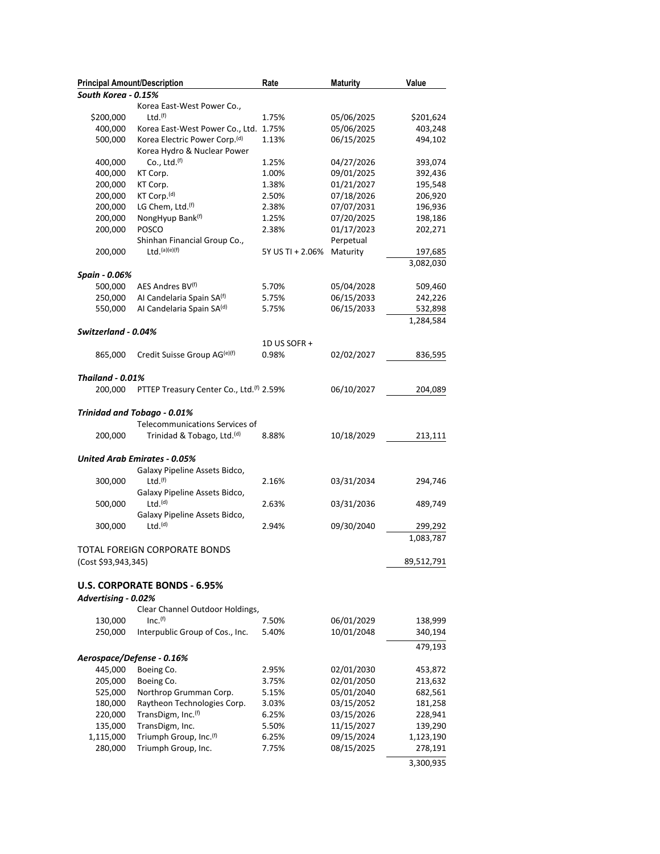| <b>Principal Amount/Description</b> |                                                                          | Rate             | <b>Maturity</b> | Value      |
|-------------------------------------|--------------------------------------------------------------------------|------------------|-----------------|------------|
| South Korea - 0.15%                 |                                                                          |                  |                 |            |
|                                     | Korea East-West Power Co.,                                               |                  |                 |            |
| \$200,000                           | Ltd.(f)                                                                  | 1.75%            | 05/06/2025      | \$201,624  |
| 400,000                             | Korea East-West Power Co., Ltd. 1.75%                                    |                  | 05/06/2025      | 403,248    |
| 500,000                             | Korea Electric Power Corp. <sup>(d)</sup><br>Korea Hydro & Nuclear Power | 1.13%            | 06/15/2025      | 494,102    |
| 400,000                             | Co., Ltd. $(f)$                                                          | 1.25%            | 04/27/2026      | 393,074    |
| 400,000                             | KT Corp.                                                                 | 1.00%            | 09/01/2025      | 392,436    |
| 200,000                             | KT Corp.                                                                 | 1.38%            | 01/21/2027      | 195,548    |
| 200,000                             | KT Corp. <sup>(d)</sup>                                                  | 2.50%            | 07/18/2026      | 206,920    |
| 200,000                             | LG Chem, Ltd.(f)                                                         | 2.38%            | 07/07/2031      | 196,936    |
| 200,000                             | NongHyup Bank(f)                                                         | 1.25%            | 07/20/2025      | 198,186    |
| 200,000                             | POSCO                                                                    | 2.38%            | 01/17/2023      | 202,271    |
|                                     | Shinhan Financial Group Co.,                                             |                  | Perpetual       |            |
| 200,000                             | $Ltd.$ (a)(e)(f)                                                         | 5Y US TI + 2.06% | Maturity        | 197,685    |
|                                     |                                                                          |                  |                 | 3,082,030  |
| Spain - 0.06%                       |                                                                          |                  |                 |            |
| 500,000                             | AES Andres BV <sup>(f)</sup>                                             | 5.70%            | 05/04/2028      | 509,460    |
| 250,000                             | Al Candelaria Spain SA(f)                                                | 5.75%            | 06/15/2033      | 242,226    |
| 550,000                             | Al Candelaria Spain SA(d)                                                | 5.75%            | 06/15/2033      | 532,898    |
|                                     |                                                                          |                  |                 | 1,284,584  |
| Switzerland - 0.04%                 |                                                                          |                  |                 |            |
|                                     |                                                                          | 1D US SOFR +     |                 |            |
| 865,000                             | Credit Suisse Group AG <sup>(e)(f)</sup>                                 | 0.98%            | 02/02/2027      | 836,595    |
| <b>Thailand - 0.01%</b>             |                                                                          |                  |                 |            |
| 200,000                             | PTTEP Treasury Center Co., Ltd. <sup>(f)</sup> 2.59%                     |                  | 06/10/2027      | 204,089    |
|                                     |                                                                          |                  |                 |            |
|                                     | Trinidad and Tobago - 0.01%                                              |                  |                 |            |
|                                     | Telecommunications Services of                                           |                  |                 |            |
| 200,000                             | Trinidad & Tobago, Ltd. <sup>(d)</sup>                                   | 8.88%            | 10/18/2029      | 213,111    |
|                                     |                                                                          |                  |                 |            |
|                                     | <b>United Arab Emirates - 0.05%</b>                                      |                  |                 |            |
|                                     | Galaxy Pipeline Assets Bidco,                                            |                  |                 |            |
| 300,000                             | Ltd.(f)                                                                  | 2.16%            | 03/31/2034      | 294,746    |
|                                     | Galaxy Pipeline Assets Bidco,                                            |                  |                 |            |
| 500,000                             | Ltd.(d)                                                                  | 2.63%            | 03/31/2036      | 489,749    |
|                                     | Galaxy Pipeline Assets Bidco,                                            |                  |                 |            |
| 300,000                             | Ltd.(d)                                                                  | 2.94%            | 09/30/2040      | 299,292    |
|                                     |                                                                          |                  |                 | 1,083,787  |
|                                     | TOTAL FOREIGN CORPORATE BONDS                                            |                  |                 |            |
| (Cost \$93,943,345)                 |                                                                          |                  |                 | 89,512,791 |
|                                     |                                                                          |                  |                 |            |
|                                     | <b>U.S. CORPORATE BONDS - 6.95%</b>                                      |                  |                 |            |
| Advertising - 0.02%                 |                                                                          |                  |                 |            |
|                                     | Clear Channel Outdoor Holdings,                                          |                  |                 |            |
| 130,000                             | Inc. <sup>(f)</sup>                                                      | 7.50%            | 06/01/2029      | 138,999    |
| 250,000                             | Interpublic Group of Cos., Inc.                                          | 5.40%            | 10/01/2048      | 340,194    |
|                                     |                                                                          |                  |                 | 479,193    |
|                                     | Aerospace/Defense - 0.16%                                                |                  |                 |            |
| 445,000                             | Boeing Co.                                                               | 2.95%            | 02/01/2030      | 453,872    |
| 205,000                             | Boeing Co.                                                               | 3.75%            | 02/01/2050      | 213,632    |
| 525,000                             | Northrop Grumman Corp.                                                   | 5.15%            | 05/01/2040      | 682,561    |
| 180,000                             | Raytheon Technologies Corp.                                              | 3.03%            | 03/15/2052      | 181,258    |
| 220,000                             | TransDigm, Inc. <sup>(f)</sup>                                           | 6.25%            | 03/15/2026      | 228,941    |
| 135,000                             | TransDigm, Inc.                                                          | 5.50%            | 11/15/2027      | 139,290    |
| 1,115,000                           | Triumph Group, Inc. <sup>(f)</sup>                                       | 6.25%            | 09/15/2024      | 1,123,190  |
| 280,000                             | Triumph Group, Inc.                                                      | 7.75%            | 08/15/2025      | 278,191    |
|                                     |                                                                          |                  |                 | 3,300,935  |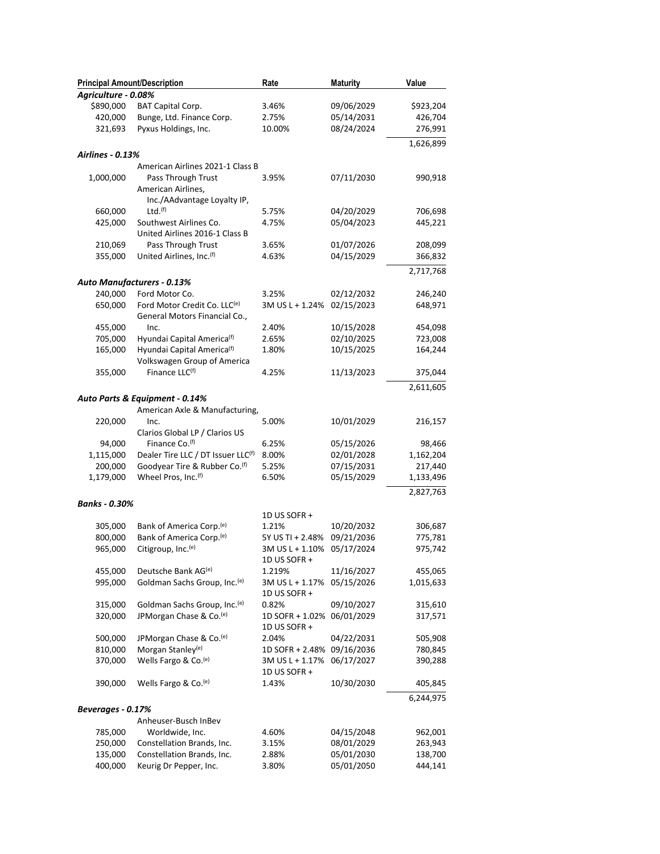| <b>Principal Amount/Description</b><br>Agriculture - 0.08% |                                                                       | Rate                                       | <b>Maturity</b> | Value     |
|------------------------------------------------------------|-----------------------------------------------------------------------|--------------------------------------------|-----------------|-----------|
| \$890,000                                                  | <b>BAT Capital Corp.</b>                                              | 3.46%                                      | 09/06/2029      | \$923,204 |
| 420,000                                                    | Bunge, Ltd. Finance Corp.                                             | 2.75%                                      | 05/14/2031      | 426,704   |
| 321,693                                                    | Pyxus Holdings, Inc.                                                  | 10.00%                                     | 08/24/2024      | 276,991   |
|                                                            |                                                                       |                                            |                 |           |
| Airlines - 0.13%                                           |                                                                       |                                            |                 | 1,626,899 |
|                                                            | American Airlines 2021-1 Class B                                      |                                            |                 |           |
| 1,000,000                                                  | Pass Through Trust                                                    | 3.95%                                      | 07/11/2030      | 990,918   |
|                                                            | American Airlines,<br>Inc./AAdvantage Loyalty IP,                     |                                            |                 |           |
| 660,000                                                    | Ltd.(f)                                                               | 5.75%                                      | 04/20/2029      | 706,698   |
| 425,000                                                    | Southwest Airlines Co.<br>United Airlines 2016-1 Class B              | 4.75%                                      | 05/04/2023      | 445,221   |
| 210,069                                                    | Pass Through Trust                                                    | 3.65%                                      | 01/07/2026      | 208,099   |
| 355,000                                                    | United Airlines, Inc.(f)                                              | 4.63%                                      | 04/15/2029      | 366,832   |
|                                                            |                                                                       |                                            |                 | 2,717,768 |
|                                                            | Auto Manufacturers - 0.13%                                            |                                            |                 |           |
| 240,000                                                    | Ford Motor Co.                                                        | 3.25%                                      | 02/12/2032      | 246,240   |
| 650,000                                                    |                                                                       | 3M US L + 1.24% 02/15/2023                 |                 |           |
|                                                            | Ford Motor Credit Co. LLC <sup>(e)</sup>                              |                                            |                 | 648,971   |
|                                                            | General Motors Financial Co.,                                         |                                            |                 |           |
| 455,000                                                    | Inc.                                                                  | 2.40%                                      | 10/15/2028      | 454,098   |
| 705,000                                                    | Hyundai Capital America <sup>(f)</sup>                                | 2.65%                                      | 02/10/2025      | 723,008   |
| 165,000                                                    | Hyundai Capital America <sup>(f)</sup><br>Volkswagen Group of America | 1.80%                                      | 10/15/2025      | 164,244   |
| 355,000                                                    | Finance LLC(f)                                                        | 4.25%                                      | 11/13/2023      | 375,044   |
|                                                            |                                                                       |                                            |                 | 2,611,605 |
|                                                            | Auto Parts & Equipment - 0.14%                                        |                                            |                 |           |
|                                                            | American Axle & Manufacturing,                                        |                                            |                 |           |
| 220,000                                                    | Inc.                                                                  | 5.00%                                      | 10/01/2029      | 216,157   |
|                                                            | Clarios Global LP / Clarios US                                        |                                            |                 |           |
| 94,000                                                     | Finance Co. <sup>(f)</sup>                                            | 6.25%                                      | 05/15/2026      | 98,466    |
| 1,115,000                                                  | Dealer Tire LLC / DT Issuer LLC <sup>(f)</sup>                        | 8.00%                                      | 02/01/2028      | 1,162,204 |
| 200,000                                                    | Goodyear Tire & Rubber Co. <sup>(f)</sup>                             | 5.25%                                      | 07/15/2031      | 217,440   |
| 1,179,000                                                  | Wheel Pros, Inc.(f)                                                   | 6.50%                                      | 05/15/2029      | 1,133,496 |
|                                                            |                                                                       |                                            |                 | 2,827,763 |
| Banks - 0.30%                                              |                                                                       |                                            |                 |           |
|                                                            |                                                                       | 1D US SOFR +                               |                 |           |
| 305,000                                                    | Bank of America Corp. <sup>(e)</sup>                                  | 1.21%                                      | 10/20/2032      | 306,687   |
| 800,000                                                    | Bank of America Corp. <sup>(e)</sup>                                  | 5Y US TI + 2.48%                           | 09/21/2036      | 775,781   |
| 965,000                                                    | Citigroup, Inc. <sup>(e)</sup>                                        | 3M US L + 1.10%                            | 05/17/2024      | 975,742   |
|                                                            |                                                                       | 1D US SOFR +                               |                 |           |
| 455,000                                                    | Deutsche Bank AG <sup>(e)</sup>                                       | 1.219%                                     | 11/16/2027      | 455,065   |
| 995,000                                                    | Goldman Sachs Group, Inc. <sup>(e)</sup>                              | 3M US L + 1.17%<br>1D US SOFR +            | 05/15/2026      | 1,015,633 |
| 315,000                                                    | Goldman Sachs Group, Inc. <sup>(e)</sup>                              | 0.82%                                      | 09/10/2027      | 315,610   |
| 320,000                                                    | JPMorgan Chase & Co. <sup>(e)</sup>                                   | 1D SOFR + 1.02% 06/01/2029<br>1D US SOFR + |                 | 317,571   |
| 500,000                                                    | JPMorgan Chase & Co. <sup>(e)</sup>                                   | 2.04%                                      | 04/22/2031      | 505,908   |
| 810,000                                                    | Morgan Stanley <sup>(e)</sup>                                         | 1D SOFR + 2.48% 09/16/2036                 |                 | 780,845   |
| 370,000                                                    | Wells Fargo & Co.(e)                                                  | 3M US L + 1.17%<br>1D US SOFR +            | 06/17/2027      | 390,288   |
| 390,000                                                    | Wells Fargo & Co. <sup>(e)</sup>                                      | 1.43%                                      | 10/30/2030      | 405,845   |
| Beverages - 0.17%                                          |                                                                       |                                            |                 | 6,244,975 |
|                                                            | Anheuser-Busch InBev                                                  |                                            |                 |           |
| 785,000                                                    | Worldwide, Inc.                                                       |                                            | 04/15/2048      | 962,001   |
|                                                            |                                                                       | 4.60%                                      | 08/01/2029      |           |
| 250,000                                                    | Constellation Brands, Inc.                                            | 3.15%                                      |                 | 263,943   |
| 135,000                                                    | Constellation Brands, Inc.                                            | 2.88%                                      | 05/01/2030      | 138,700   |
| 400,000                                                    | Keurig Dr Pepper, Inc.                                                | 3.80%                                      | 05/01/2050      | 444,141   |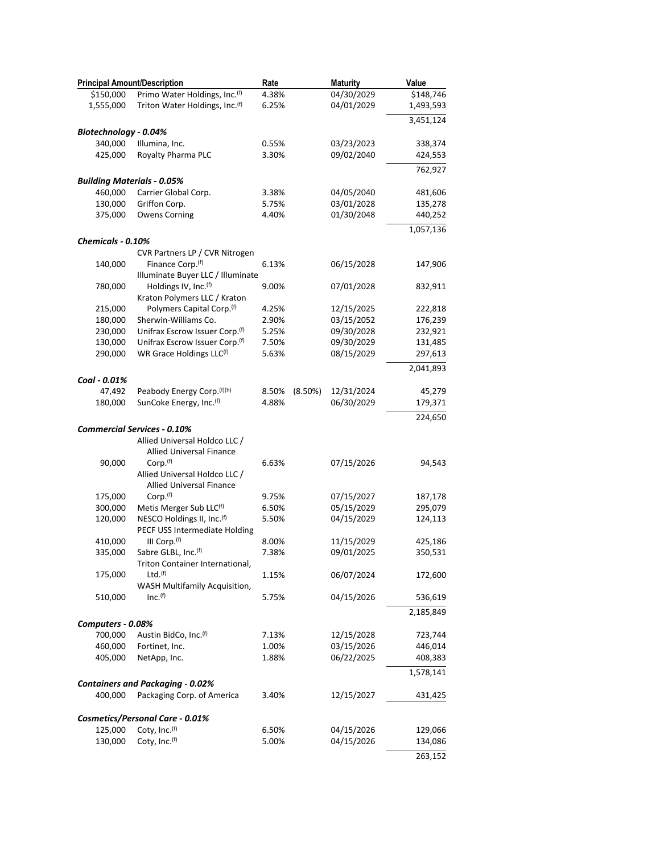| <b>Principal Amount/Description</b>          |                                                                       | Rate                | <b>Maturity</b> | Value     |
|----------------------------------------------|-----------------------------------------------------------------------|---------------------|-----------------|-----------|
| \$150,000                                    | Primo Water Holdings, Inc.(f)                                         | 4.38%               | 04/30/2029      | \$148,746 |
| 1,555,000                                    | Triton Water Holdings, Inc. <sup>(f)</sup>                            | 6.25%               | 04/01/2029      | 1,493,593 |
|                                              |                                                                       |                     |                 | 3,451,124 |
| Biotechnology - 0.04%                        |                                                                       |                     |                 |           |
| 340,000                                      | Illumina, Inc.                                                        | 0.55%               | 03/23/2023      | 338,374   |
| 425,000                                      | Royalty Pharma PLC                                                    | 3.30%               | 09/02/2040      | 424,553   |
|                                              |                                                                       |                     |                 |           |
|                                              |                                                                       |                     |                 | 762,927   |
| <b>Building Materials - 0.05%</b><br>460,000 |                                                                       |                     | 04/05/2040      |           |
|                                              | Carrier Global Corp.                                                  | 3.38%               |                 | 481,606   |
| 130,000                                      | Griffon Corp.                                                         | 5.75%               | 03/01/2028      | 135,278   |
| 375,000                                      | <b>Owens Corning</b>                                                  | 4.40%               | 01/30/2048      | 440,252   |
| Chemicals - 0.10%                            |                                                                       |                     |                 | 1,057,136 |
|                                              | CVR Partners LP / CVR Nitrogen                                        |                     |                 |           |
| 140,000                                      | Finance Corp. <sup>(f)</sup>                                          | 6.13%               | 06/15/2028      | 147,906   |
|                                              | Illuminate Buyer LLC / Illuminate                                     |                     |                 |           |
| 780,000                                      | Holdings IV, Inc. <sup>(f)</sup>                                      | 9.00%               | 07/01/2028      | 832,911   |
|                                              | Kraton Polymers LLC / Kraton                                          |                     |                 |           |
| 215,000                                      | Polymers Capital Corp. <sup>(f)</sup>                                 | 4.25%               | 12/15/2025      | 222,818   |
| 180,000                                      | Sherwin-Williams Co.                                                  | 2.90%               | 03/15/2052      | 176,239   |
| 230,000                                      | Unifrax Escrow Issuer Corp. <sup>(f)</sup>                            | 5.25%               | 09/30/2028      | 232,921   |
| 130,000                                      | Unifrax Escrow Issuer Corp.(f)                                        | 7.50%               | 09/30/2029      | 131,485   |
| 290,000                                      | WR Grace Holdings LLC(f)                                              |                     |                 |           |
|                                              |                                                                       | 5.63%               | 08/15/2029      | 297,613   |
| Coal - 0.01%                                 |                                                                       |                     |                 | 2,041,893 |
| 47,492                                       | Peabody Energy Corp. (f)(h)                                           | 8.50%<br>$(8.50\%)$ | 12/31/2024      | 45,279    |
| 180,000                                      | SunCoke Energy, Inc.(f)                                               | 4.88%               | 06/30/2029      | 179,371   |
|                                              |                                                                       |                     |                 | 224,650   |
|                                              | <b>Commercial Services - 0.10%</b>                                    |                     |                 |           |
|                                              | Allied Universal Holdco LLC /                                         |                     |                 |           |
|                                              | <b>Allied Universal Finance</b>                                       |                     |                 |           |
| 90,000                                       | Corp. <sup>(f)</sup>                                                  | 6.63%               | 07/15/2026      | 94,543    |
|                                              | Allied Universal Holdco LLC /                                         |                     |                 |           |
|                                              | Allied Universal Finance                                              |                     |                 |           |
| 175,000                                      | Corp. <sup>(f)</sup>                                                  | 9.75%               | 07/15/2027      | 187,178   |
| 300,000                                      | Metis Merger Sub LLC(f)                                               | 6.50%               | 05/15/2029      | 295,079   |
|                                              | NESCO Holdings II, Inc.(f)                                            | 5.50%               | 04/15/2029      |           |
| 120,000                                      | PECF USS Intermediate Holding                                         |                     |                 | 124,113   |
| 410,000                                      | III Corp. <sup>(f)</sup>                                              | 8.00%               | 11/15/2029      | 425,186   |
|                                              | Sabre GLBL, Inc.(f)                                                   | 7.38%               | 09/01/2025      |           |
| 335,000                                      |                                                                       |                     |                 | 350,531   |
|                                              | Triton Container International,<br>Ltd.(f)                            |                     |                 |           |
| 175,000                                      |                                                                       | 1.15%               | 06/07/2024      | 172,600   |
| 510,000                                      | <b>WASH Multifamily Acquisition,</b><br>Inc. <sup>(f)</sup>           | 5.75%               | 04/15/2026      | 536,619   |
|                                              |                                                                       |                     |                 |           |
|                                              |                                                                       |                     |                 | 2,185,849 |
| Computers - 0.08%                            |                                                                       |                     |                 |           |
| 700,000                                      | Austin BidCo, Inc.(f)                                                 | 7.13%               | 12/15/2028      | 723,744   |
| 460,000                                      | Fortinet, Inc.                                                        | 1.00%               | 03/15/2026      | 446,014   |
| 405,000                                      | NetApp, Inc.                                                          | 1.88%               | 06/22/2025      | 408,383   |
|                                              |                                                                       |                     |                 | 1,578,141 |
| 400,000                                      | <b>Containers and Packaging - 0.02%</b><br>Packaging Corp. of America | 3.40%               | 12/15/2027      | 431,425   |
|                                              |                                                                       |                     |                 |           |
|                                              | Cosmetics/Personal Care - 0.01%                                       |                     |                 |           |
| 125,000                                      | Coty, Inc. <sup>(f)</sup>                                             | 6.50%               | 04/15/2026      | 129,066   |
| 130,000                                      | Coty, Inc.(f)                                                         | 5.00%               | 04/15/2026      | 134,086   |
|                                              |                                                                       |                     |                 | 263,152   |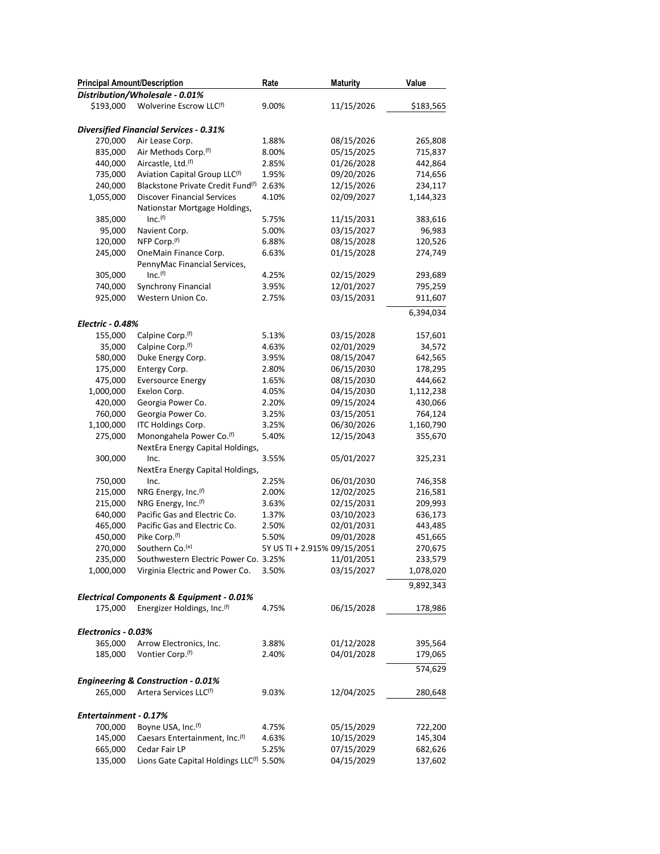| <b>Principal Amount/Description</b> |                                                      | Rate                         | <b>Maturity</b> | Value     |
|-------------------------------------|------------------------------------------------------|------------------------------|-----------------|-----------|
|                                     | Distribution/Wholesale - 0.01%                       |                              |                 |           |
| \$193,000                           | Wolverine Escrow LLC(f)                              | 9.00%                        | 11/15/2026      | \$183,565 |
|                                     |                                                      |                              |                 |           |
|                                     | <b>Diversified Financial Services - 0.31%</b>        |                              |                 |           |
| 270,000                             | Air Lease Corp.                                      | 1.88%                        | 08/15/2026      | 265,808   |
| 835,000                             | Air Methods Corp.(f)                                 | 8.00%                        | 05/15/2025      | 715,837   |
| 440,000                             | Aircastle, Ltd. <sup>(f)</sup>                       | 2.85%                        | 01/26/2028      | 442,864   |
| 735,000                             | Aviation Capital Group LLC <sup>(f)</sup>            | 1.95%                        | 09/20/2026      | 714,656   |
| 240,000                             | Blackstone Private Credit Fund <sup>(f)</sup>        | 2.63%                        | 12/15/2026      | 234,117   |
| 1,055,000                           | <b>Discover Financial Services</b>                   | 4.10%                        | 02/09/2027      | 1,144,323 |
|                                     | Nationstar Mortgage Holdings,                        |                              |                 |           |
| 385,000                             | Inc. <sup>(f)</sup>                                  | 5.75%                        | 11/15/2031      | 383,616   |
| 95,000                              | Navient Corp.                                        | 5.00%                        | 03/15/2027      | 96,983    |
| 120,000                             | NFP Corp.(f)                                         | 6.88%                        | 08/15/2028      | 120,526   |
| 245,000                             | OneMain Finance Corp.                                | 6.63%                        | 01/15/2028      | 274,749   |
|                                     | PennyMac Financial Services,                         |                              |                 |           |
| 305,000                             | Inc. <sup>(f)</sup>                                  | 4.25%                        | 02/15/2029      | 293,689   |
| 740,000                             |                                                      | 3.95%                        |                 |           |
|                                     | Synchrony Financial                                  |                              | 12/01/2027      | 795,259   |
| 925,000                             | Western Union Co.                                    | 2.75%                        | 03/15/2031      | 911,607   |
|                                     |                                                      |                              |                 | 6,394,034 |
| <b>Electric - 0.48%</b>             |                                                      |                              |                 |           |
| 155,000                             | Calpine Corp. <sup>(f)</sup>                         | 5.13%                        | 03/15/2028      | 157,601   |
| 35,000                              | Calpine Corp. <sup>(f)</sup>                         | 4.63%                        | 02/01/2029      | 34,572    |
| 580,000                             | Duke Energy Corp.                                    | 3.95%                        | 08/15/2047      | 642,565   |
| 175,000                             | Entergy Corp.                                        | 2.80%                        | 06/15/2030      | 178,295   |
| 475,000                             | <b>Eversource Energy</b>                             | 1.65%                        | 08/15/2030      | 444,662   |
| 1,000,000                           | Exelon Corp.                                         | 4.05%                        | 04/15/2030      | 1,112,238 |
| 420,000                             | Georgia Power Co.                                    | 2.20%                        | 09/15/2024      | 430,066   |
| 760,000                             | Georgia Power Co.                                    | 3.25%                        | 03/15/2051      | 764,124   |
| 1,100,000                           | ITC Holdings Corp.                                   | 3.25%                        | 06/30/2026      | 1,160,790 |
| 275,000                             | Monongahela Power Co. <sup>(f)</sup>                 | 5.40%                        | 12/15/2043      | 355,670   |
|                                     | NextEra Energy Capital Holdings,                     |                              |                 |           |
| 300,000                             | Inc.                                                 | 3.55%                        | 05/01/2027      | 325,231   |
|                                     | NextEra Energy Capital Holdings,                     |                              |                 |           |
| 750,000                             | Inc.                                                 | 2.25%                        | 06/01/2030      | 746,358   |
| 215,000                             | NRG Energy, Inc. <sup>(f)</sup>                      | 2.00%                        | 12/02/2025      | 216,581   |
|                                     | NRG Energy, Inc.(f)                                  | 3.63%                        |                 |           |
| 215,000                             |                                                      |                              | 02/15/2031      | 209,993   |
| 640,000                             | Pacific Gas and Electric Co.                         | 1.37%                        | 03/10/2023      | 636,173   |
| 465,000                             | Pacific Gas and Electric Co.                         | 2.50%                        | 02/01/2031      | 443,485   |
| 450,000                             | Pike Corp.(f)                                        | 5.50%                        | 09/01/2028      | 451,665   |
| 270,000                             | Southern Co. <sup>(e)</sup>                          | 5Y US TI + 2.915% 09/15/2051 |                 | 270,675   |
| 235,000                             | Southwestern Electric Power Co. 3.25%                |                              | 11/01/2051      | 233,579   |
| 1,000,000                           | Virginia Electric and Power Co.                      | 3.50%                        | 03/15/2027      | 1,078,020 |
|                                     |                                                      |                              |                 | 9,892,343 |
|                                     | Electrical Components & Equipment - 0.01%            |                              |                 |           |
| 175,000                             | Energizer Holdings, Inc. <sup>(f)</sup>              | 4.75%                        | 06/15/2028      | 178,986   |
|                                     |                                                      |                              |                 |           |
| Electronics - 0.03%                 |                                                      |                              |                 |           |
| 365,000                             | Arrow Electronics, Inc.                              | 3.88%                        | 01/12/2028      | 395,564   |
| 185,000                             | Vontier Corp. <sup>(f)</sup>                         | 2.40%                        | 04/01/2028      | 179,065   |
|                                     |                                                      |                              |                 |           |
|                                     |                                                      |                              |                 | 574,629   |
|                                     | <b>Engineering &amp; Construction - 0.01%</b>        |                              |                 |           |
| 265,000                             | Artera Services LLC <sup>(f)</sup>                   | 9.03%                        | 12/04/2025      | 280,648   |
|                                     |                                                      |                              |                 |           |
| Entertainment - 0.17%               |                                                      |                              |                 |           |
| 700,000                             | Boyne USA, Inc. <sup>(f)</sup>                       | 4.75%                        | 05/15/2029      | 722,200   |
| 145,000                             | Caesars Entertainment, Inc. <sup>(f)</sup>           | 4.63%                        | 10/15/2029      | 145,304   |
| 665,000                             | Cedar Fair LP                                        | 5.25%                        | 07/15/2029      | 682,626   |
| 135,000                             | Lions Gate Capital Holdings LLC <sup>(f)</sup> 5.50% |                              | 04/15/2029      | 137,602   |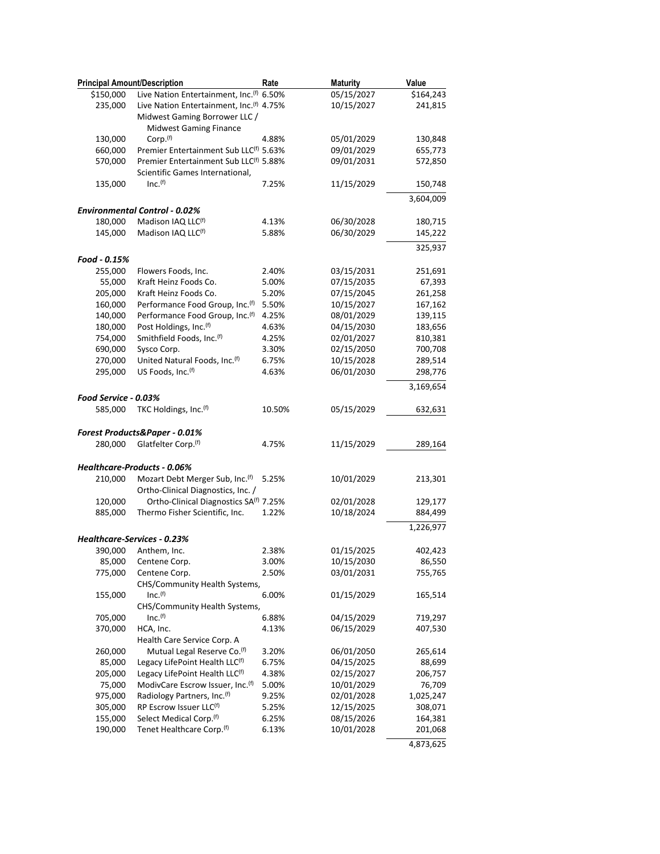| <b>Principal Amount/Description</b> |                                                      | Rate   | <b>Maturity</b> | Value     |
|-------------------------------------|------------------------------------------------------|--------|-----------------|-----------|
| \$150,000                           | Live Nation Entertainment, Inc. <sup>(f)</sup> 6.50% |        | 05/15/2027      | \$164,243 |
| 235,000                             | Live Nation Entertainment, Inc. <sup>(f)</sup> 4.75% |        | 10/15/2027      | 241,815   |
|                                     | Midwest Gaming Borrower LLC /                        |        |                 |           |
|                                     | <b>Midwest Gaming Finance</b>                        |        |                 |           |
| 130,000                             | Corp. <sup>(f)</sup>                                 | 4.88%  | 05/01/2029      | 130,848   |
| 660,000                             | Premier Entertainment Sub LLC <sup>(f)</sup> 5.63%   |        | 09/01/2029      | 655,773   |
| 570,000                             | Premier Entertainment Sub LLC <sup>(f)</sup> 5.88%   |        | 09/01/2031      | 572,850   |
|                                     | Scientific Games International,                      |        |                 |           |
| 135,000                             | Inc. <sup>(f)</sup>                                  | 7.25%  | 11/15/2029      | 150,748   |
|                                     |                                                      |        |                 | 3,604,009 |
|                                     | <b>Environmental Control - 0.02%</b>                 |        |                 |           |
| 180,000                             | Madison IAQ LLC <sup>(f)</sup>                       | 4.13%  | 06/30/2028      | 180,715   |
| 145,000                             | Madison IAQ LLC(f)                                   | 5.88%  | 06/30/2029      | 145,222   |
|                                     |                                                      |        |                 | 325,937   |
| Food - 0.15%                        |                                                      |        |                 |           |
| 255,000                             | Flowers Foods, Inc.                                  | 2.40%  | 03/15/2031      | 251,691   |
| 55,000                              | Kraft Heinz Foods Co.                                | 5.00%  | 07/15/2035      | 67,393    |
| 205,000                             | Kraft Heinz Foods Co.                                | 5.20%  | 07/15/2045      | 261,258   |
| 160,000                             | Performance Food Group, Inc.(f)                      | 5.50%  | 10/15/2027      | 167,162   |
| 140,000                             | Performance Food Group, Inc. <sup>(f)</sup>          | 4.25%  | 08/01/2029      | 139,115   |
| 180,000                             | Post Holdings, Inc. <sup>(f)</sup>                   | 4.63%  | 04/15/2030      | 183,656   |
| 754,000                             | Smithfield Foods, Inc.(f)                            | 4.25%  | 02/01/2027      | 810,381   |
| 690,000                             | Sysco Corp.                                          | 3.30%  | 02/15/2050      | 700,708   |
| 270,000                             | United Natural Foods, Inc.(f)                        | 6.75%  | 10/15/2028      | 289,514   |
| 295,000                             | US Foods, Inc. <sup>(f)</sup>                        | 4.63%  | 06/01/2030      | 298,776   |
|                                     |                                                      |        |                 |           |
|                                     |                                                      |        |                 | 3,169,654 |
| Food Service - 0.03%                |                                                      |        |                 |           |
| 585,000                             | TKC Holdings, Inc.(f)                                | 10.50% | 05/15/2029      | 632,631   |
|                                     |                                                      |        |                 |           |
|                                     | Forest Products&Paper - 0.01%                        |        |                 |           |
| 280,000                             | Glatfelter Corp.(f)                                  | 4.75%  | 11/15/2029      | 289,164   |
|                                     |                                                      |        |                 |           |
|                                     | <b>Healthcare-Products - 0.06%</b>                   |        |                 |           |
| 210,000                             | Mozart Debt Merger Sub, Inc. <sup>(f)</sup>          | 5.25%  | 10/01/2029      | 213,301   |
|                                     | Ortho-Clinical Diagnostics, Inc. /                   |        |                 |           |
| 120,000                             | Ortho-Clinical Diagnostics SA <sup>(f)</sup> 7.25%   |        | 02/01/2028      | 129,177   |
| 885,000                             | Thermo Fisher Scientific, Inc.                       | 1.22%  | 10/18/2024      | 884,499   |
|                                     |                                                      |        |                 | 1,226,977 |
|                                     | <b>Healthcare-Services - 0.23%</b>                   |        |                 |           |
| 390,000                             | Anthem, Inc.                                         | 2.38%  | 01/15/2025      | 402,423   |
| 85,000                              | Centene Corp.                                        | 3.00%  | 10/15/2030      | 86,550    |
| 775,000                             | Centene Corp.                                        | 2.50%  | 03/01/2031      | 755,765   |
|                                     | CHS/Community Health Systems,                        |        |                 |           |
| 155,000                             | Inc. <sup>(f)</sup>                                  | 6.00%  | 01/15/2029      | 165,514   |
|                                     | CHS/Community Health Systems,                        |        |                 |           |
| 705,000                             | Inc. <sup>(f)</sup>                                  | 6.88%  | 04/15/2029      | 719,297   |
| 370,000                             | HCA, Inc.                                            | 4.13%  | 06/15/2029      | 407,530   |
|                                     | Health Care Service Corp. A                          |        |                 |           |
| 260,000                             | Mutual Legal Reserve Co. <sup>(f)</sup>              | 3.20%  | 06/01/2050      | 265,614   |
| 85,000                              | Legacy LifePoint Health LLC <sup>(f)</sup>           | 6.75%  | 04/15/2025      | 88,699    |
| 205,000                             | Legacy LifePoint Health LLC <sup>(f)</sup>           | 4.38%  | 02/15/2027      | 206,757   |
| 75,000                              | ModivCare Escrow Issuer, Inc.(f)                     | 5.00%  | 10/01/2029      | 76,709    |
| 975,000                             | Radiology Partners, Inc.(f)                          | 9.25%  | 02/01/2028      | 1,025,247 |
| 305,000                             | RP Escrow Issuer LLC(f)                              | 5.25%  | 12/15/2025      | 308,071   |
| 155,000                             | Select Medical Corp. <sup>(f)</sup>                  | 6.25%  | 08/15/2026      | 164,381   |
| 190,000                             | Tenet Healthcare Corp. <sup>(f)</sup>                | 6.13%  | 10/01/2028      | 201,068   |
|                                     |                                                      |        |                 | 4,873,625 |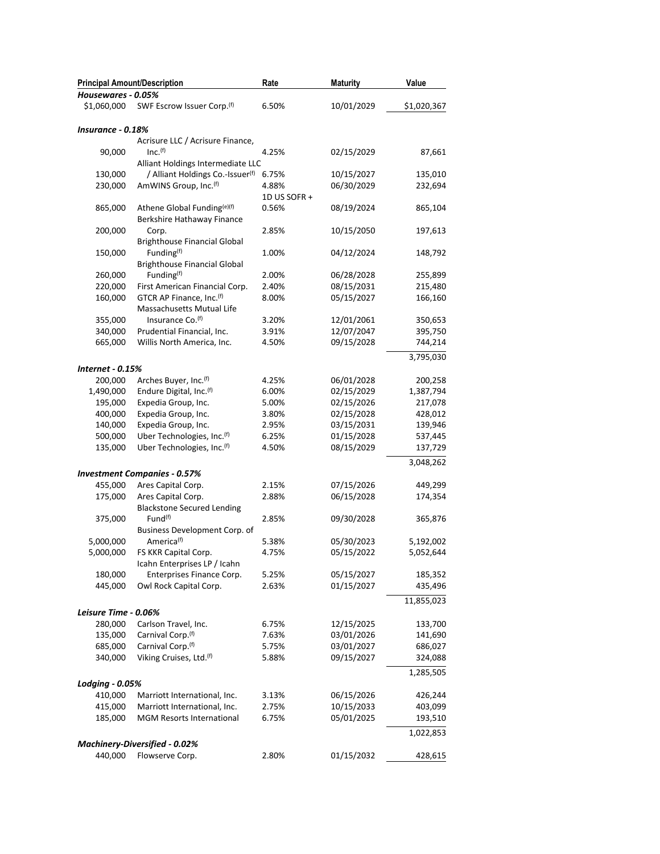| <b>Principal Amount/Description</b><br>Housewares - 0.05% |                                                                       | Rate           | <b>Maturity</b>          | Value              |
|-----------------------------------------------------------|-----------------------------------------------------------------------|----------------|--------------------------|--------------------|
| \$1,060,000                                               | SWF Escrow Issuer Corp.(f)                                            | 6.50%          | 10/01/2029               | \$1,020,367        |
|                                                           |                                                                       |                |                          |                    |
| Insurance - 0.18%                                         |                                                                       |                |                          |                    |
|                                                           | Acrisure LLC / Acrisure Finance,                                      |                |                          |                    |
| 90,000                                                    | Inc. <sup>(f)</sup>                                                   | 4.25%          | 02/15/2029               | 87,661             |
|                                                           | Alliant Holdings Intermediate LLC                                     |                | 10/15/2027               | 135,010            |
| 130,000<br>230,000                                        | / Alliant Holdings Co.-Issuer <sup>(f)</sup><br>AmWINS Group, Inc.(f) | 6.75%<br>4.88% | 06/30/2029               | 232,694            |
|                                                           |                                                                       | 1D US SOFR +   |                          |                    |
| 865,000                                                   | Athene Global Funding(e)(f)                                           | 0.56%          | 08/19/2024               | 865,104            |
|                                                           | Berkshire Hathaway Finance                                            |                |                          |                    |
| 200,000                                                   | Corp.                                                                 | 2.85%          | 10/15/2050               | 197,613            |
|                                                           | <b>Brighthouse Financial Global</b>                                   |                |                          |                    |
| 150,000                                                   | Funding <sup>(f)</sup>                                                | 1.00%          | 04/12/2024               | 148,792            |
|                                                           | <b>Brighthouse Financial Global</b>                                   |                |                          |                    |
| 260,000                                                   | Funding <sup>(f)</sup>                                                | 2.00%          | 06/28/2028               | 255,899            |
| 220,000                                                   | First American Financial Corp.                                        | 2.40%          | 08/15/2031               | 215,480            |
| 160,000                                                   | GTCR AP Finance, Inc.(f)                                              | 8.00%          | 05/15/2027               | 166,160            |
|                                                           | Massachusetts Mutual Life                                             |                |                          |                    |
| 355,000                                                   | Insurance Co. <sup>(f)</sup>                                          | 3.20%          | 12/01/2061               | 350,653<br>395,750 |
| 340,000<br>665,000                                        | Prudential Financial, Inc.<br>Willis North America, Inc.              | 3.91%<br>4.50% | 12/07/2047<br>09/15/2028 | 744,214            |
|                                                           |                                                                       |                |                          |                    |
|                                                           |                                                                       |                |                          | 3,795,030          |
| <b>Internet - 0.15%</b>                                   |                                                                       |                |                          |                    |
| 200,000                                                   | Arches Buyer, Inc. <sup>(f)</sup>                                     | 4.25%          | 06/01/2028               | 200,258            |
| 1,490,000                                                 | Endure Digital, Inc.(f)                                               | 6.00%          | 02/15/2029<br>02/15/2026 | 1,387,794          |
| 195,000<br>400,000                                        | Expedia Group, Inc.<br>Expedia Group, Inc.                            | 5.00%<br>3.80% | 02/15/2028               | 217,078<br>428,012 |
| 140,000                                                   | Expedia Group, Inc.                                                   | 2.95%          | 03/15/2031               | 139,946            |
| 500,000                                                   | Uber Technologies, Inc.(f)                                            | 6.25%          | 01/15/2028               | 537,445            |
| 135,000                                                   | Uber Technologies, Inc.(f)                                            | 4.50%          | 08/15/2029               | 137,729            |
|                                                           |                                                                       |                |                          | 3,048,262          |
|                                                           | <b>Investment Companies - 0.57%</b>                                   |                |                          |                    |
| 455,000                                                   | Ares Capital Corp.                                                    | 2.15%          | 07/15/2026               | 449,299            |
| 175,000                                                   | Ares Capital Corp.                                                    | 2.88%          | 06/15/2028               | 174,354            |
|                                                           | <b>Blackstone Secured Lending</b>                                     |                |                          |                    |
| 375,000                                                   | Fund <sup>(f)</sup>                                                   | 2.85%          | 09/30/2028               | 365,876            |
|                                                           | Business Development Corp. of                                         |                |                          |                    |
| 5,000,000                                                 | America <sup>(f)</sup>                                                | 5.38%          | 05/30/2023               | 5,192,002          |
| 5,000,000                                                 | FS KKR Capital Corp.                                                  | 4.75%          | 05/15/2022               | 5,052,644          |
|                                                           | Icahn Enterprises LP / Icahn                                          |                |                          |                    |
| 180,000                                                   | Enterprises Finance Corp.                                             | 5.25%          | 05/15/2027               | 185,352            |
| 445,000                                                   | Owl Rock Capital Corp.                                                | 2.63%          | 01/15/2027               | 435,496            |
|                                                           |                                                                       |                |                          | 11,855,023         |
| Leisure Time - 0.06%                                      |                                                                       |                |                          |                    |
| 280,000                                                   | Carlson Travel, Inc.                                                  | 6.75%          | 12/15/2025               | 133,700            |
| 135,000                                                   | Carnival Corp. <sup>(f)</sup>                                         | 7.63%          | 03/01/2026               | 141,690            |
| 685,000                                                   | Carnival Corp. <sup>(f)</sup>                                         | 5.75%          | 03/01/2027               | 686,027            |
| 340,000                                                   | Viking Cruises, Ltd.(f)                                               | 5.88%          | 09/15/2027               | 324,088            |
|                                                           |                                                                       |                |                          | 1,285,505          |
| Lodging - 0.05%                                           |                                                                       |                |                          |                    |
| 410,000                                                   | Marriott International, Inc.                                          | 3.13%          | 06/15/2026               | 426,244            |
| 415,000                                                   | Marriott International, Inc.                                          | 2.75%          | 10/15/2033               | 403,099            |
| 185,000                                                   | <b>MGM Resorts International</b>                                      | 6.75%          | 05/01/2025               | 193,510            |
|                                                           |                                                                       |                |                          | 1,022,853          |
|                                                           | Machinery-Diversified - 0.02%                                         |                |                          |                    |
| 440,000                                                   | Flowserve Corp.                                                       | 2.80%          | 01/15/2032               | 428,615            |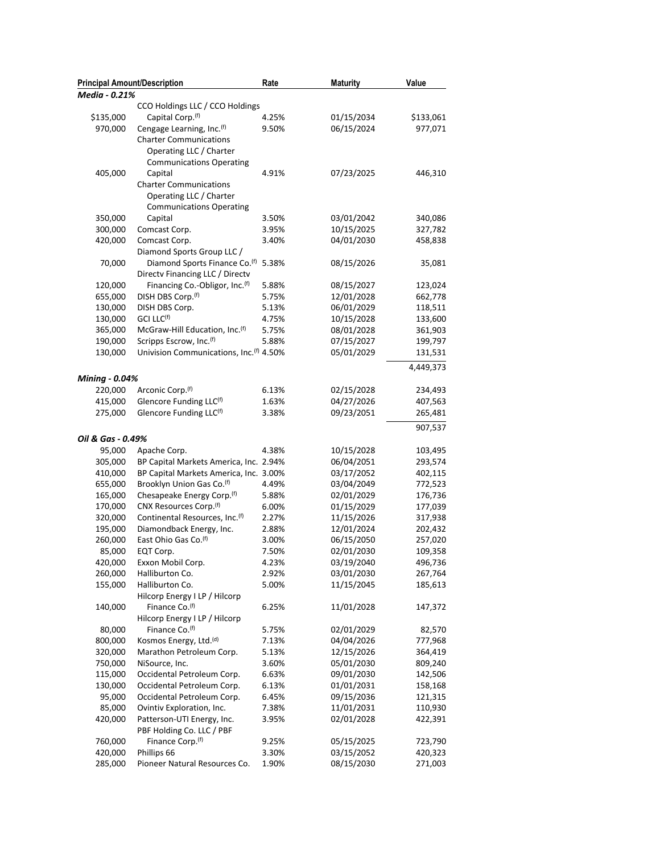| Media - 0.21%<br>CCO Holdings LLC / CCO Holdings<br>\$135,000<br>Capital Corp. <sup>(f)</sup><br>4.25%<br>01/15/2034<br>Cengage Learning, Inc. <sup>(f)</sup><br>06/15/2024<br>970,000<br>9.50%<br><b>Charter Communications</b><br>Operating LLC / Charter<br><b>Communications Operating</b><br>405,000<br>07/23/2025<br>Capital<br>4.91%<br><b>Charter Communications</b><br>Operating LLC / Charter<br><b>Communications Operating</b><br>350,000<br>Capital<br>3.50%<br>03/01/2042<br>10/15/2025<br>300,000<br>Comcast Corp.<br>3.95%<br>04/01/2030<br>420,000<br>Comcast Corp.<br>3.40%<br>Diamond Sports Group LLC /<br>70,000<br>Diamond Sports Finance Co. <sup>(f)</sup><br>5.38%<br>08/15/2026<br>Directv Financing LLC / Directv<br>Financing Co.-Obligor, Inc. <sup>(f)</sup><br>120,000<br>5.88%<br>08/15/2027<br>123,024<br>DISH DBS Corp. <sup>(f)</sup><br>655,000<br>12/01/2028<br>662,778<br>5.75%<br>130,000<br>DISH DBS Corp.<br>06/01/2029<br>118,511<br>5.13%<br>130,000<br>GCI LLC <sup>(f)</sup><br>10/15/2028<br>133,600<br>4.75%<br>365,000<br>McGraw-Hill Education, Inc.(f)<br>5.75%<br>08/01/2028<br>361,903<br>Scripps Escrow, Inc.(f)<br>07/15/2027<br>190,000<br>5.88%<br>199,797<br>Univision Communications, Inc. <sup>(f)</sup> 4.50%<br>05/01/2029<br>130,000<br>131,531<br><b>Mining - 0.04%</b><br>Arconic Corp. <sup>(f)</sup><br>220,000<br>6.13%<br>02/15/2028<br>Glencore Funding LLC(f)<br>415,000<br>04/27/2026<br>1.63%<br>275,000<br>Glencore Funding LLC(f)<br>3.38%<br>09/23/2051<br>Oil & Gas - 0.49%<br>95,000<br>Apache Corp.<br>4.38%<br>10/15/2028<br>305,000<br>BP Capital Markets America, Inc. 2.94%<br>06/04/2051<br>BP Capital Markets America, Inc. 3.00%<br>03/17/2052<br>410,000<br>655,000<br>Brooklyn Union Gas Co. <sup>(f)</sup><br>4.49%<br>03/04/2049<br>Chesapeake Energy Corp.(f)<br>02/01/2029<br>165,000<br>5.88%<br>CNX Resources Corp. <sup>(f)</sup><br>01/15/2029<br>170,000<br>6.00%<br>320,000<br>Continental Resources, Inc. <sup>(f)</sup><br>11/15/2026<br>2.27%<br>195,000<br>Diamondback Energy, Inc.<br>12/01/2024<br>2.88%<br>East Ohio Gas Co. <sup>(f)</sup><br>06/15/2050<br>260,000<br>3.00%<br>02/01/2030<br>85,000<br>EQT Corp.<br>7.50%<br>420,000<br>Exxon Mobil Corp.<br>4.23%<br>03/19/2040<br>03/01/2030<br>260,000<br>Halliburton Co.<br>2.92%<br>155,000<br>Halliburton Co.<br>5.00%<br>11/15/2045<br>Hilcorp Energy I LP / Hilcorp<br>Finance Co.(f)<br>140,000<br>11/01/2028<br>6.25%<br>Hilcorp Energy I LP / Hilcorp<br>80,000<br>Finance Co. <sup>(f)</sup><br>5.75%<br>02/01/2029<br>Kosmos Energy, Ltd. <sup>(d)</sup><br>04/04/2026<br>800,000<br>7.13%<br>Marathon Petroleum Corp.<br>12/15/2026<br>320,000<br>5.13%<br>05/01/2030<br>809,240<br>750,000<br>NiSource, Inc.<br>3.60%<br>09/01/2030<br>115,000<br>Occidental Petroleum Corp.<br>6.63%<br>01/01/2031<br>130,000<br>Occidental Petroleum Corp.<br>6.13% | <b>Principal Amount/Description</b> |                            | Rate  | <b>Maturity</b> | Value     |
|--------------------------------------------------------------------------------------------------------------------------------------------------------------------------------------------------------------------------------------------------------------------------------------------------------------------------------------------------------------------------------------------------------------------------------------------------------------------------------------------------------------------------------------------------------------------------------------------------------------------------------------------------------------------------------------------------------------------------------------------------------------------------------------------------------------------------------------------------------------------------------------------------------------------------------------------------------------------------------------------------------------------------------------------------------------------------------------------------------------------------------------------------------------------------------------------------------------------------------------------------------------------------------------------------------------------------------------------------------------------------------------------------------------------------------------------------------------------------------------------------------------------------------------------------------------------------------------------------------------------------------------------------------------------------------------------------------------------------------------------------------------------------------------------------------------------------------------------------------------------------------------------------------------------------------------------------------------------------------------------------------------------------------------------------------------------------------------------------------------------------------------------------------------------------------------------------------------------------------------------------------------------------------------------------------------------------------------------------------------------------------------------------------------------------------------------------------------------------------------------------------------------------------------------------------------------------------------------------------------------------------------------------------------------------------------------------------------------------------------------------------------------------------------------------------------------------------------------------------------------------------------------------------------------------------|-------------------------------------|----------------------------|-------|-----------------|-----------|
|                                                                                                                                                                                                                                                                                                                                                                                                                                                                                                                                                                                                                                                                                                                                                                                                                                                                                                                                                                                                                                                                                                                                                                                                                                                                                                                                                                                                                                                                                                                                                                                                                                                                                                                                                                                                                                                                                                                                                                                                                                                                                                                                                                                                                                                                                                                                                                                                                                                                                                                                                                                                                                                                                                                                                                                                                                                                                                                                |                                     |                            |       |                 |           |
|                                                                                                                                                                                                                                                                                                                                                                                                                                                                                                                                                                                                                                                                                                                                                                                                                                                                                                                                                                                                                                                                                                                                                                                                                                                                                                                                                                                                                                                                                                                                                                                                                                                                                                                                                                                                                                                                                                                                                                                                                                                                                                                                                                                                                                                                                                                                                                                                                                                                                                                                                                                                                                                                                                                                                                                                                                                                                                                                |                                     |                            |       |                 |           |
|                                                                                                                                                                                                                                                                                                                                                                                                                                                                                                                                                                                                                                                                                                                                                                                                                                                                                                                                                                                                                                                                                                                                                                                                                                                                                                                                                                                                                                                                                                                                                                                                                                                                                                                                                                                                                                                                                                                                                                                                                                                                                                                                                                                                                                                                                                                                                                                                                                                                                                                                                                                                                                                                                                                                                                                                                                                                                                                                |                                     |                            |       |                 | \$133,061 |
|                                                                                                                                                                                                                                                                                                                                                                                                                                                                                                                                                                                                                                                                                                                                                                                                                                                                                                                                                                                                                                                                                                                                                                                                                                                                                                                                                                                                                                                                                                                                                                                                                                                                                                                                                                                                                                                                                                                                                                                                                                                                                                                                                                                                                                                                                                                                                                                                                                                                                                                                                                                                                                                                                                                                                                                                                                                                                                                                |                                     |                            |       |                 | 977,071   |
|                                                                                                                                                                                                                                                                                                                                                                                                                                                                                                                                                                                                                                                                                                                                                                                                                                                                                                                                                                                                                                                                                                                                                                                                                                                                                                                                                                                                                                                                                                                                                                                                                                                                                                                                                                                                                                                                                                                                                                                                                                                                                                                                                                                                                                                                                                                                                                                                                                                                                                                                                                                                                                                                                                                                                                                                                                                                                                                                |                                     |                            |       |                 |           |
|                                                                                                                                                                                                                                                                                                                                                                                                                                                                                                                                                                                                                                                                                                                                                                                                                                                                                                                                                                                                                                                                                                                                                                                                                                                                                                                                                                                                                                                                                                                                                                                                                                                                                                                                                                                                                                                                                                                                                                                                                                                                                                                                                                                                                                                                                                                                                                                                                                                                                                                                                                                                                                                                                                                                                                                                                                                                                                                                |                                     |                            |       |                 |           |
|                                                                                                                                                                                                                                                                                                                                                                                                                                                                                                                                                                                                                                                                                                                                                                                                                                                                                                                                                                                                                                                                                                                                                                                                                                                                                                                                                                                                                                                                                                                                                                                                                                                                                                                                                                                                                                                                                                                                                                                                                                                                                                                                                                                                                                                                                                                                                                                                                                                                                                                                                                                                                                                                                                                                                                                                                                                                                                                                |                                     |                            |       |                 |           |
|                                                                                                                                                                                                                                                                                                                                                                                                                                                                                                                                                                                                                                                                                                                                                                                                                                                                                                                                                                                                                                                                                                                                                                                                                                                                                                                                                                                                                                                                                                                                                                                                                                                                                                                                                                                                                                                                                                                                                                                                                                                                                                                                                                                                                                                                                                                                                                                                                                                                                                                                                                                                                                                                                                                                                                                                                                                                                                                                |                                     |                            |       |                 | 446,310   |
|                                                                                                                                                                                                                                                                                                                                                                                                                                                                                                                                                                                                                                                                                                                                                                                                                                                                                                                                                                                                                                                                                                                                                                                                                                                                                                                                                                                                                                                                                                                                                                                                                                                                                                                                                                                                                                                                                                                                                                                                                                                                                                                                                                                                                                                                                                                                                                                                                                                                                                                                                                                                                                                                                                                                                                                                                                                                                                                                |                                     |                            |       |                 |           |
|                                                                                                                                                                                                                                                                                                                                                                                                                                                                                                                                                                                                                                                                                                                                                                                                                                                                                                                                                                                                                                                                                                                                                                                                                                                                                                                                                                                                                                                                                                                                                                                                                                                                                                                                                                                                                                                                                                                                                                                                                                                                                                                                                                                                                                                                                                                                                                                                                                                                                                                                                                                                                                                                                                                                                                                                                                                                                                                                |                                     |                            |       |                 |           |
|                                                                                                                                                                                                                                                                                                                                                                                                                                                                                                                                                                                                                                                                                                                                                                                                                                                                                                                                                                                                                                                                                                                                                                                                                                                                                                                                                                                                                                                                                                                                                                                                                                                                                                                                                                                                                                                                                                                                                                                                                                                                                                                                                                                                                                                                                                                                                                                                                                                                                                                                                                                                                                                                                                                                                                                                                                                                                                                                |                                     |                            |       |                 |           |
|                                                                                                                                                                                                                                                                                                                                                                                                                                                                                                                                                                                                                                                                                                                                                                                                                                                                                                                                                                                                                                                                                                                                                                                                                                                                                                                                                                                                                                                                                                                                                                                                                                                                                                                                                                                                                                                                                                                                                                                                                                                                                                                                                                                                                                                                                                                                                                                                                                                                                                                                                                                                                                                                                                                                                                                                                                                                                                                                |                                     |                            |       |                 | 340,086   |
|                                                                                                                                                                                                                                                                                                                                                                                                                                                                                                                                                                                                                                                                                                                                                                                                                                                                                                                                                                                                                                                                                                                                                                                                                                                                                                                                                                                                                                                                                                                                                                                                                                                                                                                                                                                                                                                                                                                                                                                                                                                                                                                                                                                                                                                                                                                                                                                                                                                                                                                                                                                                                                                                                                                                                                                                                                                                                                                                |                                     |                            |       |                 | 327,782   |
|                                                                                                                                                                                                                                                                                                                                                                                                                                                                                                                                                                                                                                                                                                                                                                                                                                                                                                                                                                                                                                                                                                                                                                                                                                                                                                                                                                                                                                                                                                                                                                                                                                                                                                                                                                                                                                                                                                                                                                                                                                                                                                                                                                                                                                                                                                                                                                                                                                                                                                                                                                                                                                                                                                                                                                                                                                                                                                                                |                                     |                            |       |                 | 458,838   |
|                                                                                                                                                                                                                                                                                                                                                                                                                                                                                                                                                                                                                                                                                                                                                                                                                                                                                                                                                                                                                                                                                                                                                                                                                                                                                                                                                                                                                                                                                                                                                                                                                                                                                                                                                                                                                                                                                                                                                                                                                                                                                                                                                                                                                                                                                                                                                                                                                                                                                                                                                                                                                                                                                                                                                                                                                                                                                                                                |                                     |                            |       |                 |           |
|                                                                                                                                                                                                                                                                                                                                                                                                                                                                                                                                                                                                                                                                                                                                                                                                                                                                                                                                                                                                                                                                                                                                                                                                                                                                                                                                                                                                                                                                                                                                                                                                                                                                                                                                                                                                                                                                                                                                                                                                                                                                                                                                                                                                                                                                                                                                                                                                                                                                                                                                                                                                                                                                                                                                                                                                                                                                                                                                |                                     |                            |       |                 | 35,081    |
|                                                                                                                                                                                                                                                                                                                                                                                                                                                                                                                                                                                                                                                                                                                                                                                                                                                                                                                                                                                                                                                                                                                                                                                                                                                                                                                                                                                                                                                                                                                                                                                                                                                                                                                                                                                                                                                                                                                                                                                                                                                                                                                                                                                                                                                                                                                                                                                                                                                                                                                                                                                                                                                                                                                                                                                                                                                                                                                                |                                     |                            |       |                 |           |
|                                                                                                                                                                                                                                                                                                                                                                                                                                                                                                                                                                                                                                                                                                                                                                                                                                                                                                                                                                                                                                                                                                                                                                                                                                                                                                                                                                                                                                                                                                                                                                                                                                                                                                                                                                                                                                                                                                                                                                                                                                                                                                                                                                                                                                                                                                                                                                                                                                                                                                                                                                                                                                                                                                                                                                                                                                                                                                                                |                                     |                            |       |                 |           |
|                                                                                                                                                                                                                                                                                                                                                                                                                                                                                                                                                                                                                                                                                                                                                                                                                                                                                                                                                                                                                                                                                                                                                                                                                                                                                                                                                                                                                                                                                                                                                                                                                                                                                                                                                                                                                                                                                                                                                                                                                                                                                                                                                                                                                                                                                                                                                                                                                                                                                                                                                                                                                                                                                                                                                                                                                                                                                                                                |                                     |                            |       |                 |           |
|                                                                                                                                                                                                                                                                                                                                                                                                                                                                                                                                                                                                                                                                                                                                                                                                                                                                                                                                                                                                                                                                                                                                                                                                                                                                                                                                                                                                                                                                                                                                                                                                                                                                                                                                                                                                                                                                                                                                                                                                                                                                                                                                                                                                                                                                                                                                                                                                                                                                                                                                                                                                                                                                                                                                                                                                                                                                                                                                |                                     |                            |       |                 |           |
|                                                                                                                                                                                                                                                                                                                                                                                                                                                                                                                                                                                                                                                                                                                                                                                                                                                                                                                                                                                                                                                                                                                                                                                                                                                                                                                                                                                                                                                                                                                                                                                                                                                                                                                                                                                                                                                                                                                                                                                                                                                                                                                                                                                                                                                                                                                                                                                                                                                                                                                                                                                                                                                                                                                                                                                                                                                                                                                                |                                     |                            |       |                 |           |
|                                                                                                                                                                                                                                                                                                                                                                                                                                                                                                                                                                                                                                                                                                                                                                                                                                                                                                                                                                                                                                                                                                                                                                                                                                                                                                                                                                                                                                                                                                                                                                                                                                                                                                                                                                                                                                                                                                                                                                                                                                                                                                                                                                                                                                                                                                                                                                                                                                                                                                                                                                                                                                                                                                                                                                                                                                                                                                                                |                                     |                            |       |                 |           |
|                                                                                                                                                                                                                                                                                                                                                                                                                                                                                                                                                                                                                                                                                                                                                                                                                                                                                                                                                                                                                                                                                                                                                                                                                                                                                                                                                                                                                                                                                                                                                                                                                                                                                                                                                                                                                                                                                                                                                                                                                                                                                                                                                                                                                                                                                                                                                                                                                                                                                                                                                                                                                                                                                                                                                                                                                                                                                                                                |                                     |                            |       |                 |           |
|                                                                                                                                                                                                                                                                                                                                                                                                                                                                                                                                                                                                                                                                                                                                                                                                                                                                                                                                                                                                                                                                                                                                                                                                                                                                                                                                                                                                                                                                                                                                                                                                                                                                                                                                                                                                                                                                                                                                                                                                                                                                                                                                                                                                                                                                                                                                                                                                                                                                                                                                                                                                                                                                                                                                                                                                                                                                                                                                |                                     |                            |       |                 |           |
|                                                                                                                                                                                                                                                                                                                                                                                                                                                                                                                                                                                                                                                                                                                                                                                                                                                                                                                                                                                                                                                                                                                                                                                                                                                                                                                                                                                                                                                                                                                                                                                                                                                                                                                                                                                                                                                                                                                                                                                                                                                                                                                                                                                                                                                                                                                                                                                                                                                                                                                                                                                                                                                                                                                                                                                                                                                                                                                                |                                     |                            |       |                 |           |
|                                                                                                                                                                                                                                                                                                                                                                                                                                                                                                                                                                                                                                                                                                                                                                                                                                                                                                                                                                                                                                                                                                                                                                                                                                                                                                                                                                                                                                                                                                                                                                                                                                                                                                                                                                                                                                                                                                                                                                                                                                                                                                                                                                                                                                                                                                                                                                                                                                                                                                                                                                                                                                                                                                                                                                                                                                                                                                                                |                                     |                            |       |                 | 4,449,373 |
|                                                                                                                                                                                                                                                                                                                                                                                                                                                                                                                                                                                                                                                                                                                                                                                                                                                                                                                                                                                                                                                                                                                                                                                                                                                                                                                                                                                                                                                                                                                                                                                                                                                                                                                                                                                                                                                                                                                                                                                                                                                                                                                                                                                                                                                                                                                                                                                                                                                                                                                                                                                                                                                                                                                                                                                                                                                                                                                                |                                     |                            |       |                 |           |
|                                                                                                                                                                                                                                                                                                                                                                                                                                                                                                                                                                                                                                                                                                                                                                                                                                                                                                                                                                                                                                                                                                                                                                                                                                                                                                                                                                                                                                                                                                                                                                                                                                                                                                                                                                                                                                                                                                                                                                                                                                                                                                                                                                                                                                                                                                                                                                                                                                                                                                                                                                                                                                                                                                                                                                                                                                                                                                                                |                                     |                            |       |                 | 234,493   |
|                                                                                                                                                                                                                                                                                                                                                                                                                                                                                                                                                                                                                                                                                                                                                                                                                                                                                                                                                                                                                                                                                                                                                                                                                                                                                                                                                                                                                                                                                                                                                                                                                                                                                                                                                                                                                                                                                                                                                                                                                                                                                                                                                                                                                                                                                                                                                                                                                                                                                                                                                                                                                                                                                                                                                                                                                                                                                                                                |                                     |                            |       |                 | 407,563   |
|                                                                                                                                                                                                                                                                                                                                                                                                                                                                                                                                                                                                                                                                                                                                                                                                                                                                                                                                                                                                                                                                                                                                                                                                                                                                                                                                                                                                                                                                                                                                                                                                                                                                                                                                                                                                                                                                                                                                                                                                                                                                                                                                                                                                                                                                                                                                                                                                                                                                                                                                                                                                                                                                                                                                                                                                                                                                                                                                |                                     |                            |       |                 | 265,481   |
|                                                                                                                                                                                                                                                                                                                                                                                                                                                                                                                                                                                                                                                                                                                                                                                                                                                                                                                                                                                                                                                                                                                                                                                                                                                                                                                                                                                                                                                                                                                                                                                                                                                                                                                                                                                                                                                                                                                                                                                                                                                                                                                                                                                                                                                                                                                                                                                                                                                                                                                                                                                                                                                                                                                                                                                                                                                                                                                                |                                     |                            |       |                 | 907,537   |
|                                                                                                                                                                                                                                                                                                                                                                                                                                                                                                                                                                                                                                                                                                                                                                                                                                                                                                                                                                                                                                                                                                                                                                                                                                                                                                                                                                                                                                                                                                                                                                                                                                                                                                                                                                                                                                                                                                                                                                                                                                                                                                                                                                                                                                                                                                                                                                                                                                                                                                                                                                                                                                                                                                                                                                                                                                                                                                                                |                                     |                            |       |                 |           |
|                                                                                                                                                                                                                                                                                                                                                                                                                                                                                                                                                                                                                                                                                                                                                                                                                                                                                                                                                                                                                                                                                                                                                                                                                                                                                                                                                                                                                                                                                                                                                                                                                                                                                                                                                                                                                                                                                                                                                                                                                                                                                                                                                                                                                                                                                                                                                                                                                                                                                                                                                                                                                                                                                                                                                                                                                                                                                                                                |                                     |                            |       |                 | 103,495   |
|                                                                                                                                                                                                                                                                                                                                                                                                                                                                                                                                                                                                                                                                                                                                                                                                                                                                                                                                                                                                                                                                                                                                                                                                                                                                                                                                                                                                                                                                                                                                                                                                                                                                                                                                                                                                                                                                                                                                                                                                                                                                                                                                                                                                                                                                                                                                                                                                                                                                                                                                                                                                                                                                                                                                                                                                                                                                                                                                |                                     |                            |       |                 | 293,574   |
|                                                                                                                                                                                                                                                                                                                                                                                                                                                                                                                                                                                                                                                                                                                                                                                                                                                                                                                                                                                                                                                                                                                                                                                                                                                                                                                                                                                                                                                                                                                                                                                                                                                                                                                                                                                                                                                                                                                                                                                                                                                                                                                                                                                                                                                                                                                                                                                                                                                                                                                                                                                                                                                                                                                                                                                                                                                                                                                                |                                     |                            |       |                 | 402,115   |
|                                                                                                                                                                                                                                                                                                                                                                                                                                                                                                                                                                                                                                                                                                                                                                                                                                                                                                                                                                                                                                                                                                                                                                                                                                                                                                                                                                                                                                                                                                                                                                                                                                                                                                                                                                                                                                                                                                                                                                                                                                                                                                                                                                                                                                                                                                                                                                                                                                                                                                                                                                                                                                                                                                                                                                                                                                                                                                                                |                                     |                            |       |                 | 772,523   |
|                                                                                                                                                                                                                                                                                                                                                                                                                                                                                                                                                                                                                                                                                                                                                                                                                                                                                                                                                                                                                                                                                                                                                                                                                                                                                                                                                                                                                                                                                                                                                                                                                                                                                                                                                                                                                                                                                                                                                                                                                                                                                                                                                                                                                                                                                                                                                                                                                                                                                                                                                                                                                                                                                                                                                                                                                                                                                                                                |                                     |                            |       |                 | 176,736   |
|                                                                                                                                                                                                                                                                                                                                                                                                                                                                                                                                                                                                                                                                                                                                                                                                                                                                                                                                                                                                                                                                                                                                                                                                                                                                                                                                                                                                                                                                                                                                                                                                                                                                                                                                                                                                                                                                                                                                                                                                                                                                                                                                                                                                                                                                                                                                                                                                                                                                                                                                                                                                                                                                                                                                                                                                                                                                                                                                |                                     |                            |       |                 | 177,039   |
|                                                                                                                                                                                                                                                                                                                                                                                                                                                                                                                                                                                                                                                                                                                                                                                                                                                                                                                                                                                                                                                                                                                                                                                                                                                                                                                                                                                                                                                                                                                                                                                                                                                                                                                                                                                                                                                                                                                                                                                                                                                                                                                                                                                                                                                                                                                                                                                                                                                                                                                                                                                                                                                                                                                                                                                                                                                                                                                                |                                     |                            |       |                 | 317,938   |
|                                                                                                                                                                                                                                                                                                                                                                                                                                                                                                                                                                                                                                                                                                                                                                                                                                                                                                                                                                                                                                                                                                                                                                                                                                                                                                                                                                                                                                                                                                                                                                                                                                                                                                                                                                                                                                                                                                                                                                                                                                                                                                                                                                                                                                                                                                                                                                                                                                                                                                                                                                                                                                                                                                                                                                                                                                                                                                                                |                                     |                            |       |                 | 202,432   |
|                                                                                                                                                                                                                                                                                                                                                                                                                                                                                                                                                                                                                                                                                                                                                                                                                                                                                                                                                                                                                                                                                                                                                                                                                                                                                                                                                                                                                                                                                                                                                                                                                                                                                                                                                                                                                                                                                                                                                                                                                                                                                                                                                                                                                                                                                                                                                                                                                                                                                                                                                                                                                                                                                                                                                                                                                                                                                                                                |                                     |                            |       |                 | 257,020   |
|                                                                                                                                                                                                                                                                                                                                                                                                                                                                                                                                                                                                                                                                                                                                                                                                                                                                                                                                                                                                                                                                                                                                                                                                                                                                                                                                                                                                                                                                                                                                                                                                                                                                                                                                                                                                                                                                                                                                                                                                                                                                                                                                                                                                                                                                                                                                                                                                                                                                                                                                                                                                                                                                                                                                                                                                                                                                                                                                |                                     |                            |       |                 | 109,358   |
|                                                                                                                                                                                                                                                                                                                                                                                                                                                                                                                                                                                                                                                                                                                                                                                                                                                                                                                                                                                                                                                                                                                                                                                                                                                                                                                                                                                                                                                                                                                                                                                                                                                                                                                                                                                                                                                                                                                                                                                                                                                                                                                                                                                                                                                                                                                                                                                                                                                                                                                                                                                                                                                                                                                                                                                                                                                                                                                                |                                     |                            |       |                 | 496,736   |
|                                                                                                                                                                                                                                                                                                                                                                                                                                                                                                                                                                                                                                                                                                                                                                                                                                                                                                                                                                                                                                                                                                                                                                                                                                                                                                                                                                                                                                                                                                                                                                                                                                                                                                                                                                                                                                                                                                                                                                                                                                                                                                                                                                                                                                                                                                                                                                                                                                                                                                                                                                                                                                                                                                                                                                                                                                                                                                                                |                                     |                            |       |                 | 267,764   |
|                                                                                                                                                                                                                                                                                                                                                                                                                                                                                                                                                                                                                                                                                                                                                                                                                                                                                                                                                                                                                                                                                                                                                                                                                                                                                                                                                                                                                                                                                                                                                                                                                                                                                                                                                                                                                                                                                                                                                                                                                                                                                                                                                                                                                                                                                                                                                                                                                                                                                                                                                                                                                                                                                                                                                                                                                                                                                                                                |                                     |                            |       |                 | 185,613   |
|                                                                                                                                                                                                                                                                                                                                                                                                                                                                                                                                                                                                                                                                                                                                                                                                                                                                                                                                                                                                                                                                                                                                                                                                                                                                                                                                                                                                                                                                                                                                                                                                                                                                                                                                                                                                                                                                                                                                                                                                                                                                                                                                                                                                                                                                                                                                                                                                                                                                                                                                                                                                                                                                                                                                                                                                                                                                                                                                |                                     |                            |       |                 |           |
|                                                                                                                                                                                                                                                                                                                                                                                                                                                                                                                                                                                                                                                                                                                                                                                                                                                                                                                                                                                                                                                                                                                                                                                                                                                                                                                                                                                                                                                                                                                                                                                                                                                                                                                                                                                                                                                                                                                                                                                                                                                                                                                                                                                                                                                                                                                                                                                                                                                                                                                                                                                                                                                                                                                                                                                                                                                                                                                                |                                     |                            |       |                 | 147,372   |
|                                                                                                                                                                                                                                                                                                                                                                                                                                                                                                                                                                                                                                                                                                                                                                                                                                                                                                                                                                                                                                                                                                                                                                                                                                                                                                                                                                                                                                                                                                                                                                                                                                                                                                                                                                                                                                                                                                                                                                                                                                                                                                                                                                                                                                                                                                                                                                                                                                                                                                                                                                                                                                                                                                                                                                                                                                                                                                                                |                                     |                            |       |                 |           |
|                                                                                                                                                                                                                                                                                                                                                                                                                                                                                                                                                                                                                                                                                                                                                                                                                                                                                                                                                                                                                                                                                                                                                                                                                                                                                                                                                                                                                                                                                                                                                                                                                                                                                                                                                                                                                                                                                                                                                                                                                                                                                                                                                                                                                                                                                                                                                                                                                                                                                                                                                                                                                                                                                                                                                                                                                                                                                                                                |                                     |                            |       |                 | 82,570    |
|                                                                                                                                                                                                                                                                                                                                                                                                                                                                                                                                                                                                                                                                                                                                                                                                                                                                                                                                                                                                                                                                                                                                                                                                                                                                                                                                                                                                                                                                                                                                                                                                                                                                                                                                                                                                                                                                                                                                                                                                                                                                                                                                                                                                                                                                                                                                                                                                                                                                                                                                                                                                                                                                                                                                                                                                                                                                                                                                |                                     |                            |       |                 | 777,968   |
|                                                                                                                                                                                                                                                                                                                                                                                                                                                                                                                                                                                                                                                                                                                                                                                                                                                                                                                                                                                                                                                                                                                                                                                                                                                                                                                                                                                                                                                                                                                                                                                                                                                                                                                                                                                                                                                                                                                                                                                                                                                                                                                                                                                                                                                                                                                                                                                                                                                                                                                                                                                                                                                                                                                                                                                                                                                                                                                                |                                     |                            |       |                 | 364,419   |
|                                                                                                                                                                                                                                                                                                                                                                                                                                                                                                                                                                                                                                                                                                                                                                                                                                                                                                                                                                                                                                                                                                                                                                                                                                                                                                                                                                                                                                                                                                                                                                                                                                                                                                                                                                                                                                                                                                                                                                                                                                                                                                                                                                                                                                                                                                                                                                                                                                                                                                                                                                                                                                                                                                                                                                                                                                                                                                                                |                                     |                            |       |                 |           |
|                                                                                                                                                                                                                                                                                                                                                                                                                                                                                                                                                                                                                                                                                                                                                                                                                                                                                                                                                                                                                                                                                                                                                                                                                                                                                                                                                                                                                                                                                                                                                                                                                                                                                                                                                                                                                                                                                                                                                                                                                                                                                                                                                                                                                                                                                                                                                                                                                                                                                                                                                                                                                                                                                                                                                                                                                                                                                                                                |                                     |                            |       |                 | 142,506   |
|                                                                                                                                                                                                                                                                                                                                                                                                                                                                                                                                                                                                                                                                                                                                                                                                                                                                                                                                                                                                                                                                                                                                                                                                                                                                                                                                                                                                                                                                                                                                                                                                                                                                                                                                                                                                                                                                                                                                                                                                                                                                                                                                                                                                                                                                                                                                                                                                                                                                                                                                                                                                                                                                                                                                                                                                                                                                                                                                |                                     |                            |       |                 | 158,168   |
|                                                                                                                                                                                                                                                                                                                                                                                                                                                                                                                                                                                                                                                                                                                                                                                                                                                                                                                                                                                                                                                                                                                                                                                                                                                                                                                                                                                                                                                                                                                                                                                                                                                                                                                                                                                                                                                                                                                                                                                                                                                                                                                                                                                                                                                                                                                                                                                                                                                                                                                                                                                                                                                                                                                                                                                                                                                                                                                                | 95,000                              | Occidental Petroleum Corp. | 6.45% | 09/15/2036      | 121,315   |
| 11/01/2031<br>85,000<br>Ovintiv Exploration, Inc.<br>7.38%                                                                                                                                                                                                                                                                                                                                                                                                                                                                                                                                                                                                                                                                                                                                                                                                                                                                                                                                                                                                                                                                                                                                                                                                                                                                                                                                                                                                                                                                                                                                                                                                                                                                                                                                                                                                                                                                                                                                                                                                                                                                                                                                                                                                                                                                                                                                                                                                                                                                                                                                                                                                                                                                                                                                                                                                                                                                     |                                     |                            |       |                 | 110,930   |
| Patterson-UTI Energy, Inc.<br>02/01/2028<br>420,000<br>3.95%                                                                                                                                                                                                                                                                                                                                                                                                                                                                                                                                                                                                                                                                                                                                                                                                                                                                                                                                                                                                                                                                                                                                                                                                                                                                                                                                                                                                                                                                                                                                                                                                                                                                                                                                                                                                                                                                                                                                                                                                                                                                                                                                                                                                                                                                                                                                                                                                                                                                                                                                                                                                                                                                                                                                                                                                                                                                   |                                     |                            |       |                 | 422,391   |
| PBF Holding Co. LLC / PBF                                                                                                                                                                                                                                                                                                                                                                                                                                                                                                                                                                                                                                                                                                                                                                                                                                                                                                                                                                                                                                                                                                                                                                                                                                                                                                                                                                                                                                                                                                                                                                                                                                                                                                                                                                                                                                                                                                                                                                                                                                                                                                                                                                                                                                                                                                                                                                                                                                                                                                                                                                                                                                                                                                                                                                                                                                                                                                      |                                     |                            |       |                 |           |
| Finance Corp. <sup>(f)</sup><br>05/15/2025<br>760,000<br>9.25%                                                                                                                                                                                                                                                                                                                                                                                                                                                                                                                                                                                                                                                                                                                                                                                                                                                                                                                                                                                                                                                                                                                                                                                                                                                                                                                                                                                                                                                                                                                                                                                                                                                                                                                                                                                                                                                                                                                                                                                                                                                                                                                                                                                                                                                                                                                                                                                                                                                                                                                                                                                                                                                                                                                                                                                                                                                                 |                                     |                            |       |                 | 723,790   |
| 420,000<br>Phillips 66<br>03/15/2052<br>3.30%                                                                                                                                                                                                                                                                                                                                                                                                                                                                                                                                                                                                                                                                                                                                                                                                                                                                                                                                                                                                                                                                                                                                                                                                                                                                                                                                                                                                                                                                                                                                                                                                                                                                                                                                                                                                                                                                                                                                                                                                                                                                                                                                                                                                                                                                                                                                                                                                                                                                                                                                                                                                                                                                                                                                                                                                                                                                                  |                                     |                            |       |                 | 420,323   |
| 285,000<br>Pioneer Natural Resources Co.<br>08/15/2030<br>1.90%                                                                                                                                                                                                                                                                                                                                                                                                                                                                                                                                                                                                                                                                                                                                                                                                                                                                                                                                                                                                                                                                                                                                                                                                                                                                                                                                                                                                                                                                                                                                                                                                                                                                                                                                                                                                                                                                                                                                                                                                                                                                                                                                                                                                                                                                                                                                                                                                                                                                                                                                                                                                                                                                                                                                                                                                                                                                |                                     |                            |       |                 | 271,003   |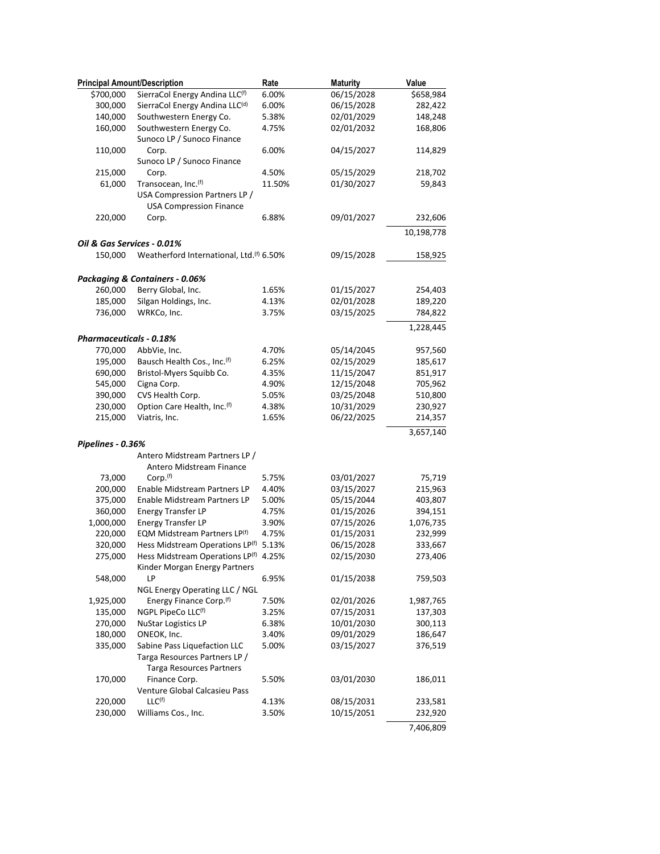| <b>Principal Amount/Description</b> |                                          | Rate   | <b>Maturity</b> | Value      |
|-------------------------------------|------------------------------------------|--------|-----------------|------------|
| \$700,000                           | SierraCol Energy Andina LLC(f)           | 6.00%  | 06/15/2028      | \$658,984  |
| 300,000                             | SierraCol Energy Andina LLC(d)           | 6.00%  | 06/15/2028      | 282,422    |
| 140,000                             | Southwestern Energy Co.                  | 5.38%  | 02/01/2029      | 148,248    |
| 160,000                             | Southwestern Energy Co.                  | 4.75%  | 02/01/2032      | 168,806    |
|                                     | Sunoco LP / Sunoco Finance               |        |                 |            |
| 110,000                             | Corp.                                    | 6.00%  | 04/15/2027      | 114,829    |
|                                     | Sunoco LP / Sunoco Finance               |        |                 |            |
| 215,000                             | Corp.                                    | 4.50%  | 05/15/2029      | 218,702    |
| 61,000                              | Transocean, Inc. <sup>(f)</sup>          | 11.50% | 01/30/2027      | 59,843     |
|                                     | USA Compression Partners LP /            |        |                 |            |
|                                     | <b>USA Compression Finance</b>           |        |                 |            |
| 220,000                             | Corp.                                    | 6.88%  | 09/01/2027      | 232,606    |
|                                     |                                          |        |                 | 10,198,778 |
| Oil & Gas Services - 0.01%          |                                          |        |                 |            |
| 150,000                             | Weatherford International, Ltd.(f) 6.50% |        | 09/15/2028      | 158,925    |
|                                     |                                          |        |                 |            |
|                                     | Packaging & Containers - 0.06%           |        |                 |            |
| 260,000                             | Berry Global, Inc.                       | 1.65%  | 01/15/2027      | 254,403    |
| 185,000                             | Silgan Holdings, Inc.                    | 4.13%  | 02/01/2028      | 189,220    |
| 736,000                             | WRKCo, Inc.                              | 3.75%  | 03/15/2025      | 784,822    |
|                                     |                                          |        |                 | 1,228,445  |
| <b>Pharmaceuticals - 0.18%</b>      |                                          |        |                 |            |
| 770,000                             | AbbVie, Inc.                             | 4.70%  | 05/14/2045      | 957,560    |
| 195,000                             | Bausch Health Cos., Inc. <sup>(f)</sup>  | 6.25%  | 02/15/2029      | 185,617    |
| 690,000                             | Bristol-Myers Squibb Co.                 | 4.35%  | 11/15/2047      | 851,917    |
| 545,000                             | Cigna Corp.                              | 4.90%  | 12/15/2048      | 705,962    |
| 390,000                             | CVS Health Corp.                         | 5.05%  | 03/25/2048      | 510,800    |
| 230,000                             | Option Care Health, Inc. <sup>(f)</sup>  | 4.38%  | 10/31/2029      | 230,927    |
| 215,000                             | Viatris, Inc.                            | 1.65%  | 06/22/2025      | 214,357    |
|                                     |                                          |        |                 | 3,657,140  |
| Pipelines - 0.36%                   |                                          |        |                 |            |
|                                     | Antero Midstream Partners LP /           |        |                 |            |
|                                     | Antero Midstream Finance                 |        |                 |            |
| 73,000                              | Corp. <sup>(f)</sup>                     | 5.75%  | 03/01/2027      | 75,719     |
| 200,000                             | Enable Midstream Partners LP             | 4.40%  | 03/15/2027      | 215,963    |
| 375,000                             | Enable Midstream Partners LP             | 5.00%  | 05/15/2044      | 403,807    |
| 360,000                             | <b>Energy Transfer LP</b>                | 4.75%  | 01/15/2026      | 394,151    |
| 1,000,000                           | <b>Energy Transfer LP</b>                | 3.90%  | 07/15/2026      | 1,076,735  |
| 220,000                             | EQM Midstream Partners LP(f)             | 4.75%  | 01/15/2031      | 232,999    |
| 320,000                             | Hess Midstream Operations LP(f) 5.13%    |        | 06/15/2028      | 333,667    |
| 275,000                             | Hess Midstream Operations LP(f)          | 4.25%  | 02/15/2030      | 273,406    |
|                                     | Kinder Morgan Energy Partners            |        |                 |            |
| 548,000                             | LP                                       | 6.95%  | 01/15/2038      | 759,503    |
|                                     | NGL Energy Operating LLC / NGL           |        |                 |            |
| 1,925,000                           | Energy Finance Corp. <sup>(f)</sup>      | 7.50%  | 02/01/2026      | 1,987,765  |
| 135,000                             | NGPL PipeCo LLC(f)                       | 3.25%  | 07/15/2031      | 137,303    |
| 270,000                             | <b>NuStar Logistics LP</b>               | 6.38%  | 10/01/2030      | 300,113    |
| 180,000                             | ONEOK, Inc.                              | 3.40%  | 09/01/2029      | 186,647    |
| 335,000                             | Sabine Pass Liquefaction LLC             | 5.00%  | 03/15/2027      | 376,519    |
|                                     | Targa Resources Partners LP /            |        |                 |            |
|                                     | <b>Targa Resources Partners</b>          |        |                 |            |
| 170,000                             | Finance Corp.                            | 5.50%  | 03/01/2030      | 186,011    |
|                                     | Venture Global Calcasieu Pass            |        |                 |            |
| 220,000                             | LLC <sup>(f)</sup>                       | 4.13%  | 08/15/2031      | 233,581    |
| 230,000                             | Williams Cos., Inc.                      | 3.50%  | 10/15/2051      | 232,920    |
|                                     |                                          |        |                 | 7,406,809  |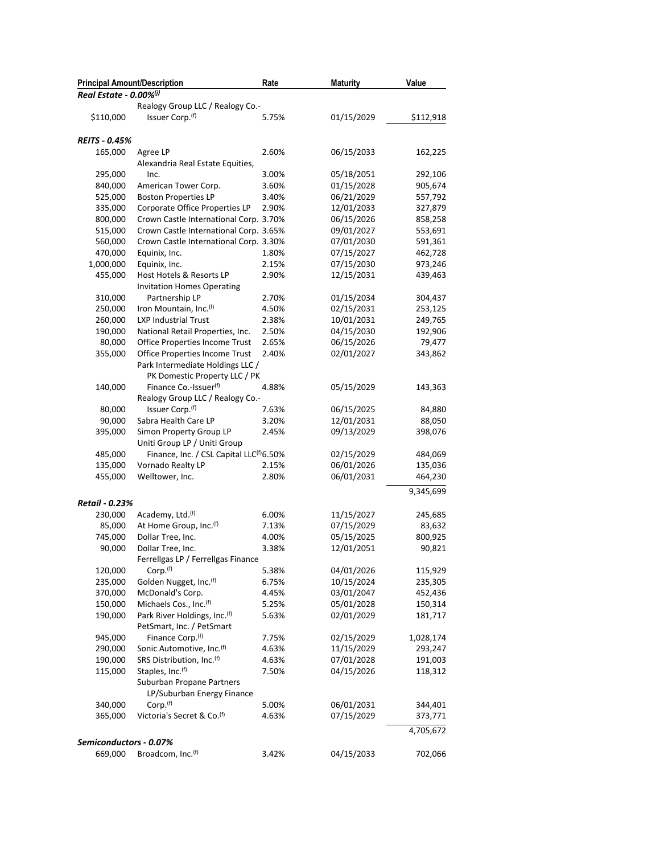| <b>Principal Amount/Description</b> |                                                                    | Rate  | <b>Maturity</b> | Value     |
|-------------------------------------|--------------------------------------------------------------------|-------|-----------------|-----------|
| Real Estate - 0.00% <sup>(j)</sup>  |                                                                    |       |                 |           |
|                                     | Realogy Group LLC / Realogy Co.-                                   |       |                 |           |
| \$110,000                           | Issuer Corp. <sup>(f)</sup>                                        | 5.75% | 01/15/2029      | \$112,918 |
| <b>REITS - 0.45%</b>                |                                                                    |       |                 |           |
| 165,000                             | Agree LP                                                           | 2.60% | 06/15/2033      | 162,225   |
|                                     | Alexandria Real Estate Equities,                                   |       |                 |           |
| 295,000                             | Inc.                                                               | 3.00% | 05/18/2051      | 292,106   |
| 840,000                             | American Tower Corp.                                               | 3.60% | 01/15/2028      | 905,674   |
| 525,000                             | <b>Boston Properties LP</b>                                        | 3.40% | 06/21/2029      | 557,792   |
| 335,000                             | Corporate Office Properties LP                                     | 2.90% | 12/01/2033      | 327,879   |
| 800,000                             | Crown Castle International Corp. 3.70%                             |       | 06/15/2026      | 858,258   |
| 515,000                             | Crown Castle International Corp. 3.65%                             |       | 09/01/2027      | 553,691   |
| 560,000                             | Crown Castle International Corp. 3.30%                             |       | 07/01/2030      | 591,361   |
| 470,000                             | Equinix, Inc.                                                      | 1.80% | 07/15/2027      | 462,728   |
| 1,000,000                           | Equinix, Inc.                                                      | 2.15% | 07/15/2030      | 973,246   |
| 455,000                             | Host Hotels & Resorts LP                                           | 2.90% | 12/15/2031      | 439,463   |
|                                     | <b>Invitation Homes Operating</b>                                  |       |                 |           |
|                                     | Partnership LP                                                     |       | 01/15/2034      | 304,437   |
| 310,000                             |                                                                    | 2.70% |                 |           |
| 250,000                             | Iron Mountain, Inc.(f)                                             | 4.50% | 02/15/2031      | 253,125   |
| 260,000                             | <b>LXP Industrial Trust</b>                                        | 2.38% | 10/01/2031      | 249,765   |
| 190,000                             | National Retail Properties, Inc.                                   | 2.50% | 04/15/2030      | 192,906   |
| 80,000                              | Office Properties Income Trust                                     | 2.65% | 06/15/2026      | 79,477    |
| 355,000                             | Office Properties Income Trust                                     | 2.40% | 02/01/2027      | 343,862   |
|                                     | Park Intermediate Holdings LLC /                                   |       |                 |           |
|                                     | PK Domestic Property LLC / PK                                      |       |                 |           |
| 140,000                             | Finance Co.-Issuer <sup>(f)</sup>                                  | 4.88% | 05/15/2029      | 143,363   |
|                                     | Realogy Group LLC / Realogy Co.-                                   |       |                 |           |
| 80,000                              | Issuer Corp.(f)                                                    | 7.63% | 06/15/2025      | 84,880    |
| 90,000                              | Sabra Health Care LP                                               | 3.20% | 12/01/2031      | 88,050    |
| 395,000                             | Simon Property Group LP                                            | 2.45% | 09/13/2029      | 398,076   |
|                                     | Uniti Group LP / Uniti Group                                       |       |                 |           |
| 485,000                             | Finance, Inc. / CSL Capital LLC <sup>(f)</sup> 6.50%               |       | 02/15/2029      | 484,069   |
| 135,000                             | Vornado Realty LP                                                  | 2.15% | 06/01/2026      | 135,036   |
| 455,000                             | Welltower, Inc.                                                    | 2.80% | 06/01/2031      | 464,230   |
| Retail - 0.23%                      |                                                                    |       |                 | 9,345,699 |
| 230,000                             | Academy, Ltd. <sup>(f)</sup>                                       | 6.00% | 11/15/2027      | 245,685   |
| 85,000                              | At Home Group, Inc. <sup>(f)</sup>                                 | 7.13% | 07/15/2029      | 83,632    |
| 745,000                             | Dollar Tree, Inc.                                                  | 4.00% | 05/15/2025      | 800,925   |
|                                     | Dollar Tree, Inc.                                                  | 3.38% |                 |           |
| 90,000                              |                                                                    |       | 12/01/2051      | 90,821    |
|                                     | Ferrellgas LP / Ferrellgas Finance                                 |       |                 |           |
| 120,000                             | Corp. <sup>(f)</sup>                                               | 5.38% | 04/01/2026      | 115,929   |
| 235,000                             | Golden Nugget, Inc.(f)                                             | 6.75% | 10/15/2024      | 235,305   |
| 370,000                             | McDonald's Corp.                                                   | 4.45% | 03/01/2047      | 452,436   |
| 150,000                             | Michaels Cos., Inc. <sup>(f)</sup>                                 | 5.25% | 05/01/2028      | 150,314   |
| 190,000                             | Park River Holdings, Inc. <sup>(f)</sup>                           | 5.63% | 02/01/2029      | 181,717   |
| 945,000                             | PetSmart, Inc. / PetSmart                                          |       |                 |           |
|                                     | Finance Corp. <sup>(f)</sup>                                       | 7.75% | 02/15/2029      | 1,028,174 |
| 290,000                             | Sonic Automotive, Inc. <sup>(f)</sup><br>SRS Distribution, Inc.(f) | 4.63% | 11/15/2029      | 293,247   |
| 190,000                             |                                                                    | 4.63% | 07/01/2028      | 191,003   |
| 115,000                             | Staples, Inc.(f)                                                   | 7.50% | 04/15/2026      | 118,312   |
|                                     | Suburban Propane Partners                                          |       |                 |           |
|                                     | LP/Suburban Energy Finance                                         |       |                 |           |
| 340,000                             | Corp. <sup>(f)</sup>                                               | 5.00% | 06/01/2031      | 344,401   |
| 365,000                             | Victoria's Secret & Co. <sup>(f)</sup>                             | 4.63% | 07/15/2029      | 373,771   |
|                                     |                                                                    |       |                 | 4,705,672 |
| Semiconductors - 0.07%              |                                                                    |       |                 |           |
| 669,000                             | Broadcom, Inc. <sup>(f)</sup>                                      | 3.42% | 04/15/2033      | 702,066   |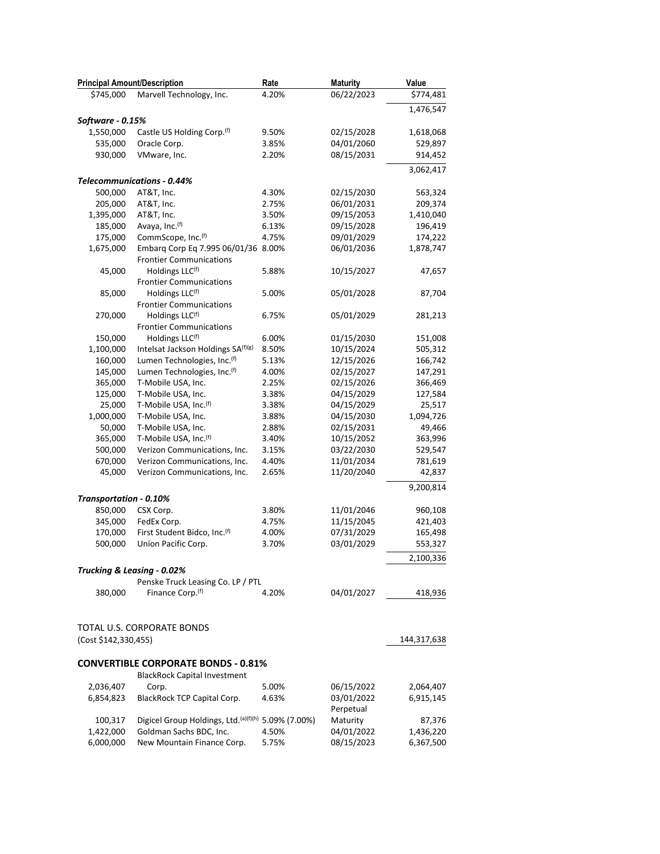| <b>Principal Amount/Description</b> |                                                                       | Rate  | <b>Maturity</b>         | Value       |
|-------------------------------------|-----------------------------------------------------------------------|-------|-------------------------|-------------|
| \$745,000                           | Marvell Technology, Inc.                                              | 4.20% | 06/22/2023              | \$774,481   |
|                                     |                                                                       |       |                         | 1,476,547   |
| Software - 0.15%                    |                                                                       |       |                         |             |
| 1,550,000                           | Castle US Holding Corp. <sup>(f)</sup>                                | 9.50% | 02/15/2028              | 1,618,068   |
| 535,000                             | Oracle Corp.                                                          | 3.85% | 04/01/2060              | 529,897     |
| 930,000                             | VMware, Inc.                                                          | 2.20% | 08/15/2031              | 914,452     |
|                                     |                                                                       |       |                         | 3,062,417   |
|                                     | <b>Telecommunications - 0.44%</b>                                     |       |                         |             |
| 500,000                             | AT&T, Inc.                                                            | 4.30% | 02/15/2030              | 563,324     |
| 205,000                             | AT&T, Inc.                                                            | 2.75% | 06/01/2031              | 209,374     |
| 1,395,000                           | AT&T, Inc.                                                            | 3.50% | 09/15/2053              | 1,410,040   |
| 185,000                             | Avaya, Inc. (f)                                                       | 6.13% | 09/15/2028              | 196,419     |
| 175,000                             | CommScope, Inc.(f)                                                    | 4.75% | 09/01/2029              | 174,222     |
| 1,675,000                           | Embarg Corp Eq 7.995 06/01/36 8.00%<br><b>Frontier Communications</b> |       | 06/01/2036              | 1,878,747   |
| 45,000                              | Holdings LLC(f)                                                       | 5.88% | 10/15/2027              | 47,657      |
|                                     | <b>Frontier Communications</b>                                        |       |                         |             |
| 85,000                              | Holdings LLC <sup>(f)</sup><br><b>Frontier Communications</b>         | 5.00% | 05/01/2028              | 87,704      |
| 270,000                             | Holdings LLC(f)                                                       | 6.75% | 05/01/2029              | 281,213     |
|                                     | <b>Frontier Communications</b>                                        |       |                         |             |
| 150,000                             | Holdings LLC <sup>(f)</sup>                                           | 6.00% | 01/15/2030              | 151,008     |
| 1,100,000                           | Intelsat Jackson Holdings SA(f)(g)                                    | 8.50% | 10/15/2024              | 505,312     |
| 160,000                             | Lumen Technologies, Inc. <sup>(f)</sup>                               | 5.13% | 12/15/2026              | 166,742     |
| 145,000                             | Lumen Technologies, Inc. <sup>(f)</sup>                               | 4.00% | 02/15/2027              | 147,291     |
| 365,000                             | T-Mobile USA, Inc.                                                    | 2.25% | 02/15/2026              | 366,469     |
| 125,000                             | T-Mobile USA, Inc.                                                    | 3.38% | 04/15/2029              | 127,584     |
| 25,000                              | T-Mobile USA, Inc.(f)                                                 | 3.38% | 04/15/2029              | 25,517      |
| 1,000,000                           | T-Mobile USA, Inc.                                                    | 3.88% | 04/15/2030              | 1,094,726   |
| 50,000                              | T-Mobile USA, Inc.                                                    | 2.88% | 02/15/2031              | 49,466      |
| 365,000                             | T-Mobile USA, Inc.(f)                                                 | 3.40% | 10/15/2052              | 363,996     |
| 500,000                             | Verizon Communications, Inc.                                          | 3.15% | 03/22/2030              | 529,547     |
| 670,000                             | Verizon Communications, Inc.                                          | 4.40% | 11/01/2034              | 781,619     |
| 45,000                              | Verizon Communications, Inc.                                          | 2.65% | 11/20/2040              | 42,837      |
|                                     |                                                                       |       |                         | 9,200,814   |
| Transportation - 0.10%              |                                                                       |       |                         |             |
| 850,000                             | CSX Corp.                                                             | 3.80% | 11/01/2046              | 960,108     |
| 345,000                             | FedEx Corp.                                                           | 4.75% | 11/15/2045              | 421,403     |
| 170,000                             | First Student Bidco, Inc.(f)                                          | 4.00% | 07/31/2029              | 165,498     |
| 500,000                             | Union Pacific Corp.                                                   | 3.70% | 03/01/2029              | 553,327     |
|                                     |                                                                       |       |                         | 2,100,336   |
|                                     | Trucking & Leasing - 0.02%                                            |       |                         |             |
|                                     | Penske Truck Leasing Co. LP / PTL                                     |       |                         |             |
| 380,000                             | Finance Corp. <sup>(f)</sup>                                          | 4.20% | 04/01/2027              | 418,936     |
|                                     | TOTAL U.S. CORPORATE BONDS                                            |       |                         |             |
| (Cost \$142,330,455)                |                                                                       |       |                         | 144,317,638 |
|                                     |                                                                       |       |                         |             |
|                                     | <b>CONVERTIBLE CORPORATE BONDS - 0.81%</b>                            |       |                         |             |
|                                     | <b>BlackRock Capital Investment</b>                                   |       |                         |             |
| 2,036,407                           | Corp.                                                                 | 5.00% | 06/15/2022              | 2,064,407   |
| 6,854,823                           | BlackRock TCP Capital Corp.                                           | 4.63% | 03/01/2022<br>Perpetual | 6,915,145   |
| 100,317                             | Digicel Group Holdings, Ltd. <sup>(a)(f)(h)</sup> 5.09% (7.00%)       |       | Maturity                | 87,376      |
| 1,422,000                           | Goldman Sachs BDC, Inc.                                               | 4.50% | 04/01/2022              | 1,436,220   |
| 6,000,000                           | New Mountain Finance Corp.                                            | 5.75% | 08/15/2023              | 6,367,500   |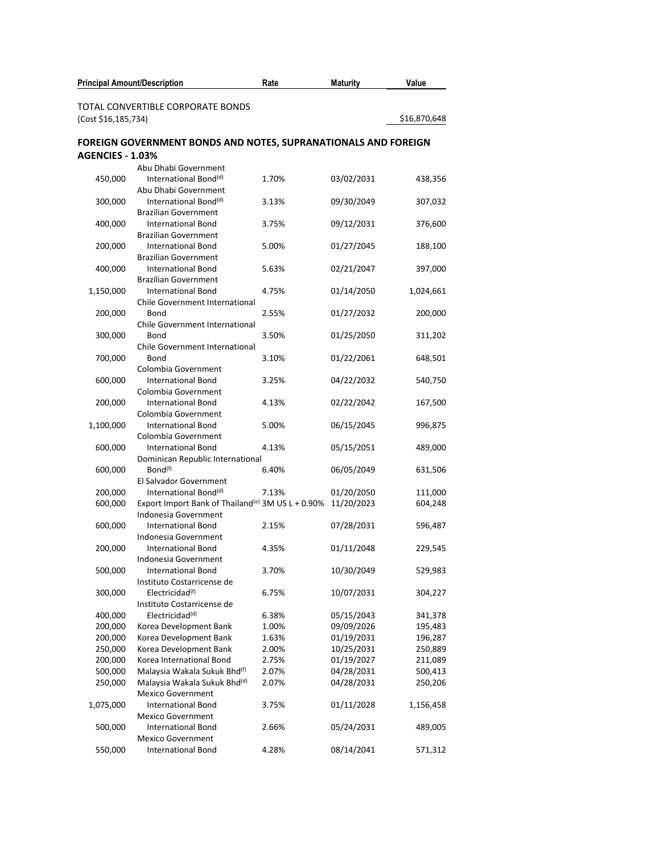| <b>Principal Amount/Description</b> |                                                                | Rate           | <b>Maturity</b>          | Value              |
|-------------------------------------|----------------------------------------------------------------|----------------|--------------------------|--------------------|
|                                     | TOTAL CONVERTIBLE CORPORATE BONDS                              |                |                          |                    |
| (Cost \$16,185,734)                 |                                                                |                |                          | \$16,870,648       |
|                                     | FOREIGN GOVERNMENT BONDS AND NOTES, SUPRANATIONALS AND FOREIGN |                |                          |                    |
| <b>AGENCIES - 1.03%</b>             |                                                                |                |                          |                    |
|                                     | Abu Dhabi Government                                           |                |                          |                    |
| 450,000                             | International Bond <sup>(d)</sup>                              | 1.70%          | 03/02/2031               | 438,356            |
|                                     | Abu Dhabi Government                                           |                |                          |                    |
| 300,000                             | International Bond <sup>(d)</sup>                              | 3.13%          | 09/30/2049               | 307,032            |
|                                     | <b>Brazilian Government</b>                                    |                |                          |                    |
| 400,000                             | <b>International Bond</b>                                      | 3.75%          | 09/12/2031               | 376,600            |
|                                     | <b>Brazilian Government</b>                                    |                |                          |                    |
| 200,000                             | <b>International Bond</b>                                      | 5.00%          | 01/27/2045               | 188,100            |
|                                     | <b>Brazilian Government</b>                                    |                |                          |                    |
| 400,000                             | <b>International Bond</b>                                      | 5.63%          | 02/21/2047               | 397,000            |
|                                     | <b>Brazilian Government</b>                                    |                |                          |                    |
| 1,150,000                           | <b>International Bond</b><br>Chile Government International    | 4.75%          | 01/14/2050               | 1,024,661          |
| 200,000                             | Bond                                                           | 2.55%          | 01/27/2032               | 200,000            |
|                                     | Chile Government International                                 |                |                          |                    |
| 300,000                             | Bond                                                           | 3.50%          | 01/25/2050               | 311,202            |
|                                     | <b>Chile Government International</b>                          |                |                          |                    |
| 700,000                             | Bond                                                           | 3.10%          | 01/22/2061               | 648,501            |
|                                     | Colombia Government                                            |                |                          |                    |
| 600,000                             | <b>International Bond</b>                                      | 3.25%          | 04/22/2032               | 540,750            |
|                                     | Colombia Government                                            |                |                          |                    |
| 200,000                             | <b>International Bond</b>                                      | 4.13%          | 02/22/2042               | 167,500            |
|                                     | Colombia Government                                            |                |                          |                    |
| 1,100,000                           | <b>International Bond</b>                                      | 5.00%          | 06/15/2045               | 996,875            |
|                                     | Colombia Government                                            |                |                          |                    |
| 600,000                             | <b>International Bond</b><br>Dominican Republic International  | 4.13%          | 05/15/2051               | 489,000            |
| 600,000                             | Bond <sup>(f)</sup>                                            | 6.40%          | 06/05/2049               | 631,506            |
|                                     | El Salvador Government                                         |                |                          |                    |
| 200,000                             | International Bond <sup>(d)</sup>                              | 7.13%          | 01/20/2050               | 111,000            |
| 600,000                             | Export Import Bank of Thailand <sup>(e)</sup> 3M US L + 0.90%  |                | 11/20/2023               | 604,248            |
|                                     | Indonesia Government                                           |                |                          |                    |
| 600,000                             | <b>International Bond</b>                                      | 2.15%          | 07/28/2031               | 596,487            |
|                                     | Indonesia Government                                           |                |                          |                    |
| 200,000                             | <b>International Bond</b>                                      | 4.35%          | 01/11/2048               | 229,545            |
|                                     | Indonesia Government                                           |                |                          |                    |
| 500,000                             | <b>International Bond</b>                                      | 3.70%          | 10/30/2049               | 529,983            |
|                                     | Instituto Costarricense de                                     |                |                          |                    |
| 300,000                             | Electricidad <sup>(f)</sup>                                    | 6.75%          | 10/07/2031               | 304,227            |
|                                     | Instituto Costarricense de                                     |                |                          |                    |
| 400,000                             | Electricidad <sup>(d)</sup>                                    | 6.38%          | 05/15/2043               | 341,378            |
| 200,000                             | Korea Development Bank                                         | 1.00%<br>1.63% | 09/09/2026<br>01/19/2031 | 195,483<br>196,287 |
| 200,000<br>250,000                  | Korea Development Bank<br>Korea Development Bank               | 2.00%          | 10/25/2031               | 250,889            |
| 200,000                             | Korea International Bond                                       | 2.75%          | 01/19/2027               | 211,089            |
| 500,000                             | Malaysia Wakala Sukuk Bhd <sup>(f)</sup>                       | 2.07%          | 04/28/2031               | 500,413            |
| 250,000                             | Malaysia Wakala Sukuk Bhd(d)                                   | 2.07%          | 04/28/2031               | 250,206            |
|                                     | <b>Mexico Government</b>                                       |                |                          |                    |
| 1,075,000                           | <b>International Bond</b>                                      | 3.75%          | 01/11/2028               | 1,156,458          |
|                                     | <b>Mexico Government</b>                                       |                |                          |                    |
| 500,000                             | <b>International Bond</b>                                      | 2.66%          | 05/24/2031               | 489,005            |
|                                     | <b>Mexico Government</b>                                       |                |                          |                    |
| 550,000                             | <b>International Bond</b>                                      | 4.28%          | 08/14/2041               | 571,312            |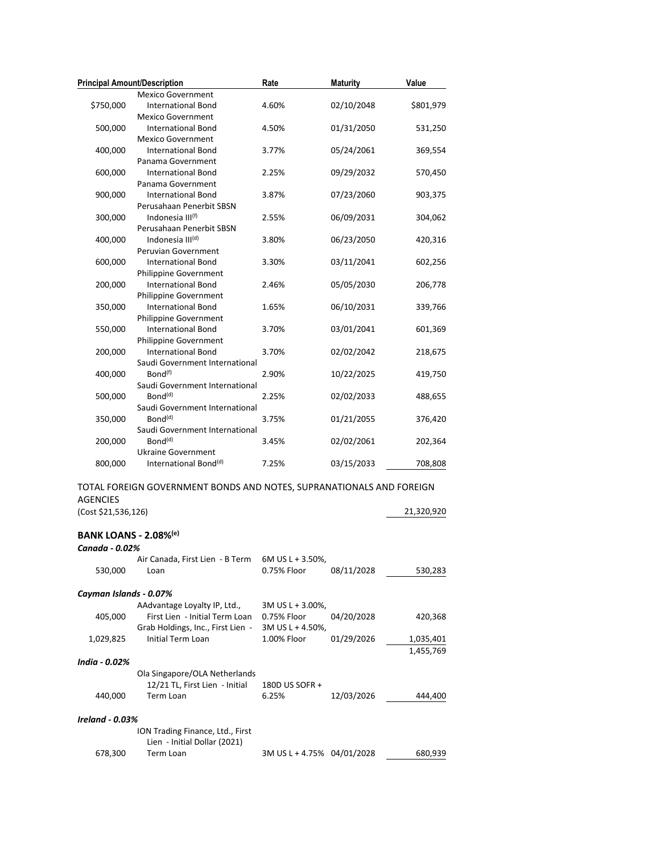| <b>Principal Amount/Description</b> |                                                                      | Rate                       | <b>Maturity</b> | Value      |
|-------------------------------------|----------------------------------------------------------------------|----------------------------|-----------------|------------|
|                                     | <b>Mexico Government</b>                                             |                            |                 |            |
| \$750,000                           | <b>International Bond</b>                                            | 4.60%                      | 02/10/2048      | \$801,979  |
|                                     | <b>Mexico Government</b>                                             |                            |                 |            |
| 500,000                             | <b>International Bond</b>                                            | 4.50%                      | 01/31/2050      | 531,250    |
|                                     | <b>Mexico Government</b>                                             |                            |                 |            |
| 400,000                             | <b>International Bond</b>                                            | 3.77%                      | 05/24/2061      | 369,554    |
|                                     | Panama Government                                                    |                            |                 |            |
| 600,000                             | <b>International Bond</b>                                            | 2.25%                      | 09/29/2032      | 570,450    |
|                                     | Panama Government                                                    |                            |                 |            |
| 900,000                             | <b>International Bond</b>                                            | 3.87%                      | 07/23/2060      | 903,375    |
|                                     | Perusahaan Penerbit SBSN                                             |                            |                 |            |
| 300,000                             | Indonesia III <sup>(f)</sup>                                         | 2.55%                      | 06/09/2031      | 304,062    |
|                                     | Perusahaan Penerbit SBSN                                             |                            |                 |            |
| 400,000                             | Indonesia III <sup>(d)</sup>                                         | 3.80%                      | 06/23/2050      | 420,316    |
|                                     | Peruvian Government                                                  |                            |                 |            |
| 600,000                             | <b>International Bond</b>                                            | 3.30%                      | 03/11/2041      | 602,256    |
|                                     | Philippine Government                                                |                            |                 |            |
| 200,000                             | <b>International Bond</b>                                            | 2.46%                      | 05/05/2030      | 206,778    |
|                                     | Philippine Government                                                |                            |                 |            |
| 350,000                             | <b>International Bond</b>                                            | 1.65%                      | 06/10/2031      | 339,766    |
|                                     | Philippine Government                                                |                            |                 |            |
| 550,000                             | <b>International Bond</b>                                            | 3.70%                      | 03/01/2041      | 601,369    |
|                                     | <b>Philippine Government</b>                                         |                            |                 |            |
| 200,000                             | <b>International Bond</b>                                            | 3.70%                      | 02/02/2042      | 218,675    |
|                                     | Saudi Government International                                       |                            |                 |            |
| 400,000                             | Bond <sup>(f)</sup>                                                  | 2.90%                      | 10/22/2025      | 419,750    |
|                                     | Saudi Government International                                       |                            |                 |            |
| 500,000                             | Bond <sup>(d)</sup>                                                  | 2.25%                      | 02/02/2033      | 488,655    |
|                                     | Saudi Government International                                       |                            |                 |            |
| 350,000                             | Bond <sup>(d)</sup>                                                  | 3.75%                      | 01/21/2055      | 376,420    |
|                                     | Saudi Government International                                       |                            |                 |            |
| 200,000                             | Bond <sup>(d)</sup>                                                  | 3.45%                      | 02/02/2061      | 202,364    |
|                                     | Ukraine Government                                                   |                            |                 |            |
| 800,000                             | International Bond <sup>(d)</sup>                                    | 7.25%                      | 03/15/2033      | 708,808    |
|                                     | TOTAL FOREIGN GOVERNMENT BONDS AND NOTES, SUPRANATIONALS AND FOREIGN |                            |                 |            |
| <b>AGENCIES</b>                     |                                                                      |                            |                 |            |
|                                     |                                                                      |                            |                 |            |
| (Cost \$21,536,126)                 |                                                                      |                            |                 | 21,320,920 |
| <b>BANK LOANS - 2.08%(e)</b>        |                                                                      |                            |                 |            |
| Canada - 0.02%                      |                                                                      |                            |                 |            |
|                                     | Air Canada, First Lien - B Term 6M US L + 3.50%,                     |                            |                 |            |
| 530,000                             | Loan                                                                 | 0.75% Floor                | 08/11/2028      | 530,283    |
|                                     |                                                                      |                            |                 |            |
| Cayman Islands - 0.07%              |                                                                      |                            |                 |            |
|                                     | AAdvantage Loyalty IP, Ltd.,                                         | 3M US L + 3.00%,           |                 |            |
| 405,000                             | First Lien - Initial Term Loan                                       | 0.75% Floor                | 04/20/2028      | 420,368    |
|                                     | Grab Holdings, Inc., First Lien -                                    | 3M US L + 4.50%,           |                 |            |
| 1,029,825                           | Initial Term Loan                                                    | 1.00% Floor                | 01/29/2026      | 1,035,401  |
|                                     |                                                                      |                            |                 | 1,455,769  |
| India - 0.02%                       |                                                                      |                            |                 |            |
|                                     | Ola Singapore/OLA Netherlands                                        |                            |                 |            |
|                                     | 12/21 TL, First Lien - Initial                                       | 180D US SOFR +             |                 |            |
| 440,000                             | Term Loan                                                            | 6.25%                      | 12/03/2026      | 444,400    |
|                                     |                                                                      |                            |                 |            |
| <b>Ireland - 0.03%</b>              |                                                                      |                            |                 |            |
|                                     | ION Trading Finance, Ltd., First                                     |                            |                 |            |
|                                     | Lien - Initial Dollar (2021)                                         |                            |                 |            |
| 678,300                             | Term Loan                                                            | 3M US L + 4.75% 04/01/2028 |                 | 680,939    |
|                                     |                                                                      |                            |                 |            |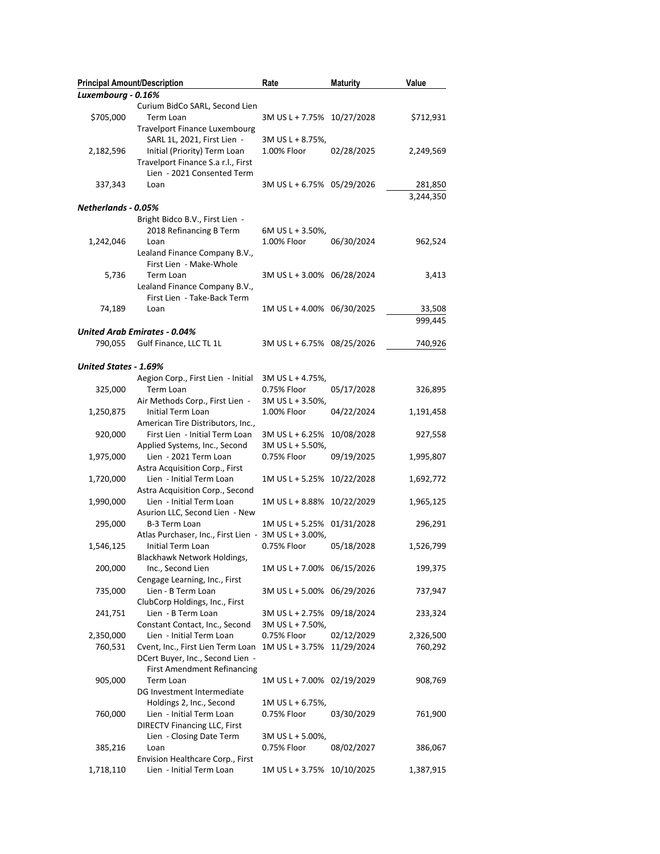| <b>Principal Amount/Description</b> |                                                      | Rate                       | <b>Maturity</b> | Value     |
|-------------------------------------|------------------------------------------------------|----------------------------|-----------------|-----------|
| Luxembourg - 0.16%                  |                                                      |                            |                 |           |
|                                     | Curium BidCo SARL, Second Lien                       |                            |                 |           |
| \$705,000                           | Term Loan                                            | 3M US L + 7.75% 10/27/2028 |                 | \$712,931 |
|                                     | Travelport Finance Luxembourg                        |                            |                 |           |
|                                     | SARL 1L, 2021, First Lien -                          | 3M US L + 8.75%,           |                 |           |
| 2,182,596                           | Initial (Priority) Term Loan                         | 1.00% Floor                | 02/28/2025      | 2,249,569 |
|                                     | Travelport Finance S.a r.l., First                   |                            |                 |           |
|                                     | Lien - 2021 Consented Term                           |                            |                 |           |
| 337,343                             | Loan                                                 | 3M US L + 6.75% 05/29/2026 |                 | 281,850   |
|                                     |                                                      |                            |                 | 3,244,350 |
| Netherlands - 0.05%                 |                                                      |                            |                 |           |
|                                     | Bright Bidco B.V., First Lien -                      |                            |                 |           |
|                                     | 2018 Refinancing B Term                              | 6M US L + 3.50%,           |                 |           |
| 1,242,046                           | Loan                                                 | 1.00% Floor                | 06/30/2024      | 962,524   |
|                                     | Lealand Finance Company B.V.,                        |                            |                 |           |
|                                     | First Lien - Make-Whole                              |                            |                 |           |
| 5,736                               | Term Loan                                            | 3M US L + 3.00% 06/28/2024 |                 | 3,413     |
|                                     | Lealand Finance Company B.V.,                        |                            |                 |           |
|                                     | First Lien - Take-Back Term                          |                            |                 |           |
| 74,189                              | Loan                                                 | 1M US L + 4.00% 06/30/2025 |                 | 33,508    |
|                                     |                                                      |                            |                 | 999,445   |
|                                     | United Arab Emirates - 0.04%                         |                            |                 |           |
| 790,055                             | Gulf Finance, LLC TL 1L                              | 3M US L + 6.75% 08/25/2026 |                 | 740,926   |
|                                     |                                                      |                            |                 |           |
| United States - 1.69%               |                                                      |                            |                 |           |
|                                     | Aegion Corp., First Lien - Initial                   | 3M US L + 4.75%,           |                 |           |
| 325,000                             | Term Loan                                            | 0.75% Floor                | 05/17/2028      | 326,895   |
|                                     | Air Methods Corp., First Lien -                      | 3M US L + 3.50%,           |                 |           |
| 1,250,875                           | Initial Term Loan                                    | 1.00% Floor                | 04/22/2024      | 1,191,458 |
|                                     | American Tire Distributors, Inc.,                    |                            |                 |           |
| 920,000                             | First Lien - Initial Term Loan                       | 3M US L + 6.25%            | 10/08/2028      | 927,558   |
|                                     | Applied Systems, Inc., Second                        | 3M US L + 5.50%,           |                 |           |
| 1,975,000                           | Lien - 2021 Term Loan                                | 0.75% Floor                | 09/19/2025      | 1,995,807 |
|                                     | Astra Acquisition Corp., First                       |                            |                 |           |
| 1,720,000                           | Lien - Initial Term Loan                             | 1M US L + 5.25% 10/22/2028 |                 | 1,692,772 |
|                                     | Astra Acquisition Corp., Second                      |                            |                 |           |
| 1,990,000                           | Lien - Initial Term Loan                             | 1M US L + 8.88%            | 10/22/2029      | 1,965,125 |
|                                     | Asurion LLC, Second Lien - New                       |                            |                 |           |
| 295,000                             | B-3 Term Loan                                        | 1M US L + 5.25%            | 01/31/2028      | 296,291   |
|                                     | Atlas Purchaser, Inc., First Lien - 3M US L + 3.00%, |                            |                 |           |
| 1,546,125                           | Initial Term Loan                                    | 0.75% Floor                | 05/18/2028      | 1,526,799 |
|                                     | Blackhawk Network Holdings,                          |                            |                 |           |
| 200,000                             | Inc., Second Lien                                    | 1M US L + 7.00% 06/15/2026 |                 | 199,375   |
|                                     | Cengage Learning, Inc., First                        |                            |                 |           |
| 735,000                             | Lien - B Term Loan                                   | 3M US L + 5.00% 06/29/2026 |                 | 737,947   |
|                                     | ClubCorp Holdings, Inc., First                       |                            |                 |           |
| 241,751                             | Lien - B Term Loan                                   | 3M US L + 2.75% 09/18/2024 |                 | 233,324   |
|                                     | Constant Contact, Inc., Second                       | 3M US L + 7.50%,           |                 |           |
| 2,350,000                           | Lien - Initial Term Loan                             | 0.75% Floor                | 02/12/2029      | 2,326,500 |
| 760,531                             | Cvent, Inc., First Lien Term Loan                    | 1M US L + 3.75% 11/29/2024 |                 | 760,292   |
|                                     | DCert Buyer, Inc., Second Lien -                     |                            |                 |           |
|                                     | <b>First Amendment Refinancing</b>                   |                            |                 |           |
| 905,000                             | Term Loan                                            | 1M US L + 7.00% 02/19/2029 |                 | 908,769   |
|                                     | DG Investment Intermediate                           |                            |                 |           |
|                                     | Holdings 2, Inc., Second                             | $1M$ US L + 6.75%,         |                 |           |
| 760,000                             | Lien - Initial Term Loan                             | 0.75% Floor                | 03/30/2029      | 761,900   |
|                                     | <b>DIRECTV Financing LLC, First</b>                  |                            |                 |           |
|                                     | Lien - Closing Date Term                             | 3M US L + 5.00%,           |                 |           |
| 385,216                             | Loan                                                 | 0.75% Floor                | 08/02/2027      | 386,067   |
|                                     | Envision Healthcare Corp., First                     |                            |                 |           |
| 1,718,110                           | Lien - Initial Term Loan                             | 1M US L + 3.75% 10/10/2025 |                 | 1,387,915 |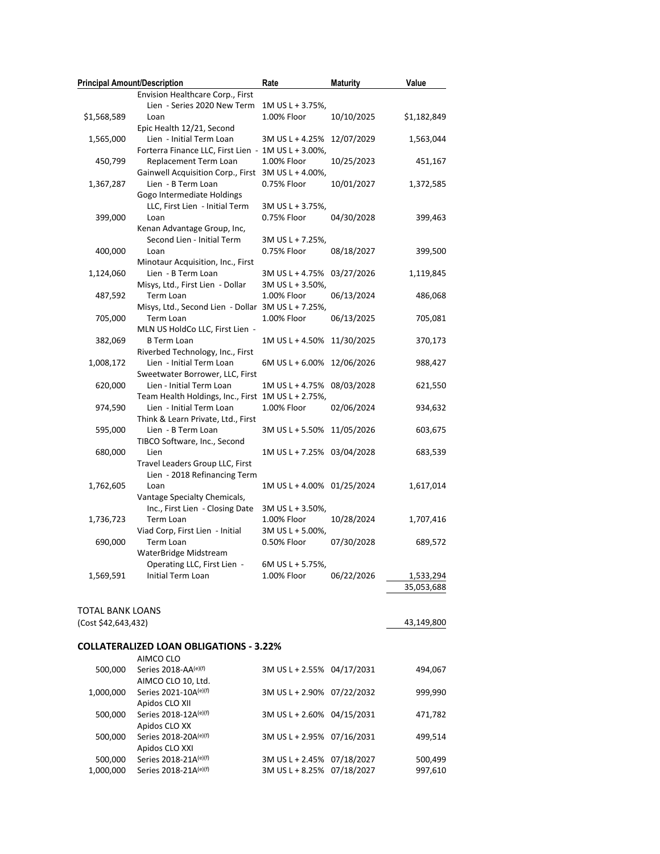| <b>Principal Amount/Description</b> |                                                     | Rate                       | <b>Maturity</b> | Value       |
|-------------------------------------|-----------------------------------------------------|----------------------------|-----------------|-------------|
|                                     | Envision Healthcare Corp., First                    |                            |                 |             |
|                                     | Lien - Series 2020 New Term                         | 1M US L + 3.75%,           |                 |             |
| \$1,568,589                         | Loan                                                | 1.00% Floor                | 10/10/2025      | \$1,182,849 |
|                                     | Epic Health 12/21, Second                           |                            |                 |             |
| 1,565,000                           | Lien - Initial Term Loan                            | 3M US L + 4.25% 12/07/2029 |                 | 1,563,044   |
|                                     | Forterra Finance LLC, First Lien - 1M US L + 3.00%, |                            |                 |             |
| 450,799                             | Replacement Term Loan                               | 1.00% Floor                | 10/25/2023      | 451,167     |
|                                     | Gainwell Acquisition Corp., First 3M US L + 4.00%,  |                            |                 |             |
| 1,367,287                           | Lien - B Term Loan                                  | 0.75% Floor                | 10/01/2027      | 1,372,585   |
|                                     | Gogo Intermediate Holdings                          |                            |                 |             |
|                                     | LLC, First Lien - Initial Term                      | 3M US L + 3.75%,           |                 |             |
| 399,000                             | Loan                                                | 0.75% Floor                | 04/30/2028      | 399,463     |
|                                     | Kenan Advantage Group, Inc,                         |                            |                 |             |
|                                     | Second Lien - Initial Term                          | 3M US L + 7.25%,           |                 |             |
| 400,000                             | Loan                                                | 0.75% Floor                | 08/18/2027      | 399,500     |
|                                     | Minotaur Acquisition, Inc., First                   |                            |                 |             |
| 1,124,060                           | Lien - B Term Loan                                  | 3M US L + 4.75% 03/27/2026 |                 | 1,119,845   |
|                                     | Misys, Ltd., First Lien - Dollar                    | 3M US L + 3.50%,           |                 |             |
| 487,592                             | Term Loan                                           | 1.00% Floor                | 06/13/2024      | 486,068     |
|                                     | Misys, Ltd., Second Lien - Dollar 3M US L + 7.25%,  |                            |                 |             |
| 705,000                             | Term Loan                                           | 1.00% Floor                | 06/13/2025      | 705,081     |
|                                     | MLN US HoldCo LLC, First Lien -                     |                            |                 |             |
| 382,069                             | <b>B</b> Term Loan                                  | 1M US L + 4.50% 11/30/2025 |                 | 370,173     |
|                                     | Riverbed Technology, Inc., First                    |                            |                 |             |
| 1,008,172                           | Lien - Initial Term Loan                            | 6M US L + 6.00% 12/06/2026 |                 | 988,427     |
|                                     | Sweetwater Borrower, LLC, First                     |                            |                 |             |
|                                     |                                                     | 1M US L + 4.75% 08/03/2028 |                 |             |
| 620,000                             | Lien - Initial Term Loan                            |                            |                 | 621,550     |
|                                     | Team Health Holdings, Inc., First 1M US L + 2.75%,  |                            |                 |             |
| 974,590                             | Lien - Initial Term Loan                            | 1.00% Floor                | 02/06/2024      | 934,632     |
|                                     | Think & Learn Private, Ltd., First                  |                            |                 |             |
| 595,000                             | Lien - B Term Loan                                  | 3M US L + 5.50% 11/05/2026 |                 | 603,675     |
|                                     | TIBCO Software, Inc., Second                        |                            |                 |             |
| 680,000                             | Lien                                                | 1M US L + 7.25% 03/04/2028 |                 | 683,539     |
|                                     | Travel Leaders Group LLC, First                     |                            |                 |             |
|                                     | Lien - 2018 Refinancing Term                        |                            |                 |             |
| 1,762,605                           | Loan                                                | 1M US L + 4.00% 01/25/2024 |                 | 1,617,014   |
|                                     | Vantage Specialty Chemicals,                        |                            |                 |             |
|                                     | Inc., First Lien - Closing Date                     | 3M US L + 3.50%,           |                 |             |
| 1,736,723                           | <b>Term Loan</b>                                    | 1.00% Floor                | 10/28/2024      | 1,707,416   |
|                                     | Viad Corp, First Lien - Initial                     | 3M US L + 5.00%,           |                 |             |
| 690,000                             | Term Loan                                           | 0.50% Floor                | 07/30/2028      | 689,572     |
|                                     | WaterBridge Midstream                               |                            |                 |             |
|                                     | Operating LLC, First Lien -                         | 6M US L + 5.75%,           |                 |             |
| 1,569,591                           | Initial Term Loan                                   | 1.00% Floor                | 06/22/2026      | 1,533,294   |
|                                     |                                                     |                            |                 | 35,053,688  |
|                                     |                                                     |                            |                 |             |
| <b>TOTAL BANK LOANS</b>             |                                                     |                            |                 |             |
| (Cost \$42,643,432)                 |                                                     |                            |                 | 43,149,800  |
|                                     |                                                     |                            |                 |             |
|                                     | <b>COLLATERALIZED LOAN OBLIGATIONS - 3.22%</b>      |                            |                 |             |
|                                     | AIMCO CLO                                           |                            |                 |             |
| 500,000                             | Series 2018-AA <sup>(e)(f)</sup>                    | 3M US L + 2.55% 04/17/2031 |                 | 494,067     |
|                                     | AIMCO CLO 10, Ltd.                                  |                            |                 |             |
| 1,000,000                           | Series 2021-10A(e)(f)                               | 3M US L + 2.90% 07/22/2032 |                 | 999,990     |
|                                     | Apidos CLO XII                                      |                            |                 |             |
| 500,000                             | Series 2018-12A(e)(f)                               | 3M US L + 2.60% 04/15/2031 |                 | 471,782     |
|                                     |                                                     |                            |                 |             |

500,000 Series 2018-20A<sup>(e)(f)</sup> 3M US L + 2.95% 07/16/2031 499,514

500,000 Series 2018-21A<sup>(e)(f)</sup> 3M US L + 2.45% 07/18/2027 500,499<br>1,000,000 Series 2018-21A<sup>(e)(f)</sup> 3M US L + 8.25% 07/18/2027 997,610

3M US L + 8.25% 07/18/2027 997,610

Apidos CLO XX

Apidos CLO XXI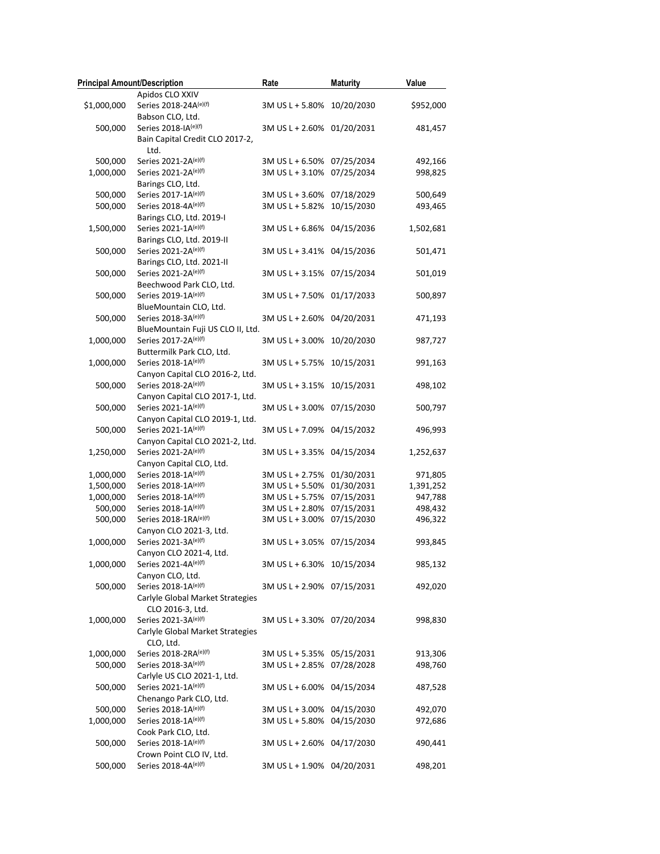| <b>Principal Amount/Description</b> |                                   | Rate                       | <b>Maturity</b> | Value     |
|-------------------------------------|-----------------------------------|----------------------------|-----------------|-----------|
|                                     | Apidos CLO XXIV                   |                            |                 |           |
| \$1,000,000                         | Series 2018-24A(e)(f)             | 3M US L + 5.80% 10/20/2030 |                 | \$952,000 |
|                                     | Babson CLO, Ltd.                  |                            |                 |           |
| 500,000                             | Series 2018-IA(e)(f)              | 3M US L + 2.60% 01/20/2031 |                 | 481,457   |
|                                     | Bain Capital Credit CLO 2017-2,   |                            |                 |           |
|                                     | Ltd.                              |                            |                 |           |
| 500,000                             | Series 2021-2A(e)(f)              | 3M US L + 6.50%            | 07/25/2034      | 492,166   |
| 1,000,000                           | Series 2021-2A(e)(f)              | 3M US L + 3.10%            | 07/25/2034      | 998,825   |
|                                     | Barings CLO, Ltd.                 |                            |                 |           |
| 500,000                             | Series 2017-1A(e)(f)              | 3M US L + 3.60%            | 07/18/2029      | 500,649   |
| 500,000                             | Series 2018-4A(e)(f)              | 3M US L + 5.82%            | 10/15/2030      | 493,465   |
|                                     | Barings CLO, Ltd. 2019-I          |                            |                 |           |
| 1,500,000                           | Series 2021-1A(e)(f)              | 3M US L + 6.86%            | 04/15/2036      | 1,502,681 |
|                                     | Barings CLO, Ltd. 2019-II         |                            |                 |           |
| 500,000                             | Series 2021-2A(e)(f)              | 3M US L + 3.41% 04/15/2036 |                 | 501,471   |
|                                     | Barings CLO, Ltd. 2021-II         |                            |                 |           |
| 500,000                             | Series 2021-2A(e)(f)              | 3M US L + 3.15% 07/15/2034 |                 | 501,019   |
|                                     | Beechwood Park CLO, Ltd.          |                            |                 |           |
| 500,000                             | Series 2019-1A(e)(f)              | 3M US L + 7.50% 01/17/2033 |                 | 500,897   |
|                                     | BlueMountain CLO, Ltd.            |                            |                 |           |
| 500,000                             | Series 2018-3A(e)(f)              | 3M US L + 2.60% 04/20/2031 |                 | 471,193   |
|                                     | BlueMountain Fuji US CLO II, Ltd. |                            |                 |           |
| 1,000,000                           | Series 2017-2A(e)(f)              | 3M US L + 3.00%            | 10/20/2030      | 987,727   |
|                                     | Buttermilk Park CLO, Ltd.         |                            |                 |           |
| 1,000,000                           | Series 2018-1A(e)(f)              | 3M US L + 5.75%            | 10/15/2031      | 991,163   |
|                                     | Canyon Capital CLO 2016-2, Ltd.   |                            |                 |           |
| 500,000                             | Series 2018-2A(e)(f)              | 3M US L + 3.15%            | 10/15/2031      | 498,102   |
|                                     | Canyon Capital CLO 2017-1, Ltd.   |                            |                 |           |
| 500,000                             | Series 2021-1A(e)(f)              | 3M US L + 3.00% 07/15/2030 |                 | 500,797   |
|                                     | Canyon Capital CLO 2019-1, Ltd.   |                            |                 |           |
| 500,000                             | Series 2021-1A(e)(f)              | 3M US L + 7.09% 04/15/2032 |                 | 496,993   |
|                                     | Canyon Capital CLO 2021-2, Ltd.   |                            |                 |           |
| 1,250,000                           | Series 2021-2A(e)(f)              | 3M US L + 3.35% 04/15/2034 |                 | 1,252,637 |
|                                     | Canyon Capital CLO, Ltd.          |                            |                 |           |
| 1,000,000                           | Series 2018-1A(e)(f)              | 3M US L + 2.75%            | 01/30/2031      | 971,805   |
| 1,500,000                           | Series 2018-1A(e)(f)              | 3M US L + 5.50%            | 01/30/2031      | 1,391,252 |
| 1,000,000                           | Series 2018-1A(e)(f)              | 3M US L + 5.75%            | 07/15/2031      | 947,788   |
| 500,000                             | Series 2018-1A(e)(f)              | 3M US L + 2.80%            | 07/15/2031      | 498,432   |
| 500,000                             | Series 2018-1RA(e)(f)             | 3M US L + 3.00%            | 07/15/2030      | 496,322   |
|                                     | Canyon CLO 2021-3, Ltd.           |                            |                 |           |
| 1,000,000                           | Series 2021-3A(e)(f)              | 3M US L + 3.05% 07/15/2034 |                 | 993,845   |
|                                     | Canyon CLO 2021-4, Ltd.           |                            |                 |           |
| 1,000,000                           | Series 2021-4A(e)(f)              | 3M US L + 6.30% 10/15/2034 |                 | 985,132   |
|                                     | Canyon CLO, Ltd.                  |                            |                 |           |
| 500,000                             | Series 2018-1A(e)(f)              | 3M US L + 2.90% 07/15/2031 |                 | 492,020   |
|                                     | Carlyle Global Market Strategies  |                            |                 |           |
|                                     | CLO 2016-3, Ltd.                  |                            |                 |           |
| 1,000,000                           | Series 2021-3A(e)(f)              | 3M US L + 3.30% 07/20/2034 |                 | 998,830   |
|                                     | Carlyle Global Market Strategies  |                            |                 |           |
|                                     | CLO, Ltd.                         |                            |                 |           |
| 1,000,000                           | Series 2018-2RA(e)(f)             | 3M US L + 5.35% 05/15/2031 |                 | 913,306   |
| 500,000                             | Series 2018-3A(e)(f)              | 3M US L + 2.85% 07/28/2028 |                 | 498,760   |
|                                     | Carlyle US CLO 2021-1, Ltd.       |                            |                 |           |
| 500,000                             | Series 2021-1A(e)(f)              | 3M US L + 6.00% 04/15/2034 |                 | 487,528   |
|                                     | Chenango Park CLO, Ltd.           |                            |                 |           |
| 500,000                             | Series 2018-1A(e)(f)              | 3M US L + 3.00% 04/15/2030 |                 | 492,070   |
| 1,000,000                           | Series 2018-1A(e)(f)              | 3M US L + 5.80% 04/15/2030 |                 | 972,686   |
|                                     | Cook Park CLO, Ltd.               |                            |                 |           |
| 500,000                             | Series 2018-1A(e)(f)              | 3M US L + 2.60% 04/17/2030 |                 | 490,441   |
|                                     | Crown Point CLO IV, Ltd.          |                            |                 |           |
| 500,000                             | Series 2018-4A(e)(f)              | 3M US L + 1.90% 04/20/2031 |                 | 498,201   |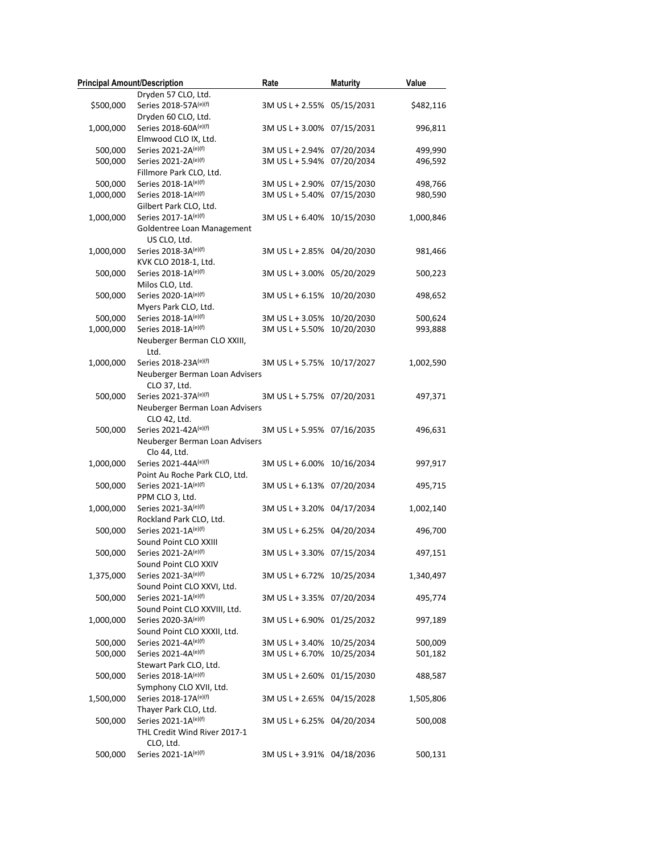| <b>Principal Amount/Description</b> |                                              | Rate                               | <b>Maturity</b>          | Value              |
|-------------------------------------|----------------------------------------------|------------------------------------|--------------------------|--------------------|
|                                     | Dryden 57 CLO, Ltd.                          |                                    |                          |                    |
| \$500,000                           | Series 2018-57A(e)(f)                        | 3M US L + 2.55% 05/15/2031         |                          | \$482,116          |
|                                     | Dryden 60 CLO, Ltd.                          |                                    |                          |                    |
| 1,000,000                           | Series 2018-60A(e)(f)                        | 3M US L + 3.00% 07/15/2031         |                          | 996,811            |
|                                     | Elmwood CLO IX, Ltd.                         |                                    |                          |                    |
| 500,000                             | Series 2021-2A(e)(f)                         | 3M US L + 2.94% 07/20/2034         |                          | 499,990            |
| 500,000                             | Series 2021-2A(e)(f)                         | 3M US L + 5.94% 07/20/2034         |                          | 496,592            |
|                                     | Fillmore Park CLO, Ltd.                      |                                    |                          |                    |
| 500,000                             | Series 2018-1A(e)(f)                         | 3M US L + 2.90% 07/15/2030         |                          | 498,766            |
| 1,000,000                           | Series 2018-1A(e)(f)                         | 3M US L + 5.40% 07/15/2030         |                          | 980,590            |
|                                     | Gilbert Park CLO, Ltd.                       |                                    |                          |                    |
| 1,000,000                           | Series 2017-1A(e)(f)                         | 3M US L + 6.40% 10/15/2030         |                          | 1,000,846          |
|                                     | Goldentree Loan Management                   |                                    |                          |                    |
|                                     | US CLO, Ltd.                                 |                                    |                          |                    |
| 1,000,000                           | Series 2018-3A(e)(f)                         | 3M US L + 2.85% 04/20/2030         |                          | 981,466            |
|                                     | KVK CLO 2018-1, Ltd.                         |                                    |                          |                    |
| 500,000                             | Series 2018-1A(e)(f)                         | 3M US L + 3.00% 05/20/2029         |                          | 500,223            |
|                                     | Milos CLO, Ltd.                              |                                    |                          |                    |
| 500,000                             | Series 2020-1A(e)(f)                         | 3M US L + 6.15% 10/20/2030         |                          | 498,652            |
|                                     | Myers Park CLO, Ltd.                         |                                    |                          |                    |
| 500,000                             | Series 2018-1A(e)(f)                         | 3M US L + 3.05% 10/20/2030         |                          | 500,624            |
| 1,000,000                           | Series 2018-1A(e)(f)                         | 3M US L + 5.50% 10/20/2030         |                          | 993,888            |
|                                     | Neuberger Berman CLO XXIII,<br>Ltd.          |                                    |                          |                    |
| 1,000,000                           | Series 2018-23A(e)(f)                        | 3M US L + 5.75% 10/17/2027         |                          | 1,002,590          |
|                                     | Neuberger Berman Loan Advisers               |                                    |                          |                    |
|                                     | CLO 37, Ltd.                                 |                                    |                          |                    |
| 500,000                             | Series 2021-37A(e)(f)                        | 3M US L + 5.75% 07/20/2031         |                          | 497,371            |
|                                     | Neuberger Berman Loan Advisers               |                                    |                          |                    |
|                                     | CLO 42, Ltd.                                 |                                    |                          |                    |
| 500,000                             | Series 2021-42A(e)(f)                        | 3M US L + 5.95% 07/16/2035         |                          | 496,631            |
|                                     | Neuberger Berman Loan Advisers               |                                    |                          |                    |
|                                     | Clo 44, Ltd.                                 |                                    |                          |                    |
| 1,000,000                           | Series 2021-44A(e)(f)                        | 3M US L + 6.00% 10/16/2034         |                          | 997,917            |
|                                     | Point Au Roche Park CLO, Ltd.                |                                    |                          |                    |
| 500,000                             | Series 2021-1A(e)(f)                         | 3M US L + 6.13% 07/20/2034         |                          | 495,715            |
|                                     | PPM CLO 3, Ltd.                              |                                    |                          |                    |
| 1,000,000                           | Series 2021-3A(e)(f)                         | 3M US L + 3.20% 04/17/2034         |                          | 1,002,140          |
|                                     | Rockland Park CLO, Ltd.                      |                                    |                          |                    |
| 500,000                             | Series 2021-1A(e)(f)                         | 3M US L + 6.25% 04/20/2034         |                          | 496,700            |
|                                     | Sound Point CLO XXIII                        |                                    |                          |                    |
| 500,000                             | Series 2021-2A(e)(f)                         | 3M US L + 3.30% 07/15/2034         |                          | 497,151            |
|                                     | Sound Point CLO XXIV                         |                                    |                          |                    |
| 1,375,000                           | Series 2021-3A(e)(f)                         | 3M US L + 6.72% 10/25/2034         |                          | 1,340,497          |
|                                     | Sound Point CLO XXVI, Ltd.                   |                                    |                          |                    |
| 500,000                             | Series 2021-1A(e)(f)                         | 3M US L + 3.35% 07/20/2034         |                          | 495,774            |
|                                     | Sound Point CLO XXVIII, Ltd.                 |                                    |                          |                    |
| 1,000,000                           | Series 2020-3A(e)(f)                         | 3M US L + 6.90% 01/25/2032         |                          | 997,189            |
|                                     | Sound Point CLO XXXII, Ltd.                  |                                    |                          |                    |
| 500,000<br>500,000                  | Series 2021-4A(e)(f)<br>Series 2021-4A(e)(f) | 3M US L + 3.40%<br>3M US L + 6.70% | 10/25/2034<br>10/25/2034 | 500,009<br>501,182 |
|                                     | Stewart Park CLO, Ltd.                       |                                    |                          |                    |
| 500,000                             | Series 2018-1A(e)(f)                         | 3M US L + 2.60% 01/15/2030         |                          | 488,587            |
|                                     | Symphony CLO XVII, Ltd.                      |                                    |                          |                    |
| 1,500,000                           | Series 2018-17A(e)(f)                        | 3M US L + 2.65% 04/15/2028         |                          | 1,505,806          |
|                                     | Thayer Park CLO, Ltd.                        |                                    |                          |                    |
| 500,000                             | Series 2021-1A(e)(f)                         | 3M US L + 6.25% 04/20/2034         |                          | 500,008            |
|                                     | THL Credit Wind River 2017-1                 |                                    |                          |                    |
|                                     | CLO, Ltd.                                    |                                    |                          |                    |
| 500,000                             | Series 2021-1A(e)(f)                         | 3M US L + 3.91% 04/18/2036         |                          | 500,131            |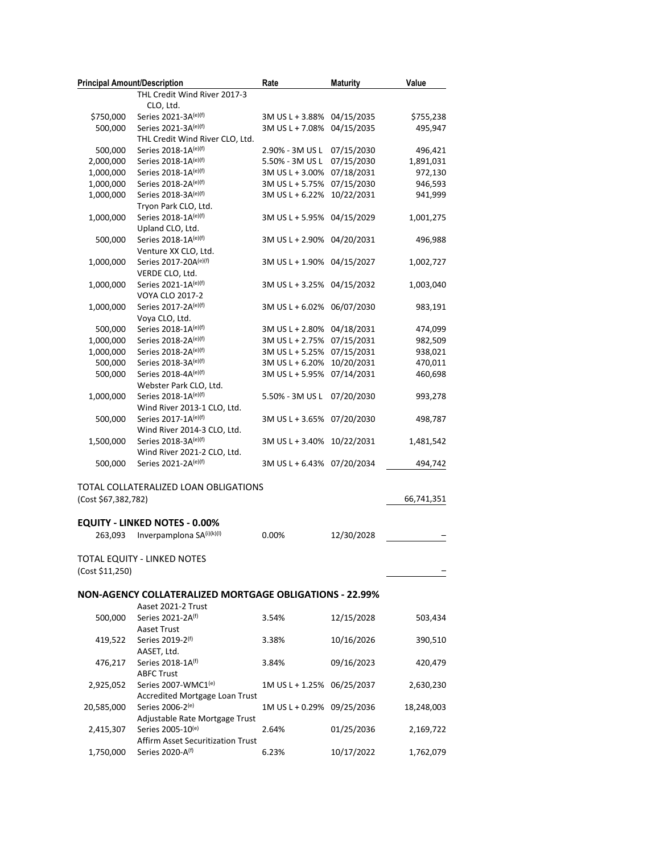| <b>Principal Amount/Description</b> |                                                                   | Rate                               | <b>Maturity</b>          | Value              |
|-------------------------------------|-------------------------------------------------------------------|------------------------------------|--------------------------|--------------------|
|                                     | THL Credit Wind River 2017-3                                      |                                    |                          |                    |
|                                     | CLO, Ltd.                                                         |                                    |                          |                    |
| \$750,000                           | Series 2021-3A(e)(f)                                              | 3M US L + 3.88%                    | 04/15/2035               | \$755,238          |
| 500,000                             | Series 2021-3A(e)(f)                                              | 3M US L + 7.08%                    | 04/15/2035               | 495,947            |
|                                     | THL Credit Wind River CLO, Ltd.                                   |                                    |                          |                    |
| 500,000                             | Series 2018-1A(e)(f)                                              | 2.90% - 3M US L                    | 07/15/2030               | 496,421            |
| 2,000,000                           | Series 2018-1A(e)(f)                                              | 5.50% - 3M US L                    | 07/15/2030               | 1,891,031          |
| 1,000,000<br>1,000,000              | Series 2018-1A(e)(f)                                              | 3M US L + 3.00%                    | 07/18/2031               | 972,130            |
| 1,000,000                           | Series 2018-2A(e)(f)<br>Series 2018-3A(e)(f)                      | 3M US L + 5.75%<br>3M US L + 6.22% | 07/15/2030<br>10/22/2031 | 946,593<br>941,999 |
|                                     | Tryon Park CLO, Ltd.                                              |                                    |                          |                    |
| 1,000,000                           | Series 2018-1A(e)(f)                                              | 3M US L + 5.95%                    | 04/15/2029               | 1,001,275          |
|                                     | Upland CLO, Ltd.                                                  |                                    |                          |                    |
| 500,000                             | Series 2018-1A(e)(f)                                              | 3M US L + 2.90%                    | 04/20/2031               | 496,988            |
|                                     | Venture XX CLO, Ltd.                                              |                                    |                          |                    |
| 1,000,000                           | Series 2017-20A(e)(f)                                             | 3M US L + 1.90% 04/15/2027         |                          | 1,002,727          |
|                                     | VERDE CLO, Ltd.                                                   |                                    |                          |                    |
| 1,000,000                           | Series 2021-1A(e)(f)                                              | 3M US L + 3.25% 04/15/2032         |                          | 1,003,040          |
|                                     | <b>VOYA CLO 2017-2</b>                                            |                                    |                          |                    |
| 1,000,000                           | Series 2017-2A(e)(f)                                              | 3M US L + 6.02% 06/07/2030         |                          | 983,191            |
|                                     | Voya CLO, Ltd.                                                    |                                    |                          |                    |
| 500,000                             | Series 2018-1A(e)(f)                                              | 3M US L + 2.80%                    | 04/18/2031               | 474,099            |
| 1,000,000                           | Series 2018-2A(e)(f)                                              | 3M US L + 2.75%                    | 07/15/2031               | 982,509            |
| 1,000,000                           | Series 2018-2A(e)(f)                                              | 3M US L + 5.25%                    | 07/15/2031               | 938,021            |
| 500,000                             | Series 2018-3A(e)(f)                                              | 3M US L + 6.20%                    | 10/20/2031               | 470,011            |
| 500,000                             | Series 2018-4A(e)(f)                                              | 3M US L + 5.95%                    | 07/14/2031               | 460,698            |
|                                     | Webster Park CLO, Ltd.                                            |                                    |                          |                    |
| 1,000,000                           | Series 2018-1A(e)(f)                                              | 5.50% - 3M US L                    | 07/20/2030               | 993,278            |
|                                     | Wind River 2013-1 CLO, Ltd.                                       |                                    |                          |                    |
| 500,000                             | Series 2017-1A(e)(f)                                              | 3M US L + 3.65%                    | 07/20/2030               | 498,787            |
|                                     | Wind River 2014-3 CLO, Ltd.                                       |                                    |                          |                    |
| 1,500,000                           | Series 2018-3A(e)(f)                                              | 3M US L + 3.40%                    | 10/22/2031               | 1,481,542          |
|                                     | Wind River 2021-2 CLO, Ltd.                                       |                                    |                          |                    |
| 500,000                             | Series 2021-2A(e)(f)                                              | 3M US L + 6.43% 07/20/2034         |                          | 494,742            |
|                                     | TOTAL COLLATERALIZED LOAN OBLIGATIONS                             |                                    |                          |                    |
| (Cost \$67,382,782)                 |                                                                   |                                    |                          | 66,741,351         |
|                                     |                                                                   |                                    |                          |                    |
|                                     |                                                                   |                                    |                          |                    |
| 263,093                             | <b>EQUITY - LINKED NOTES - 0.00%</b><br>Inverpamplona SA(i)(k)(l) |                                    | 12/30/2028               |                    |
|                                     |                                                                   | 0.00%                              |                          |                    |
|                                     |                                                                   |                                    |                          |                    |
|                                     | TOTAL EQUITY - LINKED NOTES                                       |                                    |                          |                    |
| (Cost \$11,250)                     |                                                                   |                                    |                          |                    |
|                                     |                                                                   |                                    |                          |                    |
|                                     | NON-AGENCY COLLATERALIZED MORTGAGE OBLIGATIONS - 22.99%           |                                    |                          |                    |
|                                     | Aaset 2021-2 Trust<br>Series 2021-2A(f)                           |                                    |                          |                    |
| 500,000                             |                                                                   | 3.54%                              | 12/15/2028               | 503,434            |
|                                     | Aaset Trust<br>Series 2019-2(f)                                   |                                    |                          |                    |
| 419,522                             | AASET, Ltd.                                                       | 3.38%                              | 10/16/2026               | 390,510            |
| 476,217                             | Series 2018-1A(f)                                                 | 3.84%                              | 09/16/2023               | 420,479            |
|                                     | <b>ABFC Trust</b>                                                 |                                    |                          |                    |
| 2,925,052                           | Series 2007-WMC1(e)                                               | 1M US L + 1.25% 06/25/2037         |                          | 2,630,230          |
|                                     | <b>Accredited Mortgage Loan Trust</b>                             |                                    |                          |                    |
| 20,585,000                          | Series 2006-2(e)                                                  | 1M US L + 0.29% 09/25/2036         |                          | 18,248,003         |
|                                     | Adjustable Rate Mortgage Trust                                    |                                    |                          |                    |
| 2,415,307                           | Series 2005-10(e)                                                 | 2.64%                              | 01/25/2036               | 2,169,722          |
|                                     | Affirm Asset Securitization Trust                                 |                                    |                          |                    |
| 1,750,000                           | Series 2020-A(f)                                                  | 6.23%                              | 10/17/2022               | 1,762,079          |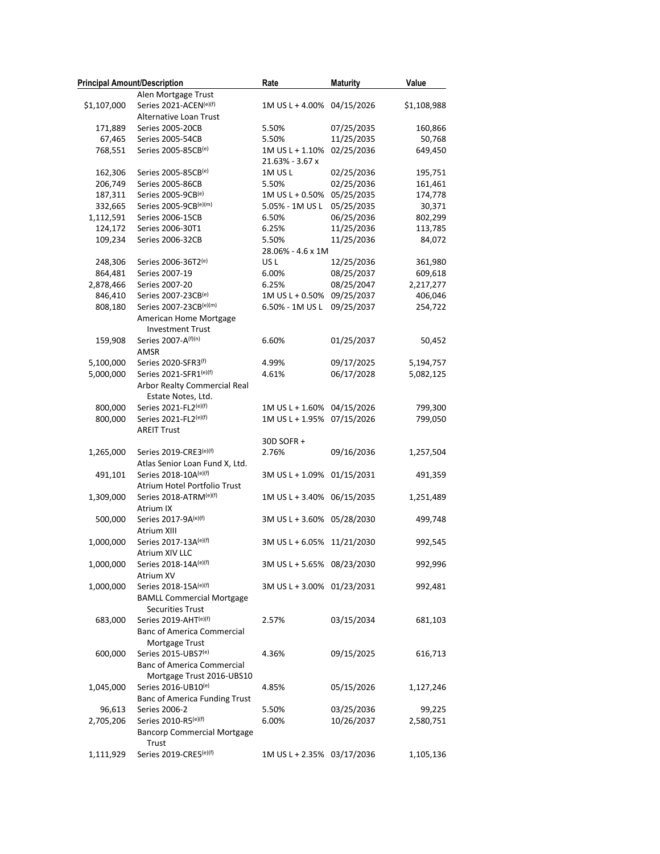|             | <b>Principal Amount/Description</b>              | Rate                       | <b>Maturity</b> | Value       |
|-------------|--------------------------------------------------|----------------------------|-----------------|-------------|
|             | Alen Mortgage Trust                              |                            |                 |             |
| \$1,107,000 | Series 2021-ACEN(e)(f)                           | 1M US L + 4.00% 04/15/2026 |                 | \$1,108,988 |
|             | Alternative Loan Trust                           |                            |                 |             |
| 171,889     | Series 2005-20CB                                 | 5.50%                      | 07/25/2035      | 160,866     |
| 67,465      | Series 2005-54CB                                 | 5.50%                      | 11/25/2035      | 50,768      |
| 768,551     | Series 2005-85CB(e)                              | 1M US L + 1.10%            | 02/25/2036      | 649,450     |
|             |                                                  | 21.63% - 3.67 x            |                 |             |
| 162,306     | Series 2005-85CB(e)                              | 1MUSL                      | 02/25/2036      | 195,751     |
| 206,749     | Series 2005-86CB                                 | 5.50%                      | 02/25/2036      | 161,461     |
| 187,311     | Series 2005-9CB(e)                               | 1M US L + 0.50%            | 05/25/2035      | 174,778     |
| 332,665     | Series 2005-9CB(e)(m)                            | 5.05% - 1M US L            | 05/25/2035      | 30,371      |
| 1,112,591   | Series 2006-15CB                                 | 6.50%                      | 06/25/2036      | 802,299     |
| 124,172     | Series 2006-30T1                                 | 6.25%                      | 11/25/2036      | 113,785     |
| 109,234     | Series 2006-32CB                                 | 5.50%                      | 11/25/2036      | 84,072      |
|             |                                                  | 28.06% - 4.6 x 1M          |                 |             |
| 248,306     | Series 2006-36T2(e)                              | US <sub>L</sub>            | 12/25/2036      | 361,980     |
| 864,481     | Series 2007-19                                   | 6.00%                      | 08/25/2037      | 609,618     |
| 2,878,466   | Series 2007-20                                   | 6.25%                      | 08/25/2047      | 2,217,277   |
| 846,410     | Series 2007-23CB(e)                              | 1M US L + 0.50% 09/25/2037 |                 | 406,046     |
| 808,180     | Series 2007-23CB(e)(m)                           | 6.50% - 1M US L            | 09/25/2037      | 254,722     |
|             | American Home Mortgage                           |                            |                 |             |
|             | <b>Investment Trust</b>                          |                            |                 |             |
| 159,908     | Series 2007-A(f)(n)                              | 6.60%                      | 01/25/2037      | 50,452      |
|             | AMSR                                             |                            |                 |             |
| 5,100,000   | Series 2020-SFR3(f)                              | 4.99%                      | 09/17/2025      | 5,194,757   |
| 5,000,000   | Series 2021-SFR1(e)(f)                           | 4.61%                      | 06/17/2028      | 5,082,125   |
|             | Arbor Realty Commercial Real                     |                            |                 |             |
|             | Estate Notes, Ltd.                               |                            |                 |             |
| 800,000     | Series 2021-FL2(e)(f)                            | 1M US L + 1.60% 04/15/2026 |                 | 799,300     |
| 800,000     | Series 2021-FL2(e)(f)                            | 1M US L + 1.95% 07/15/2026 |                 | 799,050     |
|             | <b>AREIT Trust</b>                               |                            |                 |             |
|             |                                                  | 30D SOFR +                 |                 |             |
| 1,265,000   | Series 2019-CRE3(e)(f)                           | 2.76%                      | 09/16/2036      | 1,257,504   |
|             | Atlas Senior Loan Fund X, Ltd.                   |                            |                 |             |
| 491,101     | Series 2018-10A(e)(f)                            | 3M US L + 1.09% 01/15/2031 |                 | 491,359     |
|             | Atrium Hotel Portfolio Trust                     |                            |                 |             |
| 1,309,000   | Series 2018-ATRM(e)(f)                           | 1M US L + 3.40% 06/15/2035 |                 | 1,251,489   |
|             | Atrium IX                                        |                            |                 |             |
| 500,000     | Series 2017-9A(e)(f)                             | 3M US L + 3.60% 05/28/2030 |                 | 499,748     |
|             | Atrium XIII                                      |                            |                 |             |
| 1,000,000   | Series 2017-13A(e)(f)                            | 3M US L + 6.05% 11/21/2030 |                 | 992,545     |
|             | <b>Atrium XIV LLC</b>                            |                            |                 |             |
| 1,000,000   | Series 2018-14A(e)(f)                            | 3M US L + 5.65% 08/23/2030 |                 | 992,996     |
|             | Atrium XV                                        |                            |                 |             |
| 1,000,000   | Series 2018-15A(e)(f)                            | 3M US L + 3.00% 01/23/2031 |                 | 992,481     |
|             |                                                  |                            |                 |             |
|             | <b>BAMLL Commercial Mortgage</b>                 |                            |                 |             |
|             | <b>Securities Trust</b><br>Series 2019-AHT(e)(f) |                            |                 | 681,103     |
| 683,000     |                                                  | 2.57%                      | 03/15/2034      |             |
|             | <b>Banc of America Commercial</b>                |                            |                 |             |
| 600,000     | Mortgage Trust<br>Series 2015-UBS7(e)            | 4.36%                      | 09/15/2025      | 616,713     |
|             |                                                  |                            |                 |             |
|             | <b>Banc of America Commercial</b>                |                            |                 |             |
|             | Mortgage Trust 2016-UBS10<br>Series 2016-UB10(e) |                            |                 |             |
| 1,045,000   |                                                  | 4.85%                      | 05/15/2026      | 1,127,246   |
|             | Banc of America Funding Trust                    |                            |                 |             |
| 96,613      | Series 2006-2                                    | 5.50%                      | 03/25/2036      | 99,225      |
| 2,705,206   | Series 2010-R5(e)(f)                             | 6.00%                      | 10/26/2037      | 2,580,751   |
|             | <b>Bancorp Commercial Mortgage</b>               |                            |                 |             |
|             | Trust                                            |                            |                 |             |
| 1,111,929   | Series 2019-CRE5(e)(f)                           | 1M US L + 2.35% 03/17/2036 |                 | 1,105,136   |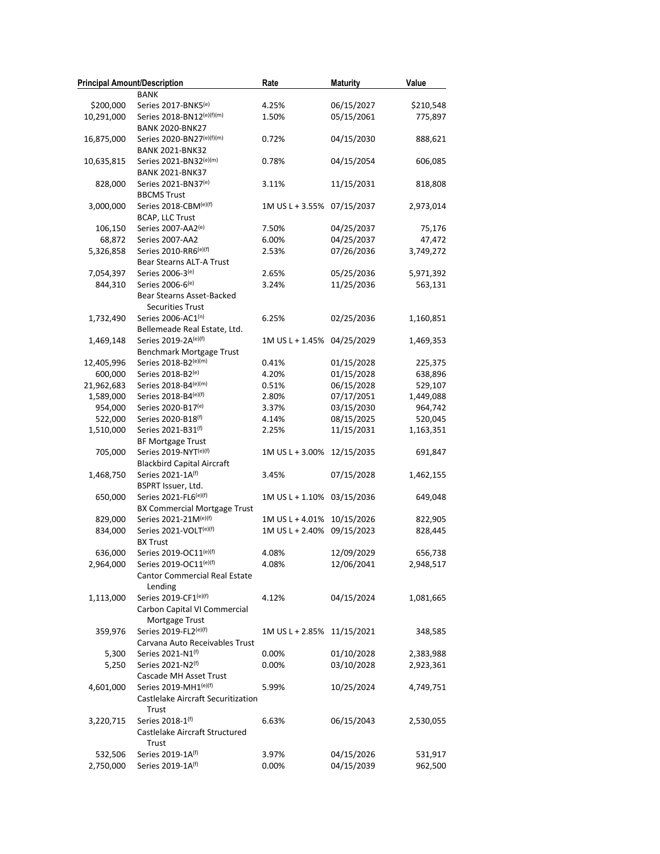| <b>Principal Amount/Description</b> | <b>BANK</b>                                                 | Rate                       | <b>Maturity</b> | Value     |
|-------------------------------------|-------------------------------------------------------------|----------------------------|-----------------|-----------|
|                                     | Series 2017-BNK5(e)                                         | 4.25%                      | 06/15/2027      | \$210,548 |
| \$200,000                           |                                                             |                            |                 |           |
| 10,291,000                          | Series 2018-BN12(e)(f)(m)<br><b>BANK 2020-BNK27</b>         | 1.50%                      | 05/15/2061      | 775,897   |
| 16,875,000                          | Series 2020-BN27(e)(f)(m)<br><b>BANK 2021-BNK32</b>         | 0.72%                      | 04/15/2030      | 888,621   |
| 10,635,815                          | Series 2021-BN32(e)(m)<br><b>BANK 2021-BNK37</b>            | 0.78%                      | 04/15/2054      | 606,085   |
| 828,000                             | Series 2021-BN37(e)<br><b>BBCMS Trust</b>                   | 3.11%                      | 11/15/2031      | 818,808   |
| 3,000,000                           | Series 2018-CBM(e)(f)<br>BCAP, LLC Trust                    | 1M US L + 3.55% 07/15/2037 |                 | 2,973,014 |
| 106,150                             | Series 2007-AA2 <sup>(e)</sup>                              | 7.50%                      | 04/25/2037      | 75,176    |
| 68,872                              | Series 2007-AA2                                             | 6.00%                      | 04/25/2037      | 47,472    |
| 5,326,858                           | Series 2010-RR6(e)(f)                                       | 2.53%                      | 07/26/2036      | 3,749,272 |
|                                     | Bear Stearns ALT-A Trust                                    |                            |                 |           |
| 7,054,397                           | Series 2006-3 <sup>(e)</sup>                                | 2.65%                      | 05/25/2036      | 5,971,392 |
| 844,310                             | Series 2006-6(e)                                            | 3.24%                      | 11/25/2036      | 563,131   |
|                                     | Bear Stearns Asset-Backed<br><b>Securities Trust</b>        |                            |                 |           |
|                                     |                                                             |                            |                 |           |
| 1,732,490                           | Series 2006-AC1(n)<br>Bellemeade Real Estate, Ltd.          | 6.25%                      | 02/25/2036      | 1,160,851 |
| 1,469,148                           | Series 2019-2A(e)(f)                                        | 1M US L + 1.45% 04/25/2029 |                 | 1,469,353 |
|                                     | <b>Benchmark Mortgage Trust</b>                             |                            |                 |           |
| 12,405,996                          | Series 2018-B2(e)(m)                                        | 0.41%                      | 01/15/2028      | 225,375   |
| 600,000                             | Series 2018-B2(e)                                           | 4.20%                      | 01/15/2028      | 638,896   |
|                                     | Series 2018-B4(e)(m)                                        |                            | 06/15/2028      | 529,107   |
| 21,962,683                          |                                                             | 0.51%                      |                 |           |
| 1,589,000                           | Series 2018-B4(e)(f)                                        | 2.80%                      | 07/17/2051      | 1,449,088 |
| 954,000                             | Series 2020-B17(e)                                          | 3.37%                      | 03/15/2030      | 964,742   |
| 522,000                             | Series 2020-B18(f)                                          | 4.14%                      | 08/15/2025      | 520,045   |
| 1,510,000                           | Series 2021-B31(f)<br><b>BF Mortgage Trust</b>              | 2.25%                      | 11/15/2031      | 1,163,351 |
| 705,000                             | Series 2019-NYT(e)(f)                                       | 1M US L + 3.00%            | 12/15/2035      | 691,847   |
| 1,468,750                           | <b>Blackbird Capital Aircraft</b><br>Series 2021-1A(f)      | 3.45%                      | 07/15/2028      | 1,462,155 |
|                                     | BSPRT Issuer, Ltd.                                          |                            |                 |           |
| 650,000                             | Series 2021-FL6(e)(f)                                       | 1M US L + 1.10% 03/15/2036 |                 | 649,048   |
|                                     | <b>BX Commercial Mortgage Trust</b>                         |                            |                 |           |
| 829,000                             | Series 2021-21M(e)(f)                                       | 1M US L + 4.01%            | 10/15/2026      | 822,905   |
| 834,000                             | Series 2021-VOLT(e)(f)                                      | 1M US L + 2.40%            | 09/15/2023      | 828,445   |
|                                     | <b>BX Trust</b>                                             |                            |                 |           |
| 636,000                             | Series 2019-OC11(e)(f)                                      | 4.08%                      | 12/09/2029      | 656,738   |
| 2,964,000                           | Series 2019-OC11(e)(f)                                      | 4.08%                      | 12/06/2041      | 2,948,517 |
|                                     | <b>Cantor Commercial Real Estate</b><br>Lending             |                            |                 |           |
| 1,113,000                           | Series 2019-CF1(e)(f)                                       | 4.12%                      | 04/15/2024      | 1,081,665 |
|                                     | Carbon Capital VI Commercial                                |                            |                 |           |
|                                     | Mortgage Trust                                              |                            |                 |           |
| 359,976                             | Series 2019-FL2(e)(f)                                       | 1M US L + 2.85% 11/15/2021 |                 | 348,585   |
|                                     | Carvana Auto Receivables Trust                              |                            |                 |           |
| 5,300                               | Series 2021-N1 <sup>(f)</sup>                               | 0.00%                      | 01/10/2028      | 2,383,988 |
| 5,250                               | Series 2021-N2(f)<br>Cascade MH Asset Trust                 | 0.00%                      | 03/10/2028      | 2,923,361 |
|                                     |                                                             |                            |                 |           |
| 4,601,000                           | Series 2019-MH1(e)(f)<br>Castlelake Aircraft Securitization | 5.99%                      | 10/25/2024      | 4,749,751 |
|                                     | Trust                                                       |                            |                 |           |
| 3,220,715                           | Series 2018-1(f)<br>Castlelake Aircraft Structured          | 6.63%                      | 06/15/2043      | 2,530,055 |
|                                     | Trust                                                       |                            |                 |           |
| 532,506                             | Series 2019-1A(f)                                           | 3.97%                      | 04/15/2026      | 531,917   |
| 2,750,000                           | Series 2019-1A(f)                                           | 0.00%                      | 04/15/2039      | 962,500   |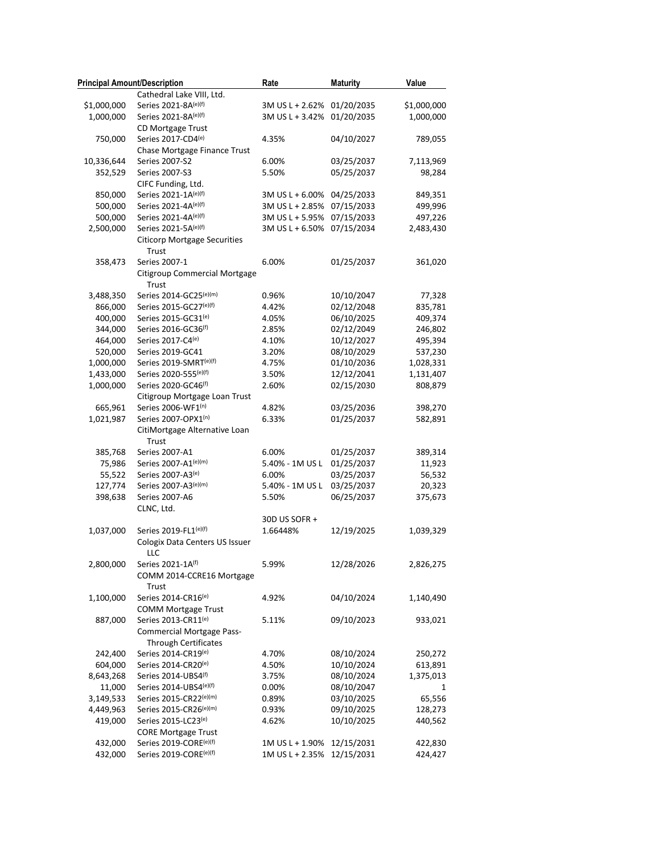| <b>Principal Amount/Description</b> |                                                   | Rate                       | <b>Maturity</b> | Value       |
|-------------------------------------|---------------------------------------------------|----------------------------|-----------------|-------------|
|                                     | Cathedral Lake VIII, Ltd.                         |                            |                 |             |
| \$1,000,000                         | Series 2021-8A(e)(f)                              | 3M US L + 2.62% 01/20/2035 |                 | \$1,000,000 |
| 1,000,000                           | Series 2021-8A(e)(f)                              | 3M US L + 3.42% 01/20/2035 |                 | 1,000,000   |
|                                     | CD Mortgage Trust                                 |                            |                 |             |
| 750,000                             | Series 2017-CD4(e)                                | 4.35%                      | 04/10/2027      | 789,055     |
|                                     | Chase Mortgage Finance Trust                      |                            |                 |             |
| 10,336,644                          | Series 2007-S2                                    | 6.00%                      | 03/25/2037      | 7,113,969   |
| 352,529                             | Series 2007-S3                                    | 5.50%                      | 05/25/2037      | 98,284      |
|                                     | CIFC Funding, Ltd.                                |                            |                 |             |
| 850,000                             | Series 2021-1A(e)(f)                              | 3M US L + 6.00%            | 04/25/2033      | 849,351     |
| 500,000                             | Series 2021-4A(e)(f)                              | 3M US L + 2.85%            | 07/15/2033      | 499,996     |
| 500,000                             | Series 2021-4A(e)(f)                              | 3M US L + 5.95% 07/15/2033 |                 | 497,226     |
| 2,500,000                           | Series 2021-5A(e)(f)                              | 3M US L + 6.50%            | 07/15/2034      | 2,483,430   |
|                                     | <b>Citicorp Mortgage Securities</b><br>Trust      |                            |                 |             |
| 358,473                             | Series 2007-1                                     | 6.00%                      | 01/25/2037      | 361,020     |
|                                     | Citigroup Commercial Mortgage<br>Trust            |                            |                 |             |
| 3,488,350                           | Series 2014-GC25(e)(m)                            | 0.96%                      | 10/10/2047      | 77,328      |
| 866,000                             | Series 2015-GC27(e)(f)                            | 4.42%                      | 02/12/2048      | 835,781     |
| 400,000                             | Series 2015-GC31(e)                               | 4.05%                      | 06/10/2025      | 409,374     |
| 344,000                             | Series 2016-GC36(f)                               | 2.85%                      | 02/12/2049      | 246,802     |
| 464,000                             | Series 2017-C4(e)                                 | 4.10%                      | 10/12/2027      | 495,394     |
| 520,000                             | Series 2019-GC41                                  | 3.20%                      | 08/10/2029      | 537,230     |
| 1,000,000                           | Series 2019-SMRT(e)(f)                            | 4.75%                      | 01/10/2036      | 1,028,331   |
| 1,433,000                           | Series 2020-555(e)(f)                             | 3.50%                      | 12/12/2041      | 1,131,407   |
| 1,000,000                           | Series 2020-GC46(f)                               | 2.60%                      | 02/15/2030      | 808,879     |
|                                     | Citigroup Mortgage Loan Trust                     |                            |                 |             |
| 665,961                             | Series 2006-WF1(n)                                | 4.82%                      | 03/25/2036      | 398,270     |
| 1,021,987                           | Series 2007-OPX1(n)                               | 6.33%                      | 01/25/2037      | 582,891     |
|                                     | CitiMortgage Alternative Loan<br>Trust            |                            |                 |             |
| 385,768                             | Series 2007-A1                                    | 6.00%                      | 01/25/2037      | 389,314     |
| 75,986                              | Series 2007-A1(e)(m)                              | 5.40% - 1M US L            | 01/25/2037      | 11,923      |
| 55,522                              | Series 2007-A3 <sup>(e)</sup>                     | 6.00%                      | 03/25/2037      | 56,532      |
| 127,774                             | Series 2007-A3(e)(m)                              | 5.40% - 1M US L            | 03/25/2037      | 20,323      |
| 398,638                             | Series 2007-A6                                    | 5.50%                      | 06/25/2037      | 375,673     |
|                                     | CLNC, Ltd.                                        |                            |                 |             |
|                                     |                                                   | 30D US SOFR +              |                 |             |
| 1,037,000                           | Series 2019-FL1(e)(f)                             | 1.66448%                   | 12/19/2025      | 1,039,329   |
|                                     | Cologix Data Centers US Issuer<br>LLC             |                            |                 |             |
| 2,800,000                           | Series 2021-1A(f)                                 | 5.99%                      | 12/28/2026      | 2,826,275   |
|                                     | COMM 2014-CCRE16 Mortgage<br>Trust                |                            |                 |             |
| 1,100,000                           | Series 2014-CR16(e)<br><b>COMM Mortgage Trust</b> | 4.92%                      | 04/10/2024      | 1,140,490   |
| 887,000                             | Series 2013-CR11(e)                               | 5.11%                      | 09/10/2023      | 933,021     |
|                                     | <b>Commercial Mortgage Pass-</b>                  |                            |                 |             |
|                                     | <b>Through Certificates</b>                       |                            |                 |             |
| 242,400                             | Series 2014-CR19(e)                               | 4.70%                      | 08/10/2024      | 250,272     |
| 604,000                             | Series 2014-CR20(e)                               | 4.50%                      | 10/10/2024      | 613,891     |
| 8,643,268                           | Series 2014-UBS4(f)                               | 3.75%                      | 08/10/2024      | 1,375,013   |
| 11,000                              | Series 2014-UBS4(e)(f)                            | 0.00%                      | 08/10/2047      | 1           |
| 3,149,533                           | Series 2015-CR22(e)(m)                            | 0.89%                      | 03/10/2025      | 65,556      |
| 4,449,963                           | Series 2015-CR26(e)(m)                            | 0.93%                      | 09/10/2025      | 128,273     |
| 419,000                             | Series 2015-LC23 <sup>(e)</sup>                   | 4.62%                      | 10/10/2025      | 440,562     |
|                                     | <b>CORE Mortgage Trust</b>                        |                            |                 |             |
| 432,000                             | Series 2019-CORE(e)(f)                            | 1M US L + 1.90%            | 12/15/2031      | 422,830     |
| 432,000                             | Series 2019-CORE(e)(f)                            | 1M US L + 2.35%            | 12/15/2031      | 424,427     |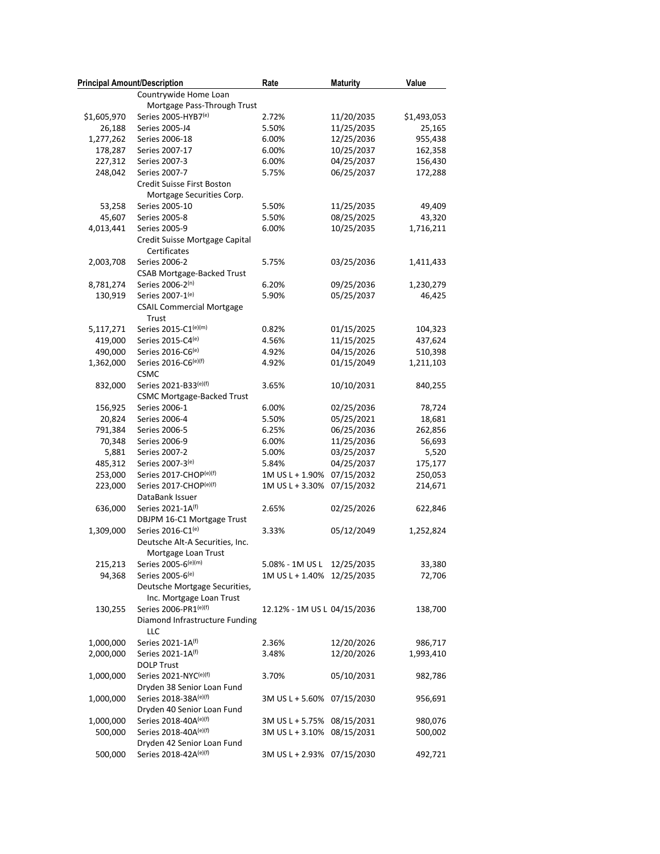| <b>Principal Amount/Description</b> |                                   | Rate                        | <b>Maturity</b> | Value       |
|-------------------------------------|-----------------------------------|-----------------------------|-----------------|-------------|
|                                     | Countrywide Home Loan             |                             |                 |             |
|                                     | Mortgage Pass-Through Trust       |                             |                 |             |
| \$1,605,970                         | Series 2005-HYB7(e)               | 2.72%                       | 11/20/2035      | \$1,493,053 |
| 26,188                              | Series 2005-J4                    | 5.50%                       | 11/25/2035      | 25,165      |
| 1,277,262                           | Series 2006-18                    | 6.00%                       | 12/25/2036      | 955,438     |
| 178,287                             | Series 2007-17                    | 6.00%                       | 10/25/2037      | 162,358     |
| 227,312                             | Series 2007-3                     | 6.00%                       | 04/25/2037      | 156,430     |
| 248,042                             | Series 2007-7                     | 5.75%                       | 06/25/2037      | 172,288     |
|                                     | Credit Suisse First Boston        |                             |                 |             |
|                                     | Mortgage Securities Corp.         |                             |                 |             |
| 53,258                              | Series 2005-10                    | 5.50%                       | 11/25/2035      | 49,409      |
| 45,607                              | Series 2005-8                     | 5.50%                       | 08/25/2025      | 43,320      |
| 4,013,441                           | Series 2005-9                     | 6.00%                       | 10/25/2035      | 1,716,211   |
|                                     | Credit Suisse Mortgage Capital    |                             |                 |             |
|                                     | Certificates                      |                             |                 |             |
| 2,003,708                           | Series 2006-2                     | 5.75%                       | 03/25/2036      | 1,411,433   |
|                                     | <b>CSAB Mortgage-Backed Trust</b> |                             |                 |             |
| 8,781,274                           | Series 2006-2(n)                  | 6.20%                       | 09/25/2036      | 1,230,279   |
| 130,919                             | Series 2007-1(e)                  | 5.90%                       | 05/25/2037      | 46,425      |
|                                     | <b>CSAIL Commercial Mortgage</b>  |                             |                 |             |
|                                     | Trust                             |                             |                 |             |
| 5,117,271                           | Series 2015-C1(e)(m)              | 0.82%                       | 01/15/2025      | 104,323     |
| 419,000                             | Series 2015-C4(e)                 | 4.56%                       | 11/15/2025      | 437,624     |
| 490,000                             | Series 2016-C6(e)                 | 4.92%                       | 04/15/2026      | 510,398     |
| 1,362,000                           | Series 2016-C6(e)(f)              | 4.92%                       | 01/15/2049      | 1,211,103   |
|                                     | <b>CSMC</b>                       |                             |                 |             |
| 832,000                             | Series 2021-B33(e)(f)             | 3.65%                       | 10/10/2031      | 840,255     |
|                                     |                                   |                             |                 |             |
|                                     | <b>CSMC Mortgage-Backed Trust</b> | 6.00%                       |                 |             |
| 156,925                             | Series 2006-1<br>Series 2006-4    | 5.50%                       | 02/25/2036      | 78,724      |
| 20,824                              |                                   |                             | 05/25/2021      | 18,681      |
| 791,384                             | Series 2006-5                     | 6.25%                       | 06/25/2036      | 262,856     |
| 70,348                              | Series 2006-9                     | 6.00%                       | 11/25/2036      | 56,693      |
| 5,881                               | Series 2007-2                     | 5.00%                       | 03/25/2037      | 5,520       |
| 485,312                             | Series 2007-3(e)                  | 5.84%                       | 04/25/2037      | 175,177     |
| 253,000                             | Series 2017-CHOP(e)(f)            | 1M US L + 1.90%             | 07/15/2032      | 250,053     |
| 223,000                             | Series 2017-CHOP(e)(f)            | 1M US L + 3.30%             | 07/15/2032      | 214,671     |
|                                     | DataBank Issuer                   |                             |                 |             |
| 636,000                             | Series 2021-1A(f)                 | 2.65%                       | 02/25/2026      | 622,846     |
|                                     | DBJPM 16-C1 Mortgage Trust        |                             |                 |             |
| 1,309,000                           | Series 2016-C1(e)                 | 3.33%                       | 05/12/2049      | 1,252,824   |
|                                     | Deutsche Alt-A Securities, Inc.   |                             |                 |             |
|                                     | Mortgage Loan Trust               |                             |                 |             |
| 215,213                             | Series 2005-6(e)(m)               | 5.08% - 1M US L             | 12/25/2035      | 33,380      |
| 94,368                              | Series 2005-6(e)                  | 1M US L + 1.40%             | 12/25/2035      | 72,706      |
|                                     | Deutsche Mortgage Securities,     |                             |                 |             |
|                                     | Inc. Mortgage Loan Trust          |                             |                 |             |
| 130,255                             | Series 2006-PR1(e)(f)             | 12.12% - 1M US L 04/15/2036 |                 | 138,700     |
|                                     | Diamond Infrastructure Funding    |                             |                 |             |
|                                     | LLC                               |                             |                 |             |
| 1,000,000                           | Series 2021-1A(f)                 | 2.36%                       | 12/20/2026      | 986,717     |
| 2,000,000                           | Series 2021-1A <sup>(f)</sup>     | 3.48%                       | 12/20/2026      | 1,993,410   |
|                                     | <b>DOLP Trust</b>                 |                             |                 |             |
| 1,000,000                           | Series 2021-NYC(e)(f)             | 3.70%                       | 05/10/2031      | 982,786     |
|                                     | Dryden 38 Senior Loan Fund        |                             |                 |             |
| 1,000,000                           | Series 2018-38A(e)(f)             | 3M US L + 5.60%             | 07/15/2030      | 956,691     |
|                                     | Dryden 40 Senior Loan Fund        |                             |                 |             |
| 1,000,000                           | Series 2018-40A(e)(f)             | 3M US L + 5.75% 08/15/2031  |                 | 980,076     |
| 500,000                             | Series 2018-40A(e)(f)             | 3M US L + 3.10%             | 08/15/2031      | 500,002     |
|                                     | Dryden 42 Senior Loan Fund        |                             |                 |             |
| 500,000                             | Series 2018-42A(e)(f)             | 3M US L + 2.93% 07/15/2030  |                 | 492,721     |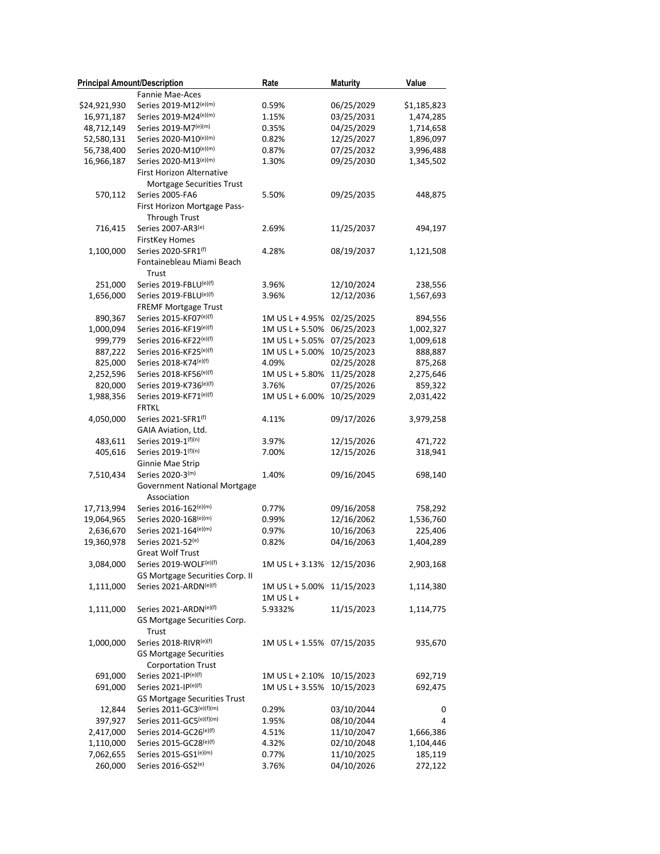| <b>Principal Amount/Description</b> |                                                    | Rate                       | <b>Maturity</b>          | Value       |
|-------------------------------------|----------------------------------------------------|----------------------------|--------------------------|-------------|
|                                     | Fannie Mae-Aces                                    |                            |                          |             |
| \$24,921,930                        | Series 2019-M12(e)(m)                              | 0.59%                      | 06/25/2029               | \$1,185,823 |
| 16,971,187                          | Series 2019-M24(e)(m)                              | 1.15%                      | 03/25/2031               | 1,474,285   |
| 48,712,149                          | Series 2019-M7(e)(m)                               | 0.35%                      | 04/25/2029               | 1,714,658   |
| 52,580,131                          | Series 2020-M10(e)(m)                              | 0.82%                      | 12/25/2027               | 1,896,097   |
| 56,738,400                          | Series 2020-M10(e)(m)                              | 0.87%                      | 07/25/2032               | 3,996,488   |
| 16,966,187                          | Series 2020-M13(e)(m)                              | 1.30%                      | 09/25/2030               | 1,345,502   |
|                                     | First Horizon Alternative                          |                            |                          |             |
|                                     | Mortgage Securities Trust                          |                            |                          |             |
| 570,112                             | Series 2005-FA6                                    | 5.50%                      | 09/25/2035               | 448,875     |
|                                     | First Horizon Mortgage Pass-                       |                            |                          |             |
|                                     | <b>Through Trust</b>                               |                            |                          |             |
| 716,415                             | Series 2007-AR3(e)                                 | 2.69%                      | 11/25/2037               | 494,197     |
|                                     | <b>FirstKey Homes</b>                              |                            |                          |             |
| 1,100,000                           | Series 2020-SFR1(f)                                | 4.28%                      | 08/19/2037               | 1,121,508   |
|                                     | Fontainebleau Miami Beach                          |                            |                          |             |
|                                     | Trust                                              |                            |                          |             |
| 251,000                             | Series 2019-FBLU(e)(f)                             | 3.96%                      | 12/10/2024               | 238,556     |
| 1,656,000                           | Series 2019-FBLU(e)(f)                             | 3.96%                      | 12/12/2036               | 1,567,693   |
|                                     | FREMF Mortgage Trust                               |                            |                          |             |
| 890,367                             | Series 2015-KF07(e)(f)                             | 1M US L + 4.95%            | 02/25/2025               | 894,556     |
| 1,000,094                           | Series 2016-KF19(e)(f)                             | 1M US L + 5.50%            | 06/25/2023               | 1,002,327   |
| 999,779                             | Series 2016-KF22(e)(f)                             | 1M US L + 5.05%            | 07/25/2023               | 1,009,618   |
| 887,222                             | Series 2016-KF25(e)(f)                             | 1M US L + 5.00%            | 10/25/2023               | 888,887     |
| 825,000                             | Series 2018-K74(e)(f)                              | 4.09%                      | 02/25/2028               | 875,268     |
| 2,252,596                           | Series 2018-KF56(e)(f)                             | 1M US L + 5.80%            | 11/25/2028               | 2,275,646   |
| 820,000                             | Series 2019-K736(e)(f)                             | 3.76%                      | 07/25/2026               | 859,322     |
|                                     | Series 2019-KF71(e)(f)                             | 1M US L + 6.00%            | 10/25/2029               |             |
| 1,988,356                           | <b>FRTKL</b>                                       |                            |                          | 2,031,422   |
| 4,050,000                           | Series 2021-SFR1(f)                                | 4.11%                      | 09/17/2026               | 3,979,258   |
|                                     | GAIA Aviation, Ltd.                                |                            |                          |             |
| 483,611                             | Series 2019-1(f)(n)                                | 3.97%                      | 12/15/2026               | 471,722     |
| 405,616                             | Series 2019-1(f)(n)                                | 7.00%                      | 12/15/2026               | 318,941     |
|                                     |                                                    |                            |                          |             |
|                                     | Ginnie Mae Strip                                   | 1.40%                      |                          |             |
| 7,510,434                           | Series 2020-3(m)                                   |                            | 09/16/2045               | 698,140     |
|                                     | <b>Government National Mortgage</b><br>Association |                            |                          |             |
|                                     |                                                    |                            |                          |             |
| 17,713,994                          | Series 2016-162 <sup>(e)(m)</sup>                  | 0.77%                      | 09/16/2058<br>12/16/2062 | 758,292     |
| 19,064,965                          | Series 2020-168(e)(m)                              | 0.99%                      |                          | 1,536,760   |
| 2,636,670                           | Series 2021-164(e)(m)                              | 0.97%                      | 10/16/2063               | 225,406     |
| 19,360,978                          | Series 2021-52(e)                                  | 0.82%                      | 04/16/2063               | 1,404,289   |
|                                     | <b>Great Wolf Trust</b>                            |                            |                          |             |
| 3,084,000                           | Series 2019-WOLF(e)(f)                             | 1M US L + 3.13% 12/15/2036 |                          | 2,903,168   |
|                                     | GS Mortgage Securities Corp. II                    |                            |                          |             |
| 1,111,000                           | Series 2021-ARDN(e)(f)                             | 1M US L + 5.00%            | 11/15/2023               | 1,114,380   |
|                                     |                                                    | $1M$ US L +                |                          |             |
| 1,111,000                           | Series 2021-ARDN(e)(f)                             | 5.9332%                    | 11/15/2023               | 1,114,775   |
|                                     | GS Mortgage Securities Corp.                       |                            |                          |             |
|                                     | Trust                                              |                            |                          |             |
| 1,000,000                           | Series 2018-RIVR(e)(f)                             | 1M US L + 1.55% 07/15/2035 |                          | 935,670     |
|                                     | <b>GS Mortgage Securities</b>                      |                            |                          |             |
|                                     | <b>Corportation Trust</b>                          |                            |                          |             |
| 691,000                             | Series 2021-IP(e)(f)                               | 1M US L + 2.10%            | 10/15/2023               | 692,719     |
| 691,000                             | Series 2021-IP(e)(f)                               | 1M US L + 3.55%            | 10/15/2023               | 692,475     |
|                                     | GS Mortgage Securities Trust                       |                            |                          |             |
| 12,844                              | Series 2011-GC3(e)(f)(m)                           | 0.29%                      | 03/10/2044               | 0           |
| 397,927                             | Series 2011-GC5(e)(f)(m)                           | 1.95%                      | 08/10/2044               | 4           |
| 2,417,000                           | Series 2014-GC26(e)(f)                             | 4.51%                      | 11/10/2047               | 1,666,386   |
| 1,110,000                           | Series 2015-GC28(e)(f)                             | 4.32%                      | 02/10/2048               | 1,104,446   |
| 7,062,655                           | Series 2015-GS1(e)(m)                              | 0.77%                      | 11/10/2025               | 185,119     |
| 260,000                             | Series 2016-GS2(e)                                 | 3.76%                      | 04/10/2026               | 272,122     |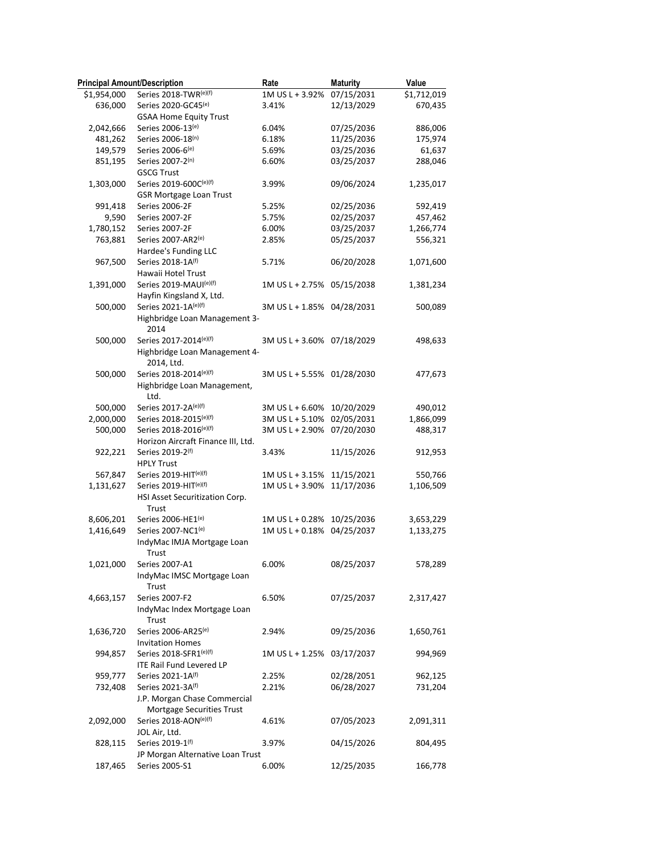| <b>Principal Amount/Description</b> |                                              | Rate                       | <b>Maturity</b> | Value       |
|-------------------------------------|----------------------------------------------|----------------------------|-----------------|-------------|
| \$1,954,000                         | Series 2018-TWR(e)(f)                        | 1M US L + 3.92% 07/15/2031 |                 | \$1,712,019 |
| 636,000                             | Series 2020-GC45 <sup>(e)</sup>              | 3.41%                      | 12/13/2029      | 670,435     |
|                                     | <b>GSAA Home Equity Trust</b>                |                            |                 |             |
| 2,042,666                           | Series 2006-13(e)                            | 6.04%                      | 07/25/2036      | 886,006     |
| 481,262                             | Series 2006-18(n)                            | 6.18%                      | 11/25/2036      | 175,974     |
| 149,579                             | Series 2006-6(e)                             | 5.69%                      | 03/25/2036      | 61,637      |
| 851,195                             | Series 2007-2(n)                             | 6.60%                      | 03/25/2037      | 288,046     |
|                                     | <b>GSCG Trust</b>                            |                            |                 |             |
| 1,303,000                           | Series 2019-600C(e)(f)                       | 3.99%                      | 09/06/2024      | 1,235,017   |
|                                     | <b>GSR Mortgage Loan Trust</b>               |                            |                 |             |
| 991,418                             | Series 2006-2F                               | 5.25%                      | 02/25/2036      | 592,419     |
| 9,590                               | Series 2007-2F                               | 5.75%                      | 02/25/2037      | 457,462     |
| 1,780,152                           | Series 2007-2F                               | 6.00%                      | 03/25/2037      | 1,266,774   |
| 763,881                             | Series 2007-AR2(e)<br>Hardee's Funding LLC   | 2.85%                      | 05/25/2037      | 556,321     |
| 967,500                             | Series 2018-1A(f)                            | 5.71%                      | 06/20/2028      | 1,071,600   |
|                                     | Hawaii Hotel Trust                           |                            |                 |             |
| 1,391,000                           | Series 2019-MAUI(e)(f)                       | 1M US L + 2.75% 05/15/2038 |                 | 1,381,234   |
|                                     | Hayfin Kingsland X, Ltd.                     |                            |                 |             |
| 500,000                             | Series 2021-1A(e)(f)                         | 3M US L + 1.85% 04/28/2031 |                 | 500,089     |
|                                     | Highbridge Loan Management 3-                |                            |                 |             |
|                                     | 2014                                         |                            |                 |             |
| 500,000                             | Series 2017-2014(e)(f)                       | 3M US L + 3.60% 07/18/2029 |                 | 498,633     |
|                                     | Highbridge Loan Management 4-                |                            |                 |             |
|                                     | 2014, Ltd.                                   |                            |                 |             |
| 500,000                             | Series 2018-2014(e)(f)                       | 3M US L + 5.55% 01/28/2030 |                 | 477,673     |
|                                     | Highbridge Loan Management,                  |                            |                 |             |
|                                     | Ltd.                                         |                            |                 |             |
| 500,000                             | Series 2017-2A(e)(f)                         | 3M US L + 6.60%            | 10/20/2029      | 490,012     |
| 2,000,000                           | Series 2018-2015(e)(f)                       | 3M US L + 5.10% 02/05/2031 |                 | 1,866,099   |
| 500,000                             | Series 2018-2016(e)(f)                       | 3M US L + 2.90% 07/20/2030 |                 | 488,317     |
|                                     | Horizon Aircraft Finance III, Ltd.           |                            |                 |             |
| 922,221                             | Series 2019-2(f)                             | 3.43%                      | 11/15/2026      | 912,953     |
|                                     | <b>HPLY Trust</b>                            |                            |                 |             |
| 567,847                             | Series 2019-HIT(e)(f)                        | 1M US L + 3.15%            | 11/15/2021      | 550,766     |
| 1,131,627                           | Series 2019-HIT(e)(f)                        | 1M US L + 3.90%            | 11/17/2036      | 1,106,509   |
|                                     | HSI Asset Securitization Corp.               |                            |                 |             |
|                                     | Trust                                        |                            |                 |             |
| 8,606,201                           | Series 2006-HE1(e)                           | 1M US L + 0.28%            | 10/25/2036      | 3,653,229   |
| 1,416,649                           | Series 2007-NC1(e)                           | 1M US L + 0.18%            | 04/25/2037      | 1,133,275   |
|                                     | IndyMac IMJA Mortgage Loan                   |                            |                 |             |
|                                     | Trust                                        |                            | 08/25/2037      | 578,289     |
| 1,021,000                           | Series 2007-A1<br>IndyMac IMSC Mortgage Loan | 6.00%                      |                 |             |
|                                     | Trust                                        |                            |                 |             |
| 4,663,157                           | Series 2007-F2                               | 6.50%                      | 07/25/2037      | 2,317,427   |
|                                     | IndyMac Index Mortgage Loan                  |                            |                 |             |
|                                     | Trust                                        |                            |                 |             |
| 1,636,720                           | Series 2006-AR25 <sup>(e)</sup>              | 2.94%                      | 09/25/2036      | 1,650,761   |
|                                     | <b>Invitation Homes</b>                      |                            |                 |             |
| 994,857                             | Series 2018-SFR1(e)(f)                       | 1M US L + 1.25% 03/17/2037 |                 | 994,969     |
|                                     | <b>ITE Rail Fund Levered LP</b>              |                            |                 |             |
| 959,777                             | Series 2021-1A(f)                            | 2.25%                      | 02/28/2051      | 962,125     |
| 732,408                             | Series 2021-3A(f)                            | 2.21%                      | 06/28/2027      | 731,204     |
|                                     | J.P. Morgan Chase Commercial                 |                            |                 |             |
|                                     | Mortgage Securities Trust                    |                            |                 |             |
| 2,092,000                           | Series 2018-AON(e)(f)                        | 4.61%                      | 07/05/2023      | 2,091,311   |
|                                     | JOL Air, Ltd.                                |                            |                 |             |
| 828,115                             | Series 2019-1(f)                             | 3.97%                      | 04/15/2026      | 804,495     |
|                                     | JP Morgan Alternative Loan Trust             |                            |                 |             |
| 187,465                             | Series 2005-S1                               | 6.00%                      | 12/25/2035      | 166,778     |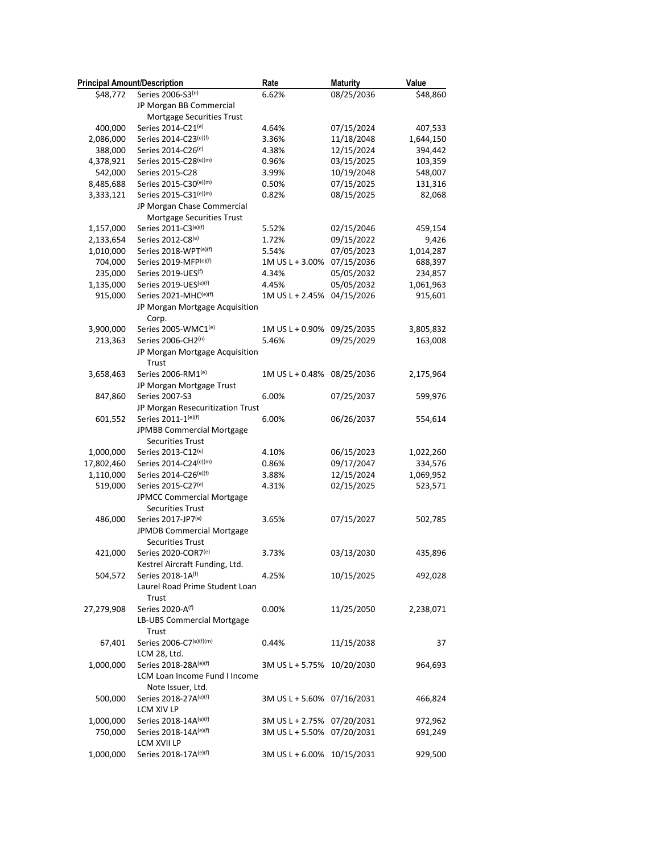| <b>Principal Amount/Description</b> |                                         | Rate                       | <b>Maturity</b> | Value     |
|-------------------------------------|-----------------------------------------|----------------------------|-----------------|-----------|
| \$48,772                            | Series 2006-S3(n)                       | 6.62%                      | 08/25/2036      | \$48,860  |
|                                     | JP Morgan BB Commercial                 |                            |                 |           |
|                                     | Mortgage Securities Trust               |                            |                 |           |
| 400,000                             | Series 2014-C21(e)                      | 4.64%                      | 07/15/2024      | 407,533   |
| 2,086,000                           | Series 2014-C23(e)(f)                   | 3.36%                      | 11/18/2048      | 1,644,150 |
| 388,000                             | Series 2014-C26(e)                      | 4.38%                      | 12/15/2024      | 394,442   |
| 4,378,921                           | Series 2015-C28(e)(m)                   | 0.96%                      | 03/15/2025      | 103,359   |
| 542,000                             | Series 2015-C28                         | 3.99%                      | 10/19/2048      | 548,007   |
| 8,485,688                           | Series 2015-C30(e)(m)                   | 0.50%                      | 07/15/2025      | 131,316   |
| 3,333,121                           | Series 2015-C31(e)(m)                   | 0.82%                      | 08/15/2025      | 82,068    |
|                                     | JP Morgan Chase Commercial              |                            |                 |           |
|                                     | Mortgage Securities Trust               |                            |                 |           |
| 1,157,000                           | Series 2011-C3(e)(f)                    | 5.52%                      | 02/15/2046      | 459,154   |
| 2,133,654                           | Series 2012-C8(e)                       | 1.72%                      | 09/15/2022      | 9,426     |
| 1,010,000                           | Series 2018-WPT(e)(f)                   | 5.54%                      | 07/05/2023      | 1,014,287 |
| 704,000                             | Series 2019-MFP(e)(f)                   | 1M US L + 3.00%            | 07/15/2036      | 688,397   |
| 235,000                             | Series 2019-UES(f)                      | 4.34%                      | 05/05/2032      | 234,857   |
| 1,135,000                           | Series 2019-UES(e)(f)                   | 4.45%                      | 05/05/2032      | 1,061,963 |
| 915,000                             | Series 2021-MHC(e)(f)                   | 1M US L + 2.45% 04/15/2026 |                 | 915,601   |
|                                     | JP Morgan Mortgage Acquisition          |                            |                 |           |
|                                     | Corp.                                   |                            |                 |           |
| 3,900,000                           | Series 2005-WMC1(e)                     | 1M US L + 0.90%            | 09/25/2035      | 3,805,832 |
| 213,363                             | Series 2006-CH2(n)                      | 5.46%                      | 09/25/2029      | 163,008   |
|                                     | JP Morgan Mortgage Acquisition          |                            |                 |           |
|                                     | Trust                                   |                            |                 |           |
| 3,658,463                           | Series 2006-RM1 <sup>(e)</sup>          | 1M US L + 0.48%            | 08/25/2036      | 2,175,964 |
|                                     | JP Morgan Mortgage Trust                |                            |                 |           |
| 847,860                             | Series 2007-S3                          | 6.00%                      | 07/25/2037      | 599,976   |
|                                     | JP Morgan Resecuritization Trust        |                            |                 |           |
| 601,552                             | Series 2011-1(e)(f)                     | 6.00%                      | 06/26/2037      | 554,614   |
|                                     | JPMBB Commercial Mortgage               |                            |                 |           |
|                                     | <b>Securities Trust</b>                 |                            |                 |           |
| 1,000,000                           | Series 2013-C12(e)                      | 4.10%                      | 06/15/2023      | 1,022,260 |
| 17,802,460                          | Series 2014-C24(e)(m)                   | 0.86%                      | 09/17/2047      | 334,576   |
| 1,110,000                           | Series 2014-C26(e)(f)                   | 3.88%                      | 12/15/2024      | 1,069,952 |
| 519,000                             | Series 2015-C27(e)                      | 4.31%                      | 02/15/2025      | 523,571   |
|                                     | JPMCC Commercial Mortgage               |                            |                 |           |
|                                     | <b>Securities Trust</b>                 |                            |                 |           |
| 486,000                             | Series 2017-JP7(e)                      | 3.65%                      | 07/15/2027      | 502,785   |
|                                     | JPMDB Commercial Mortgage               |                            |                 |           |
|                                     | <b>Securities Trust</b>                 |                            |                 |           |
| 421,000                             | Series 2020-COR7(e)                     | 3.73%                      | 03/13/2030      | 435,896   |
|                                     | Kestrel Aircraft Funding, Ltd.          |                            |                 |           |
|                                     | Series 2018-1A(f)                       |                            |                 |           |
| 504,572                             |                                         | 4.25%                      | 10/15/2025      | 492,028   |
|                                     | Laurel Road Prime Student Loan<br>Trust |                            |                 |           |
|                                     |                                         |                            |                 |           |
| 27,279,908                          | Series 2020-A(f)                        | 0.00%                      | 11/25/2050      | 2,238,071 |
|                                     | LB-UBS Commercial Mortgage              |                            |                 |           |
|                                     | Trust                                   |                            |                 |           |
| 67,401                              | Series 2006-C7(e)(f)(m)                 | 0.44%                      | 11/15/2038      | 37        |
|                                     | LCM 28, Ltd.                            |                            |                 |           |
| 1,000,000                           | Series 2018-28A(e)(f)                   | 3M US L + 5.75% 10/20/2030 |                 | 964,693   |
|                                     | LCM Loan Income Fund I Income           |                            |                 |           |
|                                     | Note Issuer, Ltd.                       |                            |                 |           |
| 500,000                             | Series 2018-27A(e)(f)                   | 3M US L + 5.60% 07/16/2031 |                 | 466,824   |
|                                     | LCM XIV LP                              |                            |                 |           |
| 1,000,000                           | Series 2018-14A(e)(f)                   | 3M US L + 2.75% 07/20/2031 |                 | 972,962   |
| 750,000                             | Series 2018-14A(e)(f)                   | 3M US L + 5.50% 07/20/2031 |                 | 691,249   |
|                                     | LCM XVII LP                             |                            |                 |           |
| 1,000,000                           | Series 2018-17A(e)(f)                   | 3M US L + 6.00% 10/15/2031 |                 | 929,500   |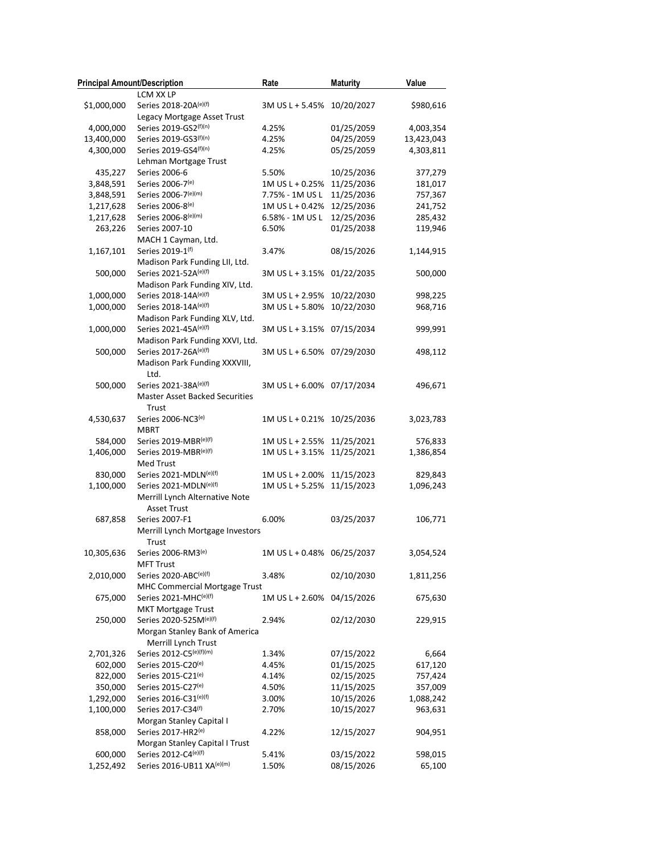| <b>Principal Amount/Description</b> |                                       | Rate                       | <b>Maturity</b> | Value      |
|-------------------------------------|---------------------------------------|----------------------------|-----------------|------------|
|                                     | LCM XX LP                             |                            |                 |            |
| \$1,000,000                         | Series 2018-20A(e)(f)                 | 3M US L + 5.45% 10/20/2027 |                 | \$980,616  |
|                                     | Legacy Mortgage Asset Trust           |                            |                 |            |
| 4,000,000                           | Series 2019-GS2(f)(n)                 | 4.25%                      | 01/25/2059      | 4,003,354  |
| 13,400,000                          | Series 2019-GS3(f)(n)                 | 4.25%                      | 04/25/2059      | 13,423,043 |
| 4,300,000                           | Series 2019-GS4(f)(n)                 | 4.25%                      | 05/25/2059      | 4,303,811  |
|                                     | Lehman Mortgage Trust                 |                            |                 |            |
| 435,227                             | Series 2006-6                         | 5.50%                      | 10/25/2036      | 377,279    |
| 3,848,591                           | Series 2006-7(e)                      | 1M US L + 0.25%            | 11/25/2036      | 181,017    |
| 3,848,591                           | Series 2006-7(e)(m)                   | 7.75% - 1M US L            | 11/25/2036      | 757,367    |
| 1,217,628                           | Series 2006-8(e)                      | 1M US L + 0.42%            | 12/25/2036      | 241,752    |
| 1,217,628                           | Series 2006-8(e)(m)                   | 6.58% - 1M US L            | 12/25/2036      | 285,432    |
| 263,226                             | Series 2007-10                        | 6.50%                      | 01/25/2038      | 119,946    |
|                                     | MACH 1 Cayman, Ltd.                   |                            |                 |            |
| 1,167,101                           | Series 2019-1(f)                      | 3.47%                      | 08/15/2026      | 1,144,915  |
|                                     | Madison Park Funding LII, Ltd.        |                            |                 |            |
| 500,000                             | Series 2021-52A(e)(f)                 | 3M US L + 3.15% 01/22/2035 |                 | 500,000    |
|                                     | Madison Park Funding XIV, Ltd.        |                            |                 |            |
| 1,000,000                           | Series 2018-14A(e)(f)                 | 3M US L + 2.95%            | 10/22/2030      | 998,225    |
| 1,000,000                           | Series 2018-14A(e)(f)                 | 3M US L + 5.80%            | 10/22/2030      | 968,716    |
|                                     | Madison Park Funding XLV, Ltd.        |                            |                 |            |
| 1,000,000                           | Series 2021-45A(e)(f)                 | 3M US L + 3.15% 07/15/2034 |                 | 999,991    |
|                                     | Madison Park Funding XXVI, Ltd.       |                            |                 |            |
| 500,000                             | Series 2017-26A(e)(f)                 | 3M US L + 6.50% 07/29/2030 |                 | 498,112    |
|                                     | Madison Park Funding XXXVIII,         |                            |                 |            |
|                                     | Ltd.                                  |                            |                 |            |
| 500,000                             | Series 2021-38A(e)(f)                 | 3M US L + 6.00% 07/17/2034 |                 | 496,671    |
|                                     | <b>Master Asset Backed Securities</b> |                            |                 |            |
|                                     | Trust                                 |                            |                 |            |
| 4,530,637                           | Series 2006-NC3(e)                    | 1M US L + 0.21% 10/25/2036 |                 | 3,023,783  |
|                                     | <b>MBRT</b>                           |                            |                 |            |
| 584,000                             | Series 2019-MBR(e)(f)                 | 1M US L + 2.55% 11/25/2021 |                 | 576,833    |
| 1,406,000                           | Series 2019-MBR(e)(f)                 | 1M US L + 3.15%            | 11/25/2021      | 1,386,854  |
|                                     | Med Trust                             |                            |                 |            |
| 830,000                             | Series 2021-MDLN <sup>(e)(f)</sup>    | 1M US L + 2.00%            | 11/15/2023      | 829,843    |
| 1,100,000                           | Series 2021-MDLN(e)(f)                | 1M US L + 5.25%            | 11/15/2023      | 1,096,243  |
|                                     | Merrill Lynch Alternative Note        |                            |                 |            |
|                                     | <b>Asset Trust</b>                    |                            |                 |            |
| 687,858                             | Series 2007-F1                        | 6.00%                      | 03/25/2037      | 106,771    |
|                                     | Merrill Lynch Mortgage Investors      |                            |                 |            |
|                                     | Trust                                 |                            |                 |            |
| 10,305,636                          | Series 2006-RM3(e)                    | 1M US L + 0.48% 06/25/2037 |                 | 3,054,524  |
|                                     | <b>MFT Trust</b>                      |                            |                 |            |
|                                     | Series 2020-ABC(e)(f)                 |                            |                 |            |
| 2,010,000                           | MHC Commercial Mortgage Trust         | 3.48%                      | 02/10/2030      | 1,811,256  |
|                                     | Series 2021-MHC(e)(f)                 |                            |                 |            |
| 675,000                             | <b>MKT Mortgage Trust</b>             | 1M US L + 2.60% 04/15/2026 |                 | 675,630    |
|                                     | Series 2020-525M(e)(f)                | 2.94%                      |                 |            |
| 250,000                             | Morgan Stanley Bank of America        |                            | 02/12/2030      | 229,915    |
|                                     |                                       |                            |                 |            |
|                                     | Merrill Lynch Trust                   |                            |                 |            |
| 2,701,326                           | Series 2012-C5(e)(f)(m)               | 1.34%                      | 07/15/2022      | 6,664      |
| 602,000                             | Series 2015-C20(e)                    | 4.45%                      | 01/15/2025      | 617,120    |
| 822,000                             | Series 2015-C21 <sup>(e)</sup>        | 4.14%                      | 02/15/2025      | 757,424    |
| 350,000                             | Series 2015-C27(e)                    | 4.50%                      | 11/15/2025      | 357,009    |
| 1,292,000                           | Series 2016-C31(e)(f)                 | 3.00%                      | 10/15/2026      | 1,088,242  |
| 1,100,000                           | Series 2017-C34(f)                    | 2.70%                      | 10/15/2027      | 963,631    |
|                                     | Morgan Stanley Capital I              |                            |                 |            |
| 858,000                             | Series 2017-HR2(e)                    | 4.22%                      | 12/15/2027      | 904,951    |
|                                     | Morgan Stanley Capital I Trust        |                            |                 |            |
| 600,000                             | Series 2012-C4(e)(f)                  | 5.41%                      | 03/15/2022      | 598,015    |
| 1,252,492                           | Series 2016-UB11 XA(e)(m)             | 1.50%                      | 08/15/2026      | 65,100     |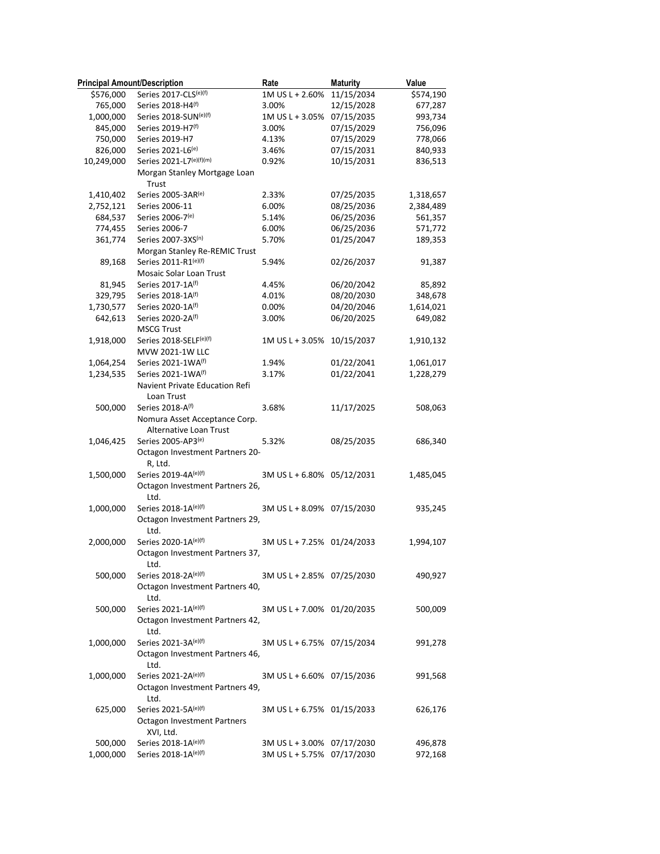| <b>Principal Amount/Description</b> |                                              | Rate                       | <b>Maturity</b> | Value     |
|-------------------------------------|----------------------------------------------|----------------------------|-----------------|-----------|
| \$576,000                           | Series 2017-CLS(e)(f)                        | 1M US L + 2.60% 11/15/2034 |                 | \$574,190 |
| 765,000                             | Series 2018-H4(f)                            | 3.00%                      | 12/15/2028      | 677,287   |
| 1,000,000                           | Series 2018-SUN(e)(f)                        | 1M US L + 3.05% 07/15/2035 |                 | 993,734   |
| 845,000                             | Series 2019-H7(f)                            | 3.00%                      | 07/15/2029      | 756,096   |
| 750,000                             | Series 2019-H7                               | 4.13%                      | 07/15/2029      | 778,066   |
| 826,000                             | Series 2021-L6(e)                            | 3.46%                      | 07/15/2031      | 840,933   |
| 10,249,000                          | Series 2021-L7(e)(f)(m)                      | 0.92%                      | 10/15/2031      | 836,513   |
|                                     | Morgan Stanley Mortgage Loan<br>Trust        |                            |                 |           |
| 1,410,402                           | Series 2005-3AR(e)                           | 2.33%                      | 07/25/2035      | 1,318,657 |
| 2,752,121                           | Series 2006-11                               | 6.00%                      | 08/25/2036      | 2,384,489 |
| 684,537                             | Series 2006-7(e)                             | 5.14%                      | 06/25/2036      | 561,357   |
| 774,455                             | Series 2006-7                                | 6.00%                      | 06/25/2036      | 571,772   |
| 361,774                             | Series 2007-3XS(n)                           | 5.70%                      | 01/25/2047      | 189,353   |
|                                     | Morgan Stanley Re-REMIC Trust                |                            |                 |           |
| 89,168                              | Series 2011-R1(e)(f)                         | 5.94%                      | 02/26/2037      | 91,387    |
|                                     | Mosaic Solar Loan Trust                      |                            |                 |           |
| 81,945                              | Series 2017-1A(f)                            | 4.45%                      | 06/20/2042      | 85,892    |
| 329,795                             | Series 2018-1A(f)                            | 4.01%                      | 08/20/2030      | 348,678   |
| 1,730,577                           | Series 2020-1A(f)                            | 0.00%                      | 04/20/2046      | 1,614,021 |
| 642,613                             | Series 2020-2A(f)                            | 3.00%                      | 06/20/2025      | 649,082   |
|                                     | <b>MSCG Trust</b>                            |                            |                 |           |
| 1,918,000                           | Series 2018-SELF(e)(f)<br>MVW 2021-1W LLC    | 1M US L + 3.05% 10/15/2037 |                 | 1,910,132 |
| 1,064,254                           | Series 2021-1WA(f)                           | 1.94%                      | 01/22/2041      | 1,061,017 |
| 1,234,535                           | Series 2021-1WA(f)                           | 3.17%                      | 01/22/2041      | 1,228,279 |
|                                     | Navient Private Education Refi<br>Loan Trust |                            |                 |           |
| 500,000                             | Series 2018-A(f)                             | 3.68%                      | 11/17/2025      | 508,063   |
|                                     | Nomura Asset Acceptance Corp.                |                            |                 |           |
|                                     | Alternative Loan Trust                       |                            |                 |           |
| 1,046,425                           | Series 2005-AP3(e)                           | 5.32%                      | 08/25/2035      | 686,340   |
|                                     | Octagon Investment Partners 20-              |                            |                 |           |
|                                     | R, Ltd.                                      |                            |                 |           |
| 1,500,000                           | Series 2019-4A(e)(f)                         | 3M US L + 6.80% 05/12/2031 |                 | 1,485,045 |
|                                     | Octagon Investment Partners 26,              |                            |                 |           |
|                                     | Ltd.                                         |                            |                 |           |
| 1,000,000                           | Series 2018-1A(e)(f)                         | 3M US L + 8.09% 07/15/2030 |                 | 935,245   |
|                                     | Octagon Investment Partners 29,              |                            |                 |           |
|                                     | Ltd.                                         |                            |                 |           |
| 2,000,000                           | Series 2020-1A(e)(f)                         | 3M US L + 7.25% 01/24/2033 |                 | 1,994,107 |
|                                     | Octagon Investment Partners 37,              |                            |                 |           |
|                                     | Ltd.                                         |                            |                 |           |
| 500,000                             | Series 2018-2A(e)(f)                         | 3M US L + 2.85% 07/25/2030 |                 | 490,927   |
|                                     | Octagon Investment Partners 40,              |                            |                 |           |
|                                     | Ltd.                                         |                            |                 |           |
|                                     | Series 2021-1A(e)(f)                         |                            |                 |           |
| 500,000                             |                                              | 3M US L + 7.00% 01/20/2035 |                 | 500,009   |
|                                     | Octagon Investment Partners 42,              |                            |                 |           |
|                                     | Ltd.                                         |                            |                 |           |
| 1,000,000                           | Series 2021-3A(e)(f)                         | 3M US L + 6.75% 07/15/2034 |                 | 991,278   |
|                                     | Octagon Investment Partners 46,              |                            |                 |           |
|                                     | Ltd.                                         |                            |                 |           |
| 1,000,000                           | Series 2021-2A(e)(f)                         | 3M US L + 6.60% 07/15/2036 |                 | 991,568   |
|                                     | Octagon Investment Partners 49,              |                            |                 |           |
|                                     | Ltd.                                         |                            |                 |           |
| 625,000                             | Series 2021-5A(e)(f)                         | 3M US L + 6.75% 01/15/2033 |                 | 626,176   |
|                                     | <b>Octagon Investment Partners</b>           |                            |                 |           |
|                                     | XVI, Ltd.                                    |                            |                 |           |
| 500,000                             | Series 2018-1A(e)(f)                         | 3M US L + 3.00% 07/17/2030 |                 | 496,878   |
| 1,000,000                           | Series 2018-1A(e)(f)                         | 3M US L + 5.75% 07/17/2030 |                 | 972,168   |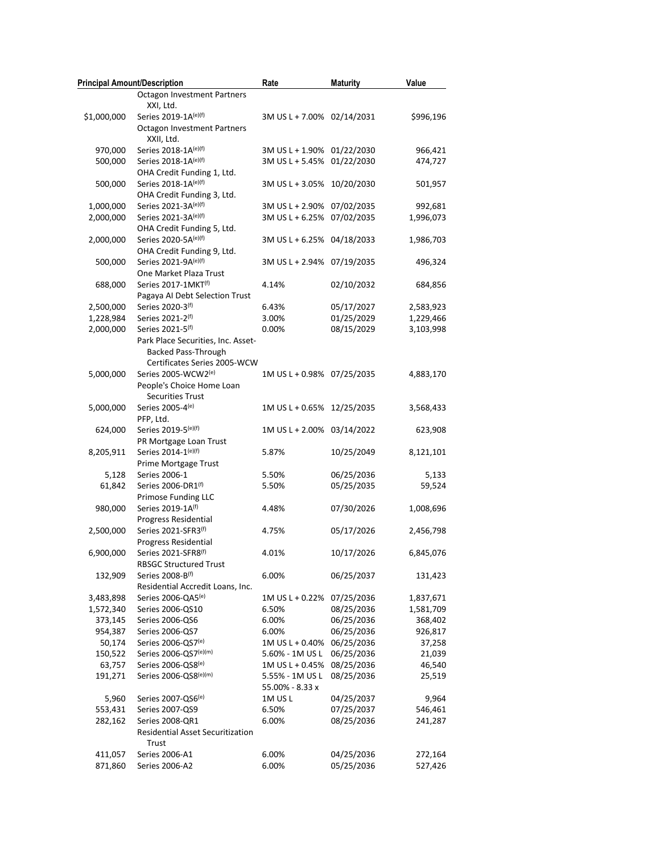| <b>Principal Amount/Description</b> |                                    | Rate                       | <b>Maturity</b> | Value     |
|-------------------------------------|------------------------------------|----------------------------|-----------------|-----------|
|                                     | <b>Octagon Investment Partners</b> |                            |                 |           |
|                                     | XXI, Ltd.                          |                            |                 |           |
| \$1,000,000                         | Series 2019-1A(e)(f)               | 3M US L + 7.00% 02/14/2031 |                 | \$996,196 |
|                                     | <b>Octagon Investment Partners</b> |                            |                 |           |
|                                     | XXII, Ltd.                         |                            |                 |           |
| 970,000                             | Series 2018-1A(e)(f)               | 3M US L + 1.90% 01/22/2030 |                 | 966,421   |
| 500,000                             | Series 2018-1A(e)(f)               | 3M US L + 5.45% 01/22/2030 |                 | 474,727   |
|                                     | OHA Credit Funding 1, Ltd.         |                            |                 |           |
| 500,000                             | Series 2018-1A(e)(f)               | 3M US L + 3.05% 10/20/2030 |                 | 501,957   |
|                                     | OHA Credit Funding 3, Ltd.         |                            |                 |           |
| 1,000,000                           | Series 2021-3A(e)(f)               | 3M US L + 2.90% 07/02/2035 |                 | 992,681   |
| 2,000,000                           | Series 2021-3A(e)(f)               | 3M US L + 6.25% 07/02/2035 |                 | 1,996,073 |
|                                     | OHA Credit Funding 5, Ltd.         |                            |                 |           |
| 2,000,000                           | Series 2020-5A(e)(f)               | 3M US L + 6.25% 04/18/2033 |                 | 1,986,703 |
|                                     | OHA Credit Funding 9, Ltd.         |                            |                 |           |
| 500,000                             | Series 2021-9A(e)(f)               | 3M US L + 2.94% 07/19/2035 |                 | 496,324   |
|                                     | One Market Plaza Trust             |                            |                 |           |
| 688,000                             | Series 2017-1MKT(f)                | 4.14%                      | 02/10/2032      | 684,856   |
|                                     | Pagaya AI Debt Selection Trust     |                            |                 |           |
| 2,500,000                           | Series 2020-3 <sup>(f)</sup>       | 6.43%                      | 05/17/2027      | 2,583,923 |
| 1,228,984                           | Series 2021-2(f)                   | 3.00%                      | 01/25/2029      | 1,229,466 |
| 2,000,000                           | Series 2021-5(f)                   | 0.00%                      | 08/15/2029      | 3,103,998 |
|                                     | Park Place Securities, Inc. Asset- |                            |                 |           |
|                                     | <b>Backed Pass-Through</b>         |                            |                 |           |
|                                     | Certificates Series 2005-WCW       |                            |                 |           |
| 5,000,000                           | Series 2005-WCW2(e)                | 1M US L + 0.98% 07/25/2035 |                 | 4,883,170 |
|                                     | People's Choice Home Loan          |                            |                 |           |
|                                     | Securities Trust                   |                            |                 |           |
| 5,000,000                           | Series 2005-4(e)                   | 1M US L + 0.65% 12/25/2035 |                 | 3,568,433 |
|                                     | PFP, Ltd.                          |                            |                 |           |
| 624,000                             | Series 2019-5(e)(f)                | 1M US L + 2.00% 03/14/2022 |                 | 623,908   |
|                                     | PR Mortgage Loan Trust             |                            |                 |           |
| 8,205,911                           | Series 2014-1(e)(f)                | 5.87%                      | 10/25/2049      | 8,121,101 |
|                                     | Prime Mortgage Trust               |                            |                 |           |
| 5,128                               | Series 2006-1                      | 5.50%                      | 06/25/2036      | 5,133     |
| 61,842                              | Series 2006-DR1(f)                 | 5.50%                      | 05/25/2035      | 59,524    |
|                                     | Primose Funding LLC                |                            |                 |           |
| 980,000                             | Series 2019-1A(f)                  | 4.48%                      | 07/30/2026      | 1,008,696 |
|                                     | Progress Residential               |                            |                 |           |
| 2,500,000                           | Series 2021-SFR3(f)                | 4.75%                      | 05/17/2026      | 2,456,798 |
|                                     | Progress Residential               |                            |                 |           |
| 6,900,000                           | Series 2021-SFR8(f)                | 4.01%                      | 10/17/2026      | 6,845,076 |
|                                     | <b>RBSGC Structured Trust</b>      |                            |                 |           |
| 132,909                             | Series 2008-B(f)                   | 6.00%                      | 06/25/2037      | 131,423   |
|                                     | Residential Accredit Loans, Inc.   |                            |                 |           |
| 3,483,898                           | Series 2006-QA5 <sup>(e)</sup>     | 1M US L + 0.22%            | 07/25/2036      | 1,837,671 |
| 1,572,340                           | Series 2006-QS10                   | 6.50%                      | 08/25/2036      | 1,581,709 |
| 373,145                             | Series 2006-QS6                    | 6.00%                      | 06/25/2036      | 368,402   |
| 954,387                             | Series 2006-QS7                    | 6.00%                      | 06/25/2036      | 926,817   |
| 50,174                              | Series 2006-QS7(e)                 | 1M US L + 0.40%            | 06/25/2036      | 37,258    |
| 150,522                             | Series 2006-QS7(e)(m)              | 5.60% - 1M US L            | 06/25/2036      | 21,039    |
| 63,757                              | Series 2006-QS8(e)                 | 1M US L + 0.45%            | 08/25/2036      | 46,540    |
| 191,271                             | Series 2006-QS8(e)(m)              | 5.55% - 1M US L            | 08/25/2036      | 25,519    |
|                                     |                                    | 55.00% - 8.33 x            |                 |           |
| 5,960                               | Series 2007-QS6(e)                 | 1M US L                    | 04/25/2037      | 9,964     |
| 553,431                             | Series 2007-QS9                    | 6.50%                      | 07/25/2037      | 546,461   |
| 282,162                             | Series 2008-QR1                    | 6.00%                      | 08/25/2036      | 241,287   |
|                                     | Residential Asset Securitization   |                            |                 |           |
|                                     | Trust                              |                            |                 |           |
| 411,057                             | Series 2006-A1                     | 6.00%                      | 04/25/2036      | 272,164   |
| 871,860                             | Series 2006-A2                     | 6.00%                      | 05/25/2036      | 527,426   |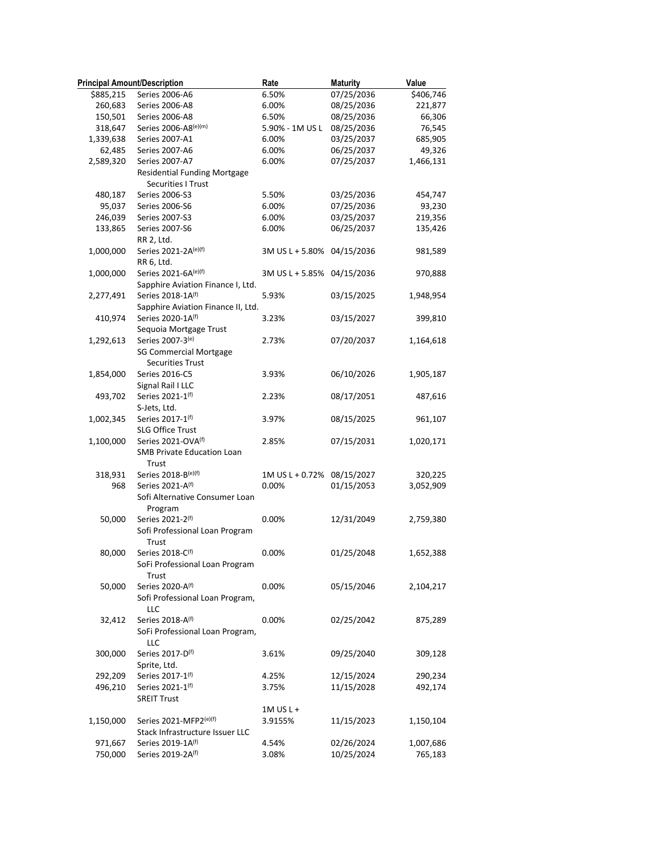| <b>Principal Amount/Description</b> |                                     | Rate                       | <b>Maturity</b> | Value     |
|-------------------------------------|-------------------------------------|----------------------------|-----------------|-----------|
| \$885,215                           | Series 2006-A6                      | 6.50%                      | 07/25/2036      | \$406,746 |
| 260,683                             | Series 2006-A8                      | 6.00%                      | 08/25/2036      | 221,877   |
| 150,501                             | Series 2006-A8                      | 6.50%                      | 08/25/2036      | 66,306    |
| 318,647                             | Series 2006-A8(e)(m)                | 5.90% - 1M US L            | 08/25/2036      | 76,545    |
| 1,339,638                           | Series 2007-A1                      | 6.00%                      | 03/25/2037      | 685,905   |
| 62,485                              | Series 2007-A6                      | 6.00%                      | 06/25/2037      | 49,326    |
| 2,589,320                           | Series 2007-A7                      | 6.00%                      | 07/25/2037      | 1,466,131 |
|                                     | <b>Residential Funding Mortgage</b> |                            |                 |           |
|                                     | <b>Securities I Trust</b>           |                            |                 |           |
| 480,187                             | Series 2006-S3                      | 5.50%                      | 03/25/2036      | 454,747   |
| 95,037                              | Series 2006-S6                      | 6.00%                      | 07/25/2036      | 93,230    |
| 246,039                             | Series 2007-S3                      | 6.00%                      | 03/25/2037      | 219,356   |
| 133,865                             | Series 2007-S6                      | 6.00%                      | 06/25/2037      | 135,426   |
|                                     | RR 2, Ltd.                          |                            |                 |           |
| 1,000,000                           | Series 2021-2A(e)(f)                | 3M US L + 5.80% 04/15/2036 |                 | 981,589   |
|                                     | RR 6, Ltd.                          |                            |                 |           |
| 1,000,000                           | Series 2021-6A(e)(f)                | 3M US L + 5.85% 04/15/2036 |                 | 970,888   |
|                                     | Sapphire Aviation Finance I, Ltd.   |                            |                 |           |
| 2,277,491                           | Series 2018-1A(f)                   | 5.93%                      | 03/15/2025      | 1,948,954 |
|                                     | Sapphire Aviation Finance II, Ltd.  |                            |                 |           |
| 410,974                             | Series 2020-1A(f)                   | 3.23%                      | 03/15/2027      | 399,810   |
|                                     | Sequoia Mortgage Trust              |                            |                 |           |
| 1,292,613                           | Series 2007-3(e)                    | 2.73%                      | 07/20/2037      | 1,164,618 |
|                                     | <b>SG Commercial Mortgage</b>       |                            |                 |           |
|                                     | <b>Securities Trust</b>             |                            |                 |           |
| 1,854,000                           | Series 2016-C5                      | 3.93%                      | 06/10/2026      | 1,905,187 |
|                                     | Signal Rail I LLC                   |                            |                 |           |
| 493,702                             | Series 2021-1(f)                    | 2.23%                      | 08/17/2051      | 487,616   |
|                                     | S-Jets, Ltd.                        |                            |                 |           |
| 1,002,345                           | Series 2017-1(f)                    | 3.97%                      | 08/15/2025      | 961,107   |
|                                     | SLG Office Trust                    |                            |                 |           |
| 1,100,000                           | Series 2021-OVA(f)                  | 2.85%                      | 07/15/2031      | 1,020,171 |
|                                     | SMB Private Education Loan          |                            |                 |           |
|                                     | Trust                               |                            |                 |           |
| 318,931                             | Series 2018-B(e)(f)                 | 1M US L + 0.72% 08/15/2027 |                 | 320,225   |
| 968                                 | Series 2021-A(f)                    | 0.00%                      | 01/15/2053      | 3,052,909 |
|                                     | Sofi Alternative Consumer Loan      |                            |                 |           |
|                                     |                                     |                            |                 |           |
| 50,000                              | Program<br>Series 2021-2(f)         | 0.00%                      | 12/31/2049      | 2,759,380 |
|                                     | Sofi Professional Loan Program      |                            |                 |           |
|                                     |                                     |                            |                 |           |
|                                     | Trust                               |                            |                 |           |
| 80,000                              | Series 2018-C(f)                    | 0.00%                      | 01/25/2048      | 1,652,388 |
|                                     | SoFi Professional Loan Program      |                            |                 |           |
|                                     | Trust                               |                            |                 |           |
| 50,000                              | Series 2020-A(f)                    | $0.00\%$                   | 05/15/2046      | 2,104,217 |
|                                     | Sofi Professional Loan Program,     |                            |                 |           |
|                                     | LLC                                 |                            |                 |           |
| 32,412                              | Series 2018-A(f)                    | 0.00%                      | 02/25/2042      | 875,289   |
|                                     | SoFi Professional Loan Program,     |                            |                 |           |
|                                     | LLC                                 |                            |                 |           |
| 300,000                             | Series 2017-D(f)                    | 3.61%                      | 09/25/2040      | 309,128   |
|                                     | Sprite, Ltd.                        |                            |                 |           |
| 292,209                             | Series 2017-1 <sup>(f)</sup>        | 4.25%                      | 12/15/2024      | 290,234   |
| 496,210                             | Series 2021-1(f)                    | 3.75%                      | 11/15/2028      | 492,174   |
|                                     | <b>SREIT Trust</b>                  |                            |                 |           |
|                                     |                                     | $1M$ US L +                |                 |           |
| 1,150,000                           | Series 2021-MFP2(e)(f)              | 3.9155%                    | 11/15/2023      | 1,150,104 |
|                                     | Stack Infrastructure Issuer LLC     |                            |                 |           |
| 971,667                             | Series 2019-1A <sup>(f)</sup>       | 4.54%                      | 02/26/2024      | 1,007,686 |
| 750,000                             | Series 2019-2A(f)                   | 3.08%                      | 10/25/2024      | 765,183   |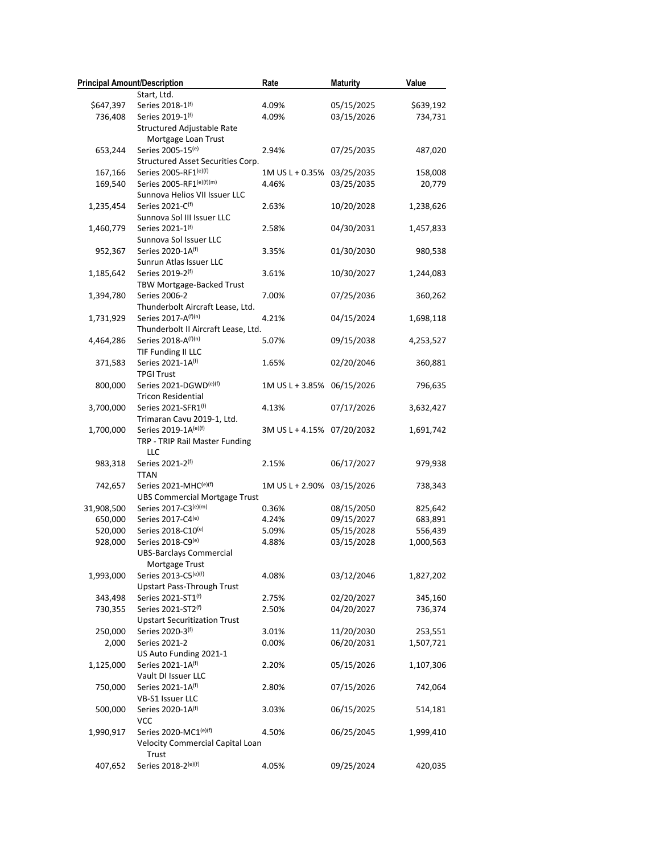| <b>Principal Amount/Description</b> |                                                   | Rate                       | <b>Maturity</b>          | Value     |
|-------------------------------------|---------------------------------------------------|----------------------------|--------------------------|-----------|
|                                     | Start, Ltd.                                       |                            |                          |           |
| \$647,397                           | Series 2018-1(f)                                  | 4.09%                      | 05/15/2025               | \$639,192 |
| 736,408                             | Series 2019-1(f)                                  | 4.09%                      | 03/15/2026               | 734,731   |
|                                     | Structured Adjustable Rate<br>Mortgage Loan Trust |                            |                          |           |
| 653,244                             | Series 2005-15(e)                                 | 2.94%                      | 07/25/2035               | 487,020   |
|                                     | Structured Asset Securities Corp.                 |                            |                          |           |
| 167,166                             | Series 2005-RF1 <sup>(e)(f)</sup>                 | 1M US L + 0.35%            | 03/25/2035               | 158,008   |
| 169,540                             | Series 2005-RF1(e)(f)(m)                          | 4.46%                      | 03/25/2035               | 20,779    |
|                                     | Sunnova Helios VII Issuer LLC                     |                            |                          |           |
| 1,235,454                           | Series 2021-C(f)                                  | 2.63%                      | 10/20/2028               | 1,238,626 |
|                                     | Sunnova Sol III Issuer LLC                        |                            |                          |           |
| 1,460,779                           | Series 2021-1 <sup>(f)</sup>                      | 2.58%                      | 04/30/2031               | 1,457,833 |
|                                     | Sunnova Sol Issuer LLC                            |                            |                          |           |
| 952,367                             | Series 2020-1A(f)                                 | 3.35%                      | 01/30/2030               | 980,538   |
|                                     | Sunrun Atlas Issuer LLC                           |                            |                          |           |
| 1,185,642                           | Series 2019-2(f)                                  | 3.61%                      | 10/30/2027               | 1,244,083 |
|                                     | TBW Mortgage-Backed Trust                         |                            |                          |           |
| 1,394,780                           | Series 2006-2                                     | 7.00%                      | 07/25/2036               | 360,262   |
|                                     | Thunderbolt Aircraft Lease, Ltd.                  |                            |                          |           |
| 1,731,929                           | Series 2017-A(f)(n)                               | 4.21%                      | 04/15/2024               | 1,698,118 |
|                                     | Thunderbolt II Aircraft Lease, Ltd.               |                            |                          |           |
| 4,464,286                           | Series 2018-A(f)(n)                               | 5.07%                      | 09/15/2038               | 4,253,527 |
|                                     | TIF Funding II LLC                                |                            |                          |           |
| 371,583                             | Series 2021-1A(f)                                 | 1.65%                      | 02/20/2046               | 360,881   |
|                                     | <b>TPGI Trust</b>                                 |                            |                          |           |
| 800,000                             | Series 2021-DGWD(e)(f)                            | 1M US L + 3.85% 06/15/2026 |                          | 796,635   |
|                                     | <b>Tricon Residential</b>                         |                            |                          |           |
| 3,700,000                           | Series 2021-SFR1(f)                               | 4.13%                      | 07/17/2026               | 3,632,427 |
|                                     | Trimaran Cavu 2019-1, Ltd.                        |                            |                          |           |
| 1,700,000                           | Series 2019-1A(e)(f)                              | 3M US L + 4.15% 07/20/2032 |                          | 1,691,742 |
|                                     | TRP - TRIP Rail Master Funding                    |                            |                          |           |
|                                     | LLC                                               |                            |                          |           |
| 983,318                             | Series 2021-2(f)                                  | 2.15%                      | 06/17/2027               | 979,938   |
|                                     | <b>TTAN</b>                                       |                            |                          |           |
| 742,657                             | Series 2021-MHC(e)(f)                             | 1M US L + 2.90% 03/15/2026 |                          | 738,343   |
|                                     | <b>UBS Commercial Mortgage Trust</b>              |                            |                          |           |
| 31,908,500                          | Series 2017-C3(e)(m)                              | 0.36%                      | 08/15/2050               | 825,642   |
| 650,000                             | Series 2017-C4(e)                                 | 4.24%                      | 09/15/2027               | 683,891   |
| 520,000                             | Series 2018-C10(e)                                | 5.09%                      | 05/15/2028               | 556,439   |
| 928,000                             | Series 2018-C9(e)                                 | 4.88%                      | 03/15/2028               | 1,000,563 |
|                                     | <b>UBS-Barclays Commercial</b>                    |                            |                          |           |
|                                     | Mortgage Trust                                    |                            |                          |           |
| 1,993,000                           | Series 2013-C5(e)(f)                              | 4.08%                      | 03/12/2046               | 1,827,202 |
|                                     | <b>Upstart Pass-Through Trust</b>                 |                            |                          |           |
| 343,498                             | Series 2021-ST1(f)                                | 2.75%                      | 02/20/2027               | 345,160   |
| 730,355                             | Series 2021-ST2(f)                                | 2.50%                      | 04/20/2027               | 736,374   |
|                                     | <b>Upstart Securitization Trust</b>               |                            |                          |           |
| 250,000                             | Series 2020-3(f)                                  | 3.01%                      | 11/20/2030<br>06/20/2031 | 253,551   |
| 2,000                               | Series 2021-2                                     | 0.00%                      |                          | 1,507,721 |
|                                     | US Auto Funding 2021-1<br>Series 2021-1A(f)       |                            |                          |           |
| 1,125,000                           |                                                   | 2.20%                      | 05/15/2026               | 1,107,306 |
| 750,000                             | Vault DI Issuer LLC<br>Series 2021-1A(f)          | 2.80%                      | 07/15/2026               | 742,064   |
|                                     | VB-S1 Issuer LLC                                  |                            |                          |           |
| 500,000                             | Series 2020-1A(f)                                 | 3.03%                      | 06/15/2025               | 514,181   |
|                                     | <b>VCC</b>                                        |                            |                          |           |
| 1,990,917                           | Series 2020-MC1(e)(f)                             | 4.50%                      | 06/25/2045               | 1,999,410 |
|                                     | Velocity Commercial Capital Loan                  |                            |                          |           |
|                                     | Trust                                             |                            |                          |           |
| 407,652                             | Series 2018-2(e)(f)                               | 4.05%                      | 09/25/2024               | 420,035   |
|                                     |                                                   |                            |                          |           |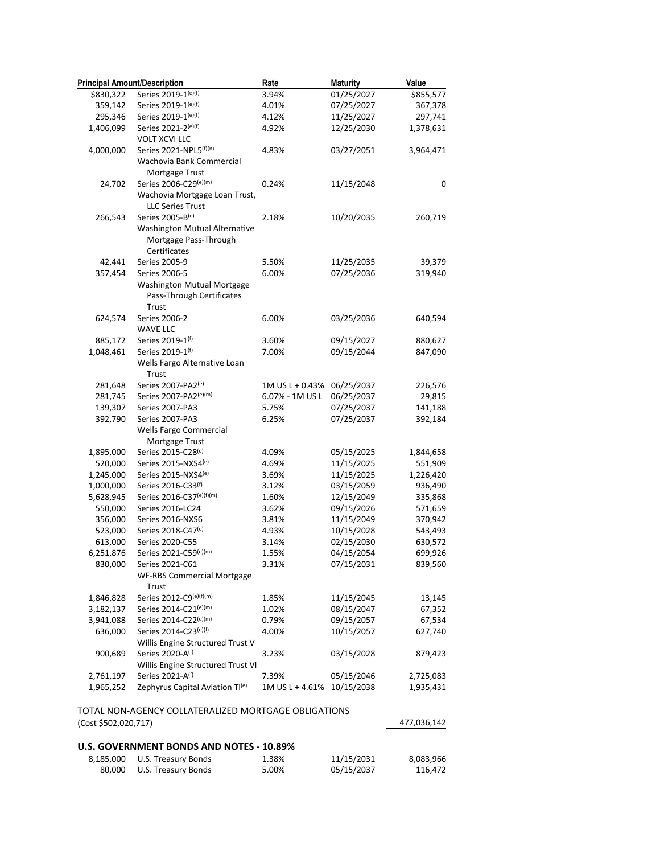| <b>Principal Amount/Description</b> |                                                      | Rate                       | <b>Maturity</b> | Value       |
|-------------------------------------|------------------------------------------------------|----------------------------|-----------------|-------------|
| \$830,322                           | Series 2019-1(e)(f)                                  | 3.94%                      | 01/25/2027      | \$855,577   |
| 359,142                             | Series 2019-1(e)(f)                                  | 4.01%                      | 07/25/2027      | 367,378     |
| 295,346                             | Series 2019-1(e)(f)                                  | 4.12%                      | 11/25/2027      | 297,741     |
| 1,406,099                           | Series 2021-2(e)(f)                                  | 4.92%                      | 12/25/2030      | 1,378,631   |
|                                     | <b>VOLT XCVI LLC</b>                                 |                            |                 |             |
| 4,000,000                           | Series 2021-NPL5 <sup>(f)(n)</sup>                   | 4.83%                      | 03/27/2051      | 3,964,471   |
|                                     | Wachovia Bank Commercial                             |                            |                 |             |
|                                     | Mortgage Trust                                       |                            |                 |             |
| 24,702                              | Series 2006-C29(e)(m)                                | 0.24%                      | 11/15/2048      | 0           |
|                                     | Wachovia Mortgage Loan Trust,                        |                            |                 |             |
|                                     | <b>LLC Series Trust</b>                              |                            |                 |             |
| 266,543                             | Series 2005-B(e)                                     | 2.18%                      | 10/20/2035      | 260,719     |
|                                     | Washington Mutual Alternative                        |                            |                 |             |
|                                     | Mortgage Pass-Through                                |                            |                 |             |
|                                     | Certificates                                         |                            |                 |             |
| 42,441                              | Series 2005-9                                        | 5.50%                      | 11/25/2035      | 39,379      |
| 357,454                             | Series 2006-5                                        | 6.00%                      | 07/25/2036      | 319,940     |
|                                     | Washington Mutual Mortgage                           |                            |                 |             |
|                                     | Pass-Through Certificates                            |                            |                 |             |
|                                     | Trust                                                |                            |                 |             |
| 624,574                             | Series 2006-2                                        | 6.00%                      | 03/25/2036      | 640,594     |
|                                     | <b>WAVE LLC</b>                                      |                            |                 |             |
| 885,172                             | Series 2019-1(f)                                     | 3.60%                      | 09/15/2027      | 880,627     |
| 1,048,461                           | Series 2019-1(f)                                     | 7.00%                      | 09/15/2044      | 847,090     |
|                                     | Wells Fargo Alternative Loan                         |                            |                 |             |
|                                     | Trust                                                |                            |                 |             |
| 281,648                             | Series 2007-PA2 <sup>(e)</sup>                       | 1M US L + 0.43%            | 06/25/2037      | 226,576     |
| 281,745                             | Series 2007-PA2(e)(m)                                | 6.07% - 1M US L            | 06/25/2037      | 29,815      |
| 139,307                             | Series 2007-PA3                                      | 5.75%                      | 07/25/2037      | 141,188     |
| 392,790                             | Series 2007-PA3                                      | 6.25%                      | 07/25/2037      | 392,184     |
|                                     | Wells Fargo Commercial                               |                            |                 |             |
|                                     | Mortgage Trust                                       |                            |                 |             |
| 1,895,000                           | Series 2015-C28(e)                                   | 4.09%                      | 05/15/2025      | 1,844,658   |
| 520,000                             | Series 2015-NXS4(e)                                  | 4.69%                      | 11/15/2025      | 551,909     |
| 1,245,000                           | Series 2015-NXS4(e)                                  | 3.69%                      | 11/15/2025      | 1,226,420   |
| 1,000,000                           | Series 2016-C33(f)                                   | 3.12%                      | 03/15/2059      | 936,490     |
| 5,628,945                           | Series 2016-C37(e)(f)(m)                             | 1.60%                      | 12/15/2049      | 335,868     |
| 550,000                             | Series 2016-LC24                                     | 3.62%                      | 09/15/2026      | 571,659     |
| 356,000                             | Series 2016-NXS6                                     | 3.81%                      | 11/15/2049      | 370,942     |
| 523,000                             | Series 2018-C47(e)                                   | 4.93%                      | 10/15/2028      | 543,493     |
| 613,000                             | Series 2020-C55                                      | 3.14%                      | 02/15/2030      | 630,572     |
| 6,251,876                           | Series 2021-C59(e)(m)                                | 1.55%                      | 04/15/2054      | 699,926     |
| 830,000                             | Series 2021-C61                                      | 3.31%                      | 07/15/2031      | 839,560     |
|                                     | WF-RBS Commercial Mortgage                           |                            |                 |             |
|                                     | Trust                                                |                            |                 |             |
| 1,846,828                           | Series 2012-C9(e)(f)(m)                              | 1.85%                      | 11/15/2045      | 13,145      |
| 3,182,137                           | Series 2014-C21(e)(m)                                | 1.02%                      | 08/15/2047      | 67,352      |
| 3,941,088                           | Series 2014-C22(e)(m)                                | 0.79%                      | 09/15/2057      | 67,534      |
| 636,000                             | Series 2014-C23 <sup>(e)(f)</sup>                    | 4.00%                      | 10/15/2057      | 627,740     |
|                                     | Willis Engine Structured Trust V                     |                            |                 |             |
| 900,689                             | Series 2020-A(f)                                     | 3.23%                      | 03/15/2028      | 879,423     |
|                                     | Willis Engine Structured Trust VI                    |                            |                 |             |
| 2,761,197                           | Series 2021-A <sup>(f)</sup>                         | 7.39%                      | 05/15/2046      | 2,725,083   |
| 1,965,252                           | Zephyrus Capital Aviation Tl(e)                      | 1M US L + 4.61% 10/15/2038 |                 | 1,935,431   |
|                                     |                                                      |                            |                 |             |
|                                     | TOTAL NON-AGENCY COLLATERALIZED MORTGAGE OBLIGATIONS |                            |                 |             |
| (Cost \$502,020,717)                |                                                      |                            |                 | 477,036,142 |
|                                     |                                                      |                            |                 |             |
|                                     | U.S. GOVERNMENT BONDS AND NOTES - 10.89%             |                            |                 |             |
| 8,185,000                           | U.S. Treasury Bonds                                  | 1.38%                      | 11/15/2031      | 8,083,966   |
| 80,000                              | U.S. Treasury Bonds                                  | 5.00%                      | 05/15/2037      | 116,472     |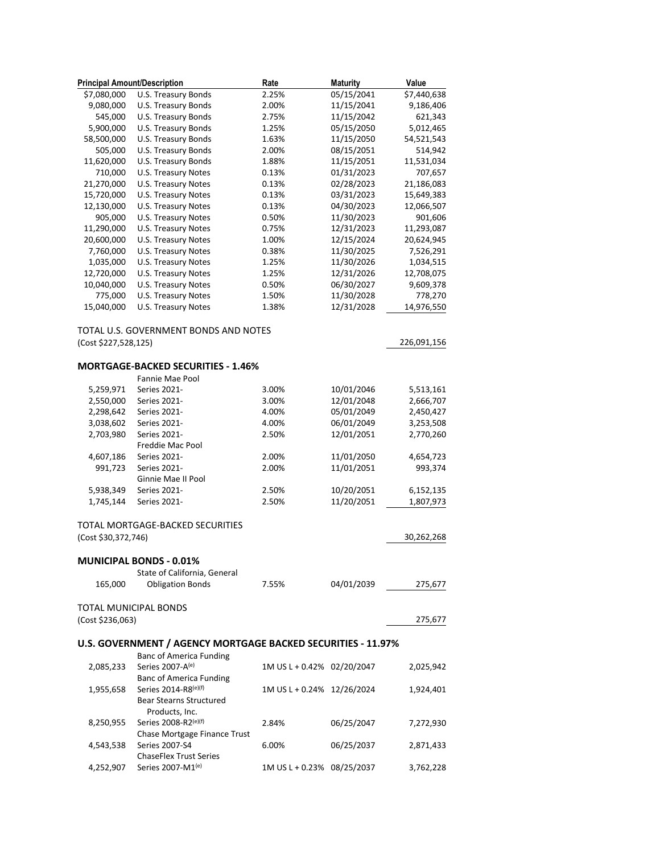| <b>Principal Amount/Description</b> |                                                              | Rate                       | <b>Maturity</b>          | Value       |
|-------------------------------------|--------------------------------------------------------------|----------------------------|--------------------------|-------------|
| \$7,080,000                         | U.S. Treasury Bonds                                          | 2.25%                      | 05/15/2041               | \$7,440,638 |
| 9,080,000                           | U.S. Treasury Bonds                                          | 2.00%                      | 11/15/2041               | 9,186,406   |
| 545,000                             | U.S. Treasury Bonds                                          | 2.75%                      | 11/15/2042               | 621,343     |
| 5,900,000                           | U.S. Treasury Bonds                                          | 1.25%                      | 05/15/2050               | 5,012,465   |
| 58,500,000                          | U.S. Treasury Bonds                                          | 1.63%                      | 11/15/2050               | 54,521,543  |
| 505,000                             | U.S. Treasury Bonds                                          | 2.00%                      | 08/15/2051               | 514,942     |
| 11,620,000                          | U.S. Treasury Bonds                                          | 1.88%                      | 11/15/2051               | 11,531,034  |
| 710,000                             | <b>U.S. Treasury Notes</b>                                   | 0.13%                      | 01/31/2023               | 707,657     |
| 21,270,000                          | U.S. Treasury Notes                                          | 0.13%                      | 02/28/2023               | 21,186,083  |
| 15,720,000                          | U.S. Treasury Notes                                          | 0.13%                      | 03/31/2023               | 15,649,383  |
| 12,130,000                          | <b>U.S. Treasury Notes</b>                                   | 0.13%                      | 04/30/2023               | 12,066,507  |
| 905,000                             | U.S. Treasury Notes                                          | 0.50%                      | 11/30/2023               | 901,606     |
| 11,290,000                          | U.S. Treasury Notes                                          | 0.75%                      | 12/31/2023               | 11,293,087  |
| 20,600,000                          | U.S. Treasury Notes                                          | 1.00%                      | 12/15/2024               | 20,624,945  |
| 7,760,000                           | U.S. Treasury Notes                                          | 0.38%                      | 11/30/2025               | 7,526,291   |
| 1,035,000                           | U.S. Treasury Notes                                          | 1.25%                      | 11/30/2026               | 1,034,515   |
| 12,720,000                          | U.S. Treasury Notes                                          | 1.25%                      | 12/31/2026               |             |
|                                     |                                                              |                            |                          | 12,708,075  |
| 10,040,000                          | U.S. Treasury Notes                                          | 0.50%                      | 06/30/2027<br>11/30/2028 | 9,609,378   |
| 775,000                             | U.S. Treasury Notes                                          | 1.50%                      |                          | 778,270     |
| 15,040,000                          | U.S. Treasury Notes                                          | 1.38%                      | 12/31/2028               | 14,976,550  |
|                                     | TOTAL U.S. GOVERNMENT BONDS AND NOTES                        |                            |                          |             |
| (Cost \$227,528,125)                |                                                              |                            |                          | 226,091,156 |
|                                     |                                                              |                            |                          |             |
|                                     | <b>MORTGAGE-BACKED SECURITIES - 1.46%</b>                    |                            |                          |             |
|                                     | Fannie Mae Pool                                              |                            |                          |             |
| 5,259,971                           | Series 2021-                                                 | 3.00%                      | 10/01/2046               | 5,513,161   |
| 2,550,000                           | Series 2021-                                                 | 3.00%                      | 12/01/2048               | 2,666,707   |
| 2,298,642                           | Series 2021-                                                 | 4.00%                      | 05/01/2049               | 2,450,427   |
| 3,038,602                           | Series 2021-                                                 | 4.00%                      | 06/01/2049               | 3,253,508   |
| 2,703,980                           | Series 2021-                                                 | 2.50%                      | 12/01/2051               | 2,770,260   |
|                                     | Freddie Mac Pool                                             |                            |                          |             |
| 4,607,186                           | Series 2021-                                                 | 2.00%                      | 11/01/2050               | 4,654,723   |
| 991,723                             | Series 2021-                                                 | 2.00%                      | 11/01/2051               | 993,374     |
|                                     | Ginnie Mae II Pool                                           |                            |                          |             |
| 5,938,349                           | Series 2021-                                                 | 2.50%                      | 10/20/2051               | 6,152,135   |
| 1,745,144                           | Series 2021-                                                 | 2.50%                      | 11/20/2051               | 1,807,973   |
|                                     |                                                              |                            |                          |             |
|                                     | TOTAL MORTGAGE-BACKED SECURITIES                             |                            |                          |             |
| (Cost \$30,372,746)                 |                                                              |                            |                          | 30,262,268  |
|                                     | MUNICIPAL BONDS - 0.01%                                      |                            |                          |             |
|                                     | State of California, General                                 |                            |                          |             |
| 165,000                             | <b>Obligation Bonds</b>                                      | 7.55%                      | 04/01/2039               | 275,677     |
|                                     |                                                              |                            |                          |             |
|                                     | <b>TOTAL MUNICIPAL BONDS</b>                                 |                            |                          |             |
| (Cost \$236,063)                    |                                                              |                            |                          | 275,677     |
|                                     | U.S. GOVERNMENT / AGENCY MORTGAGE BACKED SECURITIES - 11.97% |                            |                          |             |
|                                     | <b>Banc of America Funding</b>                               |                            |                          |             |
| 2,085,233                           | Series 2007-A(e)                                             | 1M US L + 0.42% 02/20/2047 |                          | 2,025,942   |
|                                     | <b>Banc of America Funding</b>                               |                            |                          |             |
| 1,955,658                           | Series 2014-R8(e)(f)                                         | 1M US L + 0.24% 12/26/2024 |                          | 1,924,401   |
|                                     | Bear Stearns Structured                                      |                            |                          |             |
|                                     | Products, Inc.                                               |                            |                          |             |
| 8,250,955                           | Series 2008-R2(e)(f)                                         | 2.84%                      | 06/25/2047               | 7,272,930   |
|                                     | Chase Mortgage Finance Trust                                 |                            |                          |             |
| 4,543,538                           | Series 2007-S4                                               | 6.00%                      | 06/25/2037               | 2,871,433   |
|                                     | <b>ChaseFlex Trust Series</b>                                |                            |                          |             |
| 4,252,907                           | Series 2007-M1 <sup>(e)</sup>                                | 1M US L + 0.23% 08/25/2037 |                          | 3,762,228   |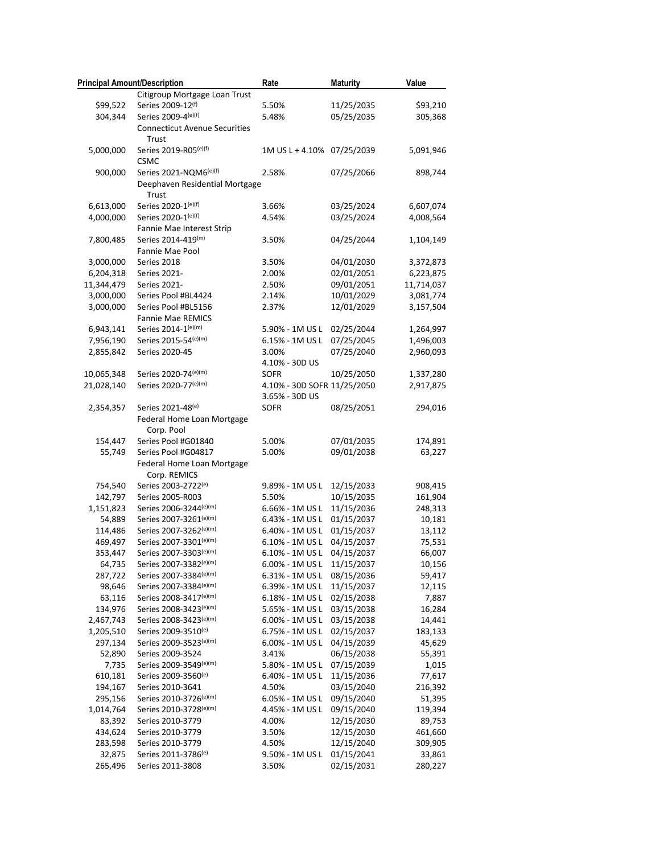| <b>Principal Amount/Description</b> |                                                  | Rate                        | <b>Maturity</b>          | Value             |
|-------------------------------------|--------------------------------------------------|-----------------------------|--------------------------|-------------------|
|                                     | Citigroup Mortgage Loan Trust                    |                             |                          |                   |
| \$99,522                            | Series 2009-12(f)                                | 5.50%                       | 11/25/2035               | \$93,210          |
| 304,344                             | Series 2009-4(e)(f)                              | 5.48%                       | 05/25/2035               | 305,368           |
|                                     | <b>Connecticut Avenue Securities</b><br>Trust    |                             |                          |                   |
| 5,000,000                           | Series 2019-R05 <sup>(e)(f)</sup><br><b>CSMC</b> | 1M US L + 4.10% 07/25/2039  |                          | 5,091,946         |
| 900,000                             | Series 2021-NQM6(e)(f)                           | 2.58%                       | 07/25/2066               | 898,744           |
|                                     | Deephaven Residential Mortgage<br>Trust          |                             |                          |                   |
| 6,613,000                           | Series 2020-1(e)(f)                              | 3.66%                       | 03/25/2024               | 6,607,074         |
| 4,000,000                           | Series 2020-1(e)(f)                              | 4.54%                       | 03/25/2024               | 4,008,564         |
|                                     | Fannie Mae Interest Strip                        |                             |                          |                   |
| 7,800,485                           | Series 2014-419(m)                               | 3.50%                       | 04/25/2044               | 1,104,149         |
|                                     | Fannie Mae Pool                                  |                             |                          |                   |
| 3,000,000                           | Series 2018                                      | 3.50%                       | 04/01/2030               | 3,372,873         |
| 6,204,318                           | Series 2021-                                     | 2.00%                       | 02/01/2051               | 6,223,875         |
| 11,344,479                          | Series 2021-                                     | 2.50%                       | 09/01/2051               | 11,714,037        |
| 3,000,000                           | Series Pool #BL4424                              | 2.14%                       | 10/01/2029               | 3,081,774         |
| 3,000,000                           | Series Pool #BL5156                              | 2.37%                       | 12/01/2029               | 3,157,504         |
|                                     | <b>Fannie Mae REMICS</b>                         |                             |                          |                   |
| 6,943,141                           | Series 2014-1(e)(m)                              | 5.90% - 1M US L             | 02/25/2044               | 1,264,997         |
| 7,956,190                           | Series 2015-54(e)(m)                             | 6.15% - 1M US L             | 07/25/2045               | 1,496,003         |
| 2,855,842                           | Series 2020-45                                   | 3.00%                       | 07/25/2040               | 2,960,093         |
|                                     |                                                  | 4.10% - 30D US              |                          |                   |
| 10,065,348                          | Series 2020-74(e)(m)                             | <b>SOFR</b>                 | 10/25/2050               | 1,337,280         |
| 21,028,140                          | Series 2020-77(e)(m)                             | 4.10% - 30D SOFR 11/25/2050 |                          | 2,917,875         |
|                                     |                                                  | 3.65% - 30D US              |                          |                   |
| 2,354,357                           | Series 2021-48(e)                                | <b>SOFR</b>                 | 08/25/2051               | 294,016           |
|                                     | Federal Home Loan Mortgage<br>Corp. Pool         |                             |                          |                   |
| 154,447                             | Series Pool #G01840                              | 5.00%                       | 07/01/2035               | 174,891           |
| 55,749                              | Series Pool #G04817                              | 5.00%                       | 09/01/2038               | 63,227            |
|                                     | Federal Home Loan Mortgage<br>Corp. REMICS       |                             |                          |                   |
| 754,540                             | Series 2003-2722(e)                              | 9.89% - 1M US L             | 12/15/2033               | 908,415           |
| 142,797                             | Series 2005-R003                                 | 5.50%                       | 10/15/2035               | 161,904           |
| 1,151,823                           | Series 2006-3244(e)(m)                           | 6.66% - 1M US L             | 11/15/2036               | 248,313           |
| 54,889                              | Series 2007-3261(e)(m)                           | 6.43% - 1M US L             | 01/15/2037               | 10,181            |
| 114,486                             | Series 2007-3262(e)(m)                           | 6.40% - 1M US L             | 01/15/2037               | 13,112            |
| 469,497                             | Series 2007-3301(e)(m)                           | 6.10% - 1M US L             | 04/15/2037               | 75,531            |
| 353,447                             | Series 2007-3303(e)(m)                           | 6.10% - 1M US L             | 04/15/2037               | 66,007            |
| 64,735                              | Series 2007-3382(e)(m)                           | 6.00% - 1M US L             | 11/15/2037               | 10,156            |
| 287,722                             | Series 2007-3384(e)(m)                           | 6.31% - 1M US L             | 08/15/2036               | 59,417            |
| 98,646                              | Series 2007-3384(e)(m)                           | 6.39% - 1M US L             | 11/15/2037               | 12,115            |
| 63,116                              | Series 2008-3417(e)(m)                           | 6.18% - 1M US L             | 02/15/2038               | 7,887             |
| 134,976                             | Series 2008-3423(e)(m)                           | 5.65% - 1M US L             | 03/15/2038               | 16,284            |
| 2,467,743                           | Series 2008-3423(e)(m)                           | 6.00% - 1M US L             | 03/15/2038               | 14,441            |
| 1,205,510                           | Series 2009-3510(e)                              | 6.75% - 1M US L             | 02/15/2037               | 183,133           |
| 297,134                             | Series 2009-3523(e)(m)                           | 6.00% - 1M US L             | 04/15/2039               | 45,629            |
| 52,890                              | Series 2009-3524                                 | 3.41%                       | 06/15/2038               | 55,391            |
| 7,735                               | Series 2009-3549(e)(m)                           | 5.80% - 1M US L             | 07/15/2039<br>11/15/2036 | 1,015             |
| 610,181                             | Series 2009-3560(e)                              | 6.40% - 1M US L             |                          | 77,617            |
| 194,167                             | Series 2010-3641                                 | 4.50%                       | 03/15/2040               | 216,392           |
| 295,156                             | Series 2010-3726(e)(m)                           | 6.05% - 1M US L             | 09/15/2040               | 51,395            |
| 1,014,764                           | Series 2010-3728(e)(m)                           | 4.45% - 1M US L             | 09/15/2040               | 119,394           |
| 83,392                              | Series 2010-3779                                 | 4.00%                       | 12/15/2030               | 89,753            |
| 434,624                             | Series 2010-3779                                 | 3.50%                       | 12/15/2030               | 461,660           |
| 283,598                             | Series 2010-3779                                 | 4.50%                       | 12/15/2040               | 309,905           |
| 32,875<br>265,496                   | Series 2011-3786(e)<br>Series 2011-3808          | 9.50% - 1M US L<br>3.50%    | 01/15/2041<br>02/15/2031 | 33,861<br>280,227 |
|                                     |                                                  |                             |                          |                   |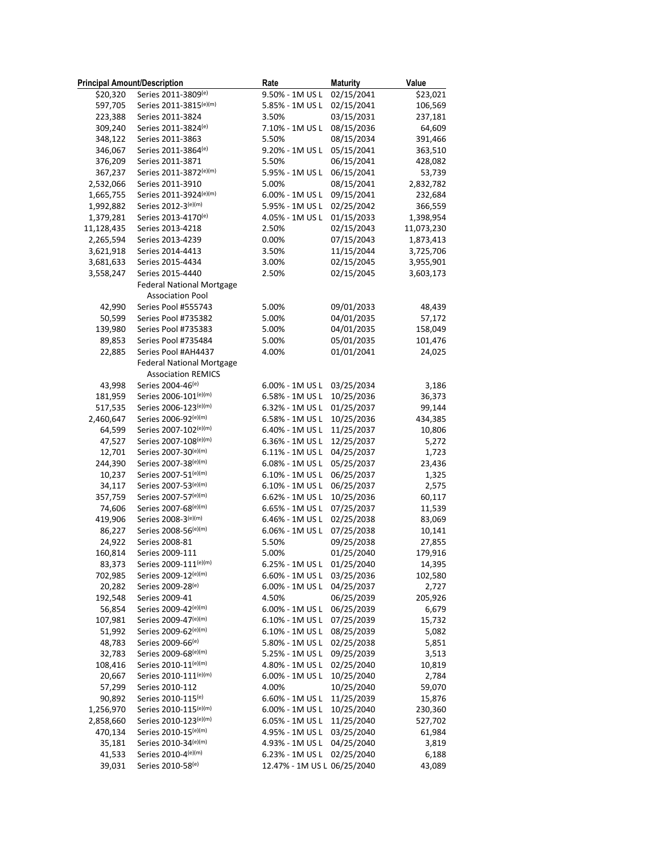| <b>Principal Amount/Description</b> |                                             | Rate                        | <b>Maturity</b>          | Value            |
|-------------------------------------|---------------------------------------------|-----------------------------|--------------------------|------------------|
| \$20,320                            | Series 2011-3809(e)                         | 9.50% - 1M US L             | 02/15/2041               | \$23,021         |
| 597,705                             | Series 2011-3815(e)(m)                      | 5.85% - 1M US L             | 02/15/2041               | 106,569          |
| 223,388                             | Series 2011-3824                            | 3.50%                       | 03/15/2031               | 237,181          |
| 309,240                             | Series 2011-3824(e)                         | 7.10% - 1M US L             | 08/15/2036               | 64,609           |
| 348,122                             | Series 2011-3863                            | 5.50%                       | 08/15/2034               | 391,466          |
| 346,067                             | Series 2011-3864(e)                         | 9.20% - 1M US L             | 05/15/2041               | 363,510          |
| 376,209                             | Series 2011-3871                            | 5.50%                       | 06/15/2041               | 428,082          |
| 367,237                             | Series 2011-3872(e)(m)                      | 5.95% - 1M US L             | 06/15/2041               | 53,739           |
| 2,532,066                           | Series 2011-3910                            | 5.00%                       | 08/15/2041               | 2,832,782        |
| 1,665,755                           | Series 2011-3924(e)(m)                      | 6.00% - 1M US L             | 09/15/2041               | 232,684          |
| 1,992,882                           | Series 2012-3(e)(m)                         | 5.95% - 1M US L             | 02/25/2042               | 366,559          |
| 1,379,281                           | Series 2013-4170(e)                         | 4.05% - 1M US L             | 01/15/2033               | 1,398,954        |
| 11,128,435                          | Series 2013-4218                            | 2.50%                       | 02/15/2043               | 11,073,230       |
| 2,265,594                           | Series 2013-4239                            | 0.00%                       | 07/15/2043               | 1,873,413        |
| 3,621,918                           | Series 2014-4413                            | 3.50%                       | 11/15/2044               | 3,725,706        |
| 3,681,633                           | Series 2015-4434                            | 3.00%                       | 02/15/2045               | 3,955,901        |
| 3,558,247                           | Series 2015-4440                            | 2.50%                       | 02/15/2045               | 3,603,173        |
|                                     | <b>Federal National Mortgage</b>            |                             |                          |                  |
|                                     | <b>Association Pool</b>                     |                             |                          |                  |
| 42,990                              | Series Pool #555743                         | 5.00%                       | 09/01/2033               | 48,439           |
| 50,599                              | Series Pool #735382                         | 5.00%                       | 04/01/2035               | 57,172           |
| 139,980                             | Series Pool #735383                         | 5.00%                       | 04/01/2035               | 158,049          |
| 89,853                              | Series Pool #735484                         | 5.00%                       | 05/01/2035               | 101,476          |
| 22,885                              | Series Pool #AH4437                         | 4.00%                       | 01/01/2041               | 24,025           |
|                                     | <b>Federal National Mortgage</b>            |                             |                          |                  |
|                                     | <b>Association REMICS</b>                   |                             |                          |                  |
| 43,998                              | Series 2004-46(e)                           | 6.00% - 1M US L             | 03/25/2034               | 3,186            |
| 181,959                             | Series 2006-101(e)(m)                       | 6.58% - 1M US L             | 10/25/2036               | 36,373           |
| 517,535                             | Series 2006-123(e)(m)                       | 6.32% - 1M US L             | 01/25/2037               | 99,144           |
| 2,460,647                           | Series 2006-92(e)(m)                        | 6.58% - 1M US L             | 10/25/2036               | 434,385          |
| 64,599                              | Series 2007-102(e)(m)                       | 6.40% - 1M US L             | 11/25/2037               | 10,806           |
| 47,527                              | Series 2007-108(e)(m)                       | 6.36% - 1M US L             | 12/25/2037               | 5,272            |
| 12,701                              | Series 2007-30(e)(m)                        | 6.11% - 1M US L             | 04/25/2037               | 1,723            |
| 244,390                             | Series 2007-38(e)(m)                        | 6.08% - 1M US L             | 05/25/2037               | 23,436           |
| 10,237                              | Series 2007-51(e)(m)                        | 6.10% - 1M US L             | 06/25/2037               | 1,325            |
| 34,117                              | Series 2007-53(e)(m)                        | 6.10% - 1M US L             | 06/25/2037               | 2,575            |
| 357,759                             | Series 2007-57(e)(m)                        | 6.62% - 1M US L             | 10/25/2036               | 60,117           |
| 74,606                              | Series 2007-68(e)(m)                        | 6.65% - 1M US L             | 07/25/2037               | 11,539           |
| 419,906                             | Series 2008-3(e)(m)                         | 6.46% - 1M US L             | 02/25/2038               | 83,069           |
| 86,227                              | Series 2008-56(e)(m)                        | 6.06% - 1M US L             | 07/25/2038               | 10,141           |
| 24,922                              | Series 2008-81                              | 5.50%                       | 09/25/2038               | 27,855           |
| 160,814                             | Series 2009-111                             | 5.00%                       | 01/25/2040               | 179,916          |
| 83,373                              | Series 2009-111(e)(m)                       | 6.25% - 1M US L             | 01/25/2040               | 14,395           |
| 702,985                             | Series 2009-12(e)(m)                        | 6.60% - 1M US L             | 03/25/2036               | 102,580          |
| 20,282                              | Series 2009-28(e)                           | 6.00% - 1M US L             | 04/25/2037               | 2,727            |
| 192,548                             | Series 2009-41                              | 4.50%                       | 06/25/2039               | 205,926          |
| 56,854                              | Series 2009-42(e)(m)                        | 6.00% - 1M US L             | 06/25/2039               | 6,679            |
| 107,981                             | Series 2009-47(e)(m)                        | 6.10% - 1M US L             | 07/25/2039               | 15,732           |
| 51,992                              | Series 2009-62(e)(m)                        | 6.10% - 1M US L             | 08/25/2039               | 5,082            |
| 48,783                              | Series 2009-66 <sup>(e)</sup>               | 5.80% - 1M US L             | 02/25/2038               | 5,851            |
| 32,783                              | Series 2009-68(e)(m)                        | 5.25% - 1M US L             | 09/25/2039               | 3,513            |
| 108,416                             | Series 2010-11(e)(m)                        | 4.80% - 1M US L             | 02/25/2040               | 10,819           |
| 20,667                              | Series 2010-111(e)(m)                       | 6.00% - 1M US L             | 10/25/2040               | 2,784            |
| 57,299                              | Series 2010-112                             | 4.00%                       | 10/25/2040               |                  |
| 90,892                              | Series 2010-115(e)                          | 6.60% - 1M US L             | 11/25/2039               | 59,070<br>15,876 |
|                                     | Series 2010-115(e)(m)                       |                             | 10/25/2040               |                  |
| 1,256,970                           | Series 2010-123(e)(m)                       | 6.00% - 1M US L             |                          | 230,360          |
| 2,858,660                           | Series 2010-15(e)(m)                        | 6.05% - 1M US L             | 11/25/2040               | 527,702          |
| 470,134                             |                                             | 4.95% - 1M US L             | 03/25/2040               | 61,984           |
| 35,181                              | Series 2010-34(e)(m)<br>Series 2010-4(e)(m) | 4.93% - 1M US L             | 04/25/2040<br>02/25/2040 | 3,819            |
| 41,533                              |                                             | 6.23% - 1M US L             |                          | 6,188            |
| 39,031                              | Series 2010-58(e)                           | 12.47% - 1M US L 06/25/2040 |                          | 43,089           |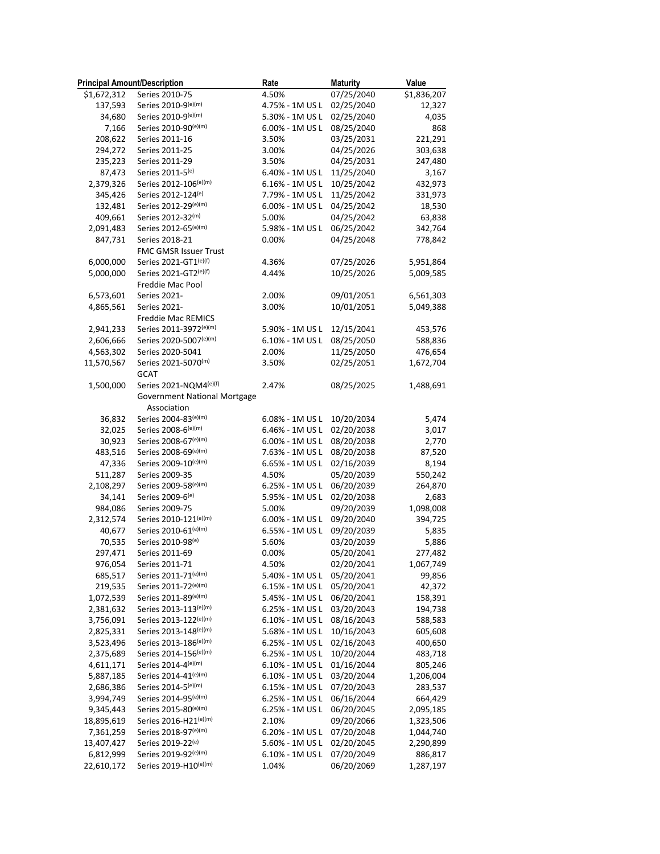| <b>Principal Amount/Description</b> |                                     | Rate            | <b>Maturity</b> | Value              |
|-------------------------------------|-------------------------------------|-----------------|-----------------|--------------------|
| \$1,672,312                         | Series 2010-75                      | 4.50%           | 07/25/2040      | \$1,836,207        |
| 137,593                             | Series 2010-9(e)(m)                 | 4.75% - 1M US L | 02/25/2040      | 12,327             |
| 34,680                              | Series 2010-9(e)(m)                 | 5.30% - 1M US L | 02/25/2040      | 4,035              |
| 7,166                               | Series 2010-90(e)(m)                | 6.00% - 1M US L | 08/25/2040      | 868                |
| 208,622                             | Series 2011-16                      | 3.50%           | 03/25/2031      | 221,291            |
| 294,272                             | Series 2011-25                      | 3.00%           | 04/25/2026      | 303,638            |
| 235,223                             | Series 2011-29                      | 3.50%           | 04/25/2031      | 247,480            |
| 87,473                              | Series 2011-5(e)                    | 6.40% - 1M US L | 11/25/2040      | 3,167              |
| 2,379,326                           | Series 2012-106(e)(m)               | 6.16% - 1M US L | 10/25/2042      | 432,973            |
| 345,426                             | Series 2012-124(e)                  | 7.79% - 1M US L | 11/25/2042      | 331,973            |
| 132,481                             | Series 2012-29(e)(m)                | 6.00% - 1M US L | 04/25/2042      | 18,530             |
| 409,661                             | Series 2012-32(m)                   | 5.00%           | 04/25/2042      | 63,838             |
| 2,091,483                           | Series 2012-65(e)(m)                | 5.98% - 1M US L | 06/25/2042      | 342,764            |
| 847,731                             | Series 2018-21                      | 0.00%           | 04/25/2048      | 778,842            |
|                                     | FMC GMSR Issuer Trust               |                 |                 |                    |
| 6,000,000                           | Series 2021-GT1(e)(f)               | 4.36%           | 07/25/2026      | 5,951,864          |
| 5,000,000                           | Series 2021-GT2(e)(f)               | 4.44%           | 10/25/2026      | 5,009,585          |
|                                     | Freddie Mac Pool                    |                 |                 |                    |
| 6,573,601                           | Series 2021-                        | 2.00%           | 09/01/2051      | 6,561,303          |
| 4,865,561                           | Series 2021-                        | 3.00%           | 10/01/2051      | 5,049,388          |
|                                     | Freddie Mac REMICS                  |                 |                 |                    |
| 2,941,233                           | Series 2011-3972(e)(m)              | 5.90% - 1M US L | 12/15/2041      | 453,576            |
| 2,606,666                           | Series 2020-5007(e)(m)              | 6.10% - 1M US L | 08/25/2050      | 588,836            |
| 4,563,302                           | Series 2020-5041                    | 2.00%           | 11/25/2050      | 476,654            |
| 11,570,567                          | Series 2021-5070(m)                 | 3.50%           | 02/25/2051      | 1,672,704          |
|                                     | <b>GCAT</b>                         |                 |                 |                    |
| 1,500,000                           | Series 2021-NQM4(e)(f)              | 2.47%           | 08/25/2025      | 1,488,691          |
|                                     | <b>Government National Mortgage</b> |                 |                 |                    |
|                                     | Association                         |                 |                 |                    |
| 36,832                              | Series 2004-83(e)(m)                | 6.08% - 1M US L | 10/20/2034      | 5,474              |
| 32,025                              | Series 2008-6(e)(m)                 | 6.46% - 1M US L | 02/20/2038      | 3,017              |
| 30,923                              | Series 2008-67(e)(m)                | 6.00% - 1M US L | 08/20/2038      | 2,770              |
| 483,516                             | Series 2008-69(e)(m)                | 7.63% - 1M US L | 08/20/2038      | 87,520             |
| 47,336                              | Series 2009-10(e)(m)                | 6.65% - 1M US L | 02/16/2039      | 8,194              |
| 511,287                             | Series 2009-35                      | 4.50%           | 05/20/2039      | 550,242            |
| 2,108,297                           | Series 2009-58(e)(m)                | 6.25% - 1M US L | 06/20/2039      | 264,870            |
|                                     | Series 2009-6(e)                    | 5.95% - 1M US L | 02/20/2038      |                    |
| 34,141<br>984,086                   | Series 2009-75                      | 5.00%           | 09/20/2039      | 2,683<br>1,098,008 |
|                                     | Series 2010-121(e)(m)               |                 |                 | 394,725            |
| 2,312,574                           | Series 2010-61(e)(m)                | 6.00% - 1M US L | 09/20/2040      |                    |
| 40,677                              |                                     | 6.55% - 1M US L | 09/20/2039      | 5,835              |
| 70,535                              | Series 2010-98(e)                   | 5.60%           | 03/20/2039      | 5,886              |
| 297,471                             | Series 2011-69                      | 0.00%           | 05/20/2041      | 277,482            |
| 976,054                             | Series 2011-71                      | 4.50%           | 02/20/2041      | 1,067,749          |
| 685,517                             | Series 2011-71(e)(m)                | 5.40% - 1M US L | 05/20/2041      | 99,856             |
| 219,535                             | Series 2011-72(e)(m)                | 6.15% - 1M US L | 05/20/2041      | 42,372             |
| 1,072,539                           | Series 2011-89(e)(m)                | 5.45% - 1M US L | 06/20/2041      | 158,391            |
| 2,381,632                           | Series 2013-113(e)(m)               | 6.25% - 1M US L | 03/20/2043      | 194,738            |
| 3,756,091                           | Series 2013-122(e)(m)               | 6.10% - 1M US L | 08/16/2043      | 588,583            |
| 2,825,331                           | Series 2013-148(e)(m)               | 5.68% - 1M US L | 10/16/2043      | 605,608            |
| 3,523,496                           | Series 2013-186(e)(m)               | 6.25% - 1M US L | 02/16/2043      | 400,650            |
| 2,375,689                           | Series 2014-156(e)(m)               | 6.25% - 1M US L | 10/20/2044      | 483,718            |
| 4,611,171                           | Series 2014-4(e)(m)                 | 6.10% - 1M US L | 01/16/2044      | 805,246            |
| 5,887,185                           | Series 2014-41(e)(m)                | 6.10% - 1M US L | 03/20/2044      | 1,206,004          |
| 2,686,386                           | Series 2014-5(e)(m)                 | 6.15% - 1M US L | 07/20/2043      | 283,537            |
| 3,994,749                           | Series 2014-95(e)(m)                | 6.25% - 1M US L | 06/16/2044      | 664,429            |
| 9,345,443                           | Series 2015-80(e)(m)                | 6.25% - 1M US L | 06/20/2045      | 2,095,185          |
| 18,895,619                          | Series 2016-H21(e)(m)               | 2.10%           | 09/20/2066      | 1,323,506          |
| 7,361,259                           | Series 2018-97(e)(m)                | 6.20% - 1M US L | 07/20/2048      | 1,044,740          |
| 13,407,427                          | Series 2019-22 <sup>(e)</sup>       | 5.60% - 1M US L | 02/20/2045      | 2,290,899          |
| 6,812,999                           | Series 2019-92(e)(m)                | 6.10% - 1M US L | 07/20/2049      | 886,817            |
| 22,610,172                          | Series 2019-H10(e)(m)               | 1.04%           | 06/20/2069      | 1,287,197          |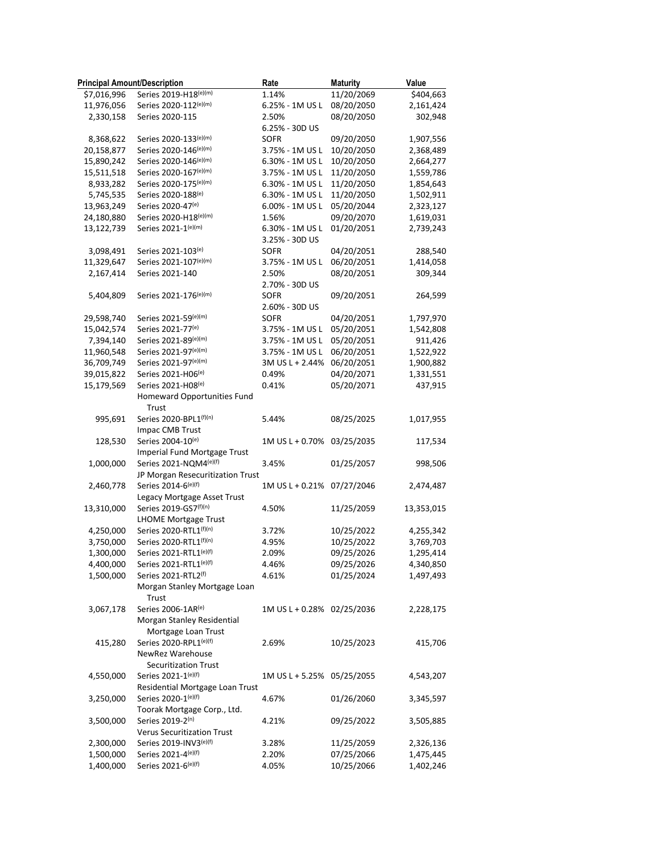| <b>Principal Amount/Description</b> |                                                         | Rate                       | <b>Maturity</b> | Value      |
|-------------------------------------|---------------------------------------------------------|----------------------------|-----------------|------------|
| \$7,016,996                         | Series 2019-H18(e)(m)                                   | 1.14%                      | 11/20/2069      | \$404,663  |
| 11,976,056                          | Series 2020-112(e)(m)                                   | 6.25% - 1M US L            | 08/20/2050      | 2,161,424  |
| 2,330,158                           | Series 2020-115                                         | 2.50%                      | 08/20/2050      | 302,948    |
|                                     |                                                         | 6.25% - 30D US             |                 |            |
| 8,368,622                           | Series 2020-133(e)(m)                                   | <b>SOFR</b>                | 09/20/2050      | 1,907,556  |
| 20,158,877                          | Series 2020-146(e)(m)                                   | 3.75% - 1M US L            | 10/20/2050      | 2,368,489  |
| 15,890,242                          | Series 2020-146(e)(m)                                   | 6.30% - 1M US L            | 10/20/2050      | 2,664,277  |
| 15,511,518                          | Series 2020-167(e)(m)                                   | 3.75% - 1M US L            | 11/20/2050      | 1,559,786  |
| 8,933,282                           | Series 2020-175(e)(m)                                   | 6.30% - 1M US L            | 11/20/2050      | 1,854,643  |
| 5,745,535                           | Series 2020-188(e)                                      | 6.30% - 1M US L            | 11/20/2050      | 1,502,911  |
| 13,963,249                          | Series 2020-47(e)                                       | 6.00% - 1M US L            | 05/20/2044      | 2,323,127  |
| 24,180,880                          | Series 2020-H18(e)(m)                                   | 1.56%                      | 09/20/2070      | 1,619,031  |
| 13,122,739                          | Series 2021-1(e)(m)                                     | 6.30% - 1M US L            | 01/20/2051      | 2,739,243  |
|                                     |                                                         | 3.25% - 30D US             |                 |            |
| 3,098,491                           | Series 2021-103(e)                                      | <b>SOFR</b>                | 04/20/2051      | 288,540    |
| 11,329,647                          | Series 2021-107(e)(m)                                   | 3.75% - 1M US L            | 06/20/2051      | 1,414,058  |
| 2,167,414                           | Series 2021-140                                         | 2.50%                      | 08/20/2051      | 309,344    |
|                                     |                                                         | 2.70% - 30D US             |                 |            |
| 5,404,809                           | Series 2021-176(e)(m)                                   | <b>SOFR</b>                | 09/20/2051      | 264,599    |
|                                     |                                                         | 2.60% - 30D US             |                 |            |
| 29,598,740                          | Series 2021-59(e)(m)                                    | <b>SOFR</b>                | 04/20/2051      | 1,797,970  |
| 15,042,574                          | Series 2021-77(e)                                       | 3.75% - 1M US L            | 05/20/2051      | 1,542,808  |
| 7,394,140                           | Series 2021-89(e)(m)                                    | 3.75% - 1M US L            | 05/20/2051      | 911,426    |
| 11,960,548                          | Series 2021-97(e)(m)                                    | 3.75% - 1M US L            | 06/20/2051      | 1,522,922  |
| 36,709,749                          | Series 2021-97(e)(m)                                    | 3M US L + 2.44%            | 06/20/2051      | 1,900,882  |
| 39,015,822                          | Series 2021-H06(e)                                      | 0.49%                      | 04/20/2071      | 1,331,551  |
| 15,179,569                          | Series 2021-H08(e)                                      | 0.41%                      | 05/20/2071      | 437,915    |
|                                     | Homeward Opportunities Fund                             |                            |                 |            |
|                                     | Trust                                                   |                            |                 |            |
| 995,691                             | Series 2020-BPL1(f)(n)                                  | 5.44%                      | 08/25/2025      | 1,017,955  |
|                                     | Impac CMB Trust                                         |                            |                 |            |
| 128,530                             | Series 2004-10(e)                                       | 1M US L + 0.70%            | 03/25/2035      | 117,534    |
|                                     | Imperial Fund Mortgage Trust                            |                            |                 |            |
| 1,000,000                           | Series 2021-NQM4(e)(f)                                  | 3.45%                      | 01/25/2057      | 998,506    |
|                                     |                                                         |                            |                 |            |
| 2,460,778                           | JP Morgan Resecuritization Trust<br>Series 2014-6(e)(f) | 1M US L + 0.21% 07/27/2046 |                 | 2,474,487  |
|                                     | Legacy Mortgage Asset Trust                             |                            |                 |            |
|                                     | Series 2019-GS7(f)(n)                                   |                            |                 |            |
| 13,310,000                          |                                                         | 4.50%                      | 11/25/2059      | 13,353,015 |
|                                     | <b>LHOME Mortgage Trust</b><br>Series 2020-RTL1(f)(n)   | 3.72%                      | 10/25/2022      |            |
| 4,250,000<br>3,750,000              | Series 2020-RTL1(f)(n)                                  |                            |                 | 4,255,342  |
|                                     |                                                         | 4.95%                      | 10/25/2022      | 3,769,703  |
| 1,300,000                           | Series 2021-RTL1(e)(f)                                  | 2.09%                      | 09/25/2026      | 1,295,414  |
| 4,400,000                           | Series 2021-RTL1(e)(f)<br>Series 2021-RTL2(f)           | 4.46%                      | 09/25/2026      | 4,340,850  |
| 1,500,000                           | Morgan Stanley Mortgage Loan                            | 4.61%                      | 01/25/2024      | 1,497,493  |
|                                     |                                                         |                            |                 |            |
|                                     | Trust                                                   |                            |                 |            |
| 3,067,178                           | Series 2006-1AR(e)                                      | 1M US L + 0.28% 02/25/2036 |                 | 2,228,175  |
|                                     | Morgan Stanley Residential                              |                            |                 |            |
|                                     | Mortgage Loan Trust                                     |                            |                 |            |
| 415,280                             | Series 2020-RPL1(e)(f)                                  | 2.69%                      | 10/25/2023      | 415,706    |
|                                     | NewRez Warehouse                                        |                            |                 |            |
|                                     | <b>Securitization Trust</b>                             |                            |                 |            |
| 4,550,000                           | Series 2021-1(e)(f)                                     | 1M US L + 5.25% 05/25/2055 |                 | 4,543,207  |
|                                     | Residential Mortgage Loan Trust                         |                            |                 |            |
| 3,250,000                           | Series 2020-1(e)(f)                                     | 4.67%                      | 01/26/2060      | 3,345,597  |
|                                     | Toorak Mortgage Corp., Ltd.                             |                            |                 |            |
| 3,500,000                           | Series 2019-2(n)                                        | 4.21%                      | 09/25/2022      | 3,505,885  |
|                                     | <b>Verus Securitization Trust</b>                       |                            |                 |            |
| 2,300,000                           | Series 2019-INV3(e)(f)                                  | 3.28%                      | 11/25/2059      | 2,326,136  |
| 1,500,000                           | Series 2021-4(e)(f)                                     | 2.20%                      | 07/25/2066      | 1,475,445  |
| 1,400,000                           | Series 2021-6(e)(f)                                     | 4.05%                      | 10/25/2066      | 1,402,246  |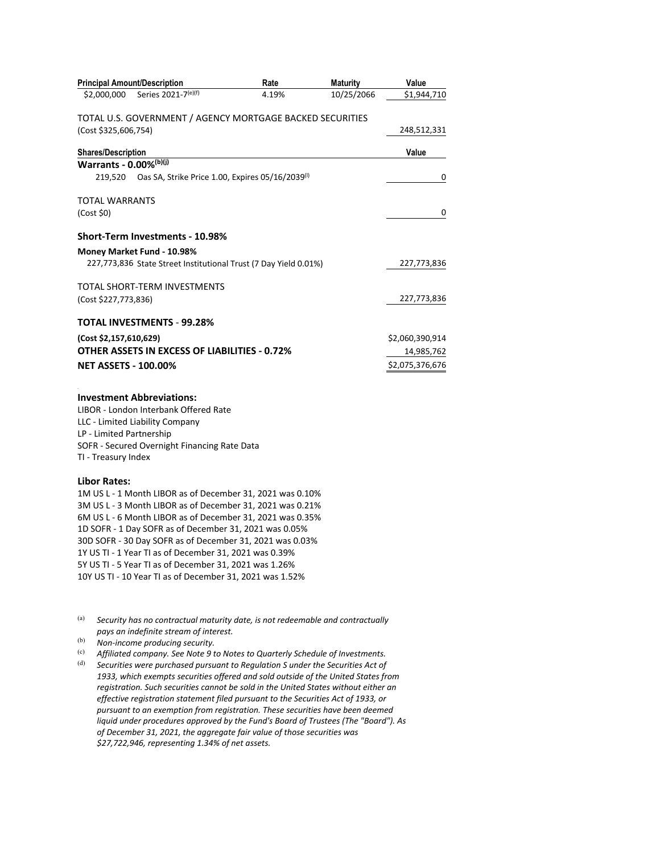| <b>Principal Amount/Description</b>                                                                                    | Rate  | <b>Maturity</b> | Value           |
|------------------------------------------------------------------------------------------------------------------------|-------|-----------------|-----------------|
| Series 2021-7(e)(f)<br>\$2,000,000                                                                                     | 4.19% | 10/25/2066      | \$1,944,710     |
| TOTAL U.S. GOVERNMENT / AGENCY MORTGAGE BACKED SECURITIES                                                              |       |                 |                 |
| (Cost \$325,606,754)                                                                                                   |       |                 | 248,512,331     |
| <b>Shares/Description</b>                                                                                              |       |                 | Value           |
| Warrants - 0.00%(b)(j)                                                                                                 |       |                 |                 |
| Oas SA, Strike Price 1.00, Expires 05/16/2039(1)<br>219.520                                                            |       |                 | 0               |
| <b>TOTAL WARRANTS</b>                                                                                                  |       |                 |                 |
| (Cost \$0)                                                                                                             |       |                 | 0               |
| <b>Short-Term Investments - 10.98%</b>                                                                                 |       |                 |                 |
| Money Market Fund - 10.98%                                                                                             |       |                 |                 |
| 227,773,836 State Street Institutional Trust (7 Day Yield 0.01%)                                                       |       |                 | 227,773,836     |
| TOTAL SHORT-TERM INVESTMENTS                                                                                           |       |                 |                 |
| (Cost \$227,773,836)                                                                                                   |       |                 | 227,773,836     |
| TOTAL INVESTMENTS - 99.28%                                                                                             |       |                 |                 |
| (Cost \$2,157,610,629)                                                                                                 |       |                 | \$2,060,390,914 |
| OTHER ASSETS IN EXCESS OF LIABILITIES - 0.72%                                                                          |       |                 | 14,985,762      |
| <b>NET ASSETS - 100.00%</b>                                                                                            |       |                 | \$2,075,376,676 |
| <b>Investment Abbreviations:</b>                                                                                       |       |                 |                 |
| LIBOR - London Interbank Offered Rate                                                                                  |       |                 |                 |
| LLC - Limited Liability Company                                                                                        |       |                 |                 |
| LP - Limited Partnership                                                                                               |       |                 |                 |
| SOFR - Secured Overnight Financing Rate Data                                                                           |       |                 |                 |
| TI - Treasury Index                                                                                                    |       |                 |                 |
| <b>Libor Rates:</b>                                                                                                    |       |                 |                 |
| 1M US L - 1 Month LIBOR as of December 31, 2021 was 0.10%                                                              |       |                 |                 |
| 3M US L - 3 Month LIBOR as of December 31, 2021 was 0.21%<br>6M US L - 6 Month LIBOR as of December 31, 2021 was 0.35% |       |                 |                 |
| 1D SOFR - 1 Day SOFR as of December 31, 2021 was 0.05%                                                                 |       |                 |                 |
| 30D SOFR - 30 Day SOFR as of December 31, 2021 was 0.03%                                                               |       |                 |                 |
| 1Y US TI - 1 Year TI as of December 31, 2021 was 0.39%                                                                 |       |                 |                 |
| 5Y US TI - 5 Year TI as of December 31, 2021 was 1.26%                                                                 |       |                 |                 |
| 10Y US TI - 10 Year TI as of December 31, 2021 was 1.52%                                                               |       |                 |                 |
|                                                                                                                        |       |                 |                 |

(a) *Security has no contractual maturity date, is not redeemable and contractually pays an indefinite stream of interest.* 

(b) *Non-income producing security.* 

(c) *Affiliated company. See Note 9 to Notes to Quarterly Schedule of Investments.* 

(d) *Securities were purchased pursuant to Regulation S under the Securities Act of 1933, which exempts securities offered and sold outside of the United States from registration. Such securities cannot be sold in the United States without either an effective registration statement filed pursuant to the Securities Act of 1933, or pursuant to an exemption from registration. These securities have been deemed liquid under procedures approved by the Fund's Board of Trustees (The "Board"). As of December 31, 2021, the aggregate fair value of those securities was \$27,722,946, representing 1.34% of net assets.*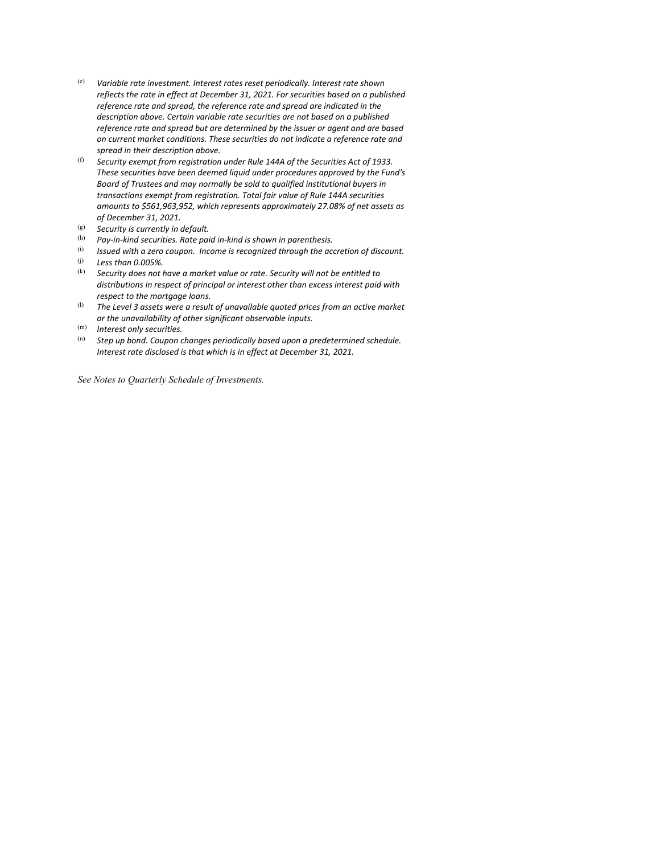- (e) *Variable rate investment. Interest rates reset periodically. Interest rate shown reflects the rate in effect at December 31, 2021. For securities based on a published reference rate and spread, the reference rate and spread are indicated in the description above. Certain variable rate securities are not based on a published reference rate and spread but are determined by the issuer or agent and are based on current market conditions. These securities do not indicate a reference rate and spread in their description above.*
- (f) *Security exempt from registration under Rule 144A of the Securities Act of 1933. These securities have been deemed liquid under procedures approved by the Fund's Board of Trustees and may normally be sold to qualified institutional buyers in transactions exempt from registration. Total fair value of Rule 144A securities amounts to \$561,963,952, which represents approximately 27.08% of net assets as of December 31, 2021.*
- (g) *Security is currently in default.*
- <sup>(h)</sup> Pay-in-kind securities. Rate paid in-kind is shown in parenthesis.<br><sup>(i)</sup> Issued with a zero coupon. Income is recoanized through the ace
- (i) *Issued with a zero coupon. Income is recognized through the accretion of discount.*  (j) *Less than 0.005%.*
- (k) *Security does not have a market value or rate. Security will not be entitled to distributions in respect of principal or interest other than excess interest paid with respect to the mortgage loans.*
- (l) *The Level 3 assets were a result of unavailable quoted prices from an active market or the unavailability of other significant observable inputs.*
- (m) *Interest only securities.*
- Step up bond. Coupon changes periodically based upon a predetermined schedule. *Interest rate disclosed is that which is in effect at December 31, 2021.*

*See Notes to Quarterly Schedule of Investments.*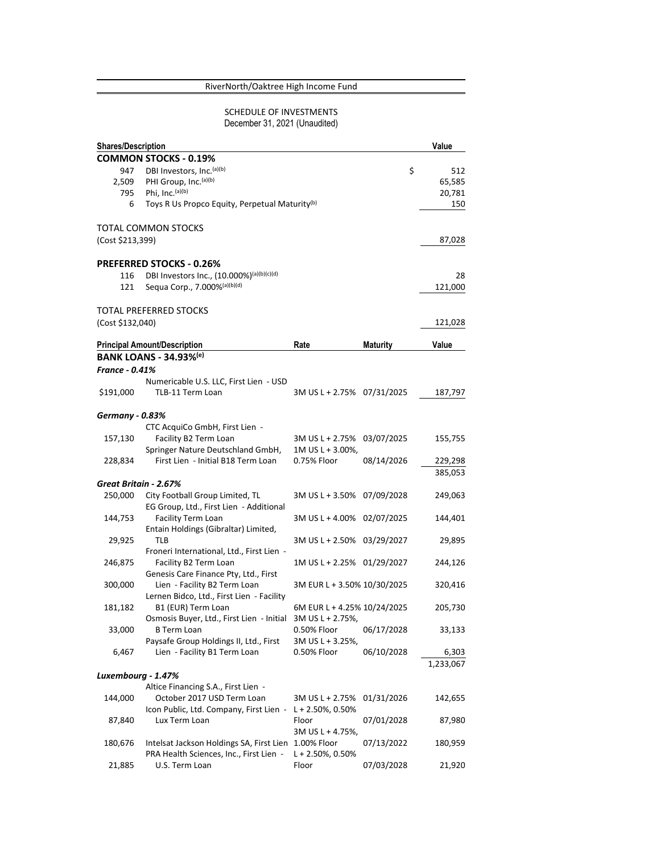## RiverNorth/Oaktree High Income Fund

# SCHEDULE OF INVESTMENTS December 31, 2021 (Unaudited)

| <b>Shares/Description</b> |                                                                       |                             |                 | Value     |
|---------------------------|-----------------------------------------------------------------------|-----------------------------|-----------------|-----------|
|                           | <b>COMMON STOCKS - 0.19%</b>                                          |                             |                 |           |
| 947                       | DBI Investors, Inc.(a)(b)                                             |                             | \$              | 512       |
| 2,509                     | PHI Group, Inc. (a)(b)                                                |                             |                 | 65,585    |
| 795                       | Phi, Inc. (a)(b)                                                      |                             |                 | 20,781    |
| 6                         | Toys R Us Propco Equity, Perpetual Maturity <sup>(b)</sup>            |                             |                 | 150       |
|                           |                                                                       |                             |                 |           |
|                           | TOTAL COMMON STOCKS                                                   |                             |                 |           |
| (Cost \$213,399)          |                                                                       |                             |                 | 87,028    |
|                           | <b>PREFERRED STOCKS - 0.26%</b>                                       |                             |                 |           |
| 116                       | DBI Investors Inc., (10.000%)(a)(b)(c)(d)                             |                             |                 | 28        |
| 121                       | Sequa Corp., 7.000%(a)(b)(d)                                          |                             |                 | 121,000   |
|                           | TOTAL PREFERRED STOCKS                                                |                             |                 |           |
| (Cost \$132,040)          |                                                                       |                             |                 | 121,028   |
|                           | <b>Principal Amount/Description</b>                                   | Rate                        | <b>Maturity</b> | Value     |
|                           | <b>BANK LOANS - 34.93%(e)</b>                                         |                             |                 |           |
|                           |                                                                       |                             |                 |           |
| <b>France - 0.41%</b>     |                                                                       |                             |                 |           |
|                           | Numericable U.S. LLC, First Lien - USD                                |                             |                 |           |
| \$191,000                 | TLB-11 Term Loan                                                      | 3M US L + 2.75% 07/31/2025  |                 | 187,797   |
| <b>Germany - 0.83%</b>    |                                                                       |                             |                 |           |
|                           | CTC AcquiCo GmbH, First Lien -                                        |                             |                 |           |
| 157,130                   | Facility B2 Term Loan                                                 | 3M US L + 2.75%             | 03/07/2025      | 155,755   |
|                           | Springer Nature Deutschland GmbH,                                     | 1M US L + 3.00%,            |                 |           |
| 228,834                   | First Lien - Initial B18 Term Loan                                    | 0.75% Floor                 | 08/14/2026      | 229,298   |
|                           |                                                                       |                             |                 | 385,053   |
| Great Britain - 2.67%     |                                                                       |                             |                 |           |
| 250,000                   | City Football Group Limited, TL                                       | 3M US L + 3.50% 07/09/2028  |                 | 249,063   |
|                           | EG Group, Ltd., First Lien - Additional                               |                             |                 |           |
| 144,753                   | Facility Term Loan                                                    | 3M US L + 4.00% 02/07/2025  |                 | 144,401   |
|                           | Entain Holdings (Gibraltar) Limited,                                  |                             |                 |           |
| 29,925                    | TLB                                                                   | 3M US L + 2.50% 03/29/2027  |                 | 29,895    |
|                           | Froneri International, Ltd., First Lien -                             |                             |                 |           |
| 246,875                   | Facility B2 Term Loan                                                 | 1M US L + 2.25% 01/29/2027  |                 | 244,126   |
| 300,000                   | Genesis Care Finance Pty, Ltd., First<br>Lien - Facility B2 Term Loan | 3M EUR L + 3.50% 10/30/2025 |                 | 320,416   |
|                           | Lernen Bidco, Ltd., First Lien - Facility                             |                             |                 |           |
| 181,182                   | B1 (EUR) Term Loan                                                    | 6M EUR L + 4.25% 10/24/2025 |                 | 205,730   |
|                           | Osmosis Buyer, Ltd., First Lien - Initial                             | 3M US L + 2.75%,            |                 |           |
| 33,000                    | <b>B</b> Term Loan                                                    | 0.50% Floor                 | 06/17/2028      | 33,133    |
|                           | Paysafe Group Holdings II, Ltd., First                                | 3M US L + 3.25%,            |                 |           |
| 6,467                     | Lien - Facility B1 Term Loan                                          | 0.50% Floor                 | 06/10/2028      | 6,303     |
|                           |                                                                       |                             |                 | 1,233,067 |
| Luxembourg - 1.47%        |                                                                       |                             |                 |           |
|                           | Altice Financing S.A., First Lien -                                   |                             |                 |           |
| 144,000                   | October 2017 USD Term Loan                                            | 3M US L + 2.75%             | 01/31/2026      | 142,655   |
|                           | Icon Public, Ltd. Company, First Lien -                               | L + 2.50%, 0.50%            |                 |           |
| 87,840                    | Lux Term Loan                                                         | Floor                       | 07/01/2028      | 87,980    |
|                           |                                                                       | 3M US L + 4.75%,            |                 |           |
| 180,676                   | Intelsat Jackson Holdings SA, First Lien                              | 1.00% Floor                 | 07/13/2022      | 180,959   |
|                           | PRA Health Sciences, Inc., First Lien -                               | $L + 2.50\%$ , 0.50%        |                 |           |
| 21,885                    | U.S. Term Loan                                                        | Floor                       | 07/03/2028      | 21,920    |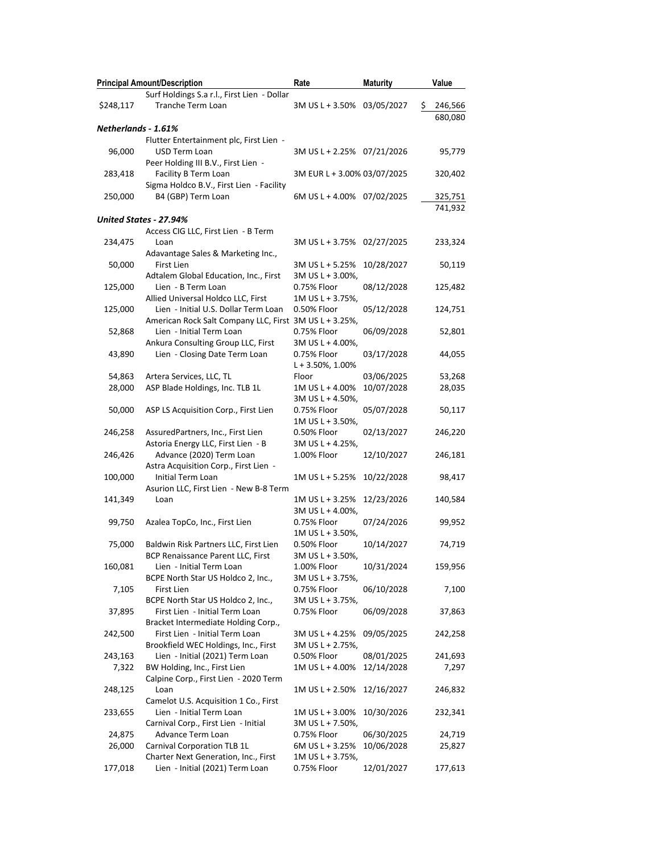|                     | <b>Principal Amount/Description</b>                    | Rate                        | <b>Maturity</b> | Value         |
|---------------------|--------------------------------------------------------|-----------------------------|-----------------|---------------|
|                     | Surf Holdings S.a r.l., First Lien - Dollar            |                             |                 |               |
| \$248,117           | Tranche Term Loan                                      | 3M US L + 3.50%             | 03/05/2027      | \$<br>246,566 |
|                     |                                                        |                             |                 | 680,080       |
| Netherlands - 1.61% |                                                        |                             |                 |               |
|                     | Flutter Entertainment plc, First Lien -                |                             |                 |               |
| 96,000              | USD Term Loan                                          | 3M US L + 2.25% 07/21/2026  |                 | 95,779        |
|                     |                                                        |                             |                 |               |
|                     | Peer Holding III B.V., First Lien -                    |                             |                 |               |
| 283,418             | Facility B Term Loan                                   | 3M EUR L + 3.00% 03/07/2025 |                 | 320,402       |
|                     | Sigma Holdco B.V., First Lien - Facility               |                             |                 |               |
| 250,000             | B4 (GBP) Term Loan                                     | 6M US L + 4.00% 07/02/2025  |                 | 325,751       |
|                     |                                                        |                             |                 | 741,932       |
|                     | United States - 27.94%                                 |                             |                 |               |
|                     | Access CIG LLC, First Lien - B Term                    |                             |                 |               |
| 234,475             | Loan                                                   | 3M US L + 3.75% 02/27/2025  |                 | 233,324       |
|                     | Adavantage Sales & Marketing Inc.,                     |                             |                 |               |
| 50,000              | First Lien                                             | 3M US L + 5.25%             | 10/28/2027      | 50,119        |
|                     | Adtalem Global Education, Inc., First                  | 3M US L + 3.00%,            |                 |               |
| 125,000             | Lien - B Term Loan                                     | 0.75% Floor                 | 08/12/2028      | 125,482       |
|                     | Allied Universal Holdco LLC, First                     | 1M US L + 3.75%,            |                 |               |
| 125,000             | Lien - Initial U.S. Dollar Term Loan                   | 0.50% Floor                 | 05/12/2028      | 124,751       |
|                     | American Rock Salt Company LLC, First 3M US L + 3.25%, |                             |                 |               |
|                     | Lien - Initial Term Loan                               |                             |                 |               |
| 52,868              |                                                        | 0.75% Floor                 | 06/09/2028      | 52,801        |
|                     | Ankura Consulting Group LLC, First                     | 3M US L + 4.00%,            |                 |               |
| 43,890              | Lien - Closing Date Term Loan                          | 0.75% Floor                 | 03/17/2028      | 44,055        |
|                     |                                                        | $L + 3.50\%, 1.00\%$        |                 |               |
| 54,863              | Artera Services, LLC, TL                               | Floor                       | 03/06/2025      | 53,268        |
| 28,000              | ASP Blade Holdings, Inc. TLB 1L                        | 1M US L + 4.00%             | 10/07/2028      | 28,035        |
|                     |                                                        | 3M US L + 4.50%,            |                 |               |
| 50,000              | ASP LS Acquisition Corp., First Lien                   | 0.75% Floor                 | 05/07/2028      | 50,117        |
|                     |                                                        | 1M US L + 3.50%,            |                 |               |
| 246,258             | AssuredPartners, Inc., First Lien                      | 0.50% Floor                 | 02/13/2027      | 246,220       |
|                     | Astoria Energy LLC, First Lien - B                     | 3M US L + 4.25%,            |                 |               |
| 246,426             | Advance (2020) Term Loan                               | 1.00% Floor                 | 12/10/2027      | 246,181       |
|                     | Astra Acquisition Corp., First Lien -                  |                             |                 |               |
| 100,000             | Initial Term Loan                                      | 1M US L + 5.25%             | 10/22/2028      | 98,417        |
|                     | Asurion LLC, First Lien - New B-8 Term                 |                             |                 |               |
|                     | Loan                                                   | 1M US L + 3.25%             | 12/23/2026      | 140,584       |
| 141,349             |                                                        |                             |                 |               |
|                     |                                                        | 3M US L + 4.00%,            |                 |               |
| 99,750              | Azalea TopCo, Inc., First Lien                         | 0.75% Floor                 | 07/24/2026      | 99,952        |
|                     |                                                        | 1M US L + 3.50%,            |                 |               |
| 75,000              | Baldwin Risk Partners LLC, First Lien                  | 0.50% Floor                 | 10/14/2027      | 74,719        |
|                     | BCP Renaissance Parent LLC, First                      | 3M US L + 3.50%,            |                 |               |
| 160,081             | Lien - Initial Term Loan                               | 1.00% Floor                 | 10/31/2024      | 159,956       |
|                     | BCPE North Star US Holdco 2, Inc.,                     | 3M US L + 3.75%,            |                 |               |
| 7,105               | First Lien                                             | 0.75% Floor                 | 06/10/2028      | 7,100         |
|                     | BCPE North Star US Holdco 2, Inc.,                     | 3M US L + 3.75%,            |                 |               |
| 37,895              | First Lien - Initial Term Loan                         | 0.75% Floor                 | 06/09/2028      | 37,863        |
|                     | Bracket Intermediate Holding Corp.,                    |                             |                 |               |
| 242,500             | First Lien - Initial Term Loan                         | 3M US L + 4.25%             | 09/05/2025      | 242,258       |
|                     | Brookfield WEC Holdings, Inc., First                   | 3M US L + 2.75%,            |                 |               |
| 243,163             | Lien - Initial (2021) Term Loan                        | 0.50% Floor                 | 08/01/2025      | 241,693       |
| 7,322               | BW Holding, Inc., First Lien                           | 1M US L + 4.00%             | 12/14/2028      | 7,297         |
|                     | Calpine Corp., First Lien - 2020 Term                  |                             |                 |               |
|                     |                                                        |                             |                 |               |
| 248,125             | Loan                                                   | 1M US L + 2.50%             | 12/16/2027      | 246,832       |
|                     | Camelot U.S. Acquisition 1 Co., First                  |                             |                 |               |
| 233,655             | Lien - Initial Term Loan                               | 1M US L + 3.00%             | 10/30/2026      | 232,341       |
|                     | Carnival Corp., First Lien - Initial                   | 3M US L + 7.50%,            |                 |               |
| 24,875              | Advance Term Loan                                      | 0.75% Floor                 | 06/30/2025      | 24,719        |
| 26,000              | <b>Carnival Corporation TLB 1L</b>                     | 6M US L + 3.25%             | 10/06/2028      | 25,827        |
|                     | Charter Next Generation, Inc., First                   | 1M US L + 3.75%,            |                 |               |
| 177,018             | Lien - Initial (2021) Term Loan                        | 0.75% Floor                 | 12/01/2027      | 177,613       |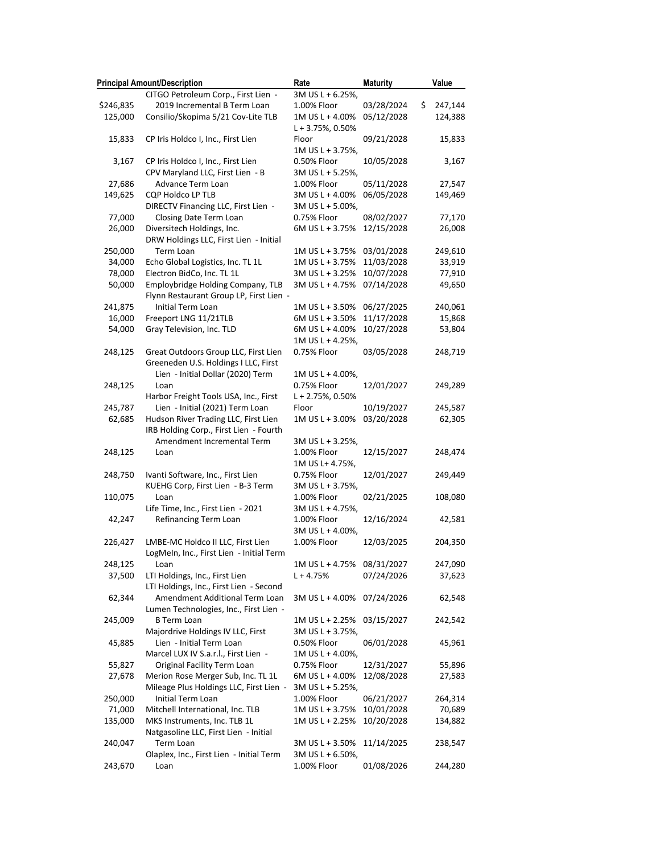|                   | <b>Principal Amount/Description</b>                                       | Rate                         | <b>Maturity</b> | Value             |
|-------------------|---------------------------------------------------------------------------|------------------------------|-----------------|-------------------|
|                   | CITGO Petroleum Corp., First Lien -                                       | 3M US L + 6.25%,             |                 |                   |
| \$246,835         | 2019 Incremental B Term Loan                                              | 1.00% Floor                  | 03/28/2024      | \$<br>247,144     |
| 125,000           | Consilio/Skopima 5/21 Cov-Lite TLB                                        | 1M US L + 4.00%              | 05/12/2028      | 124,388           |
|                   |                                                                           | L + 3.75%, 0.50%             |                 |                   |
| 15,833            | CP Iris Holdco I, Inc., First Lien                                        | Floor                        | 09/21/2028      | 15,833            |
|                   |                                                                           | 1M US L + 3.75%,             |                 |                   |
| 3,167             | CP Iris Holdco I, Inc., First Lien                                        | 0.50% Floor                  | 10/05/2028      | 3,167             |
|                   | CPV Maryland LLC, First Lien - B                                          | 3M US L + 5.25%,             |                 |                   |
| 27,686            | Advance Term Loan                                                         | 1.00% Floor                  | 05/11/2028      | 27,547            |
| 149,625           | CQP Holdco LP TLB                                                         | 3M US L + 4.00%              | 06/05/2028      | 149,469           |
|                   | DIRECTV Financing LLC, First Lien -                                       | 3M US L + 5.00%,             |                 |                   |
| 77,000            | Closing Date Term Loan                                                    | 0.75% Floor                  | 08/02/2027      | 77,170            |
| 26,000            | Diversitech Holdings, Inc.                                                | 6M US L + 3.75%              | 12/15/2028      | 26,008            |
|                   | DRW Holdings LLC, First Lien - Initial                                    |                              |                 |                   |
| 250,000           | Term Loan                                                                 | 1M US L + 3.75%              | 03/01/2028      | 249,610           |
| 34,000            | Echo Global Logistics, Inc. TL 1L                                         | 1M US L + 3.75%              | 11/03/2028      | 33,919            |
| 78,000            | Electron BidCo, Inc. TL 1L                                                | 3M US L + 3.25%              | 10/07/2028      | 77,910            |
| 50,000            | Employbridge Holding Company, TLB                                         | 3M US L + 4.75%              | 07/14/2028      | 49,650            |
|                   | Flynn Restaurant Group LP, First Lien -                                   |                              |                 |                   |
| 241,875           | Initial Term Loan                                                         | 1M US L + 3.50%              | 06/27/2025      | 240,061           |
| 16,000            | Freeport LNG 11/21TLB                                                     | 6M US L + 3.50%              | 11/17/2028      | 15,868            |
| 54,000            | Gray Television, Inc. TLD                                                 | 6M US L + 4.00%              | 10/27/2028      | 53,804            |
|                   |                                                                           | 1M US L + 4.25%,             |                 |                   |
| 248,125           | Great Outdoors Group LLC, First Lien                                      | 0.75% Floor                  | 03/05/2028      | 248,719           |
|                   | Greeneden U.S. Holdings I LLC, First                                      |                              |                 |                   |
|                   | Lien - Initial Dollar (2020) Term                                         | 1M US L + 4.00%,             |                 |                   |
| 248,125           | Loan                                                                      | 0.75% Floor                  | 12/01/2027      | 249,289           |
|                   | Harbor Freight Tools USA, Inc., First                                     | L + 2.75%, 0.50%             |                 |                   |
| 245,787           | Lien - Initial (2021) Term Loan                                           | Floor                        | 10/19/2027      | 245,587           |
| 62,685            | Hudson River Trading LLC, First Lien                                      | 1M US L + 3.00%              | 03/20/2028      | 62,305            |
|                   | IRB Holding Corp., First Lien - Fourth                                    |                              |                 |                   |
|                   | Amendment Incremental Term                                                | 3M US L + 3.25%,             |                 |                   |
| 248,125           | Loan                                                                      | 1.00% Floor                  | 12/15/2027      | 248,474           |
|                   |                                                                           | 1M US L+ 4.75%,              |                 |                   |
| 248,750           | Ivanti Software, Inc., First Lien                                         | 0.75% Floor                  | 12/01/2027      | 249,449           |
|                   | KUEHG Corp, First Lien - B-3 Term                                         | 3M US L + 3.75%,             |                 |                   |
| 110,075           | Loan                                                                      | 1.00% Floor                  | 02/21/2025      | 108,080           |
|                   | Life Time, Inc., First Lien - 2021                                        | 3M US L + 4.75%,             |                 |                   |
| 42,247            | Refinancing Term Loan                                                     | 1.00% Floor                  | 12/16/2024      | 42,581            |
|                   | LMBE-MC Holdco II LLC, First Lien                                         | 3M US L + 4.00%,             |                 |                   |
| 226,427           | LogMeIn, Inc., First Lien - Initial Term                                  | 1.00% Floor                  | 12/03/2025      | 204,350           |
|                   |                                                                           |                              | 08/31/2027      |                   |
| 248,125<br>37,500 | Loan                                                                      | 1M US L + 4.75%<br>L + 4.75% | 07/24/2026      | 247,090<br>37,623 |
|                   | LTI Holdings, Inc., First Lien<br>LTI Holdings, Inc., First Lien - Second |                              |                 |                   |
| 62,344            | Amendment Additional Term Loan                                            | 3M US L + 4.00%              | 07/24/2026      | 62,548            |
|                   | Lumen Technologies, Inc., First Lien -                                    |                              |                 |                   |
| 245,009           | <b>B</b> Term Loan                                                        | 1M US L + 2.25%              | 03/15/2027      | 242,542           |
|                   | Majordrive Holdings IV LLC, First                                         | 3M US L + 3.75%,             |                 |                   |
| 45,885            | Lien - Initial Term Loan                                                  | 0.50% Floor                  | 06/01/2028      | 45,961            |
|                   | Marcel LUX IV S.a.r.l., First Lien -                                      | 1M US L + 4.00%,             |                 |                   |
| 55,827            | Original Facility Term Loan                                               | 0.75% Floor                  | 12/31/2027      | 55,896            |
| 27,678            | Merion Rose Merger Sub, Inc. TL 1L                                        | 6M US L + 4.00%              | 12/08/2028      | 27,583            |
|                   | Mileage Plus Holdings LLC, First Lien -                                   | 3M US L + 5.25%,             |                 |                   |
| 250,000           | Initial Term Loan                                                         | 1.00% Floor                  | 06/21/2027      | 264,314           |
| 71,000            | Mitchell International, Inc. TLB                                          | 1M US L + 3.75%              | 10/01/2028      | 70,689            |
| 135,000           | MKS Instruments, Inc. TLB 1L                                              | 1M US L + 2.25%              | 10/20/2028      | 134,882           |
|                   | Natgasoline LLC, First Lien - Initial                                     |                              |                 |                   |
| 240,047           | Term Loan                                                                 | 3M US L + 3.50%              | 11/14/2025      | 238,547           |
|                   | Olaplex, Inc., First Lien - Initial Term                                  | 3M US L + 6.50%,             |                 |                   |
| 243,670           | Loan                                                                      | 1.00% Floor                  | 01/08/2026      | 244,280           |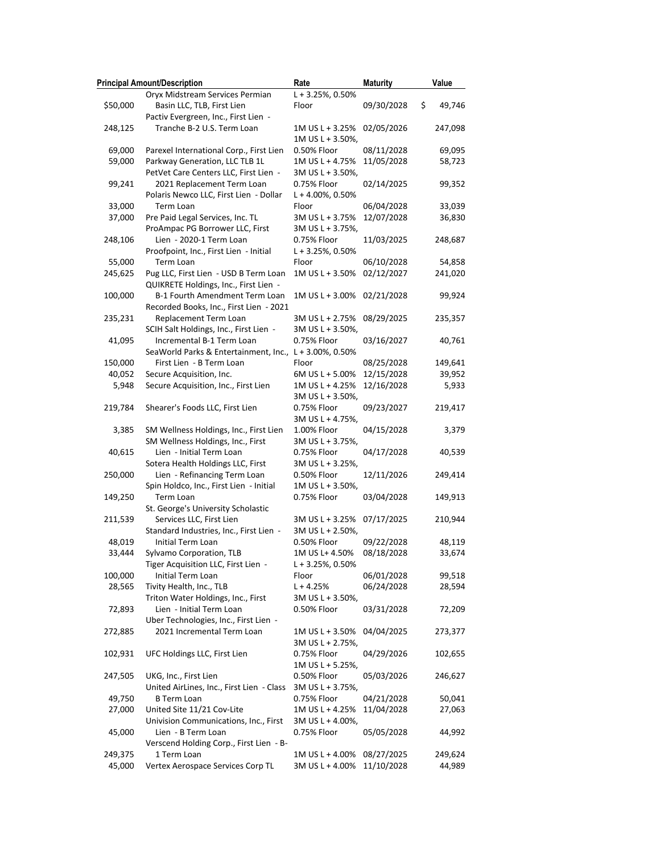|          | <b>Principal Amount/Description</b>       | Rate                 | <b>Maturity</b> | Value        |
|----------|-------------------------------------------|----------------------|-----------------|--------------|
|          | Oryx Midstream Services Permian           | L + 3.25%, 0.50%     |                 |              |
| \$50,000 | Basin LLC, TLB, First Lien                | Floor                | 09/30/2028      | \$<br>49,746 |
|          | Pactiv Evergreen, Inc., First Lien -      |                      |                 |              |
| 248,125  | Tranche B-2 U.S. Term Loan                | 1M US L + 3.25%      | 02/05/2026      | 247,098      |
|          |                                           | 1M US L + 3.50%,     |                 |              |
| 69,000   | Parexel International Corp., First Lien   | 0.50% Floor          | 08/11/2028      | 69,095       |
| 59,000   | Parkway Generation, LLC TLB 1L            | 1M US L + 4.75%      | 11/05/2028      | 58,723       |
|          | PetVet Care Centers LLC, First Lien -     | 3M US L + 3.50%,     |                 |              |
| 99,241   | 2021 Replacement Term Loan                | 0.75% Floor          | 02/14/2025      | 99,352       |
|          | Polaris Newco LLC, First Lien - Dollar    | L + 4.00%, 0.50%     |                 |              |
| 33,000   | Term Loan                                 | Floor                | 06/04/2028      | 33,039       |
| 37,000   | Pre Paid Legal Services, Inc. TL          | 3M US L + 3.75%      | 12/07/2028      | 36,830       |
|          | ProAmpac PG Borrower LLC, First           | 3M US L + 3.75%,     |                 |              |
| 248,106  | Lien - 2020-1 Term Loan                   | 0.75% Floor          | 11/03/2025      | 248,687      |
|          | Proofpoint, Inc., First Lien - Initial    | $L + 3.25\%$ , 0.50% |                 |              |
| 55,000   | Term Loan                                 | Floor                | 06/10/2028      | 54,858       |
| 245,625  | Pug LLC, First Lien - USD B Term Loan     | 1M US L + 3.50%      | 02/12/2027      | 241,020      |
|          | QUIKRETE Holdings, Inc., First Lien -     |                      |                 |              |
| 100,000  | B-1 Fourth Amendment Term Loan            | 1M US L + 3.00%      | 02/21/2028      | 99,924       |
|          | Recorded Books, Inc., First Lien - 2021   |                      |                 |              |
| 235,231  | Replacement Term Loan                     | 3M US L + 2.75%      | 08/29/2025      | 235,357      |
|          | SCIH Salt Holdings, Inc., First Lien -    | 3M US L + 3.50%,     |                 |              |
| 41,095   | Incremental B-1 Term Loan                 | 0.75% Floor          | 03/16/2027      | 40,761       |
|          | SeaWorld Parks & Entertainment, Inc.,     | $L + 3.00\%$ , 0.50% |                 |              |
| 150,000  | First Lien - B Term Loan                  | Floor                | 08/25/2028      | 149,641      |
| 40,052   | Secure Acquisition, Inc.                  | 6M US L + 5.00%      | 12/15/2028      | 39,952       |
| 5,948    | Secure Acquisition, Inc., First Lien      | 1M US L + 4.25%      | 12/16/2028      | 5,933        |
|          |                                           | 3M US L + 3.50%,     |                 |              |
| 219,784  | Shearer's Foods LLC, First Lien           | 0.75% Floor          | 09/23/2027      | 219,417      |
|          |                                           | 3M US L + 4.75%,     |                 |              |
| 3,385    | SM Wellness Holdings, Inc., First Lien    | 1.00% Floor          | 04/15/2028      | 3,379        |
|          | SM Wellness Holdings, Inc., First         | 3M US L + 3.75%,     |                 |              |
| 40,615   | Lien - Initial Term Loan                  | 0.75% Floor          | 04/17/2028      | 40,539       |
|          | Sotera Health Holdings LLC, First         | 3M US L + 3.25%,     |                 |              |
| 250,000  | Lien - Refinancing Term Loan              | 0.50% Floor          | 12/11/2026      | 249,414      |
|          | Spin Holdco, Inc., First Lien - Initial   | $1M$ US L + 3.50%,   |                 |              |
| 149,250  | Term Loan                                 | 0.75% Floor          | 03/04/2028      | 149,913      |
|          | St. George's University Scholastic        |                      |                 |              |
| 211,539  | Services LLC, First Lien                  | 3M US L + 3.25%      | 07/17/2025      | 210,944      |
|          | Standard Industries, Inc., First Lien -   | 3M US L + 2.50%,     |                 |              |
| 48,019   | Initial Term Loan                         | 0.50% Floor          | 09/22/2028      | 48,119       |
| 33,444   | Sylvamo Corporation, TLB                  | 1M US L+ 4.50%       | 08/18/2028      | 33,674       |
|          | Tiger Acquisition LLC, First Lien -       | L + 3.25%, 0.50%     |                 |              |
| 100,000  | Initial Term Loan                         | Floor                | 06/01/2028      | 99,518       |
| 28,565   | Tivity Health, Inc., TLB                  | $L + 4.25%$          | 06/24/2028      | 28,594       |
|          | Triton Water Holdings, Inc., First        | 3M US L + 3.50%,     |                 |              |
| 72,893   | Lien - Initial Term Loan                  | 0.50% Floor          | 03/31/2028      | 72,209       |
|          | Uber Technologies, Inc., First Lien -     |                      |                 |              |
| 272,885  | 2021 Incremental Term Loan                | 1M US L + 3.50%      | 04/04/2025      | 273,377      |
|          |                                           | 3M US L + 2.75%,     |                 |              |
| 102,931  | UFC Holdings LLC, First Lien              | 0.75% Floor          | 04/29/2026      | 102,655      |
|          |                                           | $1M$ US L + 5.25%,   |                 |              |
| 247,505  | UKG, Inc., First Lien                     | 0.50% Floor          | 05/03/2026      | 246,627      |
|          | United AirLines, Inc., First Lien - Class | 3M US L + 3.75%,     |                 |              |
| 49,750   | <b>B</b> Term Loan                        | 0.75% Floor          | 04/21/2028      | 50,041       |
| 27,000   | United Site 11/21 Cov-Lite                | 1M US L + 4.25%      | 11/04/2028      | 27,063       |
|          | Univision Communications, Inc., First     | 3M US L + 4.00%,     |                 |              |
| 45,000   | Lien - B Term Loan                        | 0.75% Floor          | 05/05/2028      | 44,992       |
|          | Verscend Holding Corp., First Lien - B-   |                      |                 |              |
| 249,375  | 1 Term Loan                               | 1M US L + 4.00%      | 08/27/2025      | 249,624      |
| 45,000   | Vertex Aerospace Services Corp TL         | 3M US L + 4.00%      | 11/10/2028      | 44,989       |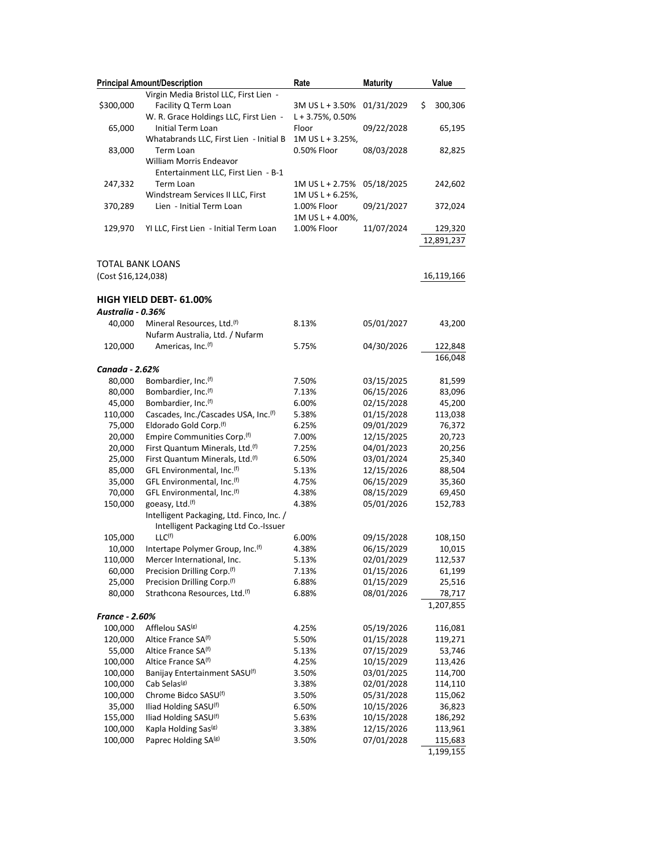|                         | <b>Principal Amount/Description</b>                                               | Rate                                    | <b>Maturity</b> | Value                 |
|-------------------------|-----------------------------------------------------------------------------------|-----------------------------------------|-----------------|-----------------------|
|                         | Virgin Media Bristol LLC, First Lien -                                            |                                         |                 |                       |
| \$300,000               | Facility Q Term Loan<br>W. R. Grace Holdings LLC, First Lien -                    | 3M US L + 3.50%<br>$L + 3.75\%$ , 0.50% | 01/31/2029      | \$<br>300,306         |
| 65,000                  | Initial Term Loan                                                                 | Floor<br>1M US L + 3.25%,               | 09/22/2028      | 65,195                |
| 83,000                  | Whatabrands LLC, First Lien - Initial B<br>Term Loan<br>William Morris Endeavor   | 0.50% Floor                             | 08/03/2028      | 82,825                |
|                         | Entertainment LLC, First Lien - B-1                                               |                                         |                 |                       |
| 247,332                 | Term Loan                                                                         | 1M US L + 2.75%                         | 05/18/2025      | 242,602               |
|                         | Windstream Services II LLC, First                                                 | $1M$ US L + 6.25%,                      |                 |                       |
| 370,289                 | Lien - Initial Term Loan                                                          | 1.00% Floor                             | 09/21/2027      | 372,024               |
|                         |                                                                                   | 1M US L + 4.00%,                        |                 |                       |
| 129,970                 | YI LLC, First Lien - Initial Term Loan                                            | 1.00% Floor                             | 11/07/2024      | 129,320<br>12,891,237 |
| <b>TOTAL BANK LOANS</b> |                                                                                   |                                         |                 |                       |
| (Cost \$16,124,038)     |                                                                                   |                                         |                 | 16,119,166            |
|                         | <b>HIGH YIELD DEBT- 61.00%</b>                                                    |                                         |                 |                       |
| Australia - 0.36%       |                                                                                   |                                         |                 |                       |
| 40,000                  | Mineral Resources, Ltd. <sup>(f)</sup><br>Nufarm Australia, Ltd. / Nufarm         | 8.13%                                   | 05/01/2027      | 43,200                |
| 120,000                 | Americas, Inc. <sup>(f)</sup>                                                     | 5.75%                                   | 04/30/2026      | 122,848               |
|                         |                                                                                   |                                         |                 | 166,048               |
| Canada - 2.62%          |                                                                                   |                                         |                 |                       |
| 80,000                  | Bombardier, Inc.(f)                                                               | 7.50%                                   | 03/15/2025      | 81,599                |
| 80,000                  | Bombardier, Inc. <sup>(f)</sup>                                                   | 7.13%                                   | 06/15/2026      | 83,096                |
| 45,000                  | Bombardier, Inc.(f)                                                               | 6.00%                                   | 02/15/2028      | 45,200                |
| 110,000                 | Cascades, Inc./Cascades USA, Inc.(f)                                              | 5.38%                                   | 01/15/2028      | 113,038               |
| 75,000                  | Eldorado Gold Corp. <sup>(f)</sup>                                                | 6.25%                                   | 09/01/2029      | 76,372                |
| 20,000                  | Empire Communities Corp. <sup>(f)</sup>                                           | 7.00%                                   | 12/15/2025      | 20,723                |
| 20,000                  | First Quantum Minerals, Ltd.(f)                                                   | 7.25%                                   | 04/01/2023      | 20,256                |
| 25,000                  | First Quantum Minerals, Ltd. <sup>(f)</sup>                                       | 6.50%                                   | 03/01/2024      | 25,340                |
| 85,000                  | GFL Environmental, Inc. <sup>(f)</sup>                                            | 5.13%                                   | 12/15/2026      | 88,504                |
| 35,000                  | GFL Environmental, Inc. <sup>(f)</sup>                                            | 4.75%                                   | 06/15/2029      | 35,360                |
| 70,000                  | GFL Environmental, Inc. <sup>(f)</sup>                                            | 4.38%                                   | 08/15/2029      | 69,450                |
| 150,000                 | goeasy, Ltd.(f)                                                                   | 4.38%                                   | 05/01/2026      | 152,783               |
|                         | Intelligent Packaging, Ltd. Finco, Inc. /<br>Intelligent Packaging Ltd Co.-Issuer |                                         |                 |                       |
| 105,000                 | LLC <sup>(f)</sup>                                                                | 6.00%                                   | 09/15/2028      | 108,150               |
| 10,000                  | Intertape Polymer Group, Inc.(f)                                                  | 4.38%                                   | 06/15/2029      | 10,015                |
| 110,000                 | Mercer International, Inc.                                                        | 5.13%                                   | 02/01/2029      | 112,537               |
| 60,000                  | Precision Drilling Corp. <sup>(f)</sup>                                           | 7.13%                                   | 01/15/2026      | 61,199                |
| 25,000                  | Precision Drilling Corp.(f)                                                       | 6.88%                                   | 01/15/2029      | 25,516                |
| 80,000                  | Strathcona Resources, Ltd. <sup>(f)</sup>                                         | 6.88%                                   | 08/01/2026      | 78,717                |
| France - 2.60%          |                                                                                   |                                         |                 | 1,207,855             |
| 100,000                 | Afflelou SAS <sup>(g)</sup>                                                       | 4.25%                                   | 05/19/2026      | 116,081               |
| 120,000                 | Altice France SA(f)                                                               | 5.50%                                   | 01/15/2028      | 119,271               |
| 55,000                  | Altice France SA <sup>(f)</sup>                                                   | 5.13%                                   | 07/15/2029      | 53,746                |
| 100,000                 | Altice France SA <sup>(f)</sup>                                                   | 4.25%                                   | 10/15/2029      | 113,426               |
| 100,000                 | Banijay Entertainment SASU <sup>(f)</sup>                                         | 3.50%                                   | 03/01/2025      | 114,700               |
| 100,000                 | Cab Selas(g)                                                                      | 3.38%                                   | 02/01/2028      | 114,110               |
| 100,000                 | Chrome Bidco SASU <sup>(f)</sup>                                                  | 3.50%                                   | 05/31/2028      | 115,062               |
| 35,000                  | Iliad Holding SASU <sup>(f)</sup>                                                 | 6.50%                                   | 10/15/2026      | 36,823                |
| 155,000                 | Iliad Holding SASU <sup>(f)</sup>                                                 | 5.63%                                   | 10/15/2028      | 186,292               |
| 100,000                 | Kapla Holding Sas <sup>(g)</sup>                                                  | 3.38%                                   | 12/15/2026      | 113,961               |
| 100,000                 | Paprec Holding SA(g)                                                              | 3.50%                                   | 07/01/2028      | 115,683               |
|                         |                                                                                   |                                         |                 | 1,199,155             |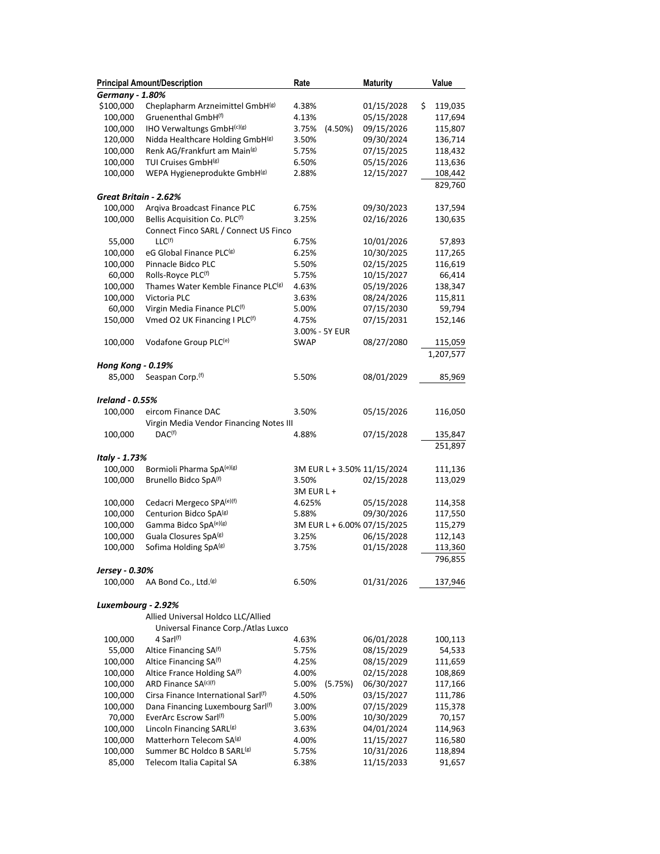|                          | <b>Principal Amount/Description</b>             | Rate                        | <b>Maturity</b> | Value         |
|--------------------------|-------------------------------------------------|-----------------------------|-----------------|---------------|
| <b>Germany - 1.80%</b>   |                                                 |                             |                 |               |
| \$100,000                | Cheplapharm Arzneimittel GmbH(g)                | 4.38%                       | 01/15/2028      | \$<br>119,035 |
| 100,000                  | Gruenenthal GmbH <sup>(f)</sup>                 | 4.13%                       | 05/15/2028      | 117,694       |
| 100,000                  | IHO Verwaltungs GmbH(c)(g)                      | (4.50%)<br>3.75%            | 09/15/2026      | 115,807       |
| 120,000                  | Nidda Healthcare Holding GmbH(g)                | 3.50%                       | 09/30/2024      | 136,714       |
| 100,000                  | Renk AG/Frankfurt am Main <sup>(g)</sup>        | 5.75%                       | 07/15/2025      | 118,432       |
| 100,000                  | TUI Cruises GmbH <sup>(g)</sup>                 | 6.50%                       | 05/15/2026      | 113,636       |
| 100,000                  | WEPA Hygieneprodukte GmbH(g)                    | 2.88%                       | 12/15/2027      | 108,442       |
|                          |                                                 |                             |                 | 829,760       |
| Great Britain - 2.62%    |                                                 |                             |                 |               |
| 100,000                  | Arqiva Broadcast Finance PLC                    | 6.75%                       | 09/30/2023      | 137,594       |
| 100,000                  | Bellis Acquisition Co. PLC(f)                   | 3.25%                       | 02/16/2026      | 130,635       |
|                          | Connect Finco SARL / Connect US Finco           |                             |                 |               |
| 55,000                   | LLC <sup>(f)</sup>                              | 6.75%                       | 10/01/2026      | 57,893        |
| 100,000                  | eG Global Finance PLC <sup>(g)</sup>            | 6.25%                       | 10/30/2025      | 117,265       |
| 100,000                  | Pinnacle Bidco PLC                              | 5.50%                       | 02/15/2025      | 116,619       |
| 60,000                   | Rolls-Royce PLC(f)                              | 5.75%                       | 10/15/2027      | 66,414        |
| 100,000                  | Thames Water Kemble Finance PLC <sup>(g)</sup>  | 4.63%                       | 05/19/2026      | 138,347       |
| 100,000                  | Victoria PLC                                    | 3.63%                       | 08/24/2026      | 115,811       |
| 60,000                   | Virgin Media Finance PLC(f)                     | 5.00%                       | 07/15/2030      | 59,794        |
| 150,000                  | Vmed O2 UK Financing I PLC(f)                   | 4.75%                       | 07/15/2031      | 152,146       |
|                          |                                                 | 3.00% - 5Y EUR              |                 |               |
| 100,000                  | Vodafone Group PLC <sup>(e)</sup>               | <b>SWAP</b>                 | 08/27/2080      | 115,059       |
|                          |                                                 |                             |                 | 1,207,577     |
| <b>Hong Kong - 0.19%</b> |                                                 |                             |                 |               |
| 85,000                   | Seaspan Corp. <sup>(f)</sup>                    | 5.50%                       | 08/01/2029      | 85,969        |
|                          |                                                 |                             |                 |               |
| <b>Ireland - 0.55%</b>   |                                                 |                             |                 |               |
| 100,000                  | eircom Finance DAC                              | 3.50%                       | 05/15/2026      | 116,050       |
|                          | Virgin Media Vendor Financing Notes III         |                             |                 |               |
| 100,000                  | DAC <sup>(f)</sup>                              | 4.88%                       | 07/15/2028      | 135,847       |
|                          |                                                 |                             |                 | 251,897       |
| Italy - 1.73%            |                                                 |                             |                 |               |
| 100,000                  | Bormioli Pharma SpA <sup>(e)(g)</sup>           | 3M EUR L + 3.50% 11/15/2024 |                 | 111,136       |
| 100,000                  | Brunello Bidco SpA(f)                           | 3.50%                       | 02/15/2028      | 113,029       |
|                          |                                                 | 3M EUR L +                  |                 |               |
| 100,000                  | Cedacri Mergeco SPA(e)(f)                       | 4.625%                      | 05/15/2028      | 114,358       |
| 100,000                  | Centurion Bidco SpA(g)                          | 5.88%                       | 09/30/2026      | 117,550       |
| 100,000                  | Gamma Bidco SpA(e)(g)                           | 3M EUR L + 6.00% 07/15/2025 |                 | 115,279       |
| 100,000                  | Guala Closures SpA(g)                           | 3.25%                       | 06/15/2028      | 112,143       |
| 100,000                  | Sofima Holding SpA(g)                           | 3.75%                       | 01/15/2028      | 113,360       |
|                          |                                                 |                             |                 | 796,855       |
| Jersey - 0.30%           |                                                 |                             |                 |               |
| 100,000                  | AA Bond Co., Ltd. <sup>(g)</sup>                | 6.50%                       | 01/31/2026      | 137,946       |
|                          |                                                 |                             |                 |               |
| Luxembourg - 2.92%       |                                                 |                             |                 |               |
|                          | Allied Universal Holdco LLC/Allied              |                             |                 |               |
|                          | Universal Finance Corp./Atlas Luxco             |                             |                 |               |
| 100,000                  | 4 Sarl <sup>(f)</sup>                           | 4.63%                       | 06/01/2028      | 100,113       |
| 55,000                   | Altice Financing SA <sup>(f)</sup>              | 5.75%                       | 08/15/2029      | 54,533        |
| 100,000                  | Altice Financing SA <sup>(f)</sup>              | 4.25%                       | 08/15/2029      | 111,659       |
| 100,000                  | Altice France Holding SA <sup>(f)</sup>         | 4.00%                       | 02/15/2028      | 108,869       |
| 100,000                  | ARD Finance SA(c)(f)                            | 5.00%<br>(5.75%)            | 06/30/2027      | 117,166       |
| 100,000                  | Cirsa Finance International Sarl <sup>(f)</sup> | 4.50%                       | 03/15/2027      | 111,786       |
| 100,000                  | Dana Financing Luxembourg Sarl(f)               | 3.00%                       | 07/15/2029      | 115,378       |
| 70,000                   | EverArc Escrow Sarl <sup>(f)</sup>              | 5.00%                       | 10/30/2029      | 70,157        |
| 100,000                  | Lincoln Financing SARL <sup>(g)</sup>           | 3.63%                       | 04/01/2024      | 114,963       |
| 100,000                  | Matterhorn Telecom SA(g)                        | 4.00%                       | 11/15/2027      | 116,580       |
| 100,000                  | Summer BC Holdco B SARL <sup>(g)</sup>          | 5.75%                       | 10/31/2026      | 118,894       |
| 85,000                   | Telecom Italia Capital SA                       | 6.38%                       | 11/15/2033      | 91,657        |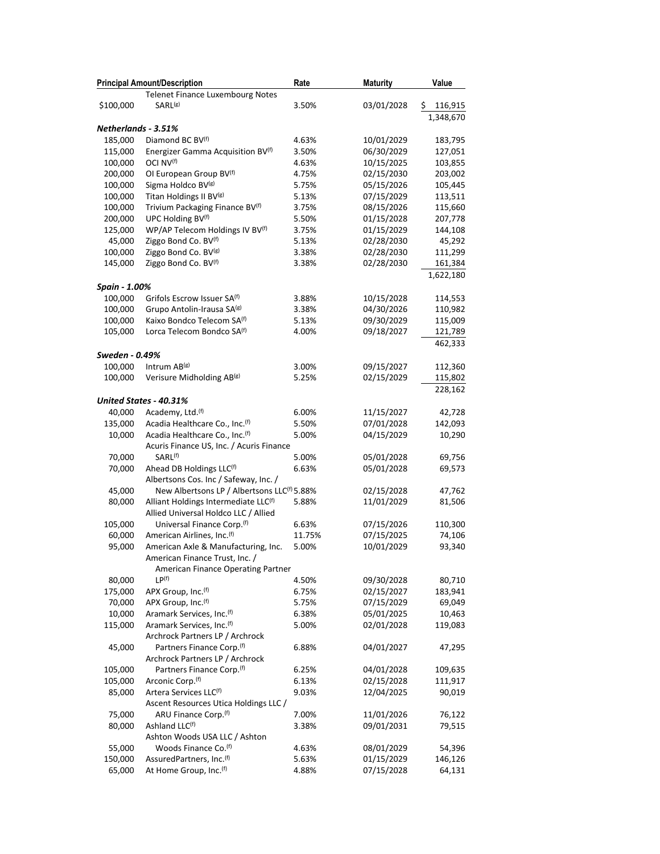|                     | <b>Principal Amount/Description</b>                     | Rate   | <b>Maturity</b> | Value          |
|---------------------|---------------------------------------------------------|--------|-----------------|----------------|
|                     | <b>Telenet Finance Luxembourg Notes</b>                 |        |                 |                |
| \$100,000           | SARL <sup>(g)</sup>                                     | 3.50%  | 03/01/2028      | \$.<br>116,915 |
|                     |                                                         |        |                 | 1,348,670      |
| Netherlands - 3.51% |                                                         |        |                 |                |
| 185,000             | Diamond BC BV <sup>(f)</sup>                            | 4.63%  | 10/01/2029      | 183,795        |
| 115,000             | Energizer Gamma Acquisition BV <sup>(f)</sup>           | 3.50%  | 06/30/2029      | 127,051        |
| 100,000             | OCI NV <sup>(f)</sup>                                   | 4.63%  | 10/15/2025      | 103,855        |
| 200,000             | OI European Group BV <sup>(f)</sup>                     | 4.75%  | 02/15/2030      | 203,002        |
| 100,000             | Sigma Holdco BV <sup>(g)</sup>                          | 5.75%  | 05/15/2026      | 105,445        |
| 100,000             | Titan Holdings II BV <sup>(g)</sup>                     | 5.13%  | 07/15/2029      | 113,511        |
| 100,000             | Trivium Packaging Finance BV <sup>(f)</sup>             | 3.75%  | 08/15/2026      | 115,660        |
| 200,000             | UPC Holding BV(f)                                       | 5.50%  | 01/15/2028      | 207,778        |
| 125,000             | WP/AP Telecom Holdings IV BV <sup>(f)</sup>             | 3.75%  | 01/15/2029      | 144,108        |
| 45,000              | Ziggo Bond Co. BV <sup>(f)</sup>                        | 5.13%  | 02/28/2030      | 45,292         |
| 100,000             | Ziggo Bond Co. BV(g)                                    | 3.38%  | 02/28/2030      | 111,299        |
| 145,000             | Ziggo Bond Co. BV <sup>(f)</sup>                        | 3.38%  | 02/28/2030      | 161,384        |
|                     |                                                         |        |                 | 1,622,180      |
| Spain - 1.00%       |                                                         |        |                 |                |
| 100,000             | Grifols Escrow Issuer SA <sup>(f)</sup>                 | 3.88%  | 10/15/2028      | 114,553        |
| 100,000             | Grupo Antolin-Irausa SA(g)                              | 3.38%  | 04/30/2026      | 110,982        |
| 100,000             | Kaixo Bondco Telecom SA <sup>(f)</sup>                  | 5.13%  | 09/30/2029      | 115,009        |
| 105,000             | Lorca Telecom Bondco SA <sup>(f)</sup>                  | 4.00%  | 09/18/2027      | 121,789        |
|                     |                                                         |        |                 | 462,333        |
| Sweden - 0.49%      |                                                         |        |                 |                |
| 100,000             | Intrum AB(g)                                            | 3.00%  | 09/15/2027      | 112,360        |
| 100,000             | Verisure Midholding AB(g)                               | 5.25%  | 02/15/2029      | 115,802        |
|                     |                                                         |        |                 | 228,162        |
|                     | United States - 40.31%                                  |        |                 |                |
| 40,000              | Academy, Ltd. <sup>(f)</sup>                            | 6.00%  | 11/15/2027      | 42,728         |
| 135,000             | Acadia Healthcare Co., Inc. <sup>(f)</sup>              | 5.50%  | 07/01/2028      | 142,093        |
| 10,000              | Acadia Healthcare Co., Inc. <sup>(f)</sup>              | 5.00%  | 04/15/2029      | 10,290         |
|                     | Acuris Finance US, Inc. / Acuris Finance                |        |                 |                |
| 70,000              | SARL <sup>(f)</sup>                                     | 5.00%  | 05/01/2028      | 69,756         |
| 70,000              | Ahead DB Holdings LLC(f)                                | 6.63%  | 05/01/2028      | 69,573         |
|                     | Albertsons Cos. Inc / Safeway, Inc. /                   |        |                 |                |
| 45,000              | New Albertsons LP / Albertsons LLC <sup>(f)</sup> 5.88% |        | 02/15/2028      | 47,762         |
| 80,000              | Alliant Holdings Intermediate LLC(f)                    | 5.88%  | 11/01/2029      | 81,506         |
|                     | Allied Universal Holdco LLC / Allied                    |        |                 |                |
| 105,000             | Universal Finance Corp. <sup>(f)</sup>                  | 6.63%  | 07/15/2026      | 110,300        |
| 60,000              | American Airlines, Inc. <sup>(f)</sup>                  | 11.75% | 07/15/2025      | 74,106         |
| 95,000              | American Axle & Manufacturing, Inc.                     | 5.00%  | 10/01/2029      | 93,340         |
|                     | American Finance Trust, Inc. /                          |        |                 |                |
|                     | American Finance Operating Partner                      |        |                 |                |
| 80,000              | LP <sup>(f)</sup>                                       | 4.50%  | 09/30/2028      | 80,710         |
| 175,000             | APX Group, Inc. (f)                                     | 6.75%  | 02/15/2027      | 183,941        |
| 70,000              | APX Group, Inc. (f)                                     | 5.75%  | 07/15/2029      | 69,049         |
| 10,000              | Aramark Services, Inc. <sup>(f)</sup>                   | 6.38%  | 05/01/2025      | 10,463         |
| 115,000             | Aramark Services, Inc.(f)                               | 5.00%  | 02/01/2028      | 119,083        |
|                     | Archrock Partners LP / Archrock                         |        |                 |                |
| 45,000              | Partners Finance Corp. <sup>(f)</sup>                   | 6.88%  | 04/01/2027      | 47,295         |
|                     | Archrock Partners LP / Archrock                         |        |                 |                |
| 105,000             | Partners Finance Corp. <sup>(f)</sup>                   | 6.25%  | 04/01/2028      | 109,635        |
| 105,000             | Arconic Corp. <sup>(f)</sup>                            | 6.13%  | 02/15/2028      | 111,917        |
| 85,000              | Artera Services LLC <sup>(f)</sup>                      | 9.03%  | 12/04/2025      | 90,019         |
|                     | Ascent Resources Utica Holdings LLC /                   |        |                 |                |
| 75,000              | ARU Finance Corp. <sup>(f)</sup>                        | 7.00%  | 11/01/2026      | 76,122         |
| 80,000              | Ashland LLC(f)                                          | 3.38%  | 09/01/2031      | 79,515         |
|                     | Ashton Woods USA LLC / Ashton                           |        |                 |                |
| 55,000              | Woods Finance Co. <sup>(f)</sup>                        | 4.63%  | 08/01/2029      | 54,396         |
| 150,000             | AssuredPartners, Inc.(f)                                | 5.63%  | 01/15/2029      | 146,126        |
| 65,000              | At Home Group, Inc. <sup>(f)</sup>                      | 4.88%  | 07/15/2028      | 64,131         |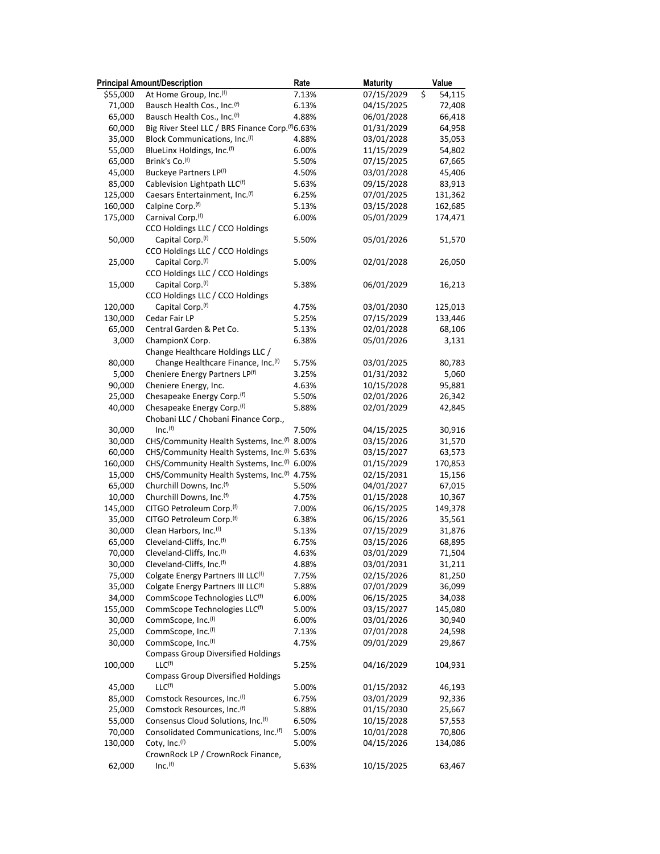|          | <b>Principal Amount/Description</b>                          | Rate           | <b>Maturity</b> | Value            |
|----------|--------------------------------------------------------------|----------------|-----------------|------------------|
| \$55,000 | At Home Group, Inc.(f)                                       | 7.13%          | 07/15/2029      | Ś<br>54,115      |
| 71,000   | Bausch Health Cos., Inc. (f)                                 | 6.13%          | 04/15/2025      | 72,408           |
| 65,000   | Bausch Health Cos., Inc.(f)                                  | 4.88%          | 06/01/2028      | 66,418           |
| 60,000   | Big River Steel LLC / BRS Finance Corp. <sup>(f)</sup> 6.63% |                | 01/31/2029      | 64,958           |
| 35,000   | Block Communications, Inc. <sup>(f)</sup>                    | 4.88%          | 03/01/2028      | 35,053           |
| 55,000   | BlueLinx Holdings, Inc.(f)                                   | 6.00%          | 11/15/2029      | 54,802           |
| 65,000   | Brink's Co. <sup>(f)</sup>                                   | 5.50%          | 07/15/2025      | 67,665           |
| 45,000   | Buckeye Partners LP(f)                                       | 4.50%          | 03/01/2028      | 45,406           |
| 85,000   | Cablevision Lightpath LLC(f)                                 | 5.63%          | 09/15/2028      | 83,913           |
| 125,000  | Caesars Entertainment, Inc. <sup>(f)</sup>                   | 6.25%          | 07/01/2025      | 131,362          |
| 160,000  | Calpine Corp. <sup>(f)</sup>                                 | 5.13%          | 03/15/2028      | 162,685          |
| 175,000  | Carnival Corp.(f)                                            | 6.00%          | 05/01/2029      | 174,471          |
|          | CCO Holdings LLC / CCO Holdings                              |                |                 |                  |
| 50,000   | Capital Corp. <sup>(f)</sup>                                 | 5.50%          | 05/01/2026      | 51,570           |
|          | CCO Holdings LLC / CCO Holdings                              |                |                 |                  |
| 25,000   | Capital Corp. <sup>(f)</sup>                                 | 5.00%          | 02/01/2028      | 26,050           |
|          | CCO Holdings LLC / CCO Holdings                              |                |                 |                  |
| 15,000   | Capital Corp. <sup>(f)</sup>                                 | 5.38%          | 06/01/2029      | 16,213           |
|          | CCO Holdings LLC / CCO Holdings                              |                |                 |                  |
| 120,000  | Capital Corp. <sup>(f)</sup>                                 | 4.75%          | 03/01/2030      | 125,013          |
| 130,000  | Cedar Fair LP                                                | 5.25%          | 07/15/2029      | 133,446          |
| 65,000   | Central Garden & Pet Co.                                     | 5.13%          | 02/01/2028      | 68,106           |
| 3,000    | ChampionX Corp.                                              | 6.38%          | 05/01/2026      | 3,131            |
|          | Change Healthcare Holdings LLC /                             |                |                 |                  |
| 80,000   | Change Healthcare Finance, Inc. <sup>(f)</sup>               | 5.75%          | 03/01/2025      | 80,783           |
| 5,000    | Cheniere Energy Partners LP(f)                               | 3.25%          | 01/31/2032      | 5,060            |
| 90,000   | Cheniere Energy, Inc.                                        | 4.63%          | 10/15/2028      | 95,881           |
| 25,000   | Chesapeake Energy Corp. <sup>(f)</sup>                       | 5.50%          | 02/01/2026      | 26,342           |
| 40,000   | Chesapeake Energy Corp. <sup>(f)</sup>                       | 5.88%          | 02/01/2029      | 42,845           |
|          | Chobani LLC / Chobani Finance Corp.,                         |                |                 |                  |
| 30,000   | Inc. <sup>(f)</sup>                                          | 7.50%          | 04/15/2025      | 30,916           |
| 30,000   | CHS/Community Health Systems, Inc. <sup>(f)</sup> 8.00%      |                | 03/15/2026      | 31,570           |
| 60,000   | CHS/Community Health Systems, Inc. <sup>(f)</sup> 5.63%      |                | 03/15/2027      | 63,573           |
| 160,000  | CHS/Community Health Systems, Inc. <sup>(f)</sup> 6.00%      |                | 01/15/2029      | 170,853          |
| 15,000   | CHS/Community Health Systems, Inc. <sup>(f)</sup> 4.75%      |                | 02/15/2031      | 15,156           |
| 65,000   | Churchill Downs, Inc.(f)                                     | 5.50%          | 04/01/2027      | 67,015           |
| 10,000   | Churchill Downs, Inc.(f)                                     | 4.75%          | 01/15/2028      | 10,367           |
| 145,000  | CITGO Petroleum Corp.(f)                                     | 7.00%          | 06/15/2025      | 149,378          |
| 35,000   | CITGO Petroleum Corp.(f)                                     | 6.38%          | 06/15/2026      | 35,561           |
| 30,000   | Clean Harbors, Inc.(f)                                       | 5.13%          | 07/15/2029      | 31,876           |
| 65,000   | Cleveland-Cliffs, Inc. <sup>(f)</sup>                        | 6.75%          | 03/15/2026      | 68,895           |
| 70,000   | Cleveland-Cliffs, Inc.(f)                                    | 4.63%          | 03/01/2029      | 71,504           |
| 30,000   | Cleveland-Cliffs, Inc. <sup>(f)</sup>                        | 4.88%          | 03/01/2031      | 31,211           |
| 75,000   | Colgate Energy Partners III LLC(f)                           | 7.75%          | 02/15/2026      | 81,250           |
| 35,000   | Colgate Energy Partners III LLC(f)                           | 5.88%          | 07/01/2029      | 36,099           |
| 34,000   | CommScope Technologies LLC <sup>(f)</sup>                    | 6.00%          | 06/15/2025      | 34,038           |
| 155,000  | CommScope Technologies LLC <sup>(f)</sup>                    | 5.00%          | 03/15/2027      | 145,080          |
| 30,000   | CommScope, Inc. <sup>(f)</sup>                               | 6.00%          | 03/01/2026      | 30,940           |
| 25,000   | CommScope, Inc. <sup>(f)</sup>                               | 7.13%          | 07/01/2028      | 24,598           |
| 30,000   | CommScope, Inc. <sup>(f)</sup>                               | 4.75%          | 09/01/2029      | 29,867           |
|          | <b>Compass Group Diversified Holdings</b>                    |                |                 |                  |
| 100,000  | LLC <sup>(f)</sup>                                           | 5.25%          | 04/16/2029      | 104,931          |
|          | <b>Compass Group Diversified Holdings</b>                    |                |                 |                  |
| 45,000   | LLC <sup>(f)</sup>                                           | 5.00%          | 01/15/2032      | 46,193           |
| 85,000   | Comstock Resources, Inc.(f)                                  | 6.75%          | 03/01/2029      | 92,336           |
| 25,000   | Comstock Resources, Inc.(f)                                  |                | 01/15/2030      |                  |
| 55,000   | Consensus Cloud Solutions, Inc.(f)                           | 5.88%<br>6.50% | 10/15/2028      | 25,667<br>57,553 |
| 70,000   | Consolidated Communications, Inc. <sup>(f)</sup>             | 5.00%          | 10/01/2028      | 70,806           |
| 130,000  | Coty, Inc. <sup>(f)</sup>                                    | 5.00%          | 04/15/2026      | 134,086          |
|          | CrownRock LP / CrownRock Finance,                            |                |                 |                  |
| 62,000   | Inc. <sup>(f)</sup>                                          | 5.63%          | 10/15/2025      |                  |
|          |                                                              |                |                 | 63,467           |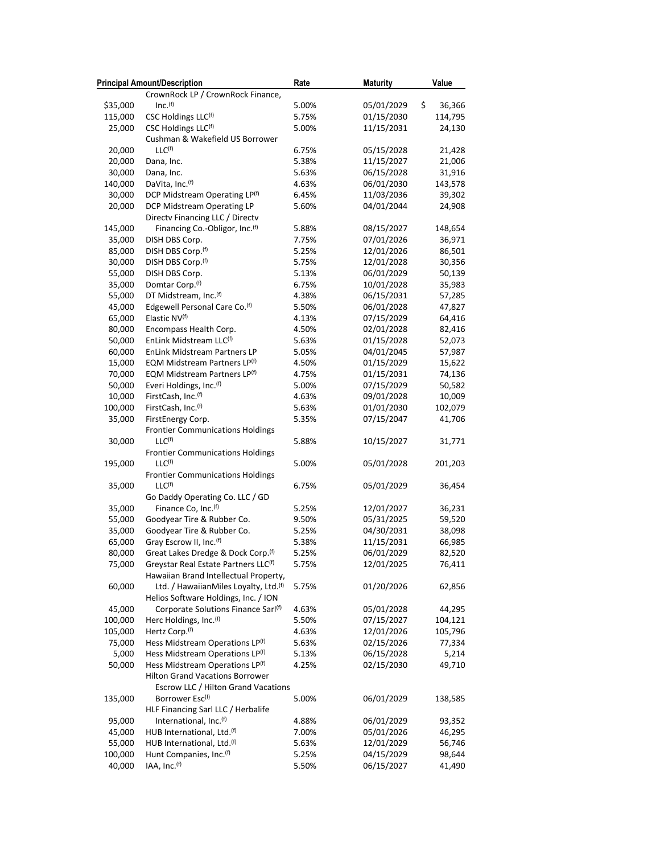|          | <b>Principal Amount/Description</b>              | Rate  | <b>Maturity</b>  | Value   |
|----------|--------------------------------------------------|-------|------------------|---------|
|          | CrownRock LP / CrownRock Finance,                |       |                  |         |
| \$35,000 | Inc. <sup>(f)</sup>                              | 5.00% | 05/01/2029<br>\$ | 36,366  |
| 115,000  | CSC Holdings LLC(f)                              | 5.75% | 01/15/2030       | 114,795 |
| 25,000   | CSC Holdings LLC(f)                              | 5.00% | 11/15/2031       | 24,130  |
|          | Cushman & Wakefield US Borrower                  |       |                  |         |
| 20,000   | $LLC^{(f)}$                                      | 6.75% | 05/15/2028       | 21,428  |
| 20,000   | Dana, Inc.                                       | 5.38% | 11/15/2027       | 21,006  |
| 30,000   | Dana, Inc.                                       | 5.63% | 06/15/2028       | 31,916  |
| 140,000  | DaVita, Inc. <sup>(f)</sup>                      | 4.63% | 06/01/2030       | 143,578 |
| 30,000   | DCP Midstream Operating LP(f)                    | 6.45% | 11/03/2036       | 39,302  |
| 20,000   | DCP Midstream Operating LP                       | 5.60% | 04/01/2044       | 24,908  |
|          | Directv Financing LLC / Directv                  |       |                  |         |
| 145,000  | Financing Co.-Obligor, Inc. <sup>(f)</sup>       | 5.88% | 08/15/2027       | 148,654 |
| 35,000   | DISH DBS Corp.                                   | 7.75% | 07/01/2026       | 36,971  |
| 85,000   | DISH DBS Corp. <sup>(f)</sup>                    | 5.25% | 12/01/2026       | 86,501  |
| 30,000   | DISH DBS Corp. <sup>(f)</sup>                    | 5.75% | 12/01/2028       | 30,356  |
| 55,000   | DISH DBS Corp.                                   | 5.13% | 06/01/2029       | 50,139  |
| 35,000   | Domtar Corp. <sup>(f)</sup>                      | 6.75% | 10/01/2028       | 35,983  |
| 55,000   | DT Midstream, Inc.(f)                            | 4.38% | 06/15/2031       | 57,285  |
| 45,000   | Edgewell Personal Care Co. <sup>(f)</sup>        | 5.50% | 06/01/2028       | 47,827  |
| 65,000   | Elastic NV <sup>(f)</sup>                        | 4.13% | 07/15/2029       | 64,416  |
| 80,000   | Encompass Health Corp.                           | 4.50% | 02/01/2028       | 82,416  |
| 50,000   | EnLink Midstream LLC <sup>(f)</sup>              | 5.63% | 01/15/2028       | 52,073  |
| 60,000   | EnLink Midstream Partners LP                     | 5.05% | 04/01/2045       | 57,987  |
| 15,000   | EQM Midstream Partners LP(f)                     | 4.50% | 01/15/2029       | 15,622  |
| 70,000   | EQM Midstream Partners LP(f)                     | 4.75% | 01/15/2031       | 74,136  |
| 50,000   | Everi Holdings, Inc.(f)                          | 5.00% | 07/15/2029       | 50,582  |
| 10,000   | FirstCash, Inc. <sup>(f)</sup>                   | 4.63% | 09/01/2028       | 10,009  |
| 100,000  | FirstCash, Inc. <sup>(f)</sup>                   | 5.63% | 01/01/2030       | 102,079 |
| 35,000   | FirstEnergy Corp.                                | 5.35% | 07/15/2047       | 41,706  |
|          | <b>Frontier Communications Holdings</b>          |       |                  |         |
| 30,000   | LLC <sup>(f)</sup>                               | 5.88% | 10/15/2027       | 31,771  |
|          | <b>Frontier Communications Holdings</b>          |       |                  |         |
| 195,000  | LLC <sup>(f)</sup>                               | 5.00% | 05/01/2028       | 201,203 |
|          | <b>Frontier Communications Holdings</b>          |       |                  |         |
| 35,000   | LLC <sup>(f)</sup>                               | 6.75% | 05/01/2029       | 36,454  |
|          | Go Daddy Operating Co. LLC / GD                  |       |                  |         |
| 35,000   | Finance Co, Inc. <sup>(f)</sup>                  | 5.25% | 12/01/2027       | 36,231  |
| 55,000   | Goodyear Tire & Rubber Co.                       | 9.50% | 05/31/2025       | 59,520  |
| 35,000   | Goodyear Tire & Rubber Co.                       | 5.25% | 04/30/2031       | 38,098  |
| 65,000   | Gray Escrow II, Inc. <sup>(f)</sup>              | 5.38% | 11/15/2031       | 66,985  |
| 80,000   | Great Lakes Dredge & Dock Corp.(f)               | 5.25% | 06/01/2029       | 82,520  |
| 75,000   | Greystar Real Estate Partners LLC <sup>(f)</sup> | 5.75% | 12/01/2025       | 76,411  |
|          | Hawaiian Brand Intellectual Property,            |       |                  |         |
| 60,000   | Ltd. / HawaiianMiles Loyalty, Ltd.(f)            | 5.75% | 01/20/2026       | 62,856  |
|          | Helios Software Holdings, Inc. / ION             |       |                  |         |
| 45,000   | Corporate Solutions Finance Sarl <sup>(f)</sup>  | 4.63% | 05/01/2028       | 44,295  |
| 100,000  | Herc Holdings, Inc.(f)                           | 5.50% | 07/15/2027       | 104,121 |
| 105,000  | Hertz Corp. <sup>(f)</sup>                       | 4.63% | 12/01/2026       | 105,796 |
| 75,000   | Hess Midstream Operations LP(f)                  | 5.63% | 02/15/2026       | 77,334  |
| 5,000    | Hess Midstream Operations LP(f)                  | 5.13% | 06/15/2028       | 5,214   |
| 50,000   | Hess Midstream Operations LP(f)                  | 4.25% | 02/15/2030       | 49,710  |
|          | <b>Hilton Grand Vacations Borrower</b>           |       |                  |         |
|          | Escrow LLC / Hilton Grand Vacations              |       |                  |         |
| 135,000  | Borrower Esc <sup>(f)</sup>                      | 5.00% | 06/01/2029       | 138,585 |
|          | HLF Financing Sarl LLC / Herbalife               |       |                  |         |
| 95,000   | International, Inc.(f)                           | 4.88% | 06/01/2029       | 93,352  |
| 45,000   | HUB International, Ltd. <sup>(f)</sup>           | 7.00% | 05/01/2026       | 46,295  |
| 55,000   | HUB International, Ltd. <sup>(f)</sup>           | 5.63% | 12/01/2029       | 56,746  |
| 100,000  | Hunt Companies, Inc.(f)                          | 5.25% | 04/15/2029       | 98,644  |
| 40,000   | IAA, Inc. <sup>(f)</sup>                         | 5.50% | 06/15/2027       | 41,490  |
|          |                                                  |       |                  |         |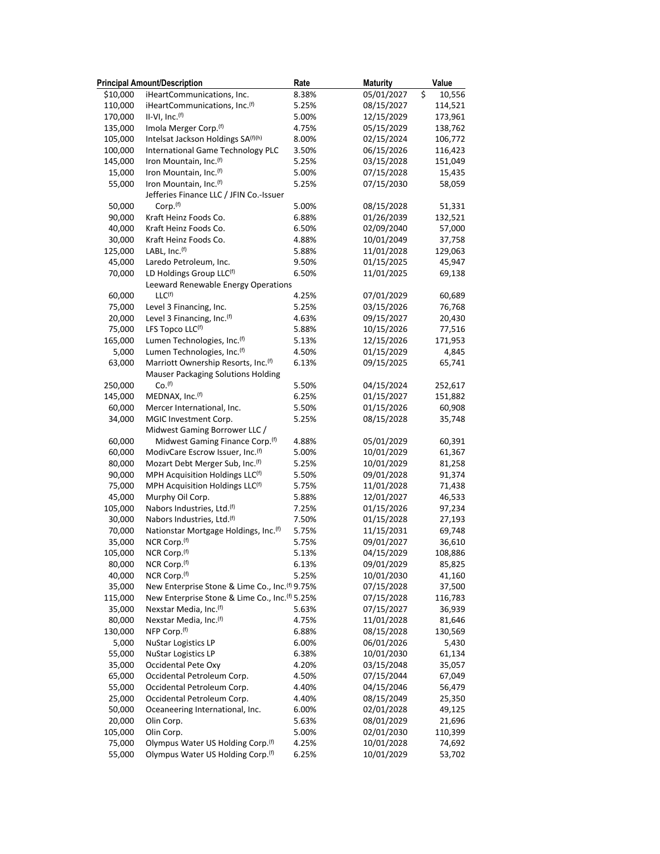|          | <b>Principal Amount/Description</b>                             | Rate  | <b>Maturity</b> | Value                             |
|----------|-----------------------------------------------------------------|-------|-----------------|-----------------------------------|
| \$10,000 | iHeartCommunications, Inc.                                      | 8.38% | 05/01/2027      | $\overline{\mathsf{S}}$<br>10,556 |
| 110,000  | iHeartCommunications, Inc. <sup>(f)</sup>                       | 5.25% | 08/15/2027      | 114,521                           |
| 170,000  | II-VI, Inc.(f)                                                  | 5.00% | 12/15/2029      | 173,961                           |
| 135,000  | Imola Merger Corp. <sup>(f)</sup>                               | 4.75% | 05/15/2029      | 138,762                           |
| 105,000  | Intelsat Jackson Holdings SA(f)(h)                              | 8.00% | 02/15/2024      | 106,772                           |
| 100,000  | International Game Technology PLC                               | 3.50% | 06/15/2026      | 116,423                           |
| 145,000  | Iron Mountain, Inc. <sup>(f)</sup>                              | 5.25% | 03/15/2028      | 151,049                           |
| 15,000   | Iron Mountain, Inc. <sup>(f)</sup>                              | 5.00% | 07/15/2028      | 15,435                            |
| 55,000   | Iron Mountain, Inc.(f)                                          | 5.25% | 07/15/2030      | 58,059                            |
|          | Jefferies Finance LLC / JFIN Co.-Issuer                         |       |                 |                                   |
| 50,000   | Corp. <sup>(f)</sup>                                            | 5.00% | 08/15/2028      | 51,331                            |
| 90,000   | Kraft Heinz Foods Co.                                           | 6.88% | 01/26/2039      | 132,521                           |
| 40,000   | Kraft Heinz Foods Co.                                           | 6.50% | 02/09/2040      | 57,000                            |
| 30,000   | Kraft Heinz Foods Co.                                           | 4.88% | 10/01/2049      | 37,758                            |
| 125,000  | LABL, $Inc.(f)$                                                 | 5.88% | 11/01/2028      | 129,063                           |
| 45,000   | Laredo Petroleum, Inc.                                          | 9.50% | 01/15/2025      | 45,947                            |
| 70,000   | LD Holdings Group LLC(f)                                        | 6.50% | 11/01/2025      | 69,138                            |
|          | Leeward Renewable Energy Operations                             |       |                 |                                   |
| 60,000   | LLC <sup>(f)</sup>                                              | 4.25% | 07/01/2029      | 60,689                            |
| 75,000   | Level 3 Financing, Inc.                                         | 5.25% | 03/15/2026      | 76,768                            |
| 20,000   | Level 3 Financing, Inc.(f)                                      | 4.63% | 09/15/2027      | 20,430                            |
| 75,000   | LFS Topco LLC <sup>(f)</sup>                                    | 5.88% | 10/15/2026      | 77,516                            |
| 165,000  | Lumen Technologies, Inc.(f)                                     | 5.13% | 12/15/2026      | 171,953                           |
| 5,000    | Lumen Technologies, Inc.(f)                                     | 4.50% | 01/15/2029      | 4,845                             |
|          |                                                                 |       | 09/15/2025      |                                   |
| 63,000   | Marriott Ownership Resorts, Inc. <sup>(f)</sup>                 | 6.13% |                 | 65,741                            |
|          | <b>Mauser Packaging Solutions Holding</b><br>Co. <sup>(f)</sup> |       |                 |                                   |
| 250,000  |                                                                 | 5.50% | 04/15/2024      | 252,617                           |
| 145,000  | MEDNAX, Inc. <sup>(f)</sup>                                     | 6.25% | 01/15/2027      | 151,882                           |
| 60,000   | Mercer International, Inc.                                      | 5.50% | 01/15/2026      | 60,908                            |
| 34,000   | MGIC Investment Corp.                                           | 5.25% | 08/15/2028      | 35,748                            |
|          | Midwest Gaming Borrower LLC /                                   |       |                 |                                   |
| 60,000   | Midwest Gaming Finance Corp. <sup>(f)</sup>                     | 4.88% | 05/01/2029      | 60,391                            |
| 60,000   | ModivCare Escrow Issuer, Inc.(f)                                | 5.00% | 10/01/2029      | 61,367                            |
| 80,000   | Mozart Debt Merger Sub, Inc. <sup>(f)</sup>                     | 5.25% | 10/01/2029      | 81,258                            |
| 90,000   | MPH Acquisition Holdings LLC(f)                                 | 5.50% | 09/01/2028      | 91,374                            |
| 75,000   | MPH Acquisition Holdings LLC(f)                                 | 5.75% | 11/01/2028      | 71,438                            |
| 45,000   | Murphy Oil Corp.                                                | 5.88% | 12/01/2027      | 46,533                            |
| 105,000  | Nabors Industries, Ltd.(f)                                      | 7.25% | 01/15/2026      | 97,234                            |
| 30,000   | Nabors Industries, Ltd.(f)                                      | 7.50% | 01/15/2028      | 27,193                            |
| 70,000   | Nationstar Mortgage Holdings, Inc.(f)                           | 5.75% | 11/15/2031      | 69,748                            |
| 35,000   | NCR Corp. <sup>(f)</sup>                                        | 5.75% | 09/01/2027      | 36,610                            |
| 105,000  | NCR Corp.(f)                                                    | 5.13% | 04/15/2029      | 108,886                           |
| 80,000   | NCR Corp. <sup>(f)</sup>                                        | 6.13% | 09/01/2029      | 85,825                            |
| 40,000   | NCR Corp. <sup>(f)</sup>                                        | 5.25% | 10/01/2030      | 41,160                            |
| 35,000   | New Enterprise Stone & Lime Co., Inc.(f) 9.75%                  |       | 07/15/2028      | 37,500                            |
| 115,000  | New Enterprise Stone & Lime Co., Inc. <sup>(f)</sup> 5.25%      |       | 07/15/2028      | 116,783                           |
| 35,000   | Nexstar Media, Inc.(f)                                          | 5.63% | 07/15/2027      | 36,939                            |
| 80,000   | Nexstar Media, Inc.(f)                                          | 4.75% | 11/01/2028      | 81,646                            |
| 130,000  | NFP Corp. <sup>(f)</sup>                                        | 6.88% | 08/15/2028      | 130,569                           |
| 5,000    | <b>NuStar Logistics LP</b>                                      | 6.00% | 06/01/2026      | 5,430                             |
| 55,000   | <b>NuStar Logistics LP</b>                                      | 6.38% | 10/01/2030      | 61,134                            |
| 35,000   | Occidental Pete Oxy                                             | 4.20% | 03/15/2048      | 35,057                            |
| 65,000   | Occidental Petroleum Corp.                                      | 4.50% | 07/15/2044      | 67,049                            |
| 55,000   | Occidental Petroleum Corp.                                      | 4.40% | 04/15/2046      | 56,479                            |
| 25,000   | Occidental Petroleum Corp.                                      | 4.40% | 08/15/2049      | 25,350                            |
| 50,000   | Oceaneering International, Inc.                                 | 6.00% | 02/01/2028      | 49,125                            |
| 20,000   | Olin Corp.                                                      | 5.63% | 08/01/2029      | 21,696                            |
| 105,000  | Olin Corp.                                                      | 5.00% | 02/01/2030      | 110,399                           |
| 75,000   | Olympus Water US Holding Corp. <sup>(f)</sup>                   | 4.25% | 10/01/2028      | 74,692                            |
| 55,000   | Olympus Water US Holding Corp.(f)                               | 6.25% | 10/01/2029      | 53,702                            |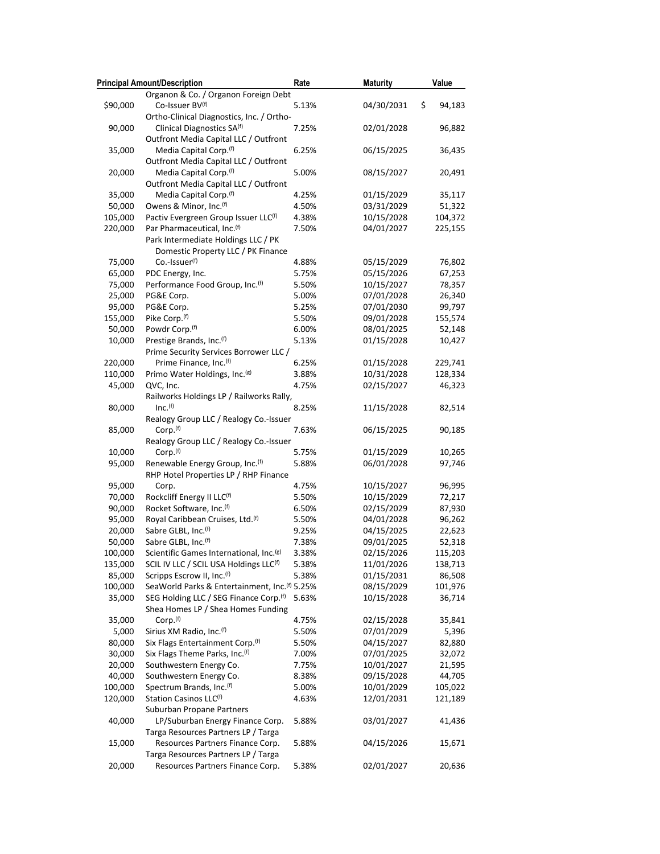|          | <b>Principal Amount/Description</b>                                     | Rate  | <b>Maturity</b>  | Value   |
|----------|-------------------------------------------------------------------------|-------|------------------|---------|
|          | Organon & Co. / Organon Foreign Debt                                    |       |                  |         |
| \$90,000 | Co-Issuer BV(f)                                                         | 5.13% | 04/30/2031<br>\$ | 94,183  |
|          | Ortho-Clinical Diagnostics, Inc. / Ortho-                               |       |                  |         |
| 90,000   | Clinical Diagnostics SA <sup>(f)</sup>                                  | 7.25% | 02/01/2028       | 96,882  |
|          | Outfront Media Capital LLC / Outfront                                   |       |                  |         |
| 35,000   | Media Capital Corp. <sup>(f)</sup>                                      | 6.25% | 06/15/2025       | 36,435  |
|          | Outfront Media Capital LLC / Outfront                                   |       |                  |         |
| 20,000   | Media Capital Corp. <sup>(f)</sup>                                      | 5.00% | 08/15/2027       | 20,491  |
|          | Outfront Media Capital LLC / Outfront                                   |       |                  |         |
| 35,000   | Media Capital Corp. <sup>(f)</sup>                                      | 4.25% | 01/15/2029       | 35,117  |
| 50,000   | Owens & Minor, Inc. <sup>(f)</sup>                                      | 4.50% | 03/31/2029       | 51,322  |
| 105,000  | Pactiv Evergreen Group Issuer LLC(f)                                    | 4.38% | 10/15/2028       | 104,372 |
| 220,000  | Par Pharmaceutical, Inc. <sup>(f)</sup>                                 | 7.50% | 04/01/2027       | 225,155 |
|          | Park Intermediate Holdings LLC / PK                                     |       |                  |         |
|          | Domestic Property LLC / PK Finance                                      |       |                  |         |
| 75,000   | Co.-Issuer <sup>(f)</sup>                                               | 4.88% | 05/15/2029       | 76,802  |
| 65,000   | PDC Energy, Inc.                                                        | 5.75% | 05/15/2026       | 67,253  |
| 75,000   | Performance Food Group, Inc.(f)                                         | 5.50% | 10/15/2027       | 78,357  |
| 25,000   | PG&E Corp.                                                              | 5.00% | 07/01/2028       | 26,340  |
| 95,000   | PG&E Corp.                                                              | 5.25% | 07/01/2030       | 99,797  |
| 155,000  | Pike Corp.(f)                                                           | 5.50% | 09/01/2028       | 155,574 |
| 50,000   | Powdr Corp. <sup>(f)</sup>                                              | 6.00% | 08/01/2025       | 52,148  |
| 10,000   | Prestige Brands, Inc. <sup>(f)</sup>                                    | 5.13% | 01/15/2028       | 10,427  |
|          | Prime Security Services Borrower LLC /                                  |       |                  |         |
| 220,000  | Prime Finance, Inc. <sup>(f)</sup>                                      | 6.25% | 01/15/2028       | 229,741 |
| 110,000  | Primo Water Holdings, Inc. <sup>(g)</sup>                               | 3.88% | 10/31/2028       | 128,334 |
| 45,000   | QVC, Inc.                                                               | 4.75% | 02/15/2027       | 46,323  |
|          | Railworks Holdings LP / Railworks Rally,                                |       |                  |         |
| 80,000   | Inc. <sup>(f)</sup>                                                     | 8.25% | 11/15/2028       | 82,514  |
|          | Realogy Group LLC / Realogy Co.-Issuer                                  |       |                  |         |
| 85,000   | Corp. <sup>(f)</sup>                                                    | 7.63% | 06/15/2025       | 90,185  |
|          | Realogy Group LLC / Realogy Co.-Issuer                                  |       |                  |         |
| 10,000   | Corp. <sup>(f)</sup>                                                    | 5.75% | 01/15/2029       | 10,265  |
| 95,000   | Renewable Energy Group, Inc. <sup>(f)</sup>                             | 5.88% | 06/01/2028       | 97,746  |
|          | RHP Hotel Properties LP / RHP Finance                                   |       |                  |         |
| 95,000   | Corp.                                                                   | 4.75% | 10/15/2027       | 96,995  |
| 70,000   | Rockcliff Energy II LLC(f)                                              | 5.50% | 10/15/2029       | 72,217  |
| 90,000   | Rocket Software, Inc. <sup>(f)</sup>                                    | 6.50% | 02/15/2029       | 87,930  |
| 95,000   | Royal Caribbean Cruises, Ltd.(f)                                        | 5.50% | 04/01/2028       | 96,262  |
| 20,000   | Sabre GLBL, Inc.(f)                                                     | 9.25% | 04/15/2025       | 22,623  |
| 50,000   | Sabre GLBL, Inc. <sup>(f)</sup>                                         | 7.38% | 09/01/2025       | 52,318  |
| 100,000  | Scientific Games International, Inc. <sup>(g)</sup>                     | 3.38% | 02/15/2026       | 115,203 |
| 135,000  | SCIL IV LLC / SCIL USA Holdings LLC(f)                                  | 5.38% | 11/01/2026       | 138,713 |
| 85,000   | Scripps Escrow II, Inc.(f)                                              | 5.38% | 01/15/2031       | 86,508  |
| 100,000  | SeaWorld Parks & Entertainment, Inc.(f) 5.25%                           |       | 08/15/2029       | 101,976 |
| 35,000   | SEG Holding LLC / SEG Finance Corp.(f)                                  | 5.63% | 10/15/2028       | 36,714  |
|          | Shea Homes LP / Shea Homes Funding                                      |       |                  |         |
| 35,000   | Corp. <sup>(f)</sup>                                                    | 4.75% | 02/15/2028       | 35,841  |
| 5,000    | Sirius XM Radio, Inc. <sup>(f)</sup>                                    | 5.50% | 07/01/2029       | 5,396   |
| 80,000   | Six Flags Entertainment Corp. <sup>(f)</sup>                            | 5.50% | 04/15/2027       | 82,880  |
| 30,000   | Six Flags Theme Parks, Inc.(f)                                          | 7.00% | 07/01/2025       | 32,072  |
| 20,000   | Southwestern Energy Co.                                                 | 7.75% | 10/01/2027       | 21,595  |
| 40,000   | Southwestern Energy Co.                                                 | 8.38% | 09/15/2028       | 44,705  |
| 100,000  | Spectrum Brands, Inc.(f)                                                | 5.00% | 10/01/2029       | 105,022 |
| 120,000  | Station Casinos LLC <sup>(f)</sup>                                      | 4.63% | 12/01/2031       | 121,189 |
|          | Suburban Propane Partners                                               |       | 03/01/2027       |         |
| 40,000   | LP/Suburban Energy Finance Corp.<br>Targa Resources Partners LP / Targa | 5.88% |                  | 41,436  |
| 15,000   | Resources Partners Finance Corp.                                        |       | 04/15/2026       |         |
|          | Targa Resources Partners LP / Targa                                     | 5.88% |                  | 15,671  |
| 20,000   | Resources Partners Finance Corp.                                        | 5.38% | 02/01/2027       | 20,636  |
|          |                                                                         |       |                  |         |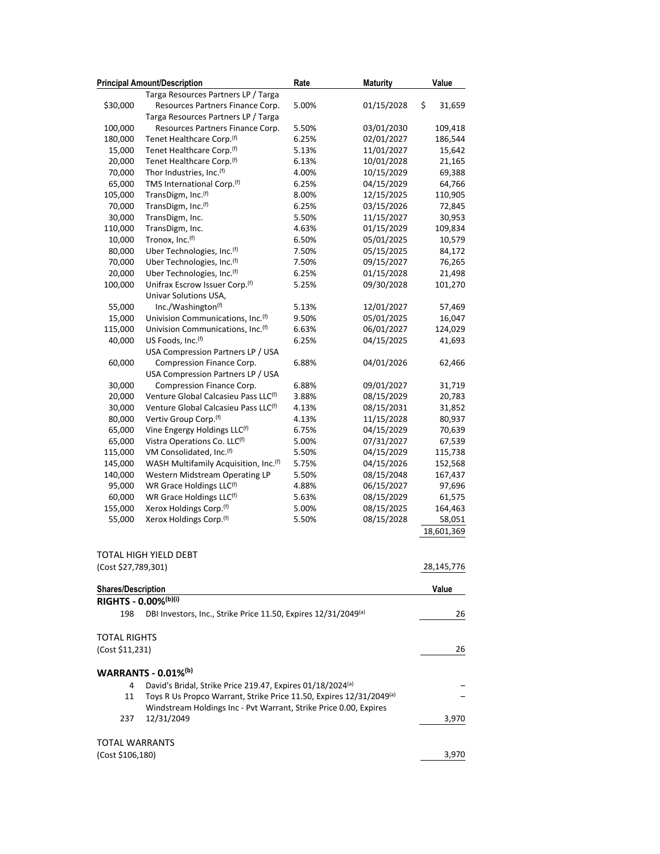|                           | <b>Principal Amount/Description</b>                                 | Rate  | <b>Maturity</b> | Value        |
|---------------------------|---------------------------------------------------------------------|-------|-----------------|--------------|
|                           | Targa Resources Partners LP / Targa                                 |       |                 |              |
| \$30,000                  | Resources Partners Finance Corp.                                    | 5.00% | 01/15/2028      | \$<br>31,659 |
|                           | Targa Resources Partners LP / Targa                                 |       |                 |              |
| 100,000                   | Resources Partners Finance Corp.                                    | 5.50% | 03/01/2030      | 109,418      |
| 180,000                   | Tenet Healthcare Corp. <sup>(f)</sup>                               | 6.25% | 02/01/2027      | 186,544      |
| 15,000                    | Tenet Healthcare Corp. <sup>(f)</sup>                               | 5.13% | 11/01/2027      | 15,642       |
| 20,000                    | Tenet Healthcare Corp. <sup>(f)</sup>                               | 6.13% | 10/01/2028      | 21,165       |
| 70,000                    | Thor Industries, Inc.(f)                                            | 4.00% | 10/15/2029      | 69,388       |
| 65,000                    | TMS International Corp.(f)                                          | 6.25% | 04/15/2029      | 64,766       |
| 105,000                   | TransDigm, Inc.(f)                                                  | 8.00% | 12/15/2025      | 110,905      |
| 70,000                    | TransDigm, Inc.(f)                                                  | 6.25% | 03/15/2026      | 72,845       |
| 30,000                    | TransDigm, Inc.                                                     | 5.50% | 11/15/2027      | 30,953       |
| 110,000                   | TransDigm, Inc.                                                     | 4.63% | 01/15/2029      | 109,834      |
| 10,000                    | Tronox, Inc. <sup>(f)</sup>                                         | 6.50% | 05/01/2025      | 10,579       |
| 80,000                    | Uber Technologies, Inc.(f)                                          | 7.50% | 05/15/2025      | 84,172       |
| 70,000                    | Uber Technologies, Inc.(f)                                          | 7.50% | 09/15/2027      | 76,265       |
| 20,000                    | Uber Technologies, Inc.(f)                                          | 6.25% | 01/15/2028      | 21,498       |
| 100,000                   | Unifrax Escrow Issuer Corp.(f)                                      | 5.25% | 09/30/2028      | 101,270      |
|                           | Univar Solutions USA,                                               |       |                 |              |
| 55,000                    | Inc./Washington(f)                                                  | 5.13% | 12/01/2027      | 57,469       |
| 15,000                    | Univision Communications, Inc.(f)                                   | 9.50% | 05/01/2025      | 16,047       |
| 115,000                   | Univision Communications, Inc. <sup>(f)</sup>                       | 6.63% | 06/01/2027      | 124,029      |
| 40,000                    | US Foods, Inc. <sup>(f)</sup>                                       | 6.25% | 04/15/2025      | 41,693       |
|                           | USA Compression Partners LP / USA                                   |       |                 |              |
| 60,000                    | Compression Finance Corp.                                           | 6.88% | 04/01/2026      | 62,466       |
|                           | USA Compression Partners LP / USA                                   |       |                 |              |
| 30,000                    | Compression Finance Corp.                                           | 6.88% | 09/01/2027      | 31,719       |
| 20,000                    | Venture Global Calcasieu Pass LLC(f)                                | 3.88% | 08/15/2029      | 20,783       |
| 30,000                    | Venture Global Calcasieu Pass LLC(f)                                | 4.13% | 08/15/2031      | 31,852       |
| 80,000                    | Vertiv Group Corp.(f)                                               | 4.13% | 11/15/2028      | 80,937       |
| 65,000                    | Vine Engergy Holdings LLC(f)                                        | 6.75% | 04/15/2029      | 70,639       |
| 65,000                    | Vistra Operations Co. LLC(f)                                        | 5.00% | 07/31/2027      | 67,539       |
| 115,000                   | VM Consolidated, Inc.(f)                                            | 5.50% | 04/15/2029      | 115,738      |
| 145,000                   | WASH Multifamily Acquisition, Inc. <sup>(f)</sup>                   | 5.75% | 04/15/2026      | 152,568      |
| 140,000                   | Western Midstream Operating LP                                      | 5.50% | 08/15/2048      | 167,437      |
| 95,000                    | WR Grace Holdings LLC(f)                                            | 4.88% | 06/15/2027      | 97,696       |
| 60,000                    | WR Grace Holdings LLC <sup>(f)</sup>                                | 5.63% | 08/15/2029      | 61,575       |
| 155,000                   | Xerox Holdings Corp. <sup>(f)</sup>                                 | 5.00% | 08/15/2025      | 164,463      |
| 55,000                    | Xerox Holdings Corp.(f)                                             | 5.50% | 08/15/2028      | 58,051       |
|                           |                                                                     |       |                 | 18,601,369   |
|                           |                                                                     |       |                 |              |
|                           | TOTAL HIGH YIELD DEBT                                               |       |                 |              |
| (Cost \$27,789,301)       |                                                                     |       |                 |              |
|                           |                                                                     |       |                 | 28,145,776   |
| <b>Shares/Description</b> |                                                                     |       |                 | Value        |
| RIGHTS - 0.00%(b)(i)      |                                                                     |       |                 |              |
|                           |                                                                     |       |                 |              |
| 198                       | DBI Investors, Inc., Strike Price 11.50, Expires 12/31/2049(a)      |       |                 | 26           |
|                           |                                                                     |       |                 |              |
| <b>TOTAL RIGHTS</b>       |                                                                     |       |                 |              |
| (Cost \$11,231)           |                                                                     |       |                 | 26           |
|                           |                                                                     |       |                 |              |
|                           | <b>WARRANTS - 0.01%</b> <sup>(b)</sup>                              |       |                 |              |
| 4                         | David's Bridal, Strike Price 219.47, Expires 01/18/2024(a)          |       |                 |              |
| 11                        | Toys R Us Propco Warrant, Strike Price 11.50, Expires 12/31/2049(a) |       |                 |              |
|                           | Windstream Holdings Inc - Pvt Warrant, Strike Price 0.00, Expires   |       |                 |              |
| 237                       | 12/31/2049                                                          |       |                 | 3,970        |
|                           |                                                                     |       |                 |              |
| TOTAL WARRANTS            |                                                                     |       |                 |              |
| (Cost \$106,180)          |                                                                     |       |                 | 3,970        |
|                           |                                                                     |       |                 |              |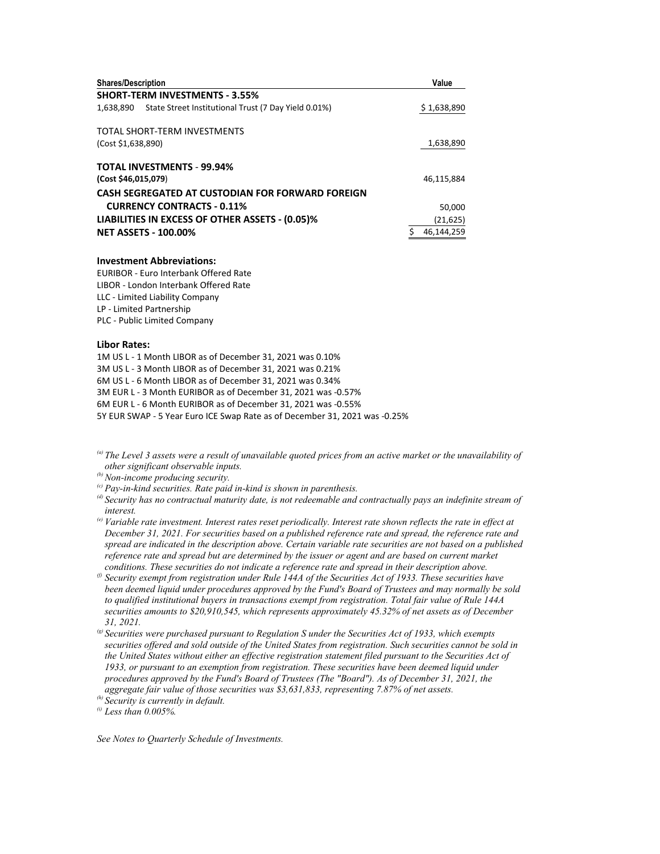| <b>Shares/Description</b>                                         | Value       |
|-------------------------------------------------------------------|-------------|
| <b>SHORT-TERM INVESTMENTS - 3.55%</b>                             |             |
| State Street Institutional Trust (7 Day Yield 0.01%)<br>1,638,890 | \$1,638,890 |
| TOTAL SHORT-TERM INVESTMENTS                                      |             |
| (Cost \$1,638,890)                                                | 1,638,890   |
| <b>TOTAL INVESTMENTS - 99.94%</b>                                 |             |
| (Cost \$46,015,079)                                               | 46.115.884  |
| CASH SEGREGATED AT CUSTODIAN FOR FORWARD FOREIGN                  |             |
| <b>CURRENCY CONTRACTS - 0.11%</b>                                 | 50,000      |
| LIABILITIES IN EXCESS OF OTHER ASSETS - (0.05)%                   | (21, 625)   |
| <b>NET ASSETS - 100.00%</b>                                       | 46,144,259  |

#### **Investment Abbreviations:**

EURIBOR - Euro Interbank Offered Rate LIBOR - London Interbank Offered Rate LLC - Limited Liability Company LP - Limited Partnership PLC - Public Limited Company

### **Libor Rates:**

1M US L - 1 Month LIBOR as of December 31, 2021 was 0.10% 3M US L - 3 Month LIBOR as of December 31, 2021 was 0.21% 6M US L - 6 Month LIBOR as of December 31, 2021 was 0.34% 3M EUR L - 3 Month EURIBOR as of December 31, 2021 was -0.57% 6M EUR L - 6 Month EURIBOR as of December 31, 2021 was -0.55% 5Y EUR SWAP - 5 Year Euro ICE Swap Rate as of December 31, 2021 was -0.25%

*(a) The Level 3 assets were a result of unavailable quoted prices from an active market or the unavailability of other significant observable inputs.* 

- 
- <sup>(c)</sup> Pay-in-kind securities. Rate paid in-kind is shown in parenthesis.
- *(d) Security has no contractual maturity date, is not redeemable and contractually pays an indefinite stream of interest.*
- *(e) Variable rate investment. Interest rates reset periodically. Interest rate shown reflects the rate in effect at December 31, 2021. For securities based on a published reference rate and spread, the reference rate and spread are indicated in the description above. Certain variable rate securities are not based on a published reference rate and spread but are determined by the issuer or agent and are based on current market conditions. These securities do not indicate a reference rate and spread in their description above.*
- *(f) Security exempt from registration under Rule 144A of the Securities Act of 1933. These securities have been deemed liquid under procedures approved by the Fund's Board of Trustees and may normally be sold to qualified institutional buyers in transactions exempt from registration. Total fair value of Rule 144A securities amounts to \$20,910,545, which represents approximately 45.32% of net assets as of December 31, 2021.*
- *(g) Securities were purchased pursuant to Regulation S under the Securities Act of 1933, which exempts securities offered and sold outside of the United States from registration. Such securities cannot be sold in the United States without either an effective registration statement filed pursuant to the Securities Act of 1933, or pursuant to an exemption from registration. These securities have been deemed liquid under procedures approved by the Fund's Board of Trustees (The "Board"). As of December 31, 2021, the aggregate fair value of those securities was \$3,631,833, representing 7.87% of net assets.*

*(h) Security is currently in default.* 

*(i) Less than 0.005%.* 

*See Notes to Quarterly Schedule of Investments.*